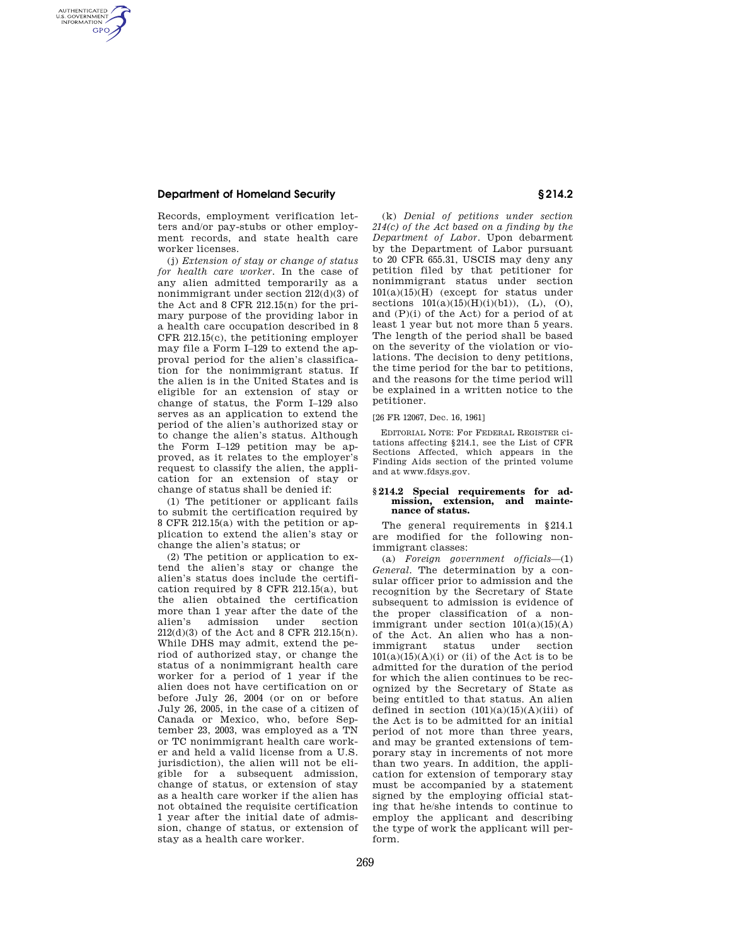AUTHENTICATED<br>U.S. GOVERNMENT<br>INFORMATION **GPO** 

> Records, employment verification letters and/or pay-stubs or other employment records, and state health care worker licenses.

(j) *Extension of stay or change of status for health care worker.* In the case of any alien admitted temporarily as a nonimmigrant under section 212(d)(3) of the Act and 8 CFR 212.15(n) for the primary purpose of the providing labor in a health care occupation described in 8 CFR 212.15(c), the petitioning employer may file a Form I–129 to extend the approval period for the alien's classification for the nonimmigrant status. If the alien is in the United States and is eligible for an extension of stay or change of status, the Form I–129 also serves as an application to extend the period of the alien's authorized stay or to change the alien's status. Although the Form I–129 petition may be approved, as it relates to the employer's request to classify the alien, the application for an extension of stay or change of status shall be denied if:

(1) The petitioner or applicant fails to submit the certification required by 8 CFR 212.15(a) with the petition or application to extend the alien's stay or change the alien's status; or

(2) The petition or application to extend the alien's stay or change the alien's status does include the certification required by 8 CFR 212.15(a), but the alien obtained the certification more than 1 year after the date of the alien's admission under section 212(d)(3) of the Act and 8 CFR 212.15(n). While DHS may admit, extend the period of authorized stay, or change the status of a nonimmigrant health care worker for a period of 1 year if the alien does not have certification on or before July 26, 2004 (or on or before July 26, 2005, in the case of a citizen of Canada or Mexico, who, before September 23, 2003, was employed as a TN or TC nonimmigrant health care worker and held a valid license from a U.S. jurisdiction), the alien will not be eligible for a subsequent admission, change of status, or extension of stay as a health care worker if the alien has not obtained the requisite certification 1 year after the initial date of admission, change of status, or extension of stay as a health care worker.

(k) *Denial of petitions under section 214(c) of the Act based on a finding by the Department of Labor*. Upon debarment by the Department of Labor pursuant to 20 CFR 655.31, USCIS may deny any petition filed by that petitioner for nonimmigrant status under section 101(a)(15)(H) (except for status under sections  $101(a)(15)(H)(i)(b1)$ , (L), (O), and (P)(i) of the Act) for a period of at least 1 year but not more than 5 years. The length of the period shall be based on the severity of the violation or violations. The decision to deny petitions, the time period for the bar to petitions, and the reasons for the time period will be explained in a written notice to the petitioner.

[26 FR 12067, Dec. 16, 1961]

EDITORIAL NOTE: For FEDERAL REGISTER citations affecting §214.1, see the List of CFR Sections Affected, which appears in the Finding Aids section of the printed volume and at www.fdsys.gov.

#### **§ 214.2 Special requirements for admission, extension, and maintenance of status.**

The general requirements in §214.1 are modified for the following nonimmigrant classes:

(a) *Foreign government officials*—(1) *General.* The determination by a consular officer prior to admission and the recognition by the Secretary of State subsequent to admission is evidence of the proper classification of a nonimmigrant under section  $101(a)(15)(A)$ of the Act. An alien who has a nonimmigrant status under section  $101(a)(15)(A)(i)$  or (ii) of the Act is to be admitted for the duration of the period for which the alien continues to be recognized by the Secretary of State as being entitled to that status. An alien defined in section  $(101)(a)(15)(A)(iii)$  of the Act is to be admitted for an initial period of not more than three years, and may be granted extensions of temporary stay in increments of not more than two years. In addition, the application for extension of temporary stay must be accompanied by a statement signed by the employing official stating that he/she intends to continue to employ the applicant and describing the type of work the applicant will perform.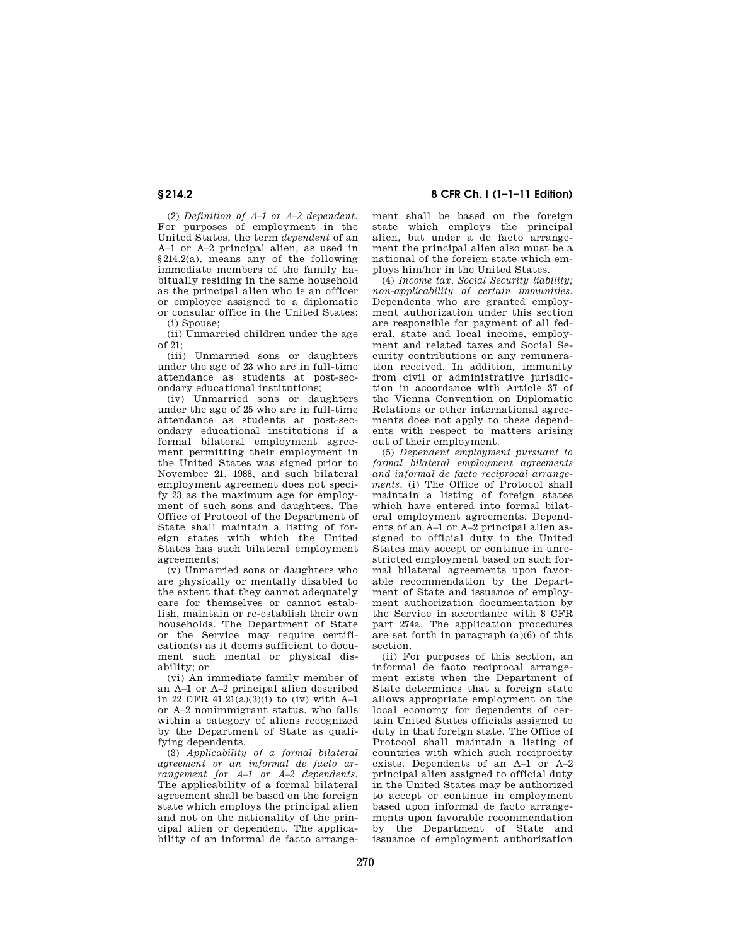## **§ 214.2 8 CFR Ch. I (1–1–11 Edition)**

(2) *Definition of A–1 or A–2 dependent.*  For purposes of employment in the United States, the term *dependent* of an A–1 or A–2 principal alien, as used in §214.2(a), means any of the following immediate members of the family habitually residing in the same household as the principal alien who is an officer or employee assigned to a diplomatic or consular office in the United States:

(i) Spouse; (ii) Unmarried children under the age

 $of 21$ (iii) Unmarried sons or daughters under the age of 23 who are in full-time attendance as students at post-secondary educational institutions;

(iv) Unmarried sons or daughters under the age of 25 who are in full-time attendance as students at post-secondary educational institutions if a formal bilateral employment agreement permitting their employment in the United States was signed prior to November 21, 1988, and such bilateral employment agreement does not specify 23 as the maximum age for employment of such sons and daughters. The Office of Protocol of the Department of State shall maintain a listing of foreign states with which the United States has such bilateral employment agreements;

(v) Unmarried sons or daughters who are physically or mentally disabled to the extent that they cannot adequately care for themselves or cannot establish, maintain or re-establish their own households. The Department of State or the Service may require certification(s) as it deems sufficient to document such mental or physical disability; or

(vi) An immediate family member of an A–1 or A–2 principal alien described in 22 CFR  $41.21(a)(3)(i)$  to (iv) with A-1 or A–2 nonimmigrant status, who falls within a category of aliens recognized by the Department of State as qualifying dependents.

(3) *Applicability of a formal bilateral agreement or an informal de facto arrangement for A–1 or A–2 dependents.*  The applicability of a formal bilateral agreement shall be based on the foreign state which employs the principal alien and not on the nationality of the principal alien or dependent. The applicability of an informal de facto arrangement shall be based on the foreign state which employs the principal alien, but under a de facto arrangement the principal alien also must be a national of the foreign state which employs him/her in the United States.

(4) *Income tax, Social Security liability; non-applicability of certain immunities.*  Dependents who are granted employment authorization under this section are responsible for payment of all federal, state and local income, employment and related taxes and Social Security contributions on any remuneration received. In addition, immunity from civil or administrative jurisdiction in accordance with Article 37 of the Vienna Convention on Diplomatic Relations or other international agreements does not apply to these dependents with respect to matters arising out of their employment.

(5) *Dependent employment pursuant to formal bilateral employment agreements and informal de facto reciprocal arrangements.* (i) The Office of Protocol shall maintain a listing of foreign states which have entered into formal bilateral employment agreements. Dependents of an A–1 or A–2 principal alien assigned to official duty in the United States may accept or continue in unrestricted employment based on such formal bilateral agreements upon favorable recommendation by the Department of State and issuance of employment authorization documentation by the Service in accordance with 8 CFR part 274a. The application procedures are set forth in paragraph (a)(6) of this section.

(ii) For purposes of this section, an informal de facto reciprocal arrangement exists when the Department of State determines that a foreign state allows appropriate employment on the local economy for dependents of certain United States officials assigned to duty in that foreign state. The Office of Protocol shall maintain a listing of countries with which such reciprocity exists. Dependents of an A–1 or A–2 principal alien assigned to official duty in the United States may be authorized to accept or continue in employment based upon informal de facto arrangements upon favorable recommendation by the Department of State and issuance of employment authorization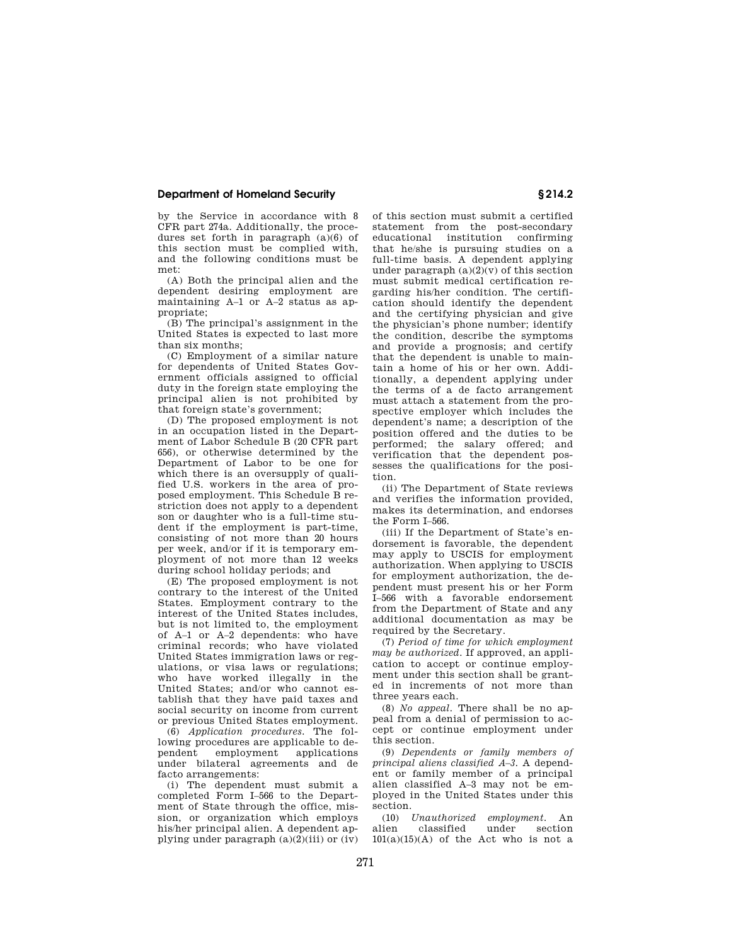by the Service in accordance with 8 CFR part 274a. Additionally, the procedures set forth in paragraph  $(a)(6)$  of this section must be complied with, and the following conditions must be met:

(A) Both the principal alien and the dependent desiring employment are maintaining A–1 or A–2 status as appropriate;

(B) The principal's assignment in the United States is expected to last more than six months;

(C) Employment of a similar nature for dependents of United States Government officials assigned to official duty in the foreign state employing the principal alien is not prohibited by that foreign state's government;

(D) The proposed employment is not in an occupation listed in the Department of Labor Schedule B (20 CFR part 656), or otherwise determined by the Department of Labor to be one for which there is an oversupply of qualified U.S. workers in the area of proposed employment. This Schedule B restriction does not apply to a dependent son or daughter who is a full-time student if the employment is part-time, consisting of not more than 20 hours per week, and/or if it is temporary employment of not more than 12 weeks during school holiday periods; and

(E) The proposed employment is not contrary to the interest of the United States. Employment contrary to the interest of the United States includes, but is not limited to, the employment of A–1 or A–2 dependents: who have criminal records; who have violated United States immigration laws or regulations, or visa laws or regulations; who have worked illegally in the United States; and/or who cannot establish that they have paid taxes and social security on income from current or previous United States employment.

(6) *Application procedures.* The following procedures are applicable to dependent employment under bilateral agreements and de facto arrangements:

(i) The dependent must submit a completed Form I–566 to the Department of State through the office, mission, or organization which employs his/her principal alien. A dependent applying under paragraph  $(a)(2)(iii)$  or  $(iv)$  of this section must submit a certified statement from the post-secondary educational institution confirming that he/she is pursuing studies on a full-time basis. A dependent applying under paragraph  $(a)(2)(v)$  of this section must submit medical certification regarding his/her condition. The certification should identify the dependent and the certifying physician and give the physician's phone number; identify the condition, describe the symptoms and provide a prognosis; and certify that the dependent is unable to maintain a home of his or her own. Additionally, a dependent applying under the terms of a de facto arrangement must attach a statement from the prospective employer which includes the dependent's name; a description of the position offered and the duties to be performed; the salary offered; and verification that the dependent possesses the qualifications for the position.

(ii) The Department of State reviews and verifies the information provided, makes its determination, and endorses the Form I–566.

(iii) If the Department of State's endorsement is favorable, the dependent may apply to USCIS for employment authorization. When applying to USCIS for employment authorization, the dependent must present his or her Form I–566 with a favorable endorsement from the Department of State and any additional documentation as may be required by the Secretary.

(7) *Period of time for which employment may be authorized.* If approved, an application to accept or continue employment under this section shall be granted in increments of not more than three years each.

(8) *No appeal.* There shall be no appeal from a denial of permission to accept or continue employment under this section.

(9) *Dependents or family members of principal aliens classified A–3.* A dependent or family member of a principal alien classified A–3 may not be employed in the United States under this section.

(10) *Unauthorized employment.* An alien classified under section  $101(a)(15)(A)$  of the Act who is not a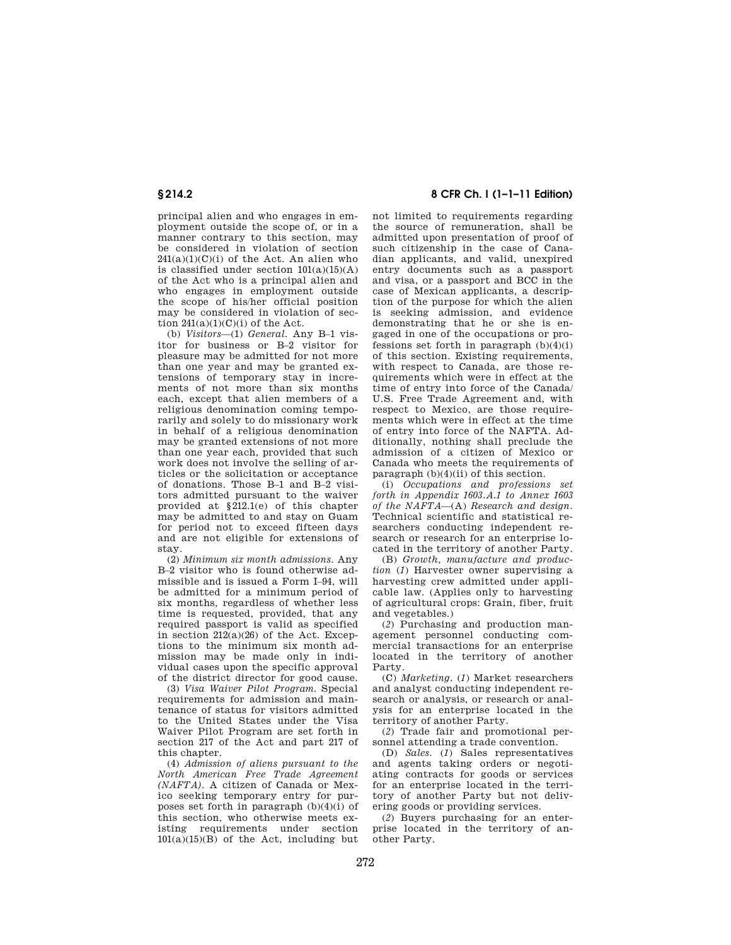principal alien and who engages in employment outside the scope of, or in a manner contrary to this section, may be considered in violation of section  $241(a)(1)(C)(i)$  of the Act. An alien who is classified under section 101(a)(15)(A) of the Act who is a principal alien and who engages in employment outside the scope of his/her official position may be considered in violation of section  $241(a)(1)(C)(i)$  of the Act.

(b) *Visitors*—(1) *General.* Any B–1 visitor for business or B–2 visitor for pleasure may be admitted for not more than one year and may be granted extensions of temporary stay in increments of not more than six months each, except that alien members of a religious denomination coming temporarily and solely to do missionary work in behalf of a religious denomination may be granted extensions of not more than one year each, provided that such work does not involve the selling of articles or the solicitation or acceptance of donations. Those B–1 and B–2 visitors admitted pursuant to the waiver provided at §212.1(e) of this chapter may be admitted to and stay on Guam for period not to exceed fifteen days and are not eligible for extensions of stay.

(2) *Minimum six month admissions.* Any B–2 visitor who is found otherwise admissible and is issued a Form I–94, will be admitted for a minimum period of six months, regardless of whether less time is requested, provided, that any required passport is valid as specified in section 212(a)(26) of the Act. Exceptions to the minimum six month admission may be made only in individual cases upon the specific approval of the district director for good cause.

(3) *Visa Waiver Pilot Program.* Special requirements for admission and maintenance of status for visitors admitted to the United States under the Visa Waiver Pilot Program are set forth in section 217 of the Act and part 217 of this chapter.

(4) *Admission of aliens pursuant to the North American Free Trade Agreement (NAFTA).* A citizen of Canada or Mexico seeking temporary entry for purposes set forth in paragraph  $(b)(4)(i)$  of this section, who otherwise meets existing requirements under section  $101(a)(15)(B)$  of the Act, including but

## **§ 214.2 8 CFR Ch. I (1–1–11 Edition)**

not limited to requirements regarding the source of remuneration, shall be admitted upon presentation of proof of such citizenship in the case of Canadian applicants, and valid, unexpired entry documents such as a passport and visa, or a passport and BCC in the case of Mexican applicants, a description of the purpose for which the alien is seeking admission, and evidence demonstrating that he or she is engaged in one of the occupations or professions set forth in paragraph  $(b)(4)(i)$ of this section. Existing requirements, with respect to Canada, are those requirements which were in effect at the time of entry into force of the Canada/ U.S. Free Trade Agreement and, with respect to Mexico, are those requirements which were in effect at the time of entry into force of the NAFTA. Additionally, nothing shall preclude the admission of a citizen of Mexico or Canada who meets the requirements of paragraph  $(b)(4)(ii)$  of this section.

(i) *Occupations and professions set forth in Appendix 1603.A.1 to Annex 1603 of the NAFTA*—(A) *Research and design.*  Technical scientific and statistical researchers conducting independent research or research for an enterprise located in the territory of another Party.

(B) *Growth, manufacture and production* (*1*) Harvester owner supervising a harvesting crew admitted under applicable law. (Applies only to harvesting of agricultural crops: Grain, fiber, fruit and vegetables.)

(*2*) Purchasing and production management personnel conducting commercial transactions for an enterprise located in the territory of another Party.

(C) *Marketing.* (*1*) Market researchers and analyst conducting independent research or analysis, or research or analysis for an enterprise located in the territory of another Party.

(*2*) Trade fair and promotional personnel attending a trade convention.

(D) *Sales.* (*1*) Sales representatives and agents taking orders or negotiating contracts for goods or services for an enterprise located in the territory of another Party but not delivering goods or providing services.

(*2*) Buyers purchasing for an enterprise located in the territory of another Party.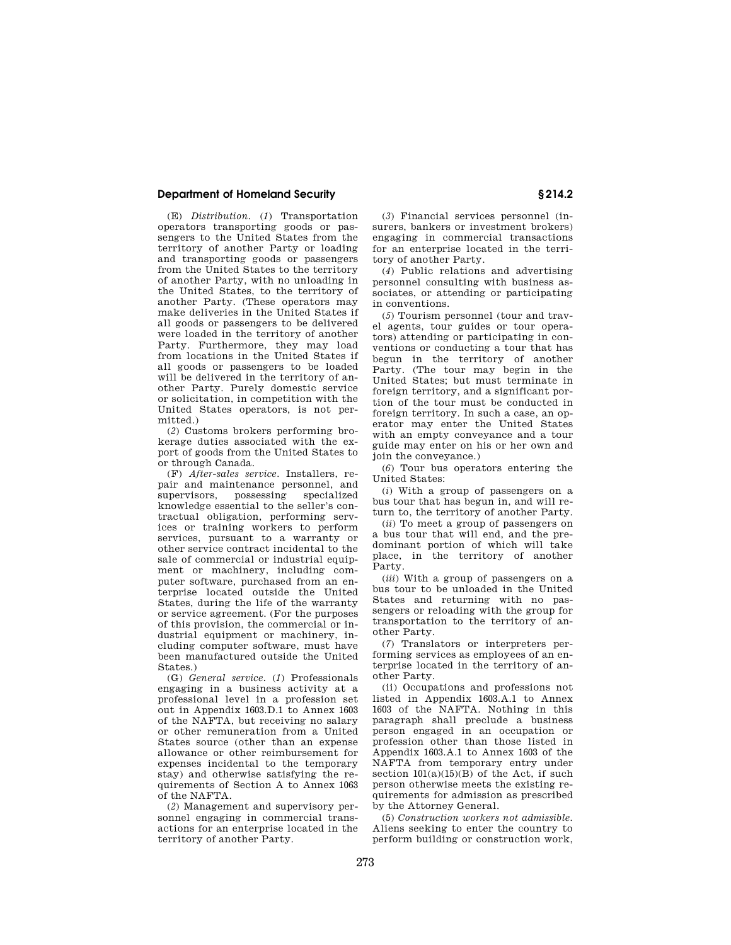(E) *Distribution.* (*1*) Transportation operators transporting goods or passengers to the United States from the territory of another Party or loading and transporting goods or passengers from the United States to the territory of another Party, with no unloading in the United States, to the territory of another Party. (These operators may make deliveries in the United States if all goods or passengers to be delivered were loaded in the territory of another Party. Furthermore, they may load from locations in the United States if all goods or passengers to be loaded will be delivered in the territory of another Party. Purely domestic service or solicitation, in competition with the United States operators, is not permitted.)

(*2*) Customs brokers performing brokerage duties associated with the export of goods from the United States to or through Canada.

(F) *After-sales service.* Installers, repair and maintenance personnel, and supervisors, possessing specialized knowledge essential to the seller's contractual obligation, performing services or training workers to perform services, pursuant to a warranty or other service contract incidental to the sale of commercial or industrial equipment or machinery, including computer software, purchased from an enterprise located outside the United States, during the life of the warranty or service agreement. (For the purposes of this provision, the commercial or industrial equipment or machinery, including computer software, must have been manufactured outside the United States.)

(G) *General service.* (*1*) Professionals engaging in a business activity at a professional level in a profession set out in Appendix 1603.D.1 to Annex 1603 of the NAFTA, but receiving no salary or other remuneration from a United States source (other than an expense allowance or other reimbursement for expenses incidental to the temporary stay) and otherwise satisfying the requirements of Section A to Annex 1063 of the NAFTA.

(*2*) Management and supervisory personnel engaging in commercial transactions for an enterprise located in the territory of another Party.

(*3*) Financial services personnel (insurers, bankers or investment brokers) engaging in commercial transactions for an enterprise located in the territory of another Party.

(*4*) Public relations and advertising personnel consulting with business associates, or attending or participating in conventions.

(*5*) Tourism personnel (tour and travel agents, tour guides or tour operators) attending or participating in conventions or conducting a tour that has begun in the territory of another Party. (The tour may begin in the United States; but must terminate in foreign territory, and a significant portion of the tour must be conducted in foreign territory. In such a case, an operator may enter the United States with an empty conveyance and a tour guide may enter on his or her own and join the conveyance.)

(*6*) Tour bus operators entering the United States:

(*i*) With a group of passengers on a bus tour that has begun in, and will return to, the territory of another Party.

(*ii*) To meet a group of passengers on a bus tour that will end, and the predominant portion of which will take place, in the territory of another Party.

(*iii*) With a group of passengers on a bus tour to be unloaded in the United States and returning with no passengers or reloading with the group for transportation to the territory of another Party.

(*7*) Translators or interpreters performing services as employees of an enterprise located in the territory of another Party.

(ii) Occupations and professions not listed in Appendix 1603.A.1 to Annex 1603 of the NAFTA. Nothing in this paragraph shall preclude a business person engaged in an occupation or profession other than those listed in Appendix 1603.A.1 to Annex 1603 of the NAFTA from temporary entry under section  $101(a)(15)(B)$  of the Act, if such person otherwise meets the existing requirements for admission as prescribed by the Attorney General.

(5) *Construction workers not admissible.*  Aliens seeking to enter the country to perform building or construction work,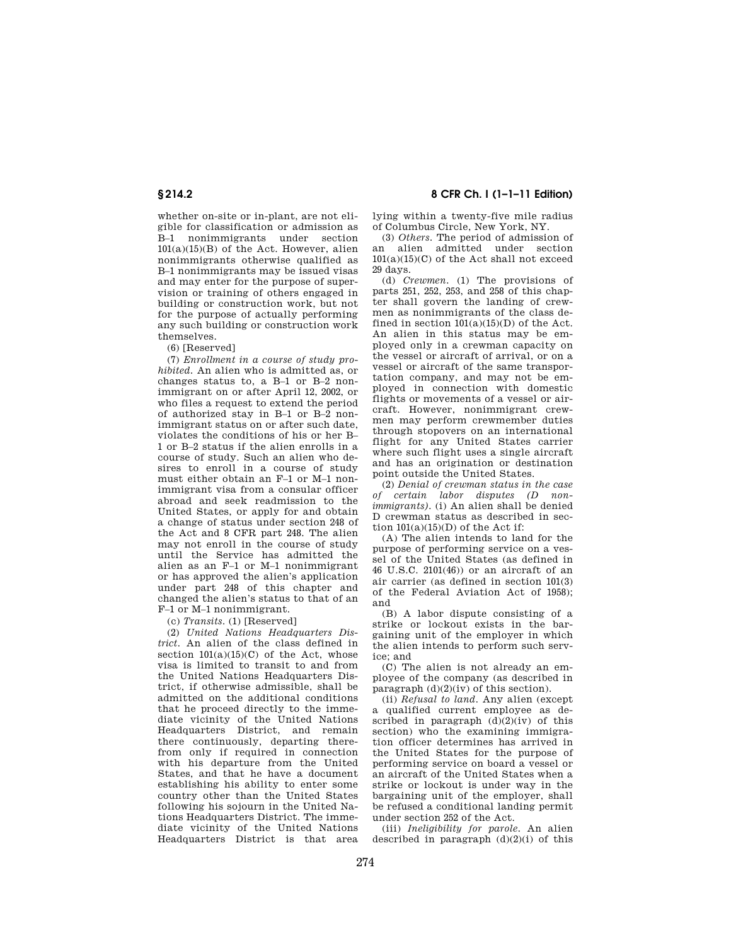whether on-site or in-plant, are not eligible for classification or admission as B–1 nonimmigrants under section  $101(a)(15)(B)$  of the Act. However, alien nonimmigrants otherwise qualified as B–1 nonimmigrants may be issued visas and may enter for the purpose of supervision or training of others engaged in building or construction work, but not for the purpose of actually performing any such building or construction work themselves.

(6) [Reserved]

(7) *Enrollment in a course of study prohibited.* An alien who is admitted as, or changes status to, a B–1 or B–2 nonimmigrant on or after April 12, 2002, or who files a request to extend the period of authorized stay in B–1 or B–2 nonimmigrant status on or after such date, violates the conditions of his or her B– 1 or B–2 status if the alien enrolls in a course of study. Such an alien who desires to enroll in a course of study must either obtain an F–1 or M–1 nonimmigrant visa from a consular officer abroad and seek readmission to the United States, or apply for and obtain a change of status under section 248 of the Act and 8 CFR part 248. The alien may not enroll in the course of study until the Service has admitted the alien as an F–1 or M–1 nonimmigrant or has approved the alien's application under part 248 of this chapter and changed the alien's status to that of an F–1 or M–1 nonimmigrant.

(c) *Transits.* (1) [Reserved]

(2) *United Nations Headquarters District.* An alien of the class defined in section  $101(a)(15)(C)$  of the Act, whose visa is limited to transit to and from the United Nations Headquarters District, if otherwise admissible, shall be admitted on the additional conditions that he proceed directly to the immediate vicinity of the United Nations Headquarters District, and remain there continuously, departing therefrom only if required in connection with his departure from the United States, and that he have a document establishing his ability to enter some country other than the United States following his sojourn in the United Nations Headquarters District. The immediate vicinity of the United Nations Headquarters District is that area

**§ 214.2 8 CFR Ch. I (1–1–11 Edition)** 

lying within a twenty-five mile radius of Columbus Circle, New York, NY.

(3) *Others.* The period of admission of an alien admitted under section  $101(a)(15)(C)$  of the Act shall not exceed 29 days.

(d) *Crewmen.* (1) The provisions of parts 251, 252, 253, and 258 of this chapter shall govern the landing of crewmen as nonimmigrants of the class defined in section  $101(a)(15)(D)$  of the Act. An alien in this status may be employed only in a crewman capacity on the vessel or aircraft of arrival, or on a vessel or aircraft of the same transportation company, and may not be employed in connection with domestic flights or movements of a vessel or aircraft. However, nonimmigrant crewmen may perform crewmember duties through stopovers on an international flight for any United States carrier where such flight uses a single aircraft and has an origination or destination point outside the United States.

(2) *Denial of crewman status in the case of certain labor disputes (D nonimmigrants).* (i) An alien shall be denied D crewman status as described in section  $101(a)(15)(D)$  of the Act if:

(A) The alien intends to land for the purpose of performing service on a vessel of the United States (as defined in 46 U.S.C. 2101(46)) or an aircraft of an air carrier (as defined in section 101(3) of the Federal Aviation Act of 1958); and

(B) A labor dispute consisting of a strike or lockout exists in the bargaining unit of the employer in which the alien intends to perform such service; and

(C) The alien is not already an employee of the company (as described in paragraph  $(d)(2)(iv)$  of this section).

(ii) *Refusal to land.* Any alien (except a qualified current employee as described in paragraph  $(d)(2)(iv)$  of this section) who the examining immigration officer determines has arrived in the United States for the purpose of performing service on board a vessel or an aircraft of the United States when a strike or lockout is under way in the bargaining unit of the employer, shall be refused a conditional landing permit under section 252 of the Act.

(iii) *Ineligibility for parole.* An alien described in paragraph  $(d)(2)(i)$  of this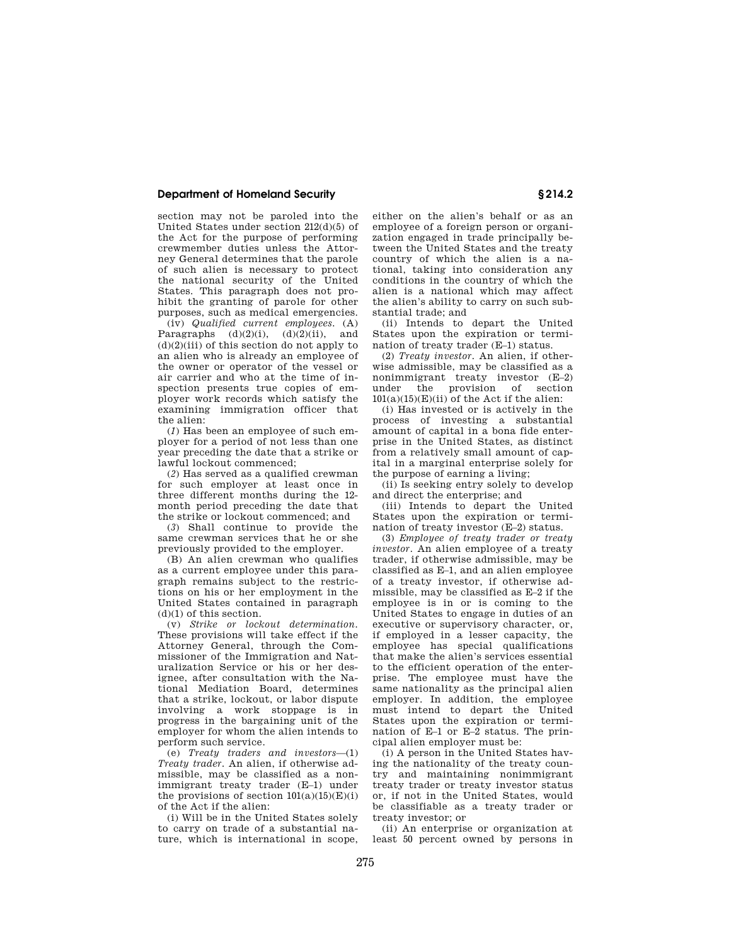section may not be paroled into the United States under section 212(d)(5) of the Act for the purpose of performing crewmember duties unless the Attorney General determines that the parole of such alien is necessary to protect the national security of the United States. This paragraph does not prohibit the granting of parole for other purposes, such as medical emergencies.

(iv) *Qualified current employees.* (A)<br>Paragraphs  $(d)(2)(i)$ ,  $(d)(2)(ii)$ , and  $(d)(2)(i)$ ,  $(d)(2)(ii)$ , and  $(d)(2)(iii)$  of this section do not apply to an alien who is already an employee of the owner or operator of the vessel or air carrier and who at the time of inspection presents true copies of employer work records which satisfy the examining immigration officer that the alien:

(*1*) Has been an employee of such employer for a period of not less than one year preceding the date that a strike or lawful lockout commenced;

(*2*) Has served as a qualified crewman for such employer at least once in three different months during the 12 month period preceding the date that the strike or lockout commenced; and

(*3*) Shall continue to provide the same crewman services that he or she previously provided to the employer.

(B) An alien crewman who qualifies as a current employee under this paragraph remains subject to the restrictions on his or her employment in the United States contained in paragraph  $(d)(1)$  of this section.

(v) *Strike or lockout determination.*  These provisions will take effect if the Attorney General, through the Commissioner of the Immigration and Naturalization Service or his or her designee, after consultation with the National Mediation Board, determines that a strike, lockout, or labor dispute involving a work stoppage is in progress in the bargaining unit of the employer for whom the alien intends to perform such service.

(e) *Treaty traders and investors*—(1) *Treaty trader.* An alien, if otherwise admissible, may be classified as a nonimmigrant treaty trader (E–1) under the provisions of section  $101(a)(15)(E)(i)$ of the Act if the alien:

(i) Will be in the United States solely to carry on trade of a substantial nature, which is international in scope, either on the alien's behalf or as an employee of a foreign person or organization engaged in trade principally between the United States and the treaty country of which the alien is a national, taking into consideration any conditions in the country of which the alien is a national which may affect the alien's ability to carry on such substantial trade; and

(ii) Intends to depart the United States upon the expiration or termination of treaty trader (E–1) status.

(2) *Treaty investor.* An alien, if otherwise admissible, may be classified as a nonimmigrant treaty investor (E–2) under the provision of section  $101(a)(15)(E)(ii)$  of the Act if the alien:

(i) Has invested or is actively in the process of investing a substantial amount of capital in a bona fide enterprise in the United States, as distinct from a relatively small amount of capital in a marginal enterprise solely for the purpose of earning a living;

(ii) Is seeking entry solely to develop and direct the enterprise; and

(iii) Intends to depart the United States upon the expiration or termination of treaty investor (E–2) status.

(3) *Employee of treaty trader or treaty investor.* An alien employee of a treaty trader, if otherwise admissible, may be classified as E–1, and an alien employee of a treaty investor, if otherwise admissible, may be classified as E–2 if the employee is in or is coming to the United States to engage in duties of an executive or supervisory character, or, if employed in a lesser capacity, the employee has special qualifications that make the alien's services essential to the efficient operation of the enterprise. The employee must have the same nationality as the principal alien employer. In addition, the employee must intend to depart the United States upon the expiration or termination of E–1 or E–2 status. The principal alien employer must be:

(i) A person in the United States having the nationality of the treaty country and maintaining nonimmigrant treaty trader or treaty investor status or, if not in the United States, would be classifiable as a treaty trader or treaty investor; or

(ii) An enterprise or organization at least 50 percent owned by persons in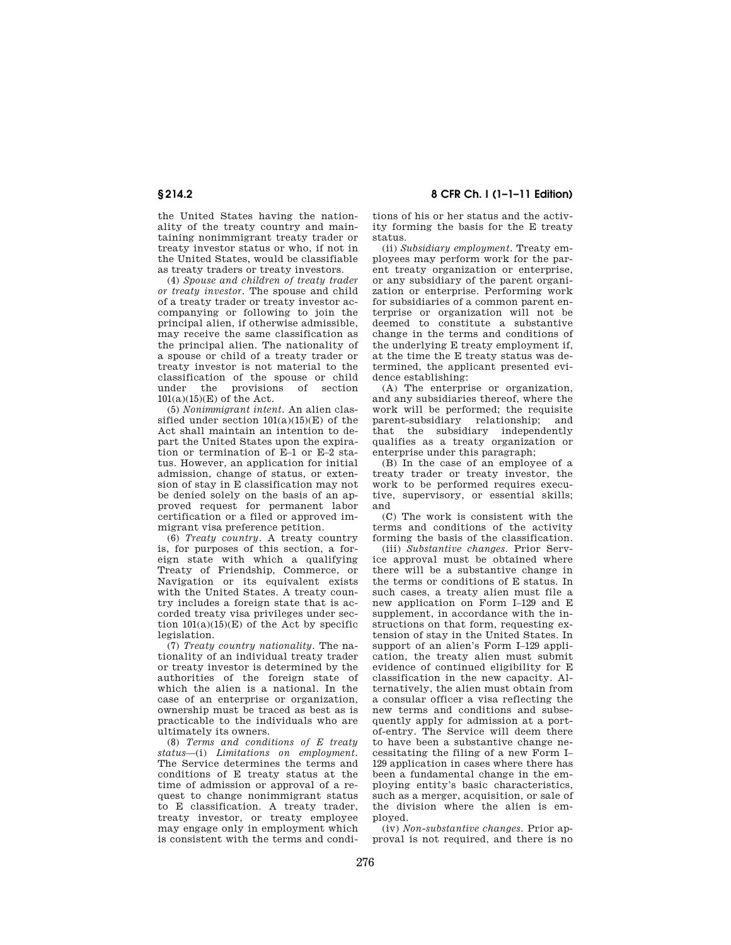the United States having the nationality of the treaty country and maintaining nonimmigrant treaty trader or treaty investor status or who, if not in the United States, would be classifiable as treaty traders or treaty investors.

(4) *Spouse and children of treaty trader or treaty investor.* The spouse and child of a treaty trader or treaty investor accompanying or following to join the principal alien, if otherwise admissible, may receive the same classification as the principal alien. The nationality of a spouse or child of a treaty trader or treaty investor is not material to the classification of the spouse or child under the provisions  $101(a)(15)(E)$  of the Act.

(5) *Nonimmigrant intent.* An alien classified under section 101(a)(15)(E) of the Act shall maintain an intention to depart the United States upon the expiration or termination of E–1 or E–2 status. However, an application for initial admission, change of status, or extension of stay in E classification may not be denied solely on the basis of an approved request for permanent labor certification or a filed or approved immigrant visa preference petition.

(6) *Treaty country.* A treaty country is, for purposes of this section, a foreign state with which a qualifying Treaty of Friendship, Commerce, or Navigation or its equivalent exists with the United States. A treaty country includes a foreign state that is accorded treaty visa privileges under section  $101(a)(15)(E)$  of the Act by specific legislation.

(7) *Treaty country nationality.* The nationality of an individual treaty trader or treaty investor is determined by the authorities of the foreign state of which the alien is a national. In the case of an enterprise or organization, ownership must be traced as best as is practicable to the individuals who are ultimately its owners.

(8) *Terms and conditions of E treaty status*—(i) *Limitations on employment.*  The Service determines the terms and conditions of E treaty status at the time of admission or approval of a request to change nonimmigrant status to E classification. A treaty trader, treaty investor, or treaty employee may engage only in employment which is consistent with the terms and condi-

**§ 214.2 8 CFR Ch. I (1–1–11 Edition)** 

tions of his or her status and the activity forming the basis for the E treaty status.

(ii) *Subsidiary employment.* Treaty employees may perform work for the parent treaty organization or enterprise, or any subsidiary of the parent organization or enterprise. Performing work for subsidiaries of a common parent enterprise or organization will not be deemed to constitute a substantive change in the terms and conditions of the underlying E treaty employment if, at the time the E treaty status was determined, the applicant presented evidence establishing:

(A) The enterprise or organization, and any subsidiaries thereof, where the work will be performed; the requisite parent-subsidiary relationship; and that the subsidiary independently qualifies as a treaty organization or enterprise under this paragraph;

(B) In the case of an employee of a treaty trader or treaty investor, the work to be performed requires executive, supervisory, or essential skills; and

(C) The work is consistent with the terms and conditions of the activity forming the basis of the classification.

(iii) *Substantive changes.* Prior Service approval must be obtained where there will be a substantive change in the terms or conditions of E status. In such cases, a treaty alien must file a new application on Form I–129 and E supplement, in accordance with the instructions on that form, requesting extension of stay in the United States. In support of an alien's Form I–129 application, the treaty alien must submit evidence of continued eligibility for E classification in the new capacity. Alternatively, the alien must obtain from a consular officer a visa reflecting the new terms and conditions and subsequently apply for admission at a portof-entry. The Service will deem there to have been a substantive change necessitating the filing of a new Form I– 129 application in cases where there has been a fundamental change in the employing entity's basic characteristics, such as a merger, acquisition, or sale of the division where the alien is employed.

(iv) *Non-substantive changes.* Prior approval is not required, and there is no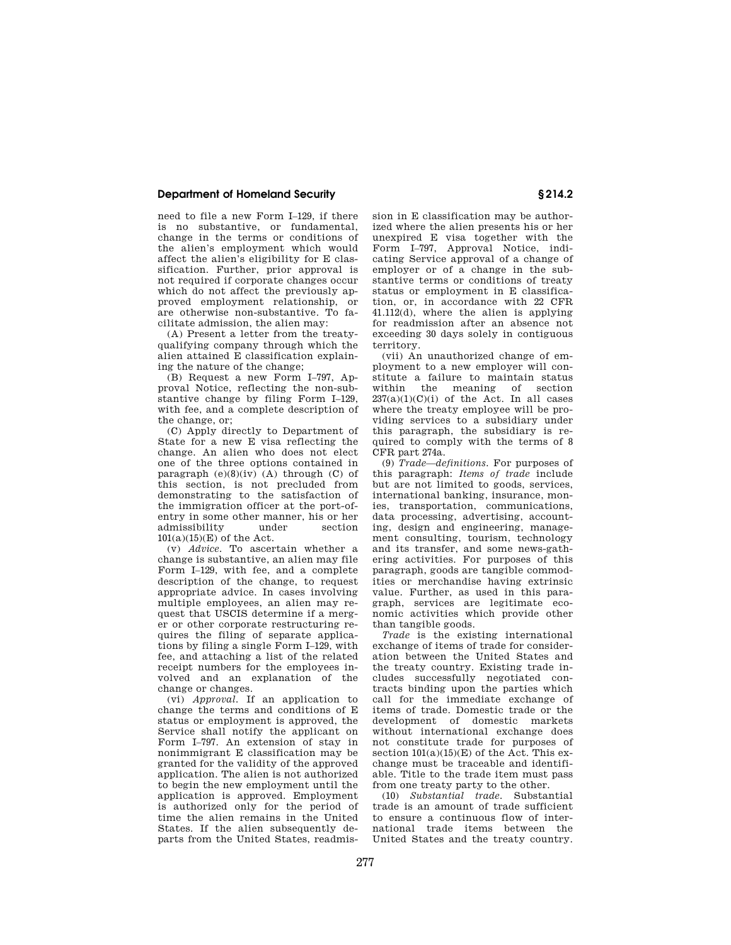need to file a new Form I–129, if there is no substantive, or fundamental, change in the terms or conditions of the alien's employment which would affect the alien's eligibility for E classification. Further, prior approval is not required if corporate changes occur which do not affect the previously approved employment relationship, or are otherwise non-substantive. To facilitate admission, the alien may:

(A) Present a letter from the treatyqualifying company through which the alien attained E classification explaining the nature of the change;

(B) Request a new Form I–797, Approval Notice, reflecting the non-substantive change by filing Form I–129, with fee, and a complete description of the change, or:

(C) Apply directly to Department of State for a new E visa reflecting the change. An alien who does not elect one of the three options contained in paragraph  $(e)(8)(iv)$  (A) through (C) of this section, is not precluded from demonstrating to the satisfaction of the immigration officer at the port-ofentry in some other manner, his or her admissibility under section  $101(a)(15)(E)$  of the Act.

(v) *Advice.* To ascertain whether a change is substantive, an alien may file Form I–129, with fee, and a complete description of the change, to request appropriate advice. In cases involving multiple employees, an alien may request that USCIS determine if a merger or other corporate restructuring requires the filing of separate applications by filing a single Form I–129, with fee, and attaching a list of the related receipt numbers for the employees involved and an explanation of the change or changes.

(vi) *Approval.* If an application to change the terms and conditions of E status or employment is approved, the Service shall notify the applicant on Form I–797. An extension of stay in nonimmigrant E classification may be granted for the validity of the approved application. The alien is not authorized to begin the new employment until the application is approved. Employment is authorized only for the period of time the alien remains in the United States. If the alien subsequently departs from the United States, readmission in E classification may be authorized where the alien presents his or her unexpired E visa together with the Form I–797, Approval Notice, indicating Service approval of a change of employer or of a change in the substantive terms or conditions of treaty status or employment in E classification, or, in accordance with 22 CFR 41.112(d), where the alien is applying for readmission after an absence not exceeding 30 days solely in contiguous territory.

(vii) An unauthorized change of employment to a new employer will constitute a failure to maintain status within the meaning of section  $237(a)(1)(C)(i)$  of the Act. In all cases where the treaty employee will be providing services to a subsidiary under this paragraph, the subsidiary is required to comply with the terms of 8 CFR part 274a.

(9) *Trade—definitions.* For purposes of this paragraph: *Items of trade* include but are not limited to goods, services, international banking, insurance, monies, transportation, communications, data processing, advertising, accounting, design and engineering, management consulting, tourism, technology and its transfer, and some news-gathering activities. For purposes of this paragraph, goods are tangible commodities or merchandise having extrinsic value. Further, as used in this paragraph, services are legitimate economic activities which provide other than tangible goods.

*Trade* is the existing international exchange of items of trade for consideration between the United States and the treaty country. Existing trade includes successfully negotiated contracts binding upon the parties which call for the immediate exchange of items of trade. Domestic trade or the development of domestic markets without international exchange does not constitute trade for purposes of section  $101(a)(15)(E)$  of the Act. This exchange must be traceable and identifiable. Title to the trade item must pass from one treaty party to the other.

(10) *Substantial trade.* Substantial trade is an amount of trade sufficient to ensure a continuous flow of international trade items between the United States and the treaty country.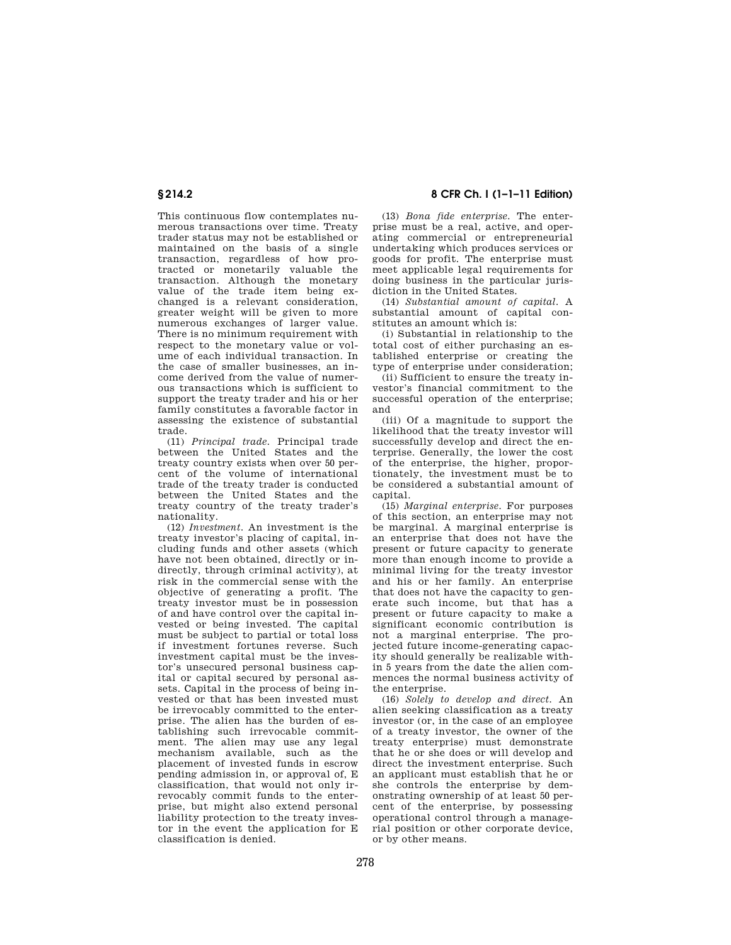# **§ 214.2 8 CFR Ch. I (1–1–11 Edition)**

This continuous flow contemplates numerous transactions over time. Treaty trader status may not be established or maintained on the basis of a single transaction, regardless of how protracted or monetarily valuable the transaction. Although the monetary value of the trade item being exchanged is a relevant consideration, greater weight will be given to more numerous exchanges of larger value. There is no minimum requirement with respect to the monetary value or volume of each individual transaction. In the case of smaller businesses, an income derived from the value of numerous transactions which is sufficient to support the treaty trader and his or her family constitutes a favorable factor in assessing the existence of substantial trade.

(11) *Principal trade.* Principal trade between the United States and the treaty country exists when over 50 percent of the volume of international trade of the treaty trader is conducted between the United States and the treaty country of the treaty trader's nationality.

(12) *Investment.* An investment is the treaty investor's placing of capital, including funds and other assets (which have not been obtained, directly or indirectly, through criminal activity), at risk in the commercial sense with the objective of generating a profit. The treaty investor must be in possession of and have control over the capital invested or being invested. The capital must be subject to partial or total loss if investment fortunes reverse. Such investment capital must be the investor's unsecured personal business capital or capital secured by personal assets. Capital in the process of being invested or that has been invested must be irrevocably committed to the enterprise. The alien has the burden of establishing such irrevocable commitment. The alien may use any legal mechanism available, such as the placement of invested funds in escrow pending admission in, or approval of, E classification, that would not only irrevocably commit funds to the enterprise, but might also extend personal liability protection to the treaty investor in the event the application for E classification is denied.

(13) *Bona fide enterprise.* The enterprise must be a real, active, and operating commercial or entrepreneurial undertaking which produces services or goods for profit. The enterprise must meet applicable legal requirements for doing business in the particular jurisdiction in the United States.

(14) *Substantial amount of capital.* A substantial amount of capital constitutes an amount which is:

(i) Substantial in relationship to the total cost of either purchasing an established enterprise or creating the type of enterprise under consideration;

(ii) Sufficient to ensure the treaty investor's financial commitment to the successful operation of the enterprise; and

(iii) Of a magnitude to support the likelihood that the treaty investor will successfully develop and direct the enterprise. Generally, the lower the cost of the enterprise, the higher, proportionately, the investment must be to be considered a substantial amount of capital.

(15) *Marginal enterprise.* For purposes of this section, an enterprise may not be marginal. A marginal enterprise is an enterprise that does not have the present or future capacity to generate more than enough income to provide a minimal living for the treaty investor and his or her family. An enterprise that does not have the capacity to generate such income, but that has a present or future capacity to make a significant economic contribution is not a marginal enterprise. The projected future income-generating capacity should generally be realizable within 5 years from the date the alien commences the normal business activity of the enterprise.

(16) *Solely to develop and direct.* An alien seeking classification as a treaty investor (or, in the case of an employee of a treaty investor, the owner of the treaty enterprise) must demonstrate that he or she does or will develop and direct the investment enterprise. Such an applicant must establish that he or she controls the enterprise by demonstrating ownership of at least 50 percent of the enterprise, by possessing operational control through a managerial position or other corporate device, or by other means.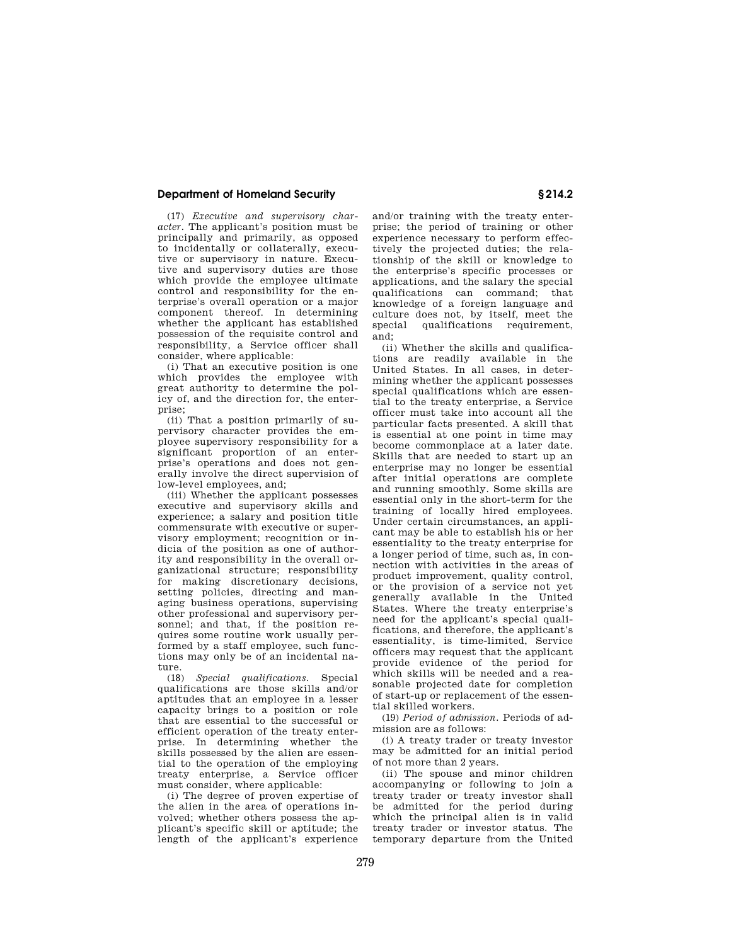(17) *Executive and supervisory character.* The applicant's position must be principally and primarily, as opposed to incidentally or collaterally, executive or supervisory in nature. Executive and supervisory duties are those which provide the employee ultimate control and responsibility for the enterprise's overall operation or a major component thereof. In determining whether the applicant has established possession of the requisite control and responsibility, a Service officer shall consider, where applicable:

(i) That an executive position is one which provides the employee with great authority to determine the policy of, and the direction for, the enterprise;

(ii) That a position primarily of supervisory character provides the employee supervisory responsibility for a significant proportion of an enterprise's operations and does not generally involve the direct supervision of low-level employees, and;

(iii) Whether the applicant possesses executive and supervisory skills and experience; a salary and position title commensurate with executive or supervisory employment; recognition or indicia of the position as one of authority and responsibility in the overall organizational structure; responsibility for making discretionary decisions, setting policies, directing and managing business operations, supervising other professional and supervisory personnel; and that, if the position requires some routine work usually performed by a staff employee, such functions may only be of an incidental nature.

(18) *Special qualifications.* Special qualifications are those skills and/or aptitudes that an employee in a lesser capacity brings to a position or role that are essential to the successful or efficient operation of the treaty enterprise. In determining whether the skills possessed by the alien are essential to the operation of the employing treaty enterprise, a Service officer must consider, where applicable:

(i) The degree of proven expertise of the alien in the area of operations involved; whether others possess the applicant's specific skill or aptitude; the length of the applicant's experience

and/or training with the treaty enterprise; the period of training or other experience necessary to perform effectively the projected duties; the relationship of the skill or knowledge to the enterprise's specific processes or applications, and the salary the special qualifications can command; that knowledge of a foreign language and culture does not, by itself, meet the special qualifications requirement. and;

(ii) Whether the skills and qualifications are readily available in the United States. In all cases, in determining whether the applicant possesses special qualifications which are essential to the treaty enterprise, a Service officer must take into account all the particular facts presented. A skill that is essential at one point in time may become commonplace at a later date. Skills that are needed to start up an enterprise may no longer be essential after initial operations are complete and running smoothly. Some skills are essential only in the short-term for the training of locally hired employees. Under certain circumstances, an applicant may be able to establish his or her essentiality to the treaty enterprise for a longer period of time, such as, in connection with activities in the areas of product improvement, quality control, or the provision of a service not yet generally available in the United States. Where the treaty enterprise's need for the applicant's special qualifications, and therefore, the applicant's essentiality, is time-limited, Service officers may request that the applicant provide evidence of the period for which skills will be needed and a reasonable projected date for completion of start-up or replacement of the essential skilled workers.

(19) *Period of admission.* Periods of admission are as follows:

(i) A treaty trader or treaty investor may be admitted for an initial period of not more than 2 years.

(ii) The spouse and minor children accompanying or following to join a treaty trader or treaty investor shall be admitted for the period during which the principal alien is in valid treaty trader or investor status. The temporary departure from the United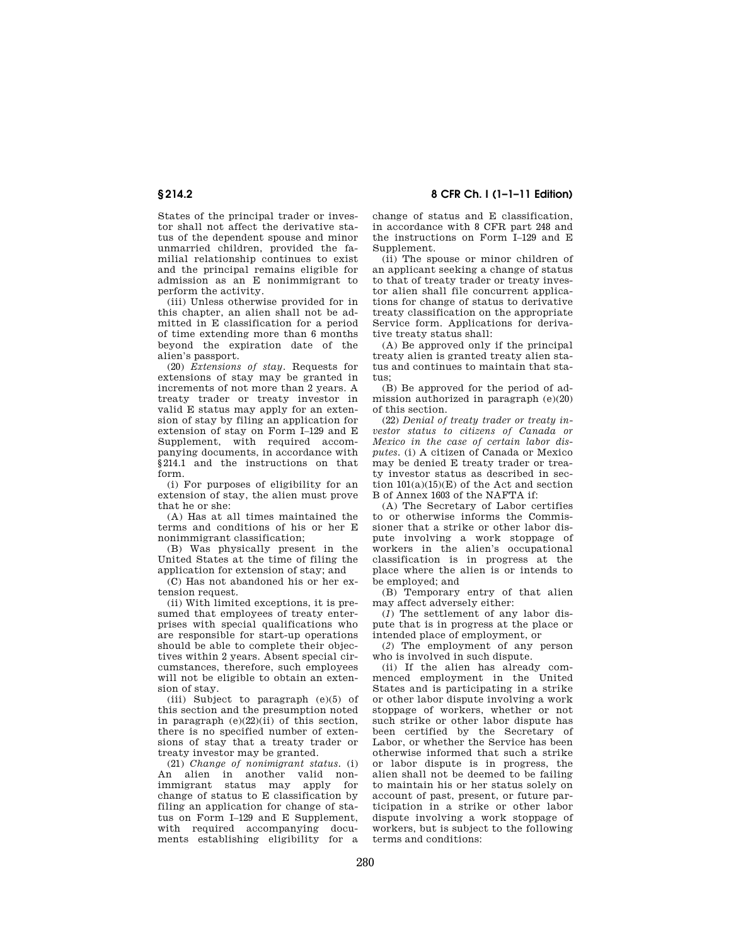States of the principal trader or investor shall not affect the derivative status of the dependent spouse and minor unmarried children, provided the familial relationship continues to exist and the principal remains eligible for admission as an E nonimmigrant to perform the activity.

(iii) Unless otherwise provided for in this chapter, an alien shall not be admitted in E classification for a period of time extending more than 6 months beyond the expiration date of the alien's passport.

(20) *Extensions of stay.* Requests for extensions of stay may be granted in increments of not more than 2 years. A treaty trader or treaty investor in valid E status may apply for an extension of stay by filing an application for extension of stay on Form I–129 and E Supplement, with required accompanying documents, in accordance with §214.1 and the instructions on that form.

(i) For purposes of eligibility for an extension of stay, the alien must prove that he or she:

(A) Has at all times maintained the terms and conditions of his or her E nonimmigrant classification;

(B) Was physically present in the United States at the time of filing the application for extension of stay; and

(C) Has not abandoned his or her extension request.

(ii) With limited exceptions, it is presumed that employees of treaty enterprises with special qualifications who are responsible for start-up operations should be able to complete their objectives within 2 years. Absent special circumstances, therefore, such employees will not be eligible to obtain an extension of stay.

(iii) Subject to paragraph (e)(5) of this section and the presumption noted in paragraph  $(e)(22)(ii)$  of this section, there is no specified number of extensions of stay that a treaty trader or treaty investor may be granted.

(21) *Change of nonimigrant status.* (i) An alien in another valid nonimmigrant status may apply for change of status to E classification by filing an application for change of status on Form I–129 and E Supplement, with required accompanying documents establishing eligibility for a

**§ 214.2 8 CFR Ch. I (1–1–11 Edition)** 

change of status and E classification, in accordance with 8 CFR part 248 and the instructions on Form I–129 and E Supplement.

(ii) The spouse or minor children of an applicant seeking a change of status to that of treaty trader or treaty investor alien shall file concurrent applications for change of status to derivative treaty classification on the appropriate Service form. Applications for derivative treaty status shall:

(A) Be approved only if the principal treaty alien is granted treaty alien status and continues to maintain that status;

(B) Be approved for the period of admission authorized in paragraph (e)(20) of this section.

(22) *Denial of treaty trader or treaty investor status to citizens of Canada or Mexico in the case of certain labor disputes.* (i) A citizen of Canada or Mexico may be denied E treaty trader or treaty investor status as described in section  $101(a)(15)(E)$  of the Act and section B of Annex 1603 of the NAFTA if:

(A) The Secretary of Labor certifies to or otherwise informs the Commissioner that a strike or other labor dispute involving a work stoppage of workers in the alien's occupational classification is in progress at the place where the alien is or intends to be employed; and

(B) Temporary entry of that alien may affect adversely either:

(*1*) The settlement of any labor dispute that is in progress at the place or intended place of employment, or

(*2*) The employment of any person who is involved in such dispute.

(ii) If the alien has already commenced employment in the United States and is participating in a strike or other labor dispute involving a work stoppage of workers, whether or not such strike or other labor dispute has been certified by the Secretary of Labor, or whether the Service has been otherwise informed that such a strike or labor dispute is in progress, the alien shall not be deemed to be failing to maintain his or her status solely on account of past, present, or future participation in a strike or other labor dispute involving a work stoppage of workers, but is subject to the following terms and conditions: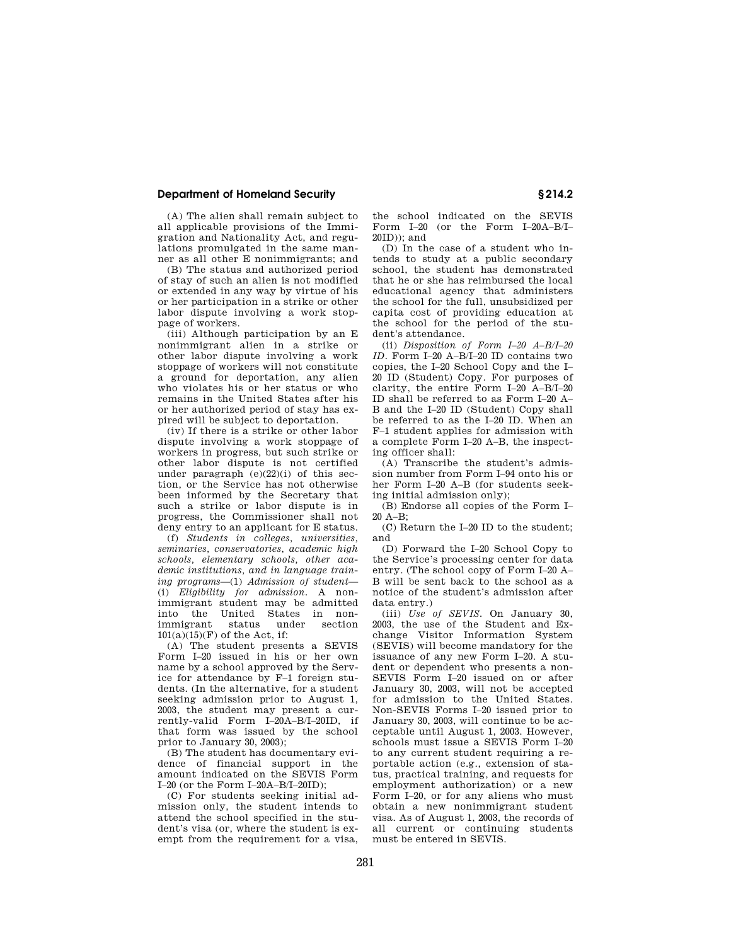(A) The alien shall remain subject to all applicable provisions of the Immigration and Nationality Act, and regulations promulgated in the same manner as all other E nonimmigrants; and

(B) The status and authorized period of stay of such an alien is not modified or extended in any way by virtue of his or her participation in a strike or other labor dispute involving a work stoppage of workers.

(iii) Although participation by an E nonimmigrant alien in a strike or other labor dispute involving a work stoppage of workers will not constitute a ground for deportation, any alien who violates his or her status or who remains in the United States after his or her authorized period of stay has expired will be subject to deportation.

(iv) If there is a strike or other labor dispute involving a work stoppage of workers in progress, but such strike or other labor dispute is not certified under paragraph  $(e)(22)(i)$  of this section, or the Service has not otherwise been informed by the Secretary that such a strike or labor dispute is in progress, the Commissioner shall not deny entry to an applicant for E status.

(f) *Students in colleges, universities, seminaries, conservatories, academic high schools, elementary schools, other academic institutions, and in language training programs*—(1) *Admission of student*— (i) *Eligibility for admission.* A nonimmigrant student may be admitted into the United States in nonimmigrant  $101(a)(15)(F)$  of the Act, if:

(A) The student presents a SEVIS Form I–20 issued in his or her own name by a school approved by the Service for attendance by F–1 foreign students. (In the alternative, for a student seeking admission prior to August 1, 2003, the student may present a currently-valid Form I–20A–B/I–20ID, if that form was issued by the school prior to January 30, 2003);

(B) The student has documentary evidence of financial support in the amount indicated on the SEVIS Form I–20 (or the Form I–20A–B/I–20ID);

(C) For students seeking initial admission only, the student intends to attend the school specified in the student's visa (or, where the student is exempt from the requirement for a visa, the school indicated on the SEVIS Form I–20 (or the Form I–20A–B/I–  $20$ ID)); and

(D) In the case of a student who intends to study at a public secondary school, the student has demonstrated that he or she has reimbursed the local educational agency that administers the school for the full, unsubsidized per capita cost of providing education at the school for the period of the student's attendance.

(ii) *Disposition of Form I–20 A–B/I–20 ID.* Form I–20 A–B/I–20 ID contains two copies, the I–20 School Copy and the I– 20 ID (Student) Copy. For purposes of clarity, the entire Form I–20 A–B/I–20 ID shall be referred to as Form I–20 A– B and the I–20 ID (Student) Copy shall be referred to as the I–20 ID. When an F–1 student applies for admission with a complete Form I–20 A–B, the inspecting officer shall:

(A) Transcribe the student's admission number from Form I–94 onto his or her Form I–20 A–B (for students seeking initial admission only);

(B) Endorse all copies of the Form I– 20 A–B;

(C) Return the I–20 ID to the student; and

(D) Forward the I–20 School Copy to the Service's processing center for data entry. (The school copy of Form I–20 A– B will be sent back to the school as a notice of the student's admission after data entry.)

(iii) *Use of SEVIS.* On January 30, 2003, the use of the Student and Exchange Visitor Information System (SEVIS) will become mandatory for the issuance of any new Form I–20. A student or dependent who presents a non-SEVIS Form I–20 issued on or after January 30, 2003, will not be accepted for admission to the United States. Non-SEVIS Forms I–20 issued prior to January 30, 2003, will continue to be acceptable until August 1, 2003. However, schools must issue a SEVIS Form I–20 to any current student requiring a reportable action (e.g., extension of status, practical training, and requests for employment authorization) or a new Form I–20, or for any aliens who must obtain a new nonimmigrant student visa. As of August 1, 2003, the records of all current or continuing students must be entered in SEVIS.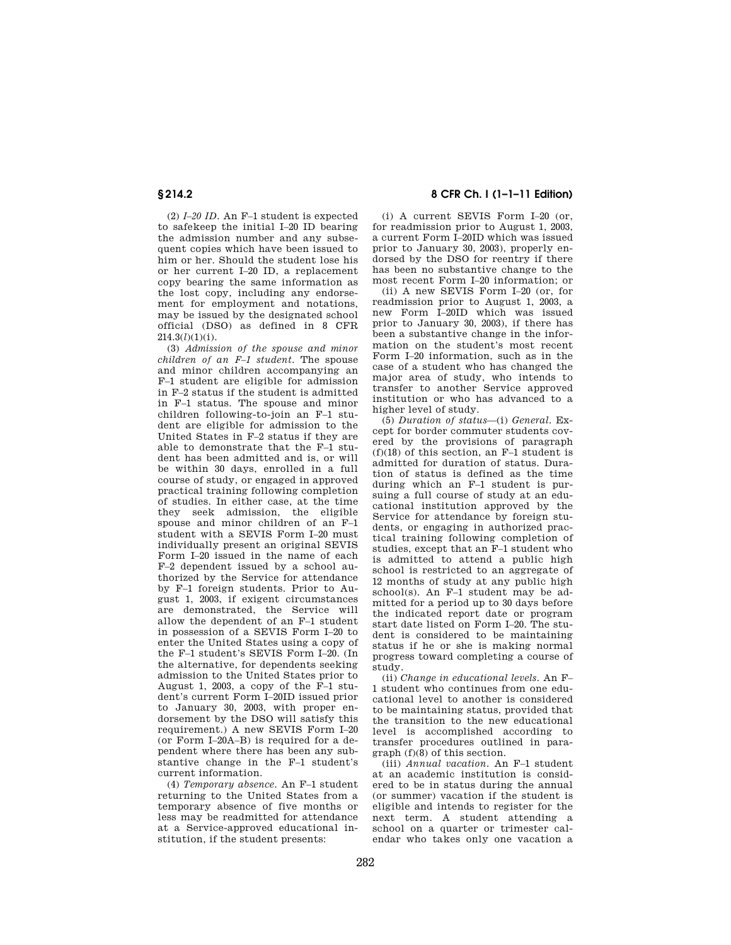(2) *I–20 ID.* An F–1 student is expected to safekeep the initial I–20 ID bearing the admission number and any subsequent copies which have been issued to him or her. Should the student lose his or her current I–20 ID, a replacement copy bearing the same information as the lost copy, including any endorsement for employment and notations, may be issued by the designated school official (DSO) as defined in 8 CFR 214.3(*l*)(1)(i).

(3) *Admission of the spouse and minor children of an F–1 student.* The spouse and minor children accompanying an F–1 student are eligible for admission in F–2 status if the student is admitted in F–1 status. The spouse and minor children following-to-join an F–1 student are eligible for admission to the United States in F–2 status if they are able to demonstrate that the F–1 student has been admitted and is, or will be within 30 days, enrolled in a full course of study, or engaged in approved practical training following completion of studies. In either case, at the time they seek admission, the eligible spouse and minor children of an F–1 student with a SEVIS Form I–20 must individually present an original SEVIS Form I–20 issued in the name of each F–2 dependent issued by a school authorized by the Service for attendance by F–1 foreign students. Prior to August 1, 2003, if exigent circumstances are demonstrated, the Service will allow the dependent of an F–1 student in possession of a SEVIS Form I–20 to enter the United States using a copy of the F–1 student's SEVIS Form I–20. (In the alternative, for dependents seeking admission to the United States prior to August 1, 2003, a copy of the F–1 student's current Form I–20ID issued prior to January 30, 2003, with proper endorsement by the DSO will satisfy this requirement.) A new SEVIS Form I–20 (or Form I–20A–B) is required for a dependent where there has been any substantive change in the F–1 student's current information.

(4) *Temporary absence.* An F–1 student returning to the United States from a temporary absence of five months or less may be readmitted for attendance at a Service-approved educational institution, if the student presents:

## **§ 214.2 8 CFR Ch. I (1–1–11 Edition)**

(i) A current SEVIS Form I–20 (or, for readmission prior to August 1, 2003, a current Form I–20ID which was issued prior to January 30, 2003), properly endorsed by the DSO for reentry if there has been no substantive change to the most recent Form I–20 information; or

(ii) A new SEVIS Form I–20 (or, for readmission prior to August 1, 2003, a new Form I–20ID which was issued prior to January 30, 2003), if there has been a substantive change in the information on the student's most recent Form I–20 information, such as in the case of a student who has changed the major area of study, who intends to transfer to another Service approved institution or who has advanced to a higher level of study.

(5) *Duration of status*—(i) *General.* Except for border commuter students covered by the provisions of paragraph  $(f)(18)$  of this section, an F-1 student is admitted for duration of status. Duration of status is defined as the time during which an F–1 student is pursuing a full course of study at an educational institution approved by the Service for attendance by foreign students, or engaging in authorized practical training following completion of studies, except that an F–1 student who is admitted to attend a public high school is restricted to an aggregate of 12 months of study at any public high school(s). An F–1 student may be admitted for a period up to 30 days before the indicated report date or program start date listed on Form I–20. The student is considered to be maintaining status if he or she is making normal progress toward completing a course of study.

(ii) *Change in educational levels.* An F– 1 student who continues from one educational level to another is considered to be maintaining status, provided that the transition to the new educational level is accomplished according to transfer procedures outlined in paragraph (f)(8) of this section.

(iii) *Annual vacation.* An F–1 student at an academic institution is considered to be in status during the annual (or summer) vacation if the student is eligible and intends to register for the next term. A student attending a school on a quarter or trimester calendar who takes only one vacation a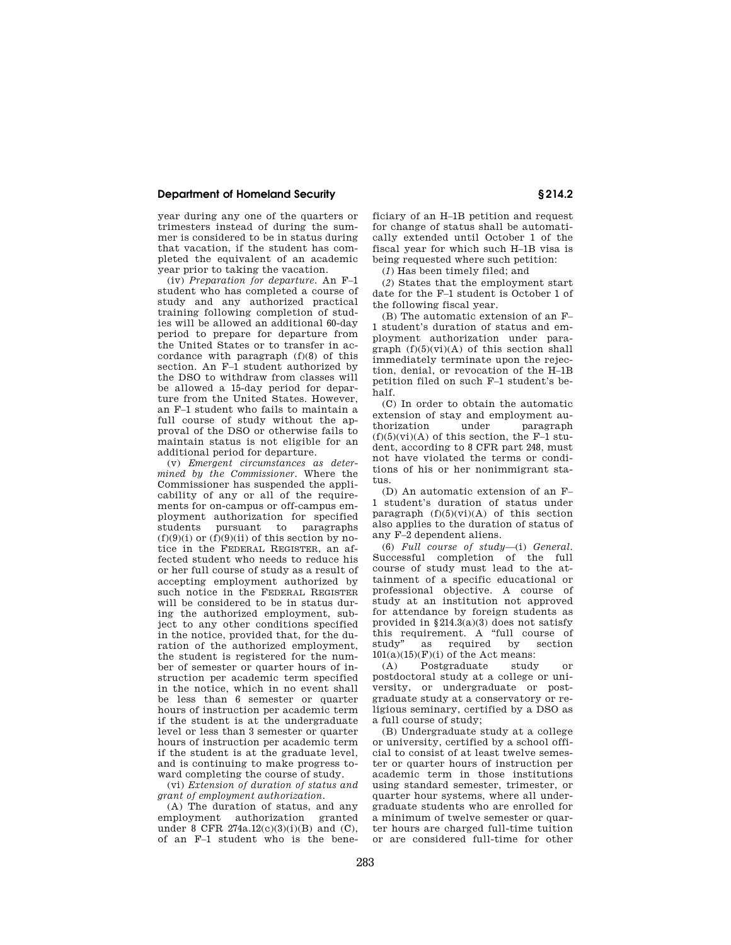year during any one of the quarters or trimesters instead of during the summer is considered to be in status during that vacation, if the student has completed the equivalent of an academic year prior to taking the vacation.

(iv) *Preparation for departure.* An F–1 student who has completed a course of study and any authorized practical training following completion of studies will be allowed an additional 60-day period to prepare for departure from the United States or to transfer in accordance with paragraph (f)(8) of this section. An F-1 student authorized by the DSO to withdraw from classes will be allowed a 15-day period for departure from the United States. However, an F–1 student who fails to maintain a full course of study without the approval of the DSO or otherwise fails to maintain status is not eligible for an additional period for departure.

(v) *Emergent circumstances as determined by the Commissioner.* Where the Commissioner has suspended the applicability of any or all of the requirements for on-campus or off-campus employment authorization for specified students pursuant to paragraphs  $(f)(9)(i)$  or  $(f)(9)(ii)$  of this section by notice in the FEDERAL REGISTER, an affected student who needs to reduce his or her full course of study as a result of accepting employment authorized by such notice in the FEDERAL REGISTER will be considered to be in status during the authorized employment, subject to any other conditions specified in the notice, provided that, for the duration of the authorized employment, the student is registered for the number of semester or quarter hours of instruction per academic term specified in the notice, which in no event shall be less than 6 semester or quarter hours of instruction per academic term if the student is at the undergraduate level or less than 3 semester or quarter hours of instruction per academic term if the student is at the graduate level, and is continuing to make progress toward completing the course of study.

(vi) *Extension of duration of status and grant of employment authorization.* 

(A) The duration of status, and any employment authorization granted under  $\overset{\circ}{8}$  CFR 274a.12(c)(3)(i)(B) and (C), of an F–1 student who is the beneficiary of an H–1B petition and request for change of status shall be automatically extended until October 1 of the fiscal year for which such H–1B visa is being requested where such petition:

(*1*) Has been timely filed; and

(*2*) States that the employment start date for the F–1 student is October 1 of the following fiscal year.

(B) The automatic extension of an F– 1 student's duration of status and employment authorization under paragraph  $(f)(5)(vi)(A)$  of this section shall immediately terminate upon the rejection, denial, or revocation of the H–1B petition filed on such F–1 student's behalf.

(C) In order to obtain the automatic extension of stay and employment authorization under paragraph  $(f)(5)(vi)(A)$  of this section, the F-1 student, according to 8 CFR part 248, must not have violated the terms or conditions of his or her nonimmigrant status.

(D) An automatic extension of an F– 1 student's duration of status under paragraph  $(f)(5)(vi)(A)$  of this section also applies to the duration of status of any F–2 dependent aliens.

(6) *Full course of study*—(i) *General.*  Successful completion of the full course of study must lead to the attainment of a specific educational or professional objective. A course of study at an institution not approved for attendance by foreign students as provided in §214.3(a)(3) does not satisfy this requirement. A "full course of<br>study" as required by section as required  $101(a)(15)(F)(i)$  of the Act means:

(A) Postgraduate study or postdoctoral study at a college or university, or undergraduate or postgraduate study at a conservatory or religious seminary, certified by a DSO as a full course of study;

(B) Undergraduate study at a college or university, certified by a school official to consist of at least twelve semester or quarter hours of instruction per academic term in those institutions using standard semester, trimester, or quarter hour systems, where all undergraduate students who are enrolled for a minimum of twelve semester or quarter hours are charged full-time tuition or are considered full-time for other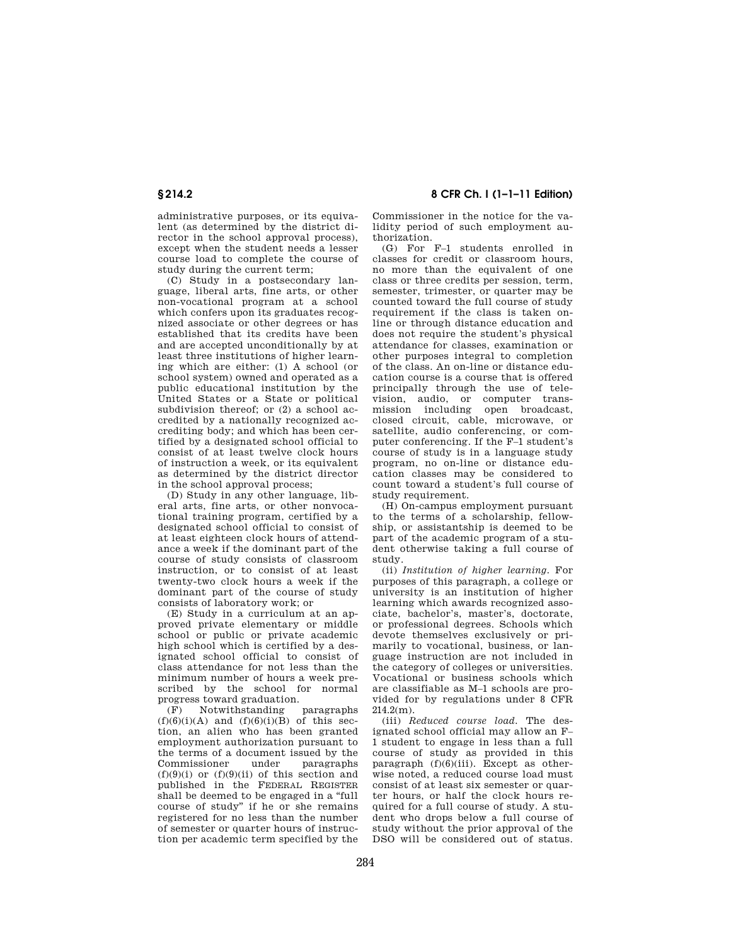administrative purposes, or its equivalent (as determined by the district director in the school approval process), except when the student needs a lesser course load to complete the course of study during the current term;

(C) Study in a postsecondary language, liberal arts, fine arts, or other non-vocational program at a school which confers upon its graduates recognized associate or other degrees or has established that its credits have been and are accepted unconditionally by at least three institutions of higher learning which are either: (1) A school (or school system) owned and operated as a public educational institution by the United States or a State or political subdivision thereof; or (2) a school accredited by a nationally recognized accrediting body; and which has been certified by a designated school official to consist of at least twelve clock hours of instruction a week, or its equivalent as determined by the district director in the school approval process;

(D) Study in any other language, liberal arts, fine arts, or other nonvocational training program, certified by a designated school official to consist of at least eighteen clock hours of attendance a week if the dominant part of the course of study consists of classroom instruction, or to consist of at least twenty-two clock hours a week if the dominant part of the course of study consists of laboratory work; or

(E) Study in a curriculum at an approved private elementary or middle school or public or private academic high school which is certified by a designated school official to consist of class attendance for not less than the minimum number of hours a week prescribed by the school for normal progress toward graduation.

(F) Notwithstanding paragraphs  $(f)(6)(i)(A)$  and  $(f)(6)(i)(B)$  of this section, an alien who has been granted employment authorization pursuant to the terms of a document issued by the Commissioner under paragraphs  $(f)(9)(i)$  or  $(f)(9)(ii)$  of this section and published in the FEDERAL REGISTER shall be deemed to be engaged in a ''full course of study'' if he or she remains registered for no less than the number of semester or quarter hours of instruction per academic term specified by the

**§ 214.2 8 CFR Ch. I (1–1–11 Edition)** 

Commissioner in the notice for the validity period of such employment authorization.

(G) For F–1 students enrolled in classes for credit or classroom hours, no more than the equivalent of one class or three credits per session, term, semester, trimester, or quarter may be counted toward the full course of study requirement if the class is taken online or through distance education and does not require the student's physical attendance for classes, examination or other purposes integral to completion of the class. An on-line or distance education course is a course that is offered principally through the use of television, audio, or computer transmission including closed circuit, cable, microwave, or satellite, audio conferencing, or computer conferencing. If the F–1 student's course of study is in a language study program, no on-line or distance education classes may be considered to count toward a student's full course of study requirement.

(H) On-campus employment pursuant to the terms of a scholarship, fellowship, or assistantship is deemed to be part of the academic program of a student otherwise taking a full course of study.

(ii) *Institution of higher learning.* For purposes of this paragraph, a college or university is an institution of higher learning which awards recognized associate, bachelor's, master's, doctorate, or professional degrees. Schools which devote themselves exclusively or primarily to vocational, business, or language instruction are not included in the category of colleges or universities. Vocational or business schools which are classifiable as M–1 schools are provided for by regulations under 8 CFR  $214.2(m)$ .

(iii) *Reduced course load.* The designated school official may allow an F– 1 student to engage in less than a full course of study as provided in this  $\alpha$  paragraph  $(f)(6)(iii)$ . Except as otherwise noted, a reduced course load must consist of at least six semester or quarter hours, or half the clock hours required for a full course of study. A student who drops below a full course of study without the prior approval of the DSO will be considered out of status.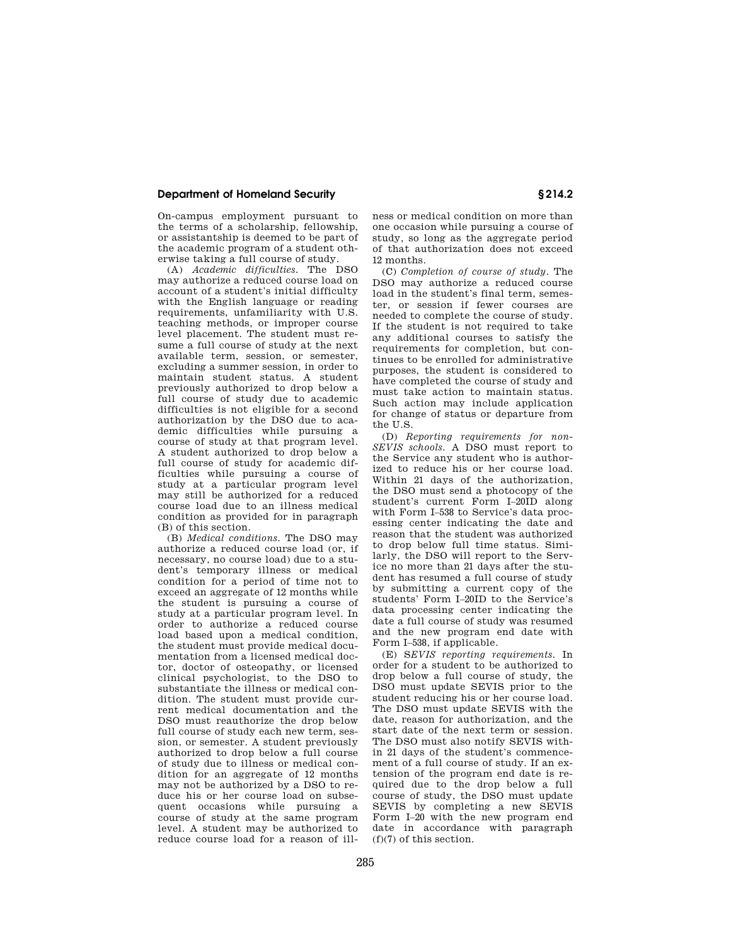On-campus employment pursuant to the terms of a scholarship, fellowship, or assistantship is deemed to be part of the academic program of a student otherwise taking a full course of study.

(A) *Academic difficulties.* The DSO may authorize a reduced course load on account of a student's initial difficulty with the English language or reading requirements, unfamiliarity with U.S. teaching methods, or improper course level placement. The student must resume a full course of study at the next available term, session, or semester, excluding a summer session, in order to maintain student status. A student previously authorized to drop below a full course of study due to academic difficulties is not eligible for a second authorization by the DSO due to academic difficulties while pursuing a course of study at that program level. A student authorized to drop below a full course of study for academic difficulties while pursuing a course of study at a particular program level may still be authorized for a reduced course load due to an illness medical condition as provided for in paragraph (B) of this section.

(B) *Medical conditions.* The DSO may authorize a reduced course load (or, if necessary, no course load) due to a student's temporary illness or medical condition for a period of time not to exceed an aggregate of 12 months while the student is pursuing a course of study at a particular program level. In order to authorize a reduced course load based upon a medical condition, the student must provide medical documentation from a licensed medical doctor, doctor of osteopathy, or licensed clinical psychologist, to the DSO to substantiate the illness or medical condition. The student must provide current medical documentation and the DSO must reauthorize the drop below full course of study each new term, session, or semester. A student previously authorized to drop below a full course of study due to illness or medical condition for an aggregate of 12 months may not be authorized by a DSO to reduce his or her course load on subsequent occasions while pursuing a course of study at the same program level. A student may be authorized to reduce course load for a reason of illness or medical condition on more than one occasion while pursuing a course of study, so long as the aggregate period of that authorization does not exceed 12 months.

(C) *Completion of course of study.* The DSO may authorize a reduced course load in the student's final term, semester, or session if fewer courses are needed to complete the course of study. If the student is not required to take any additional courses to satisfy the requirements for completion, but continues to be enrolled for administrative purposes, the student is considered to have completed the course of study and must take action to maintain status. Such action may include application for change of status or departure from the U.S.

(D) *Reporting requirements for non-SEVIS schools.* A DSO must report to the Service any student who is authorized to reduce his or her course load. Within 21 days of the authorization, the DSO must send a photocopy of the student's current Form I–20ID along with Form I–538 to Service's data processing center indicating the date and reason that the student was authorized to drop below full time status. Similarly, the DSO will report to the Service no more than 21 days after the student has resumed a full course of study by submitting a current copy of the students' Form I–20ID to the Service's data processing center indicating the date a full course of study was resumed and the new program end date with Form I–538, if applicable.

(E) S*EVIS reporting requirements.* In order for a student to be authorized to drop below a full course of study, the DSO must update SEVIS prior to the student reducing his or her course load. The DSO must update SEVIS with the date, reason for authorization, and the start date of the next term or session. The DSO must also notify SEVIS within 21 days of the student's commencement of a full course of study. If an extension of the program end date is required due to the drop below a full course of study, the DSO must update SEVIS by completing a new SEVIS Form I–20 with the new program end date in accordance with paragraph (f)(7) of this section.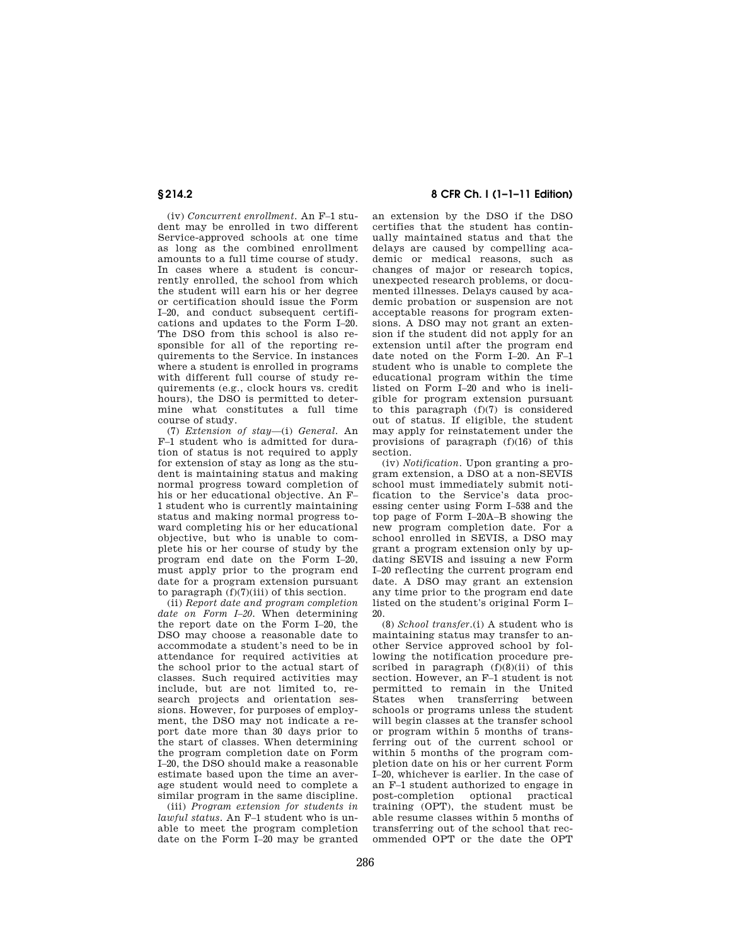(iv) *Concurrent enrollment.* An F–1 student may be enrolled in two different Service-approved schools at one time as long as the combined enrollment amounts to a full time course of study. In cases where a student is concurrently enrolled, the school from which the student will earn his or her degree or certification should issue the Form I–20, and conduct subsequent certifications and updates to the Form I–20. The DSO from this school is also responsible for all of the reporting requirements to the Service. In instances where a student is enrolled in programs with different full course of study requirements (e.g., clock hours vs. credit hours), the DSO is permitted to determine what constitutes a full time course of study.

(7) *Extension of stay*—(i) *General.* An F–1 student who is admitted for duration of status is not required to apply for extension of stay as long as the student is maintaining status and making normal progress toward completion of his or her educational objective. An F– 1 student who is currently maintaining status and making normal progress toward completing his or her educational objective, but who is unable to complete his or her course of study by the program end date on the Form I–20, must apply prior to the program end date for a program extension pursuant to paragraph  $(f)(7)(iii)$  of this section.

(ii) *Report date and program completion date on Form I–20.* When determining the report date on the Form I–20, the DSO may choose a reasonable date to accommodate a student's need to be in attendance for required activities at the school prior to the actual start of classes. Such required activities may include, but are not limited to, research projects and orientation sessions. However, for purposes of employment, the DSO may not indicate a report date more than 30 days prior to the start of classes. When determining the program completion date on Form I–20, the DSO should make a reasonable estimate based upon the time an average student would need to complete a similar program in the same discipline.

(iii) *Program extension for students in lawful status.* An F–1 student who is unable to meet the program completion date on the Form I–20 may be granted

## **§ 214.2 8 CFR Ch. I (1–1–11 Edition)**

an extension by the DSO if the DSO certifies that the student has continually maintained status and that the delays are caused by compelling academic or medical reasons, such as changes of major or research topics, unexpected research problems, or documented illnesses. Delays caused by academic probation or suspension are not acceptable reasons for program extensions. A DSO may not grant an extension if the student did not apply for an extension until after the program end date noted on the Form I–20. An F–1 student who is unable to complete the educational program within the time listed on Form I–20 and who is ineligible for program extension pursuant to this paragraph (f)(7) is considered out of status. If eligible, the student may apply for reinstatement under the provisions of paragraph (f)(16) of this section.

(iv) *Notification.* Upon granting a program extension, a DSO at a non-SEVIS school must immediately submit notification to the Service's data processing center using Form I–538 and the top page of Form I–20A–B showing the new program completion date. For a school enrolled in SEVIS, a DSO may grant a program extension only by updating SEVIS and issuing a new Form I–20 reflecting the current program end date. A DSO may grant an extension any time prior to the program end date listed on the student's original Form I– 20.

(8) *School transfer.*(i) A student who is maintaining status may transfer to another Service approved school by following the notification procedure prescribed in paragraph  $(f)(8)(ii)$  of this section. However, an F–1 student is not permitted to remain in the United States when transferring between schools or programs unless the student will begin classes at the transfer school or program within 5 months of transferring out of the current school or within 5 months of the program completion date on his or her current Form I–20, whichever is earlier. In the case of an F–1 student authorized to engage in post-completion optional practical training (OPT), the student must be able resume classes within 5 months of transferring out of the school that recommended OPT or the date the OPT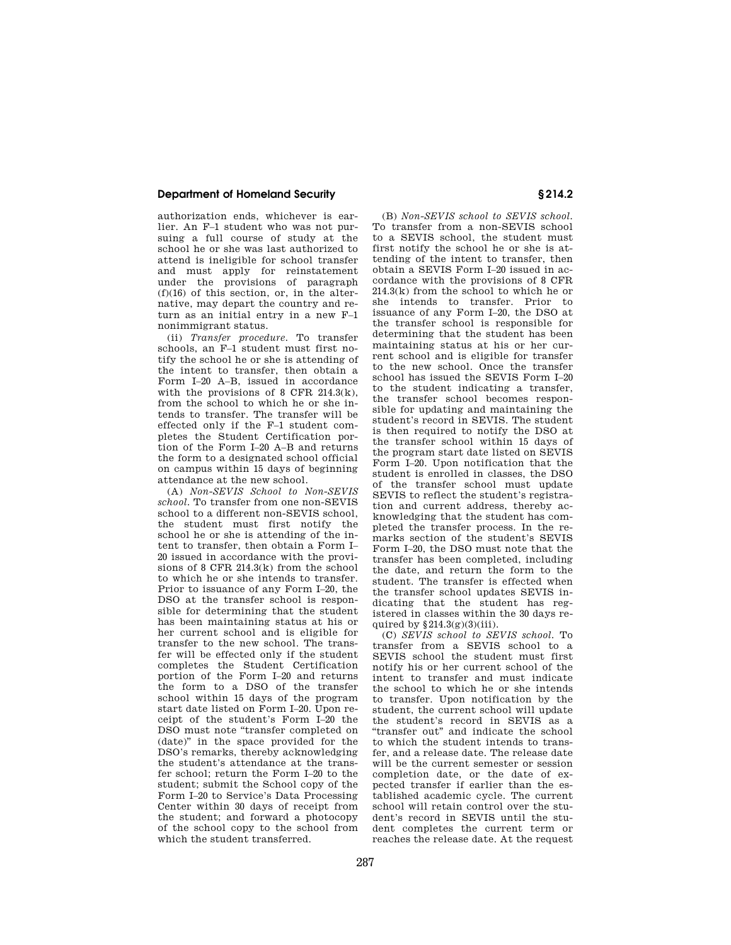authorization ends, whichever is earlier. An F–1 student who was not pursuing a full course of study at the school he or she was last authorized to attend is ineligible for school transfer and must apply for reinstatement under the provisions of paragraph  $(f)(16)$  of this section, or, in the alternative, may depart the country and return as an initial entry in a new F–1 nonimmigrant status.

(ii) *Transfer procedure.* To transfer schools, an F–1 student must first notify the school he or she is attending of the intent to transfer, then obtain a Form I–20 A–B, issued in accordance with the provisions of 8 CFR  $214.3(k)$ , from the school to which he or she intends to transfer. The transfer will be effected only if the F–1 student completes the Student Certification portion of the Form I–20 A–B and returns the form to a designated school official on campus within 15 days of beginning attendance at the new school.

(A) *Non-SEVIS School to Non-SEVIS school.* To transfer from one non-SEVIS school to a different non-SEVIS school, the student must first notify the school he or she is attending of the intent to transfer, then obtain a Form I– 20 issued in accordance with the provisions of 8 CFR 214.3(k) from the school to which he or she intends to transfer. Prior to issuance of any Form I–20, the DSO at the transfer school is responsible for determining that the student has been maintaining status at his or her current school and is eligible for transfer to the new school. The transfer will be effected only if the student completes the Student Certification portion of the Form I–20 and returns the form to a DSO of the transfer school within 15 days of the program start date listed on Form I–20. Upon receipt of the student's Form I–20 the DSO must note ''transfer completed on (date)'' in the space provided for the DSO's remarks, thereby acknowledging the student's attendance at the transfer school; return the Form I–20 to the student; submit the School copy of the Form I–20 to Service's Data Processing Center within 30 days of receipt from the student; and forward a photocopy of the school copy to the school from which the student transferred.

(B) *Non-SEVIS school to SEVIS school.*  To transfer from a non-SEVIS school to a SEVIS school, the student must first notify the school he or she is attending of the intent to transfer, then obtain a SEVIS Form I–20 issued in accordance with the provisions of 8 CFR 214.3(k) from the school to which he or she intends to transfer. Prior to issuance of any Form I–20, the DSO at the transfer school is responsible for determining that the student has been maintaining status at his or her current school and is eligible for transfer to the new school. Once the transfer school has issued the SEVIS Form I–20 to the student indicating a transfer, the transfer school becomes responsible for updating and maintaining the student's record in SEVIS. The student is then required to notify the DSO at the transfer school within 15 days of the program start date listed on SEVIS Form I–20. Upon notification that the student is enrolled in classes, the DSO of the transfer school must update SEVIS to reflect the student's registration and current address, thereby acknowledging that the student has completed the transfer process. In the remarks section of the student's SEVIS Form I–20, the DSO must note that the transfer has been completed, including the date, and return the form to the student. The transfer is effected when the transfer school updates SEVIS indicating that the student has registered in classes within the 30 days required by  $§214.3(g)(3)(iii)$ .

(C) *SEVIS school to SEVIS school.* To transfer from a SEVIS school to a SEVIS school the student must first notify his or her current school of the intent to transfer and must indicate the school to which he or she intends to transfer. Upon notification by the student, the current school will update the student's record in SEVIS as a ''transfer out'' and indicate the school to which the student intends to transfer, and a release date. The release date will be the current semester or session completion date, or the date of expected transfer if earlier than the established academic cycle. The current school will retain control over the student's record in SEVIS until the student completes the current term or reaches the release date. At the request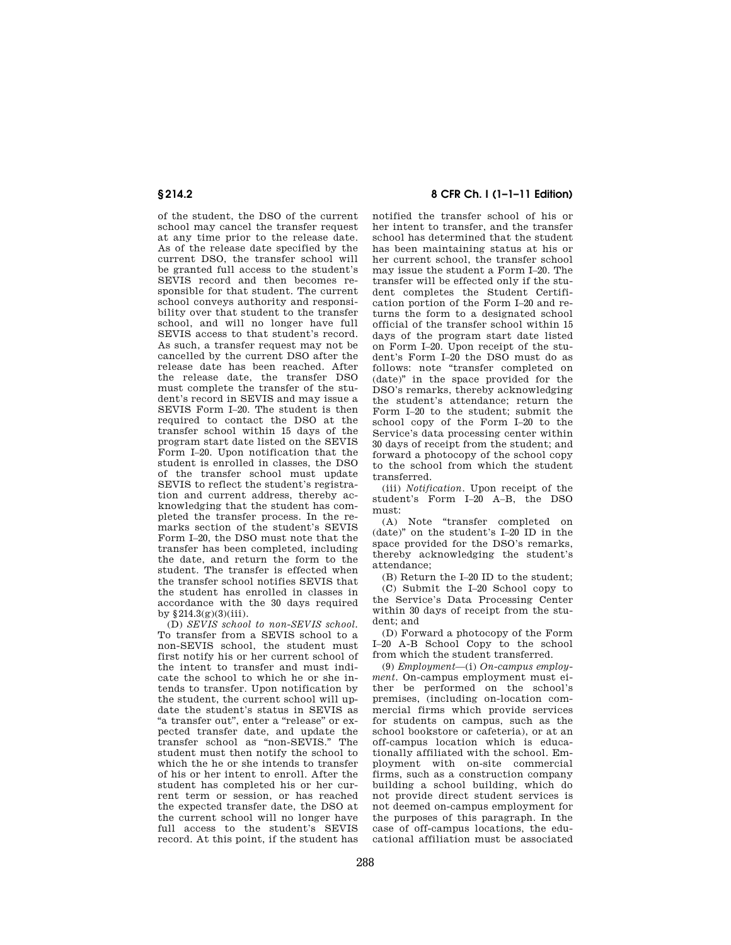of the student, the DSO of the current school may cancel the transfer request at any time prior to the release date. As of the release date specified by the current DSO, the transfer school will be granted full access to the student's SEVIS record and then becomes responsible for that student. The current school conveys authority and responsibility over that student to the transfer school, and will no longer have full SEVIS access to that student's record. As such, a transfer request may not be cancelled by the current DSO after the release date has been reached. After the release date, the transfer DSO must complete the transfer of the student's record in SEVIS and may issue a SEVIS Form I–20. The student is then required to contact the DSO at the transfer school within 15 days of the program start date listed on the SEVIS Form I–20. Upon notification that the student is enrolled in classes, the DSO of the transfer school must update SEVIS to reflect the student's registration and current address, thereby acknowledging that the student has completed the transfer process. In the remarks section of the student's SEVIS Form I–20, the DSO must note that the transfer has been completed, including the date, and return the form to the student. The transfer is effected when the transfer school notifies SEVIS that the student has enrolled in classes in accordance with the 30 days required by  $§214.3(g)(3)(iii)$ .

(D) *SEVIS school to non-SEVIS school.*  To transfer from a SEVIS school to a non-SEVIS school, the student must first notify his or her current school of the intent to transfer and must indicate the school to which he or she intends to transfer. Upon notification by the student, the current school will update the student's status in SEVIS as "a transfer out", enter a "release" or expected transfer date, and update the transfer school as ''non-SEVIS.'' The student must then notify the school to which the he or she intends to transfer of his or her intent to enroll. After the student has completed his or her current term or session, or has reached the expected transfer date, the DSO at the current school will no longer have full access to the student's SEVIS record. At this point, if the student has

## **§ 214.2 8 CFR Ch. I (1–1–11 Edition)**

notified the transfer school of his or her intent to transfer, and the transfer school has determined that the student has been maintaining status at his or her current school, the transfer school may issue the student a Form I–20. The transfer will be effected only if the student completes the Student Certification portion of the Form I–20 and returns the form to a designated school official of the transfer school within 15 days of the program start date listed on Form I–20. Upon receipt of the student's Form I–20 the DSO must do as follows: note ''transfer completed on (date)'' in the space provided for the DSO's remarks, thereby acknowledging the student's attendance; return the Form I–20 to the student; submit the school copy of the Form I–20 to the Service's data processing center within 30 days of receipt from the student; and forward a photocopy of the school copy to the school from which the student transferred.

(iii) *Notification.* Upon receipt of the student's Form I–20 A–B, the DSO must:

(A) Note ''transfer completed on (date)'' on the student's I–20 ID in the space provided for the DSO's remarks, thereby acknowledging the student's attendance;

(B) Return the I–20 ID to the student; (C) Submit the I–20 School copy to the Service's Data Processing Center within 30 days of receipt from the student; and

(D) Forward a photocopy of the Form I–20 A-B School Copy to the school from which the student transferred.

(9) *Employment*—(i) *On-campus employment.* On-campus employment must either be performed on the school's premises, (including on-location commercial firms which provide services for students on campus, such as the school bookstore or cafeteria), or at an off-campus location which is educationally affiliated with the school. Employment with on-site commercial firms, such as a construction company building a school building, which do not provide direct student services is not deemed on-campus employment for the purposes of this paragraph. In the case of off-campus locations, the educational affiliation must be associated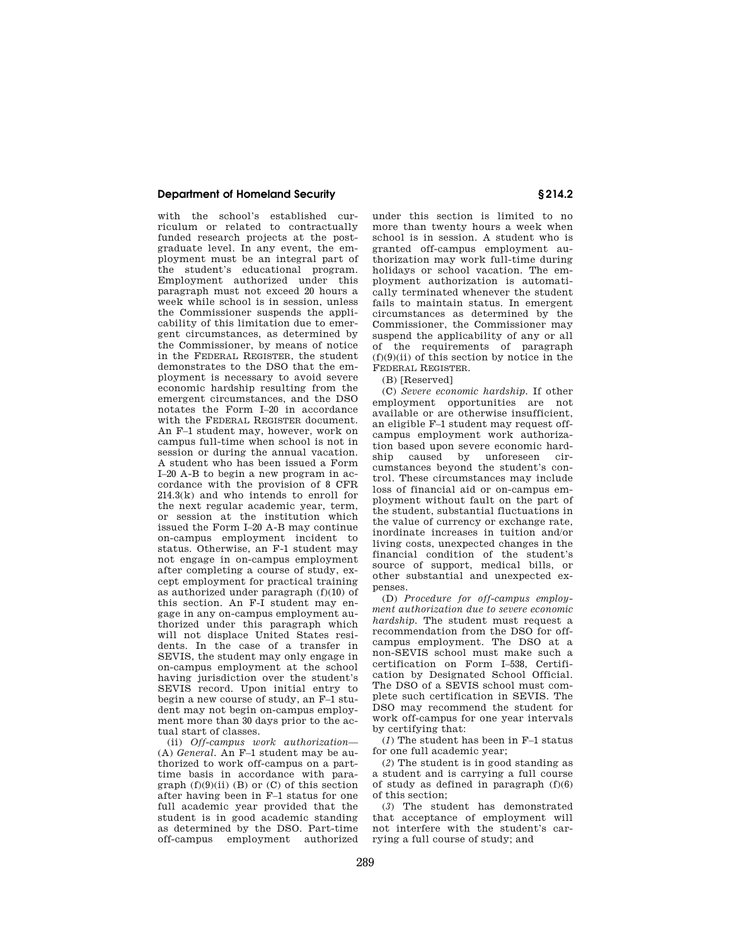with the school's established curriculum or related to contractually funded research projects at the postgraduate level. In any event, the employment must be an integral part of the student's educational program. Employment authorized under this paragraph must not exceed 20 hours a week while school is in session, unless the Commissioner suspends the applicability of this limitation due to emergent circumstances, as determined by the Commissioner, by means of notice in the FEDERAL REGISTER, the student demonstrates to the DSO that the employment is necessary to avoid severe economic hardship resulting from the emergent circumstances, and the DSO notates the Form I–20 in accordance with the FEDERAL REGISTER document. An F–1 student may, however, work on campus full-time when school is not in session or during the annual vacation. A student who has been issued a Form I–20 A-B to begin a new program in accordance with the provision of 8 CFR 214.3(k) and who intends to enroll for the next regular academic year, term, or session at the institution which issued the Form I–20 A-B may continue on-campus employment incident to status. Otherwise, an F-1 student may not engage in on-campus employment after completing a course of study, except employment for practical training as authorized under paragraph (f)(10) of this section. An F-I student may engage in any on-campus employment authorized under this paragraph which will not displace United States residents. In the case of a transfer in SEVIS, the student may only engage in on-campus employment at the school having jurisdiction over the student's SEVIS record. Upon initial entry to begin a new course of study, an F–1 student may not begin on-campus employment more than 30 days prior to the actual start of classes.

(ii) *Off-campus work authorization*— (A) *General.* An F–1 student may be authorized to work off-campus on a parttime basis in accordance with paragraph  $(f)(9)(ii)$  (B) or  $(C)$  of this section after having been in F–1 status for one full academic year provided that the student is in good academic standing as determined by the DSO. Part-time off-campus employment authorized

under this section is limited to no more than twenty hours a week when school is in session. A student who is granted off-campus employment authorization may work full-time during holidays or school vacation. The employment authorization is automatically terminated whenever the student fails to maintain status. In emergent circumstances as determined by the Commissioner, the Commissioner may suspend the applicability of any or all of the requirements of paragraph  $(f)(9)(ii)$  of this section by notice in the FEDERAL REGISTER.

(B) [Reserved]

(C) *Severe economic hardship.* If other employment opportunities are not available or are otherwise insufficient, an eligible F–1 student may request offcampus employment work authorization based upon severe economic hardship caused by unforeseen circumstances beyond the student's control. These circumstances may include loss of financial aid or on-campus employment without fault on the part of the student, substantial fluctuations in the value of currency or exchange rate, inordinate increases in tuition and/or living costs, unexpected changes in the financial condition of the student's source of support, medical bills, or other substantial and unexpected expenses.

(D) *Procedure for off-campus employment authorization due to severe economic hardship.* The student must request a recommendation from the DSO for offcampus employment. The DSO at a non-SEVIS school must make such a certification on Form I–538, Certification by Designated School Official. The DSO of a SEVIS school must complete such certification in SEVIS. The DSO may recommend the student for work off-campus for one year intervals by certifying that:

(*1*) The student has been in F–1 status for one full academic year;

(*2*) The student is in good standing as a student and is carrying a full course of study as defined in paragraph  $(f)(6)$ of this section;

(*3*) The student has demonstrated that acceptance of employment will not interfere with the student's carrying a full course of study; and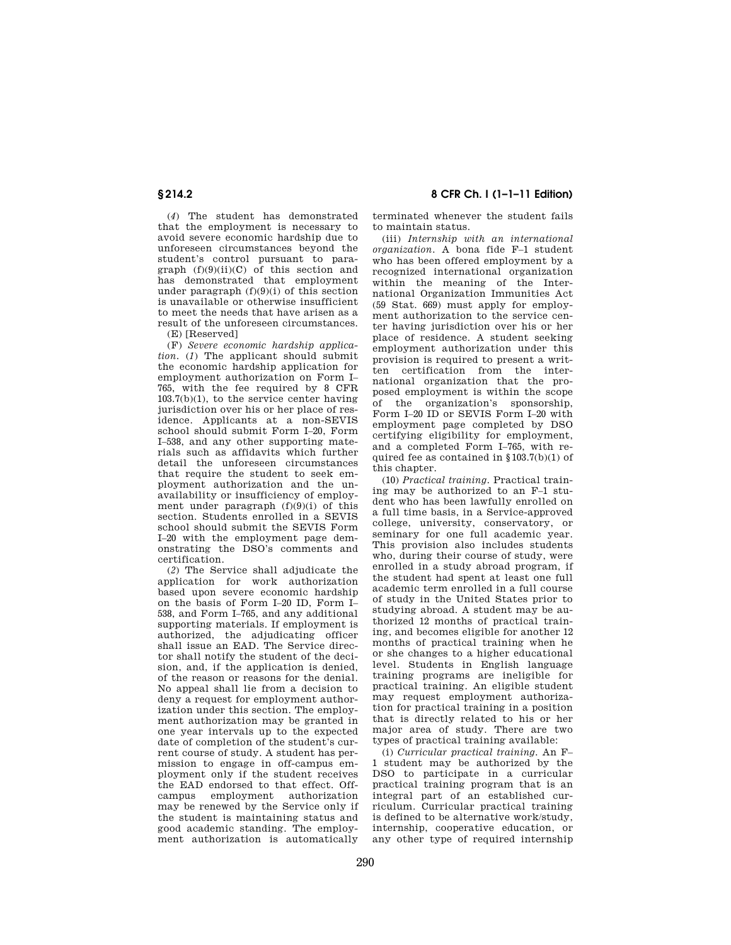(*4*) The student has demonstrated that the employment is necessary to avoid severe economic hardship due to unforeseen circumstances beyond the student's control pursuant to paragraph  $(f)(9)(ii)(C)$  of this section and has demonstrated that employment under paragraph (f)(9)(i) of this section is unavailable or otherwise insufficient to meet the needs that have arisen as a result of the unforeseen circumstances.

(E) [Reserved]

(F) *Severe economic hardship application.* (*1*) The applicant should submit the economic hardship application for employment authorization on Form I– 765, with the fee required by 8 CFR 103.7(b)(1), to the service center having jurisdiction over his or her place of residence. Applicants at a non-SEVIS school should submit Form I–20, Form I–538, and any other supporting materials such as affidavits which further detail the unforeseen circumstances that require the student to seek employment authorization and the unavailability or insufficiency of employment under paragraph  $(f)(9)(i)$  of this section. Students enrolled in a SEVIS school should submit the SEVIS Form I–20 with the employment page demonstrating the DSO's comments and certification.

(*2*) The Service shall adjudicate the application for work authorization based upon severe economic hardship on the basis of Form I–20 ID, Form I– 538, and Form I–765, and any additional supporting materials. If employment is authorized, the adjudicating officer shall issue an EAD. The Service director shall notify the student of the decision, and, if the application is denied, of the reason or reasons for the denial. No appeal shall lie from a decision to deny a request for employment authorization under this section. The employment authorization may be granted in one year intervals up to the expected date of completion of the student's current course of study. A student has permission to engage in off-campus employment only if the student receives the EAD endorsed to that effect. Offcampus employment authorization may be renewed by the Service only if the student is maintaining status and good academic standing. The employment authorization is automatically

**§ 214.2 8 CFR Ch. I (1–1–11 Edition)** 

terminated whenever the student fails to maintain status.

(iii) *Internship with an international organization.* A bona fide F–1 student who has been offered employment by a recognized international organization within the meaning of the International Organization Immunities Act (59 Stat. 669) must apply for employment authorization to the service center having jurisdiction over his or her place of residence. A student seeking employment authorization under this provision is required to present a written certification from the international organization that the proposed employment is within the scope of the organization's sponsorship, Form I–20 ID or SEVIS Form I–20 with employment page completed by DSO certifying eligibility for employment, and a completed Form I–765, with required fee as contained in §103.7(b)(1) of this chapter.

(10) *Practical training.* Practical training may be authorized to an F–1 student who has been lawfully enrolled on a full time basis, in a Service-approved college, university, conservatory, or seminary for one full academic year. This provision also includes students who, during their course of study, were enrolled in a study abroad program, if the student had spent at least one full academic term enrolled in a full course of study in the United States prior to studying abroad. A student may be authorized 12 months of practical training, and becomes eligible for another 12 months of practical training when he or she changes to a higher educational level. Students in English language training programs are ineligible for practical training. An eligible student may request employment authorization for practical training in a position that is directly related to his or her major area of study. There are two types of practical training available:

(i) *Curricular practical training.* An F– 1 student may be authorized by the DSO to participate in a curricular practical training program that is an integral part of an established curriculum. Curricular practical training is defined to be alternative work/study, internship, cooperative education, or any other type of required internship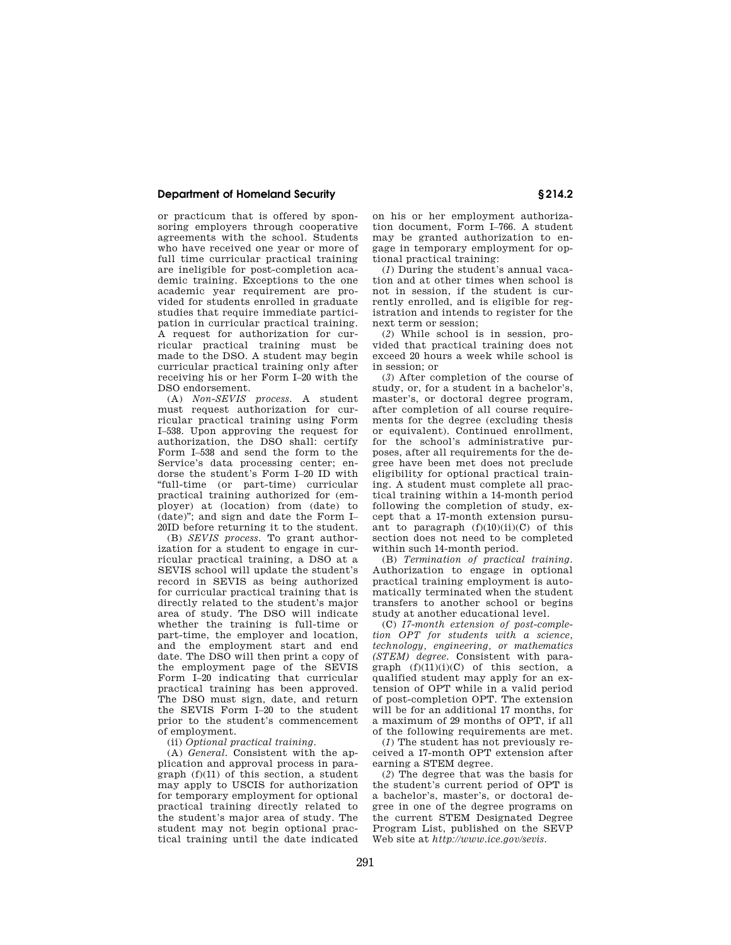or practicum that is offered by sponsoring employers through cooperative agreements with the school. Students who have received one year or more of full time curricular practical training are ineligible for post-completion academic training. Exceptions to the one academic year requirement are provided for students enrolled in graduate studies that require immediate participation in curricular practical training. A request for authorization for curricular practical training must be made to the DSO. A student may begin curricular practical training only after receiving his or her Form I–20 with the DSO endorsement.

(A) *Non-SEVIS process.* A student must request authorization for curricular practical training using Form I–538. Upon approving the request for authorization, the DSO shall: certify Form I–538 and send the form to the Service's data processing center; endorse the student's Form I–20 ID with ''full-time (or part-time) curricular practical training authorized for (employer) at (location) from (date) to (date)''; and sign and date the Form I– 20ID before returning it to the student.

(B) *SEVIS process.* To grant authorization for a student to engage in curricular practical training, a DSO at a SEVIS school will update the student's record in SEVIS as being authorized for curricular practical training that is directly related to the student's major area of study. The DSO will indicate whether the training is full-time or part-time, the employer and location, and the employment start and end date. The DSO will then print a copy of the employment page of the SEVIS Form I–20 indicating that curricular practical training has been approved. The DSO must sign, date, and return the SEVIS Form I–20 to the student prior to the student's commencement of employment.

(ii) *Optional practical training*.

(A) *General.* Consistent with the application and approval process in paragraph (f)(11) of this section, a student may apply to USCIS for authorization for temporary employment for optional practical training directly related to the student's major area of study. The student may not begin optional practical training until the date indicated

on his or her employment authorization document, Form I–766. A student may be granted authorization to engage in temporary employment for optional practical training:

(*1*) During the student's annual vacation and at other times when school is not in session, if the student is currently enrolled, and is eligible for registration and intends to register for the next term or session;

(*2*) While school is in session, provided that practical training does not exceed 20 hours a week while school is in session; or

(*3*) After completion of the course of study, or, for a student in a bachelor's, master's, or doctoral degree program, after completion of all course requirements for the degree (excluding thesis or equivalent). Continued enrollment, for the school's administrative purposes, after all requirements for the degree have been met does not preclude eligibility for optional practical training. A student must complete all practical training within a 14-month period following the completion of study, except that a 17-month extension pursuant to paragraph  $(f)(10)(ii)(C)$  of this section does not need to be completed within such 14-month period.

(B) *Termination of practical training.*  Authorization to engage in optional practical training employment is automatically terminated when the student transfers to another school or begins study at another educational level.

(C) *17-month extension of post-completion OPT for students with a science, technology, engineering, or mathematics (STEM) degree.* Consistent with paragraph  $(f)(11)(i)(C)$  of this section, a qualified student may apply for an extension of OPT while in a valid period of post-completion OPT. The extension will be for an additional 17 months, for a maximum of 29 months of OPT, if all of the following requirements are met.

(*1*) The student has not previously received a 17-month OPT extension after earning a STEM degree.

(*2*) The degree that was the basis for the student's current period of OPT is a bachelor's, master's, or doctoral degree in one of the degree programs on the current STEM Designated Degree Program List, published on the SEVP Web site at *http://www.ice.gov/sevis.*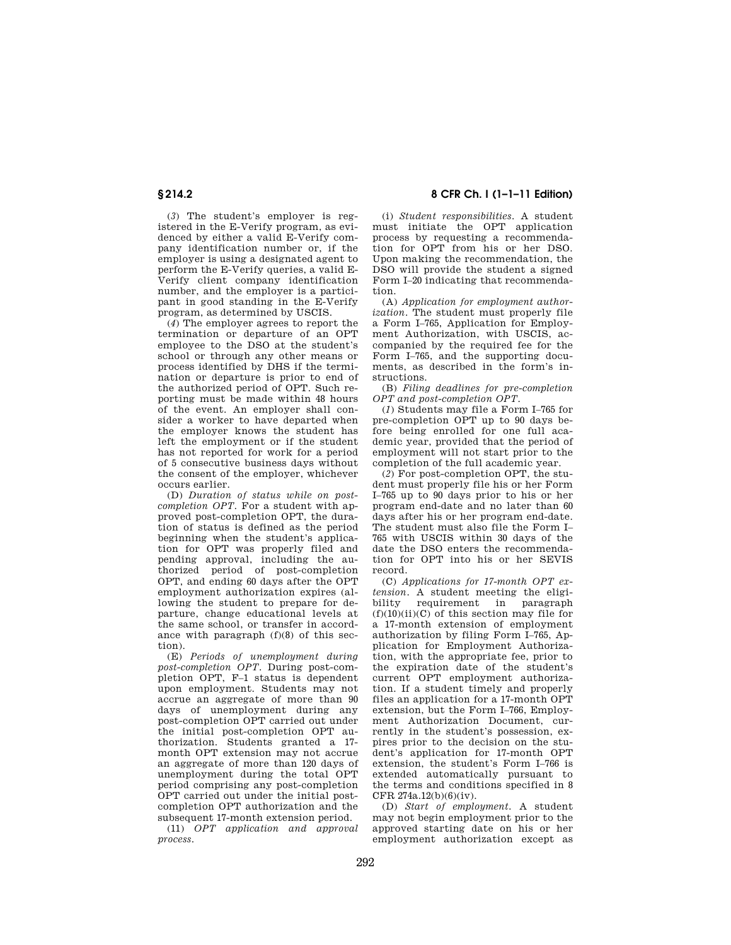(*3*) The student's employer is registered in the E-Verify program, as evidenced by either a valid E-Verify company identification number or, if the employer is using a designated agent to perform the E-Verify queries, a valid E-Verify client company identification number, and the employer is a participant in good standing in the E-Verify program, as determined by USCIS.

(*4*) The employer agrees to report the termination or departure of an OPT employee to the DSO at the student's school or through any other means or process identified by DHS if the termination or departure is prior to end of the authorized period of OPT. Such reporting must be made within 48 hours of the event. An employer shall consider a worker to have departed when the employer knows the student has left the employment or if the student has not reported for work for a period of 5 consecutive business days without the consent of the employer, whichever occurs earlier.

(D) *Duration of status while on postcompletion OPT.* For a student with approved post-completion OPT, the duration of status is defined as the period beginning when the student's application for OPT was properly filed and pending approval, including the authorized period of post-completion OPT, and ending 60 days after the OPT employment authorization expires (allowing the student to prepare for departure, change educational levels at the same school, or transfer in accordance with paragraph (f)(8) of this section).

(E) *Periods of unemployment during post-completion OPT*. During post-completion OPT, F–1 status is dependent upon employment. Students may not accrue an aggregate of more than 90 days of unemployment during any post-completion OPT carried out under the initial post-completion OPT authorization. Students granted a 17 month OPT extension may not accrue an aggregate of more than 120 days of unemployment during the total OPT period comprising any post-completion OPT carried out under the initial postcompletion OPT authorization and the subsequent 17-month extension period.

(11) *OPT application and approval process*.

## **§ 214.2 8 CFR Ch. I (1–1–11 Edition)**

(i) *Student responsibilities*. A student must initiate the OPT application process by requesting a recommendation for OPT from his or her DSO. Upon making the recommendation, the DSO will provide the student a signed Form I–20 indicating that recommendation.

(A) *Application for employment authorization*. The student must properly file a Form I–765, Application for Employment Authorization, with USCIS, accompanied by the required fee for the Form I–765, and the supporting documents, as described in the form's instructions.

(B) *Filing deadlines for pre-completion OPT and post-completion OPT*.

(*1*) Students may file a Form I–765 for pre-completion OPT up to 90 days before being enrolled for one full academic year, provided that the period of employment will not start prior to the completion of the full academic year.

(*2*) For post-completion OPT, the student must properly file his or her Form I–765 up to 90 days prior to his or her program end-date and no later than 60 days after his or her program end-date. The student must also file the Form I– 765 with USCIS within 30 days of the date the DSO enters the recommendation for OPT into his or her SEVIS record.

(C) *Applications for 17-month OPT extension*. A student meeting the eligi-<br>bility requirement in paragraph requirement in paragraph  $(f)(10)(ii)(C)$  of this section may file for a 17-month extension of employment authorization by filing Form I–765, Application for Employment Authorization, with the appropriate fee, prior to the expiration date of the student's current OPT employment authorization. If a student timely and properly files an application for a 17-month OPT extension, but the Form I–766, Employment Authorization Document, currently in the student's possession, expires prior to the decision on the student's application for 17-month OPT extension, the student's Form I–766 is extended automatically pursuant to the terms and conditions specified in 8 CFR 274a.12(b)(6)(iv).

(D) *Start of employment.* A student may not begin employment prior to the approved starting date on his or her employment authorization except as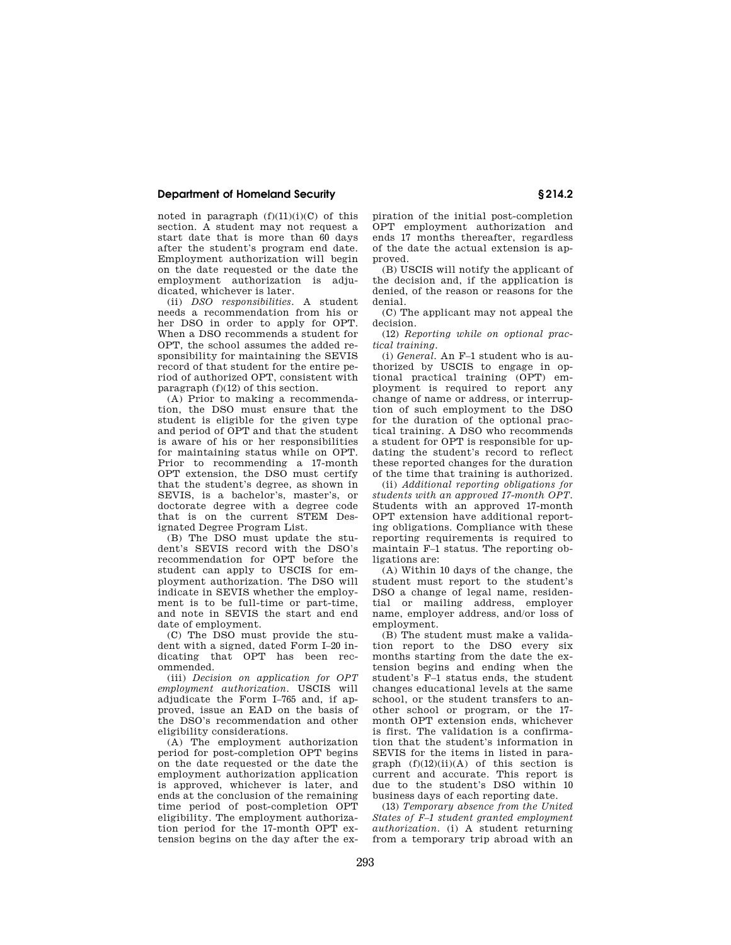noted in paragraph  $(f)(11)(i)(C)$  of this section. A student may not request a start date that is more than 60 days after the student's program end date. Employment authorization will begin on the date requested or the date the employment authorization is adjudicated, whichever is later.

(ii) *DSO responsibilities*. A student needs a recommendation from his or her DSO in order to apply for OPT. When a DSO recommends a student for OPT, the school assumes the added responsibility for maintaining the SEVIS record of that student for the entire period of authorized OPT, consistent with paragraph (f)(12) of this section.

(A) Prior to making a recommendation, the DSO must ensure that the student is eligible for the given type and period of OPT and that the student is aware of his or her responsibilities for maintaining status while on OPT. Prior to recommending a 17-month OPT extension, the DSO must certify that the student's degree, as shown in SEVIS, is a bachelor's, master's, or doctorate degree with a degree code that is on the current STEM Designated Degree Program List.

(B) The DSO must update the student's SEVIS record with the DSO's recommendation for OPT before the student can apply to USCIS for employment authorization. The DSO will indicate in SEVIS whether the employment is to be full-time or part-time, and note in SEVIS the start and end date of employment.

(C) The DSO must provide the student with a signed, dated Form I–20 indicating that OPT has been recommended.

(iii) *Decision on application for OPT employment authorization*. USCIS will adjudicate the Form I–765 and, if approved, issue an EAD on the basis of the DSO's recommendation and other eligibility considerations.

(A) The employment authorization period for post-completion OPT begins on the date requested or the date the employment authorization application is approved, whichever is later, and ends at the conclusion of the remaining time period of post-completion OPT eligibility. The employment authorization period for the 17-month OPT extension begins on the day after the ex-

piration of the initial post-completion OPT employment authorization and ends 17 months thereafter, regardless of the date the actual extension is approved.

(B) USCIS will notify the applicant of the decision and, if the application is denied, of the reason or reasons for the denial.

(C) The applicant may not appeal the decision.

(12) *Reporting while on optional practical training*.

(i) *General.* An F–1 student who is authorized by USCIS to engage in optional practical training (OPT) employment is required to report any change of name or address, or interruption of such employment to the DSO for the duration of the optional practical training. A DSO who recommends a student for OPT is responsible for updating the student's record to reflect these reported changes for the duration of the time that training is authorized.

(ii) *Additional reporting obligations for students with an approved 17-month OPT.*  Students with an approved 17-month OPT extension have additional reporting obligations. Compliance with these reporting requirements is required to maintain F–1 status. The reporting obligations are:

(A) Within 10 days of the change, the student must report to the student's DSO a change of legal name, residential or mailing address, employer name, employer address, and/or loss of employment.

(B) The student must make a validation report to the DSO every six months starting from the date the extension begins and ending when the student's F–1 status ends, the student changes educational levels at the same school, or the student transfers to another school or program, or the 17 month OPT extension ends, whichever is first. The validation is a confirmation that the student's information in SEVIS for the items in listed in paragraph  $(f)(12)(ii)(A)$  of this section is current and accurate. This report is due to the student's DSO within 10 business days of each reporting date.

(13) *Temporary absence from the United States of F–1 student granted employment authorization.* (i) A student returning from a temporary trip abroad with an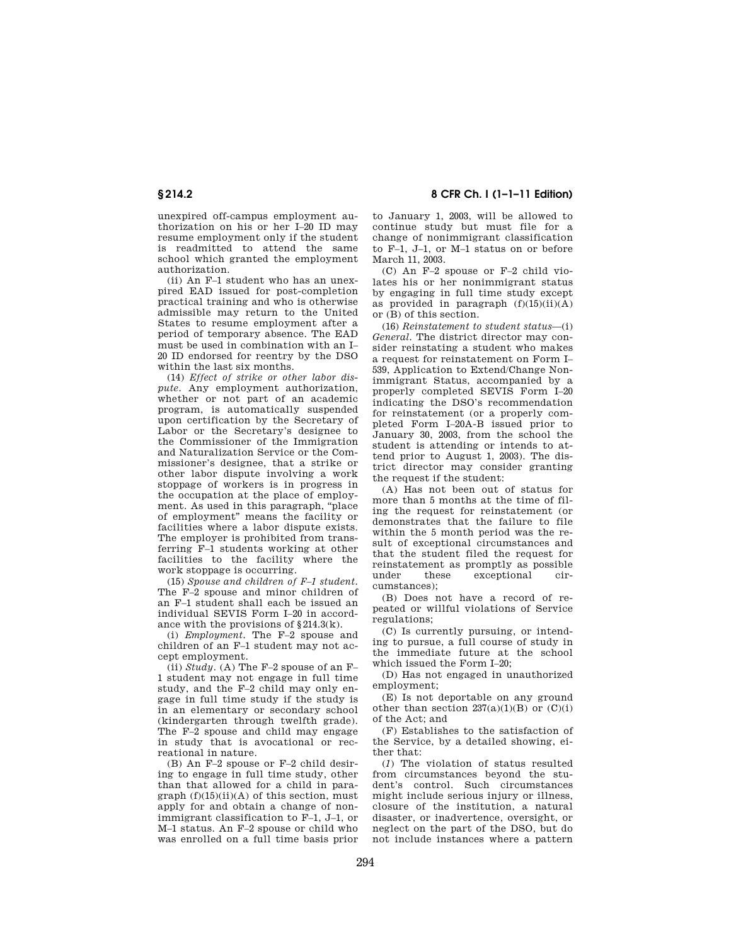unexpired off-campus employment authorization on his or her I–20 ID may resume employment only if the student is readmitted to attend the same school which granted the employment authorization.

(ii) An F–1 student who has an unexpired EAD issued for post-completion practical training and who is otherwise admissible may return to the United States to resume employment after a period of temporary absence. The EAD must be used in combination with an I– 20 ID endorsed for reentry by the DSO within the last six months.

(14) *Effect of strike or other labor dispute.* Any employment authorization, whether or not part of an academic program, is automatically suspended upon certification by the Secretary of Labor or the Secretary's designee to the Commissioner of the Immigration and Naturalization Service or the Commissioner's designee, that a strike or other labor dispute involving a work stoppage of workers is in progress in the occupation at the place of employment. As used in this paragraph, ''place of employment'' means the facility or facilities where a labor dispute exists. The employer is prohibited from transferring F–1 students working at other facilities to the facility where the work stoppage is occurring.

(15) *Spouse and children of F–1 student.*  The F–2 spouse and minor children of an F–1 student shall each be issued an individual SEVIS Form I–20 in accordance with the provisions of §214.3(k).

(i) *Employment.* The F–2 spouse and children of an F–1 student may not accept employment.

(ii) *Study.* (A) The F–2 spouse of an F– 1 student may not engage in full time study, and the F–2 child may only engage in full time study if the study is in an elementary or secondary school (kindergarten through twelfth grade). The F–2 spouse and child may engage in study that is avocational or recreational in nature.

(B) An F–2 spouse or F–2 child desiring to engage in full time study, other than that allowed for a child in paragraph  $(f)(15)(ii)(A)$  of this section, must apply for and obtain a change of nonimmigrant classification to F–1, J–1, or M–1 status. An F–2 spouse or child who was enrolled on a full time basis prior

**§ 214.2 8 CFR Ch. I (1–1–11 Edition)** 

to January 1, 2003, will be allowed to continue study but must file for a change of nonimmigrant classification to F–1, J–1, or M–1 status on or before March 11, 2003.

(C) An F–2 spouse or F–2 child violates his or her nonimmigrant status by engaging in full time study except as provided in paragraph (f)(15)(ii)(A) or (B) of this section.

(16) *Reinstatement to student status*—(i) *General.* The district director may consider reinstating a student who makes a request for reinstatement on Form I– 539, Application to Extend/Change Nonimmigrant Status, accompanied by a properly completed SEVIS Form I–20 indicating the DSO's recommendation for reinstatement (or a properly completed Form I–20A-B issued prior to January 30, 2003, from the school the student is attending or intends to attend prior to August 1, 2003). The district director may consider granting the request if the student:

(A) Has not been out of status for more than 5 months at the time of filing the request for reinstatement (or demonstrates that the failure to file within the 5 month period was the result of exceptional circumstances and that the student filed the request for reinstatement as promptly as possible under these exceptional circumstances);

(B) Does not have a record of repeated or willful violations of Service regulations;

(C) Is currently pursuing, or intending to pursue, a full course of study in the immediate future at the school which issued the Form I–20;

(D) Has not engaged in unauthorized employment;

(E) Is not deportable on any ground other than section  $237(a)(1)(B)$  or  $(C)(i)$ of the Act; and

(F) Establishes to the satisfaction of the Service, by a detailed showing, either that:

(*1*) The violation of status resulted from circumstances beyond the student's control. Such circumstances might include serious injury or illness, closure of the institution, a natural disaster, or inadvertence, oversight, or neglect on the part of the DSO, but do not include instances where a pattern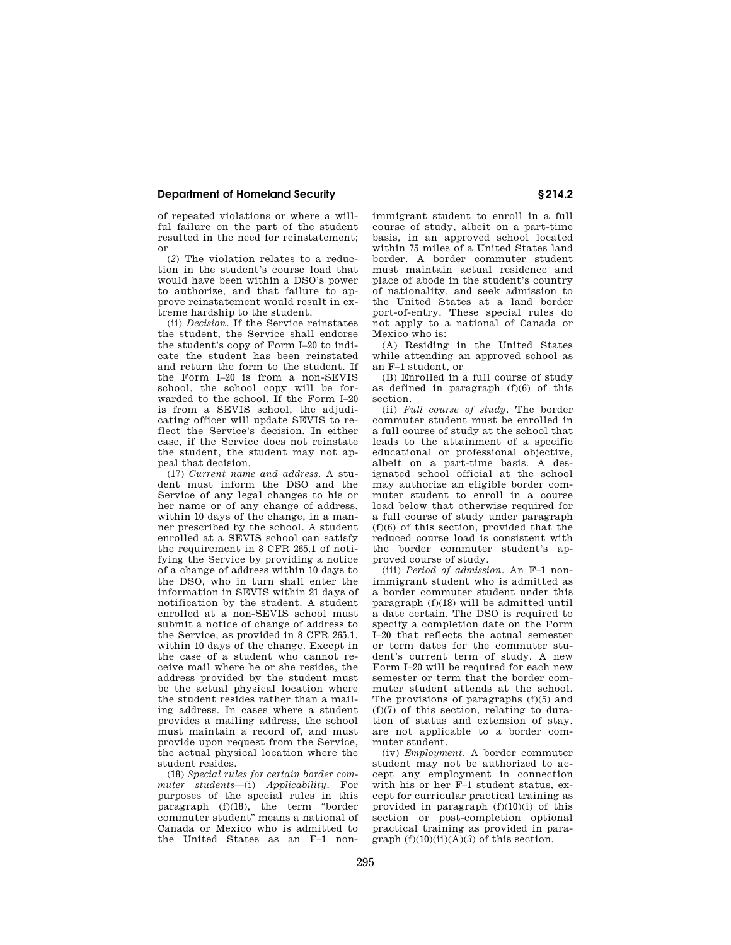of repeated violations or where a willful failure on the part of the student resulted in the need for reinstatement; or

(*2*) The violation relates to a reduction in the student's course load that would have been within a DSO's power to authorize, and that failure to approve reinstatement would result in extreme hardship to the student.

(ii) *Decision.* If the Service reinstates the student, the Service shall endorse the student's copy of Form I–20 to indicate the student has been reinstated and return the form to the student. If the Form I–20 is from a non-SEVIS school, the school copy will be forwarded to the school. If the Form I–20 is from a SEVIS school, the adjudicating officer will update SEVIS to reflect the Service's decision. In either case, if the Service does not reinstate the student, the student may not appeal that decision.

(17) *Current name and address.* A student must inform the DSO and the Service of any legal changes to his or her name or of any change of address, within 10 days of the change, in a manner prescribed by the school. A student enrolled at a SEVIS school can satisfy the requirement in 8 CFR 265.1 of notifying the Service by providing a notice of a change of address within 10 days to the DSO, who in turn shall enter the information in SEVIS within 21 days of notification by the student. A student enrolled at a non-SEVIS school must submit a notice of change of address to the Service, as provided in 8 CFR 265.1, within 10 days of the change. Except in the case of a student who cannot receive mail where he or she resides, the address provided by the student must be the actual physical location where the student resides rather than a mailing address. In cases where a student provides a mailing address, the school must maintain a record of, and must provide upon request from the Service, the actual physical location where the student resides.

(18) *Special rules for certain border commuter students*—(i) *Applicability.* For purposes of the special rules in this paragraph (f)(18), the term ''border commuter student'' means a national of Canada or Mexico who is admitted to the United States as an F–1 nonimmigrant student to enroll in a full course of study, albeit on a part-time basis, in an approved school located within 75 miles of a United States land border. A border commuter student must maintain actual residence and place of abode in the student's country of nationality, and seek admission to the United States at a land border port-of-entry. These special rules do not apply to a national of Canada or Mexico who is:

(A) Residing in the United States while attending an approved school as an F–1 student, or

(B) Enrolled in a full course of study as defined in paragraph (f)(6) of this section.

(ii) *Full course of study.* The border commuter student must be enrolled in a full course of study at the school that leads to the attainment of a specific educational or professional objective, albeit on a part-time basis. A designated school official at the school may authorize an eligible border commuter student to enroll in a course load below that otherwise required for a full course of study under paragraph (f)(6) of this section, provided that the reduced course load is consistent with the border commuter student's approved course of study.

(iii) *Period of admission.* An F–1 nonimmigrant student who is admitted as a border commuter student under this paragraph (f)(18) will be admitted until a date certain. The DSO is required to specify a completion date on the Form I–20 that reflects the actual semester or term dates for the commuter student's current term of study. A new Form I–20 will be required for each new semester or term that the border commuter student attends at the school. The provisions of paragraphs (f)(5) and (f)(7) of this section, relating to duration of status and extension of stay, are not applicable to a border commuter student.

(iv) *Employment.* A border commuter student may not be authorized to accept any employment in connection with his or her F–1 student status, except for curricular practical training as provided in paragraph  $(f)(10)(i)$  of this section or post-completion optional practical training as provided in paragraph  $(f)(10)(ii)(A)(3)$  of this section.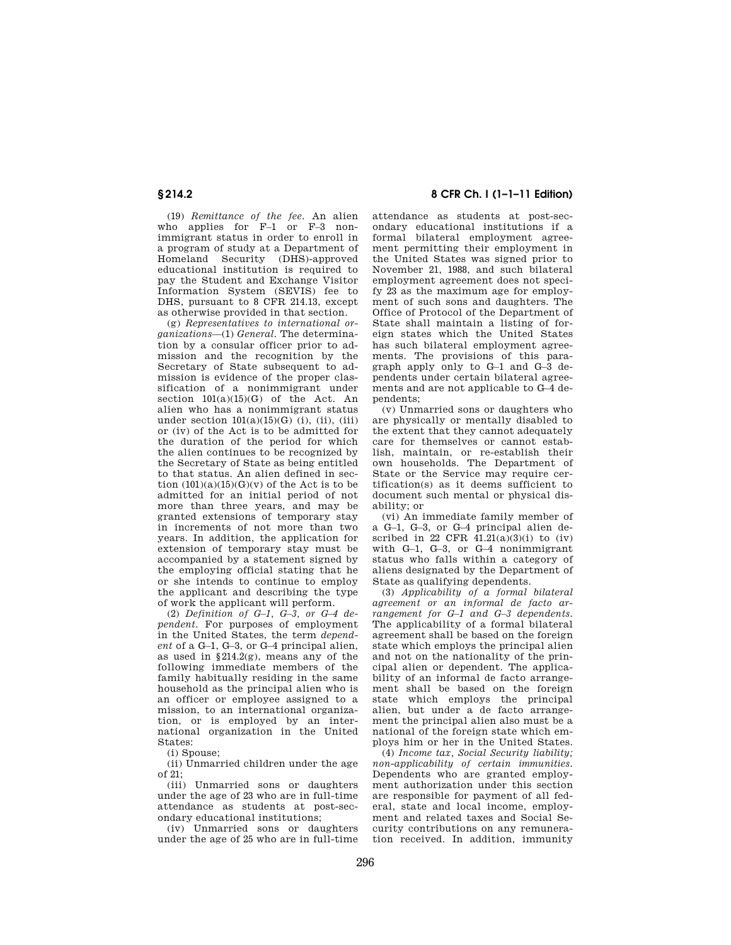(19) *Remittance of the fee.* An alien who applies for F–1 or F–3 nonimmigrant status in order to enroll in a program of study at a Department of Homeland Security (DHS)-approved educational institution is required to pay the Student and Exchange Visitor Information System (SEVIS) fee to DHS, pursuant to 8 CFR 214.13, except as otherwise provided in that section.

(g) *Representatives to international organizations*—(1) *General.* The determination by a consular officer prior to admission and the recognition by the Secretary of State subsequent to admission is evidence of the proper classification of a nonimmigrant under section  $101(a)(15)(G)$  of the Act. An alien who has a nonimmigrant status under section  $101(a)(15)(G)$  (i), (ii), (iii) or (iv) of the Act is to be admitted for the duration of the period for which the alien continues to be recognized by the Secretary of State as being entitled to that status. An alien defined in section  $(101)(a)(15)(G)(v)$  of the Act is to be admitted for an initial period of not more than three years, and may be granted extensions of temporary stay in increments of not more than two years. In addition, the application for extension of temporary stay must be accompanied by a statement signed by the employing official stating that he or she intends to continue to employ the applicant and describing the type of work the applicant will perform.

(2) *Definition of G–1, G–3, or G–4 dependent.* For purposes of employment in the United States, the term *dependent* of a G–1, G–3, or G–4 principal alien, as used in  $\frac{214.2(g)}{g}$ , means any of the following immediate members of the family habitually residing in the same household as the principal alien who is an officer or employee assigned to a mission, to an international organization, or is employed by an international organization in the United States:

(i) Spouse;

(ii) Unmarried children under the age of 21;

(iii) Unmarried sons or daughters under the age of 23 who are in full-time attendance as students at post-secondary educational institutions;

(iv) Unmarried sons or daughters under the age of 25 who are in full-time

## **§ 214.2 8 CFR Ch. I (1–1–11 Edition)**

attendance as students at post-secondary educational institutions if a formal bilateral employment agreement permitting their employment in the United States was signed prior to November 21, 1988, and such bilateral employment agreement does not specify 23 as the maximum age for employment of such sons and daughters. The Office of Protocol of the Department of State shall maintain a listing of foreign states which the United States has such bilateral employment agreements. The provisions of this paragraph apply only to G–1 and G–3 dependents under certain bilateral agreements and are not applicable to G–4 dependents;

(v) Unmarried sons or daughters who are physically or mentally disabled to the extent that they cannot adequately care for themselves or cannot establish, maintain, or re-establish their own households. The Department of State or the Service may require certification(s) as it deems sufficient to document such mental or physical disability; or

(vi) An immediate family member of a G–1, G–3, or G–4 principal alien described in 22 CFR  $\overline{41.21(a)}(3)(i)$  to (iv) with G–1, G–3, or G–4 nonimmigrant status who falls within a category of aliens designated by the Department of State as qualifying dependents.

(3) *Applicability of a formal bilateral agreement or an informal de facto arrangement for G–1 and G–3 dependents.*  The applicability of a formal bilateral agreement shall be based on the foreign state which employs the principal alien and not on the nationality of the principal alien or dependent. The applicability of an informal de facto arrangement shall be based on the foreign state which employs the principal alien, but under a de facto arrangement the principal alien also must be a national of the foreign state which employs him or her in the United States.

(4) *Income tax, Social Security liability; non-applicability of certain immunities.*  Dependents who are granted employment authorization under this section are responsible for payment of all federal, state and local income, employment and related taxes and Social Security contributions on any remuneration received. In addition, immunity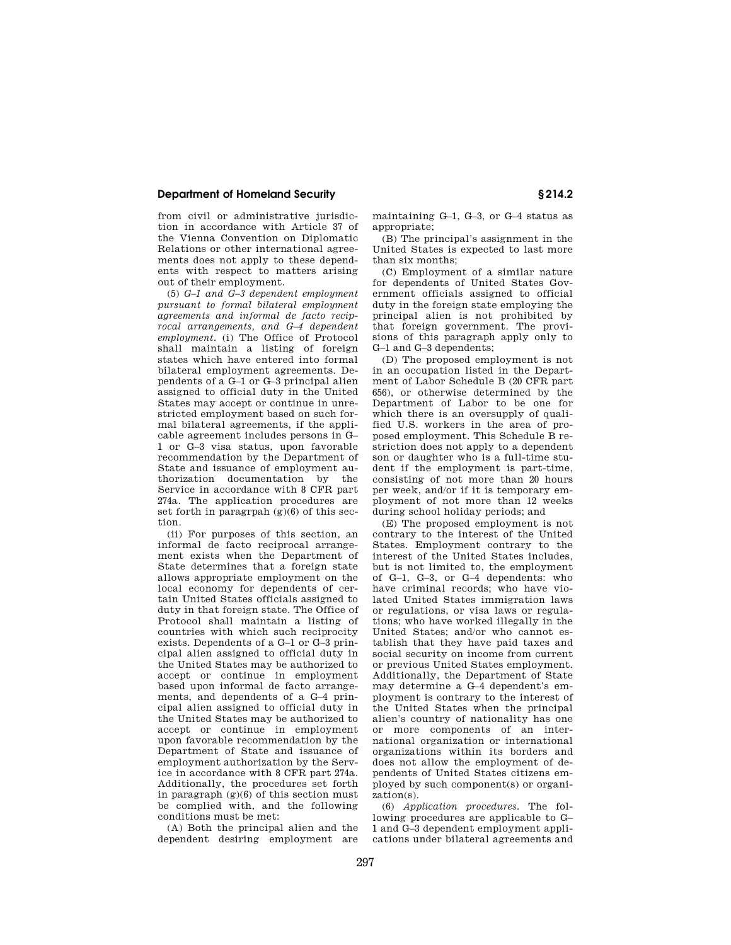from civil or administrative jurisdiction in accordance with Article 37 of the Vienna Convention on Diplomatic Relations or other international agreements does not apply to these dependents with respect to matters arising out of their employment.

(5) *G–1 and G–3 dependent employment pursuant to formal bilateral employment agreements and informal de facto reciprocal arrangements, and G–4 dependent employment.* (i) The Office of Protocol shall maintain a listing of foreign states which have entered into formal bilateral employment agreements. Dependents of a G–1 or G–3 principal alien assigned to official duty in the United States may accept or continue in unrestricted employment based on such formal bilateral agreements, if the applicable agreement includes persons in G– 1 or G–3 visa status, upon favorable recommendation by the Department of State and issuance of employment authorization documentation by the Service in accordance with 8 CFR part 274a. The application procedures are set forth in paragrpah  $(g)(6)$  of this section.

(ii) For purposes of this section, an informal de facto reciprocal arrangement exists when the Department of State determines that a foreign state allows appropriate employment on the local economy for dependents of certain United States officials assigned to duty in that foreign state. The Office of Protocol shall maintain a listing of countries with which such reciprocity exists. Dependents of a G–1 or G–3 principal alien assigned to official duty in the United States may be authorized to accept or continue in employment based upon informal de facto arrangements, and dependents of a G–4 principal alien assigned to official duty in the United States may be authorized to accept or continue in employment upon favorable recommendation by the Department of State and issuance of employment authorization by the Service in accordance with 8 CFR part 274a. Additionally, the procedures set forth in paragraph  $(g)(6)$  of this section must be complied with, and the following conditions must be met:

(A) Both the principal alien and the dependent desiring employment are maintaining G–1, G–3, or G–4 status as appropriate;

(B) The principal's assignment in the United States is expected to last more than six months;

(C) Employment of a similar nature for dependents of United States Government officials assigned to official duty in the foreign state employing the principal alien is not prohibited by that foreign government. The provisions of this paragraph apply only to G–1 and G–3 dependents;

(D) The proposed employment is not in an occupation listed in the Department of Labor Schedule B (20 CFR part 656), or otherwise determined by the Department of Labor to be one for which there is an oversupply of qualified U.S. workers in the area of proposed employment. This Schedule B restriction does not apply to a dependent son or daughter who is a full-time student if the employment is part-time, consisting of not more than 20 hours per week, and/or if it is temporary employment of not more than 12 weeks during school holiday periods; and

(E) The proposed employment is not contrary to the interest of the United States. Employment contrary to the interest of the United States includes, but is not limited to, the employment of G–1, G–3, or G–4 dependents: who have criminal records; who have violated United States immigration laws or regulations, or visa laws or regulations; who have worked illegally in the United States; and/or who cannot establish that they have paid taxes and social security on income from current or previous United States employment. Additionally, the Department of State may determine a G–4 dependent's employment is contrary to the interest of the United States when the principal alien's country of nationality has one or more components of an international organization or international organizations within its borders and does not allow the employment of dependents of United States citizens employed by such component(s) or organization(s).

(6) *Application procedures.* The following procedures are applicable to G– 1 and G–3 dependent employment applications under bilateral agreements and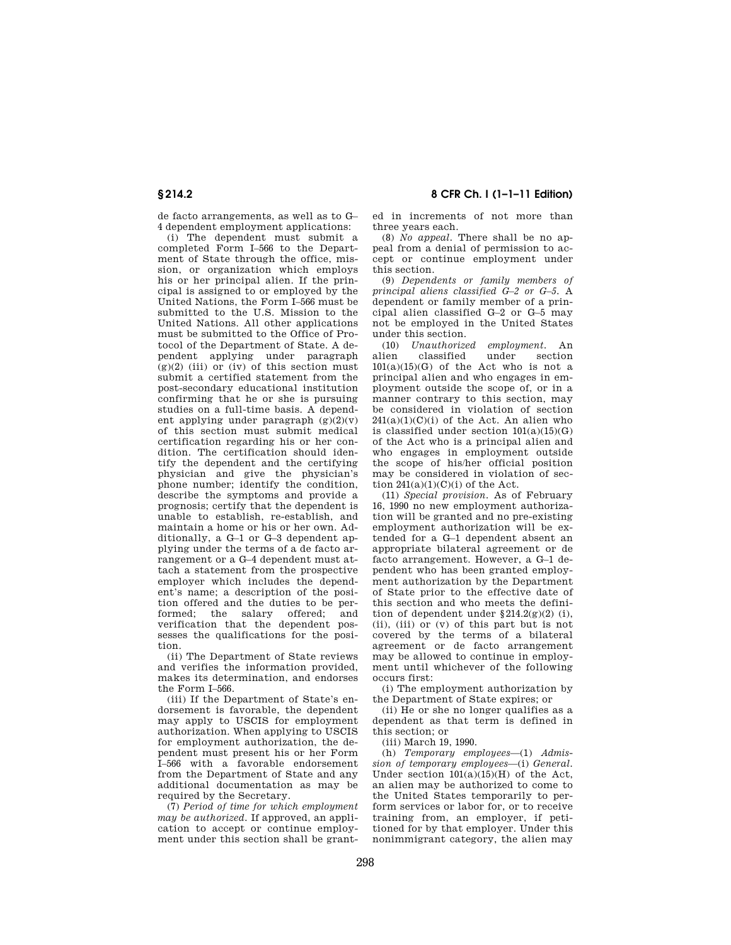## **§ 214.2 8 CFR Ch. I (1–1–11 Edition)**

de facto arrangements, as well as to G– 4 dependent employment applications:

(i) The dependent must submit a completed Form I–566 to the Department of State through the office, mission, or organization which employs his or her principal alien. If the principal is assigned to or employed by the United Nations, the Form I–566 must be submitted to the U.S. Mission to the United Nations. All other applications must be submitted to the Office of Protocol of the Department of State. A dependent applying under paragraph  $(g)(2)$  (iii) or (iv) of this section must submit a certified statement from the post-secondary educational institution confirming that he or she is pursuing studies on a full-time basis. A dependent applying under paragraph  $(g)(2)(v)$ of this section must submit medical certification regarding his or her condition. The certification should identify the dependent and the certifying physician and give the physician's phone number; identify the condition, describe the symptoms and provide a prognosis; certify that the dependent is unable to establish, re-establish, and maintain a home or his or her own. Additionally, a G–1 or G–3 dependent applying under the terms of a de facto arrangement or a G–4 dependent must attach a statement from the prospective employer which includes the dependent's name; a description of the position offered and the duties to be performed; the salary offered; and verification that the dependent possesses the qualifications for the position.

(ii) The Department of State reviews and verifies the information provided, makes its determination, and endorses the Form I–566.

(iii) If the Department of State's endorsement is favorable, the dependent may apply to USCIS for employment authorization. When applying to USCIS for employment authorization, the dependent must present his or her Form I–566 with a favorable endorsement from the Department of State and any additional documentation as may be required by the Secretary.

(7) *Period of time for which employment may be authorized.* If approved, an application to accept or continue employment under this section shall be granted in increments of not more than three years each.

(8) *No appeal.* There shall be no appeal from a denial of permission to accept or continue employment under this section.

(9) *Dependents or family members of principal aliens classified G–2 or G–5.* A dependent or family member of a principal alien classified G–2 or G–5 may not be employed in the United States under this section.

(10) *Unauthorized employment.* An classified  $101(a)(15)(G)$  of the Act who is not a principal alien and who engages in employment outside the scope of, or in a manner contrary to this section, may be considered in violation of section  $241(a)(1)(C)(i)$  of the Act. An alien who is classified under section  $101(a)(15)(G)$ of the Act who is a principal alien and who engages in employment outside the scope of his/her official position may be considered in violation of section  $241(a)(1)(C)(i)$  of the Act.

(11) *Special provision.* As of February 16, 1990 no new employment authorization will be granted and no pre-existing employment authorization will be extended for a G–1 dependent absent an appropriate bilateral agreement or de facto arrangement. However, a G–1 dependent who has been granted employment authorization by the Department of State prior to the effective date of this section and who meets the definition of dependent under  $$214.2(g)(2)(i)$ , (ii), (iii) or (v) of this part but is not covered by the terms of a bilateral agreement or de facto arrangement may be allowed to continue in employment until whichever of the following occurs first:

(i) The employment authorization by the Department of State expires; or

(ii) He or she no longer qualifies as a dependent as that term is defined in this section; or

(iii) March 19, 1990.

298

(h) *Temporary employees*—(1) *Admission of temporary employees*—(i) *General.*  Under section  $101(a)(15)(H)$  of the Act, an alien may be authorized to come to the United States temporarily to perform services or labor for, or to receive training from, an employer, if petitioned for by that employer. Under this nonimmigrant category, the alien may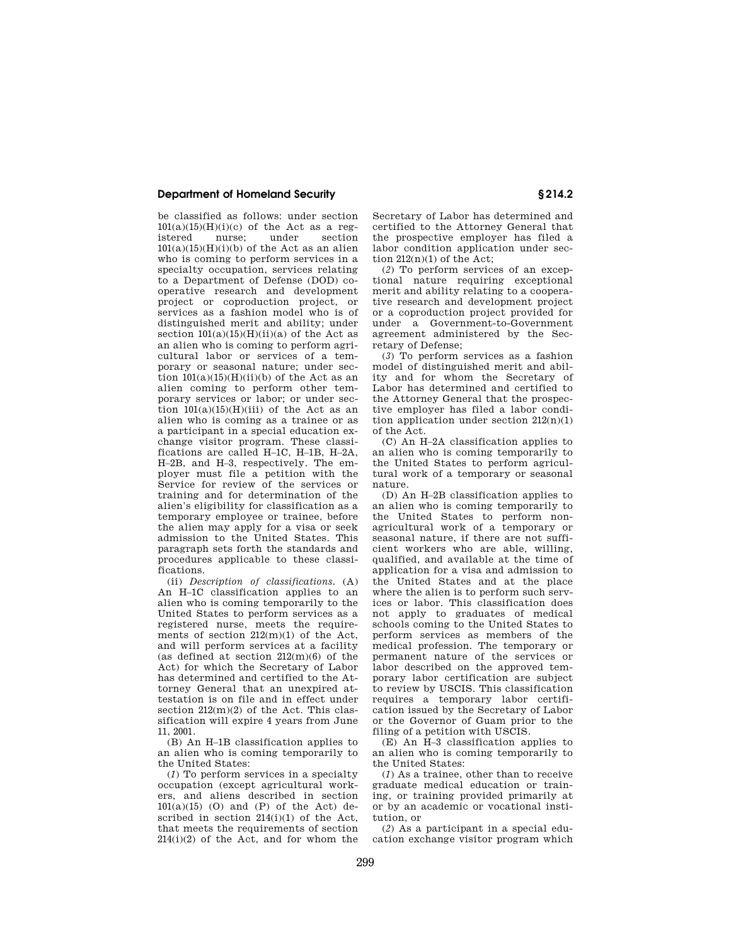be classified as follows: under section  $101(a)(15)(H)(i)(c)$  of the Act as a registered nurse: under section istered nurse; under section  $101(a)(15)(H)(i)$  of the Act as an alien who is coming to perform services in a specialty occupation, services relating to a Department of Defense (DOD) cooperative research and development project or coproduction project, or services as a fashion model who is of distinguished merit and ability; under section  $101(a)(15)(H)(ii)(a)$  of the Act as an alien who is coming to perform agricultural labor or services of a temporary or seasonal nature; under section  $101(a)(15)(H)(i)$  of the Act as an alien coming to perform other temporary services or labor; or under section  $101(a)(15)(H)(iii)$  of the Act as an alien who is coming as a trainee or as a participant in a special education exchange visitor program. These classifications are called H–1C, H–1B, H–2A, H–2B, and H–3, respectively. The employer must file a petition with the Service for review of the services or training and for determination of the alien's eligibility for classification as a temporary employee or trainee, before the alien may apply for a visa or seek admission to the United States. This paragraph sets forth the standards and procedures applicable to these classifications.

(ii) *Description of classifications.* (A) An H–1C classification applies to an alien who is coming temporarily to the United States to perform services as a registered nurse, meets the requirements of section 212(m)(1) of the Act, and will perform services at a facility (as defined at section 212(m)(6) of the Act) for which the Secretary of Labor has determined and certified to the Attorney General that an unexpired attestation is on file and in effect under section  $212(m)(2)$  of the Act. This classification will expire 4 years from June 11, 2001.

(B) An H–1B classification applies to an alien who is coming temporarily to the United States:

(*1*) To perform services in a specialty occupation (except agricultural workers, and aliens described in section  $101(a)(15)$  (O) and (P) of the Act) described in section 214(i)(1) of the Act, that meets the requirements of section 214(i)(2) of the Act, and for whom the Secretary of Labor has determined and certified to the Attorney General that the prospective employer has filed a labor condition application under section 212(n)(1) of the Act;

(*2*) To perform services of an exceptional nature requiring exceptional merit and ability relating to a cooperative research and development project or a coproduction project provided for under a Government-to-Government agreement administered by the Secretary of Defense;

(*3*) To perform services as a fashion model of distinguished merit and ability and for whom the Secretary of Labor has determined and certified to the Attorney General that the prospective employer has filed a labor condition application under section  $212(n)(1)$ of the Act.

(C) An H–2A classification applies to an alien who is coming temporarily to the United States to perform agricultural work of a temporary or seasonal nature.

(D) An H–2B classification applies to an alien who is coming temporarily to the United States to perform nonagricultural work of a temporary or seasonal nature, if there are not sufficient workers who are able, willing, qualified, and available at the time of application for a visa and admission to the United States and at the place where the alien is to perform such services or labor. This classification does not apply to graduates of medical schools coming to the United States to perform services as members of the medical profession. The temporary or permanent nature of the services or labor described on the approved temporary labor certification are subject to review by USCIS. This classification requires a temporary labor certification issued by the Secretary of Labor or the Governor of Guam prior to the filing of a petition with USCIS.

(E) An H–3 classification applies to an alien who is coming temporarily to the United States:

(*1*) As a trainee, other than to receive graduate medical education or training, or training provided primarily at or by an academic or vocational institution, or

(*2*) As a participant in a special education exchange visitor program which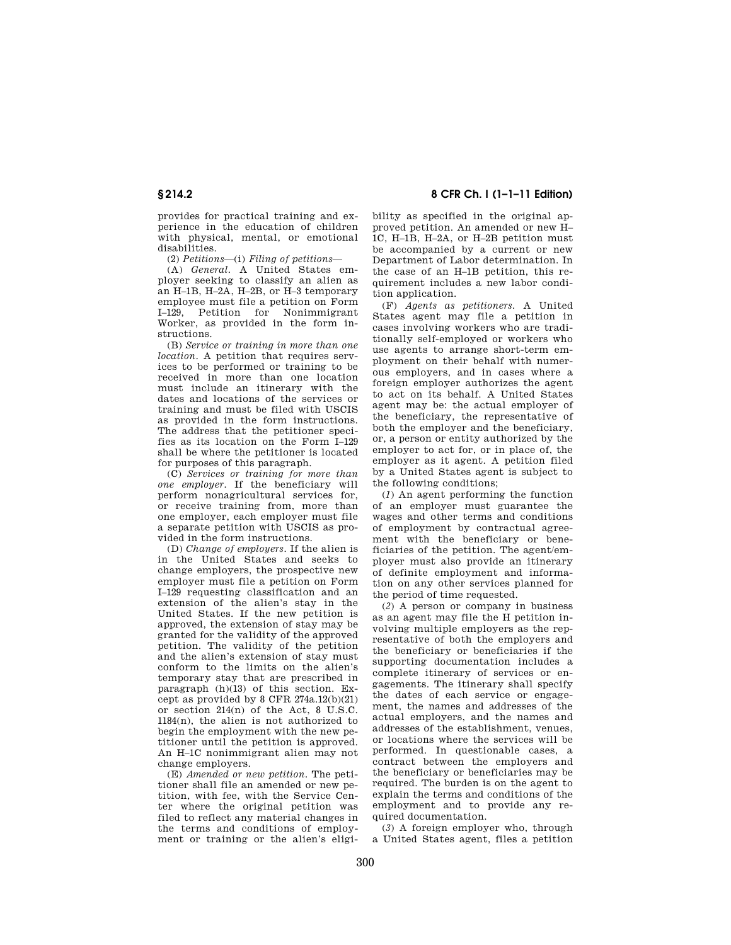provides for practical training and experience in the education of children with physical, mental, or emotional disabilities.

(2) *Petitions*—(i) *Filing of petitions*—

(A) *General.* A United States employer seeking to classify an alien as an H–1B, H–2A, H–2B, or H–3 temporary employee must file a petition on Form I–129, Petition for Nonimmigrant Worker, as provided in the form instructions.

(B) *Service or training in more than one location*. A petition that requires services to be performed or training to be received in more than one location must include an itinerary with the dates and locations of the services or training and must be filed with USCIS as provided in the form instructions. The address that the petitioner specifies as its location on the Form I–129 shall be where the petitioner is located for purposes of this paragraph.

(C) *Services or training for more than one employer.* If the beneficiary will perform nonagricultural services for, or receive training from, more than one employer, each employer must file a separate petition with USCIS as provided in the form instructions.

(D) *Change of employers.* If the alien is in the United States and seeks to change employers, the prospective new employer must file a petition on Form I–129 requesting classification and an extension of the alien's stay in the United States. If the new petition is approved, the extension of stay may be granted for the validity of the approved petition. The validity of the petition and the alien's extension of stay must conform to the limits on the alien's temporary stay that are prescribed in paragraph (h)(13) of this section. Except as provided by 8 CFR 274a.12(b)(21) or section  $214(n)$  of the Act, 8 U.S.C. 1184(n), the alien is not authorized to begin the employment with the new petitioner until the petition is approved. An H–1C nonimmigrant alien may not change employers.

(E) *Amended or new petition.* The petitioner shall file an amended or new petition, with fee, with the Service Center where the original petition was filed to reflect any material changes in the terms and conditions of employment or training or the alien's eligi-

**§ 214.2 8 CFR Ch. I (1–1–11 Edition)** 

bility as specified in the original approved petition. An amended or new H– 1C, H–1B, H–2A, or H–2B petition must be accompanied by a current or new Department of Labor determination. In the case of an H–1B petition, this requirement includes a new labor condition application.

(F) *Agents as petitioners.* A United States agent may file a petition in cases involving workers who are traditionally self-employed or workers who use agents to arrange short-term employment on their behalf with numerous employers, and in cases where a foreign employer authorizes the agent to act on its behalf. A United States agent may be: the actual employer of the beneficiary, the representative of both the employer and the beneficiary, or, a person or entity authorized by the employer to act for, or in place of, the employer as it agent. A petition filed by a United States agent is subject to the following conditions;

(*1*) An agent performing the function of an employer must guarantee the wages and other terms and conditions of employment by contractual agreement with the beneficiary or beneficiaries of the petition. The agent/employer must also provide an itinerary of definite employment and information on any other services planned for the period of time requested.

(*2*) A person or company in business as an agent may file the H petition involving multiple employers as the representative of both the employers and the beneficiary or beneficiaries if the supporting documentation includes a complete itinerary of services or engagements. The itinerary shall specify the dates of each service or engagement, the names and addresses of the actual employers, and the names and addresses of the establishment, venues, or locations where the services will be performed. In questionable cases, a contract between the employers and the beneficiary or beneficiaries may be required. The burden is on the agent to explain the terms and conditions of the employment and to provide any required documentation.

(*3*) A foreign employer who, through a United States agent, files a petition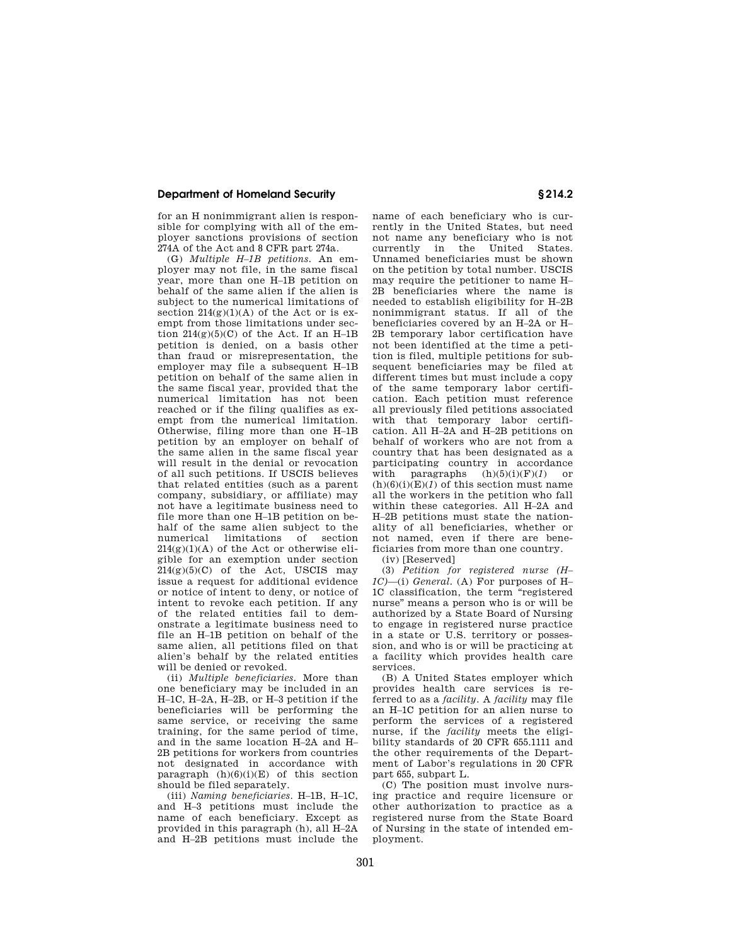for an H nonimmigrant alien is responsible for complying with all of the employer sanctions provisions of section 274A of the Act and 8 CFR part 274a.

(G) *Multiple H–1B petitions.* An employer may not file, in the same fiscal year, more than one H–1B petition on behalf of the same alien if the alien is subject to the numerical limitations of section  $214(g)(1)(A)$  of the Act or is exempt from those limitations under section  $214(g)(5)(C)$  of the Act. If an H-1B petition is denied, on a basis other than fraud or misrepresentation, the employer may file a subsequent H-1B petition on behalf of the same alien in the same fiscal year, provided that the numerical limitation has not been reached or if the filing qualifies as exempt from the numerical limitation. Otherwise, filing more than one H–1B petition by an employer on behalf of the same alien in the same fiscal year will result in the denial or revocation of all such petitions. If USCIS believes that related entities (such as a parent company, subsidiary, or affiliate) may not have a legitimate business need to file more than one H–1B petition on behalf of the same alien subject to the numerical limitations of section  $214(g)(1)(A)$  of the Act or otherwise eligible for an exemption under section  $214(g)(5)(C)$  of the Act, USCIS may issue a request for additional evidence or notice of intent to deny, or notice of intent to revoke each petition. If any of the related entities fail to demonstrate a legitimate business need to file an H–1B petition on behalf of the same alien, all petitions filed on that alien's behalf by the related entities will be denied or revoked.

(ii) *Multiple beneficiaries.* More than one beneficiary may be included in an H–1C, H–2A, H–2B, or H–3 petition if the beneficiaries will be performing the same service, or receiving the same training, for the same period of time, and in the same location H–2A and H– 2B petitions for workers from countries not designated in accordance with paragraph  $(h)(6)(i)(E)$  of this section should be filed separately.

(iii) *Naming beneficiaries*. H–1B, H–1C, and H–3 petitions must include the name of each beneficiary. Except as provided in this paragraph (h), all H–2A and H–2B petitions must include the name of each beneficiary who is currently in the United States, but need not name any beneficiary who is not currently in the United States. Unnamed beneficiaries must be shown on the petition by total number. USCIS may require the petitioner to name H– 2B beneficiaries where the name is needed to establish eligibility for H–2B nonimmigrant status. If all of the beneficiaries covered by an H–2A or H– 2B temporary labor certification have not been identified at the time a petition is filed, multiple petitions for subsequent beneficiaries may be filed at different times but must include a copy of the same temporary labor certification. Each petition must reference all previously filed petitions associated with that temporary labor certification. All H–2A and H–2B petitions on behalf of workers who are not from a country that has been designated as a participating country in accordance with paragraphs  $(h)(5)(i)(F)(I)$  or  $(h)(6)(i)(E)(I)$  of this section must name all the workers in the petition who fall within these categories. All H–2A and H–2B petitions must state the nationality of all beneficiaries, whether or not named, even if there are beneficiaries from more than one country.

(iv) [Reserved]

(3) *Petition for registered nurse (H– 1C)*—(i) *General.* (A) For purposes of H– 1C classification, the term ''registered nurse'' means a person who is or will be authorized by a State Board of Nursing to engage in registered nurse practice in a state or U.S. territory or possession, and who is or will be practicing at a facility which provides health care services.

(B) A United States employer which provides health care services is referred to as a *facility.* A *facility* may file an H–1C petition for an alien nurse to perform the services of a registered nurse, if the *facility* meets the eligibility standards of 20 CFR 655.1111 and the other requirements of the Department of Labor's regulations in 20 CFR part 655, subpart L.

(C) The position must involve nursing practice and require licensure or other authorization to practice as a registered nurse from the State Board of Nursing in the state of intended employment.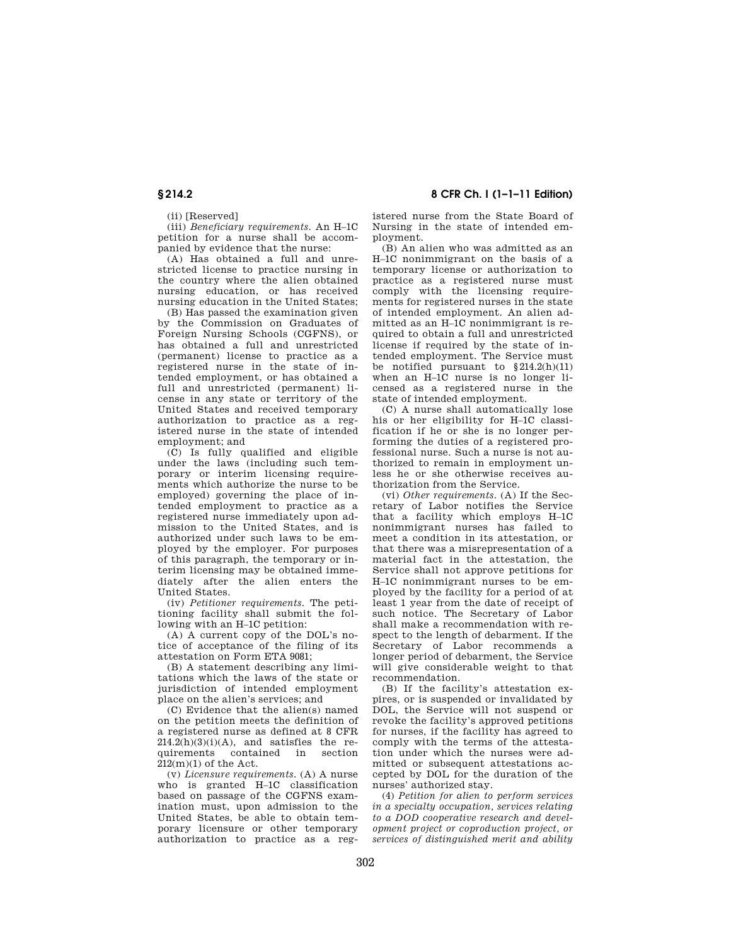(ii) [Reserved]

(iii) *Beneficiary requirements.* An H–1C petition for a nurse shall be accompanied by evidence that the nurse:

(A) Has obtained a full and unrestricted license to practice nursing in the country where the alien obtained nursing education, or has received nursing education in the United States;

(B) Has passed the examination given by the Commission on Graduates of Foreign Nursing Schools (CGFNS), or has obtained a full and unrestricted (permanent) license to practice as a registered nurse in the state of intended employment, or has obtained a full and unrestricted (permanent) license in any state or territory of the United States and received temporary authorization to practice as a registered nurse in the state of intended employment; and

(C) Is fully qualified and eligible under the laws (including such temporary or interim licensing requirements which authorize the nurse to be employed) governing the place of intended employment to practice as a registered nurse immediately upon admission to the United States, and is authorized under such laws to be employed by the employer. For purposes of this paragraph, the temporary or interim licensing may be obtained immediately after the alien enters the United States.

(iv) *Petitioner requirements.* The petitioning facility shall submit the following with an H–1C petition:

(A) A current copy of the DOL's notice of acceptance of the filing of its attestation on Form ETA 9081;

(B) A statement describing any limitations which the laws of the state or jurisdiction of intended employment place on the alien's services; and

(C) Evidence that the alien(s) named on the petition meets the definition of a registered nurse as defined at 8 CFR  $214.2(h)(3)(i)(A)$ , and satisfies the re-<br>quirements contained in section contained in section  $212(m)(1)$  of the Act.

(v) *Licensure requirements.* (A) A nurse who is granted H–1C classification based on passage of the CGFNS examination must, upon admission to the United States, be able to obtain temporary licensure or other temporary authorization to practice as a reg-

**§ 214.2 8 CFR Ch. I (1–1–11 Edition)** 

istered nurse from the State Board of Nursing in the state of intended employment.

(B) An alien who was admitted as an H–1C nonimmigrant on the basis of a temporary license or authorization to practice as a registered nurse must comply with the licensing requirements for registered nurses in the state of intended employment. An alien admitted as an H–1C nonimmigrant is required to obtain a full and unrestricted license if required by the state of intended employment. The Service must be notified pursuant to  $$214.2(h)(11)$ when an H–1C nurse is no longer licensed as a registered nurse in the state of intended employment.

(C) A nurse shall automatically lose his or her eligibility for H–1C classification if he or she is no longer performing the duties of a registered professional nurse. Such a nurse is not authorized to remain in employment unless he or she otherwise receives authorization from the Service.

(vi) *Other requirements.* (A) If the Secretary of Labor notifies the Service that a facility which employs H–1C nonimmigrant nurses has failed to meet a condition in its attestation, or that there was a misrepresentation of a material fact in the attestation, the Service shall not approve petitions for H–1C nonimmigrant nurses to be employed by the facility for a period of at least 1 year from the date of receipt of such notice. The Secretary of Labor shall make a recommendation with respect to the length of debarment. If the Secretary of Labor recommends a longer period of debarment, the Service will give considerable weight to that recommendation.

(B) If the facility's attestation expires, or is suspended or invalidated by DOL, the Service will not suspend or revoke the facility's approved petitions for nurses, if the facility has agreed to comply with the terms of the attestation under which the nurses were admitted or subsequent attestations accepted by DOL for the duration of the nurses' authorized stay.

(4) *Petition for alien to perform services in a specialty occupation, services relating to a DOD cooperative research and development project or coproduction project, or services of distinguished merit and ability*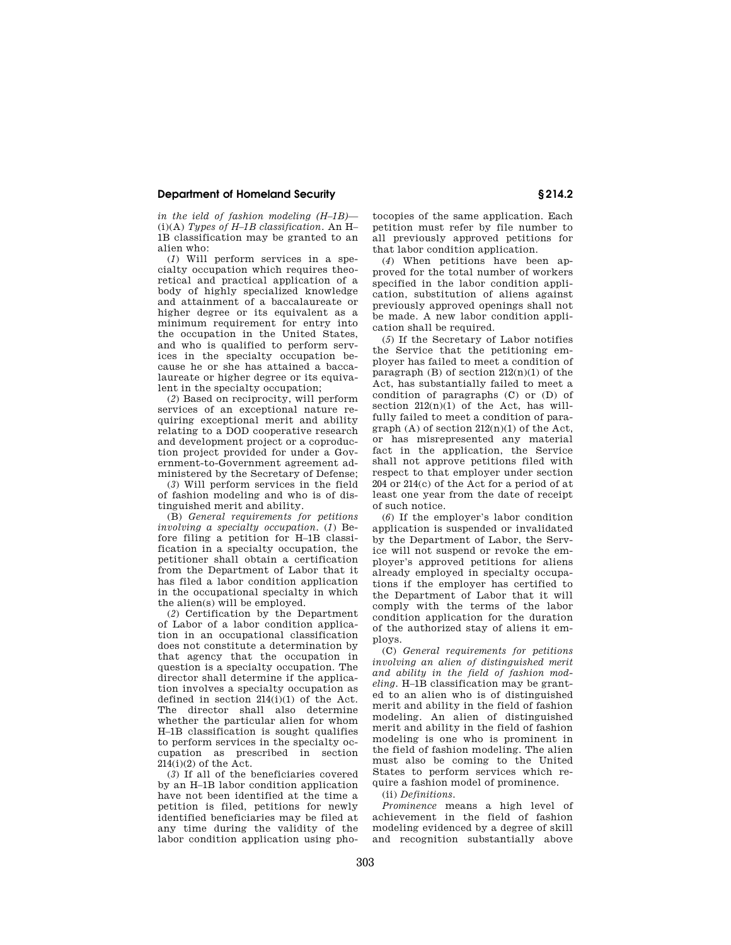*in the ield of fashion modeling (H–1B)*— (i)(A) *Types of H–1B classification.* An H– 1B classification may be granted to an alien who:

(*1*) Will perform services in a specialty occupation which requires theoretical and practical application of a body of highly specialized knowledge and attainment of a baccalaureate or higher degree or its equivalent as a minimum requirement for entry into the occupation in the United States, and who is qualified to perform services in the specialty occupation because he or she has attained a baccalaureate or higher degree or its equivalent in the specialty occupation;

(*2*) Based on reciprocity, will perform services of an exceptional nature requiring exceptional merit and ability relating to a DOD cooperative research and development project or a coproduction project provided for under a Government-to-Government agreement administered by the Secretary of Defense;

(*3*) Will perform services in the field of fashion modeling and who is of distinguished merit and ability.

(B) *General requirements for petitions involving a specialty occupation.* (*1*) Before filing a petition for H–1B classification in a specialty occupation, the petitioner shall obtain a certification from the Department of Labor that it has filed a labor condition application in the occupational specialty in which the alien(s) will be employed.

(*2*) Certification by the Department of Labor of a labor condition application in an occupational classification does not constitute a determination by that agency that the occupation in question is a specialty occupation. The director shall determine if the application involves a specialty occupation as defined in section 214(i)(1) of the Act. The director shall also determine whether the particular alien for whom H–1B classification is sought qualifies to perform services in the specialty occupation as prescribed in section 214(i)(2) of the Act.

(*3*) If all of the beneficiaries covered by an H–1B labor condition application have not been identified at the time a petition is filed, petitions for newly identified beneficiaries may be filed at any time during the validity of the labor condition application using pho-

tocopies of the same application. Each petition must refer by file number to all previously approved petitions for that labor condition application.

(*4*) When petitions have been approved for the total number of workers specified in the labor condition application, substitution of aliens against previously approved openings shall not be made. A new labor condition application shall be required.

(*5*) If the Secretary of Labor notifies the Service that the petitioning employer has failed to meet a condition of paragraph  $(B)$  of section  $212(n)(1)$  of the Act, has substantially failed to meet a condition of paragraphs (C) or (D) of section  $212(n)(1)$  of the Act, has willfully failed to meet a condition of paragraph (A) of section 212(n)(1) of the Act, or has misrepresented any material fact in the application, the Service shall not approve petitions filed with respect to that employer under section 204 or 214(c) of the Act for a period of at least one year from the date of receipt of such notice.

(*6*) If the employer's labor condition application is suspended or invalidated by the Department of Labor, the Service will not suspend or revoke the employer's approved petitions for aliens already employed in specialty occupations if the employer has certified to the Department of Labor that it will comply with the terms of the labor condition application for the duration of the authorized stay of aliens it employs.

(C) *General requirements for petitions involving an alien of distinguished merit and ability in the field of fashion modeling.* H–1B classification may be granted to an alien who is of distinguished merit and ability in the field of fashion modeling. An alien of distinguished merit and ability in the field of fashion modeling is one who is prominent in the field of fashion modeling. The alien must also be coming to the United States to perform services which require a fashion model of prominence.

(ii) *Definitions*.

*Prominence* means a high level of achievement in the field of fashion modeling evidenced by a degree of skill and recognition substantially above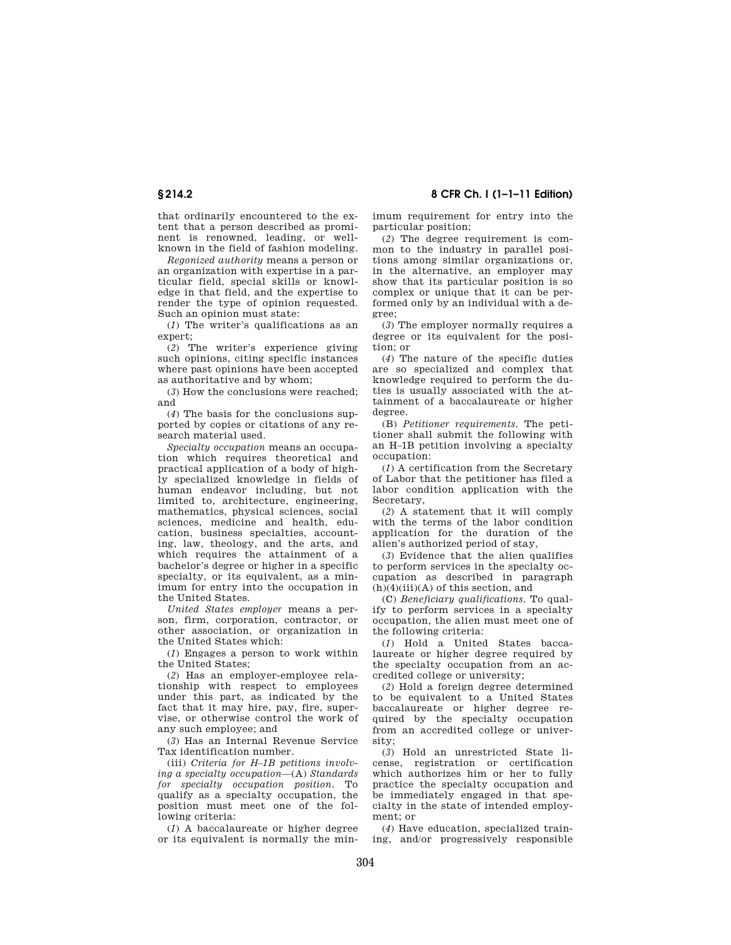that ordinarily encountered to the extent that a person described as prominent is renowned, leading, or well-

known in the field of fashion modeling. *Regonized authority* means a person or an organization with expertise in a particular field, special skills or knowledge in that field, and the expertise to render the type of opinion requested. Such an opinion must state:

(*1*) The writer's qualifications as an expert;

(*2*) The writer's experience giving such opinions, citing specific instances where past opinions have been accepted as authoritative and by whom;

(*3*) How the conclusions were reached; and

(*4*) The basis for the conclusions supported by copies or citations of any research material used.

*Specialty occupation* means an occupation which requires theoretical and practical application of a body of highly specialized knowledge in fields of human endeavor including, but not limited to, architecture, engineering, mathematics, physical sciences, social sciences, medicine and health, education, business specialties, accounting, law, theology, and the arts, and which requires the attainment of a bachelor's degree or higher in a specific specialty, or its equivalent, as a minimum for entry into the occupation in the United States.

*United States employer* means a person, firm, corporation, contractor, or other association, or organization in the United States which:

(*1*) Engages a person to work within the United States;

(*2*) Has an employer-employee relationship with respect to employees under this part, as indicated by the fact that it may hire, pay, fire, supervise, or otherwise control the work of any such employee; and

(*3*) Has an Internal Revenue Service Tax identification number.

(iii) *Criteria for H–1B petitions involving a specialty occupation*—(A) *Standards for specialty occupation position.* To qualify as a specialty occupation, the position must meet one of the following criteria:

(*1*) A baccalaureate or higher degree or its equivalent is normally the minimum requirement for entry into the particular position;

(*2*) The degree requirement is common to the industry in parallel positions among similar organizations or, in the alternative, an employer may show that its particular position is so complex or unique that it can be performed only by an individual with a degree;

(*3*) The employer normally requires a degree or its equivalent for the position; or

(*4*) The nature of the specific duties are so specialized and complex that knowledge required to perform the duties is usually associated with the attainment of a baccalaureate or higher degree.

(B) *Petitioner requirements.* The petitioner shall submit the following with an H–1B petition involving a specialty occupation:

(*1*) A certification from the Secretary of Labor that the petitioner has filed a labor condition application with the Secretary,

(*2*) A statement that it will comply with the terms of the labor condition application for the duration of the alien's authorized period of stay,

(*3*) Evidence that the alien qualifies to perform services in the specialty occupation as described in paragraph  $(h)(4)(iii)(A)$  of this section, and

(C) *Beneficiary qualifications.* To qualify to perform services in a specialty occupation, the alien must meet one of the following criteria:

(*1*) Hold a United States baccalaureate or higher degree required by the specialty occupation from an accredited college or university;

(*2*) Hold a foreign degree determined to be equivalent to a United States baccalaureate or higher degree required by the specialty occupation from an accredited college or university;

(*3*) Hold an unrestricted State license, registration or certification which authorizes him or her to fully practice the specialty occupation and be immediately engaged in that specialty in the state of intended employment; or

(*4*) Have education, specialized training, and/or progressively responsible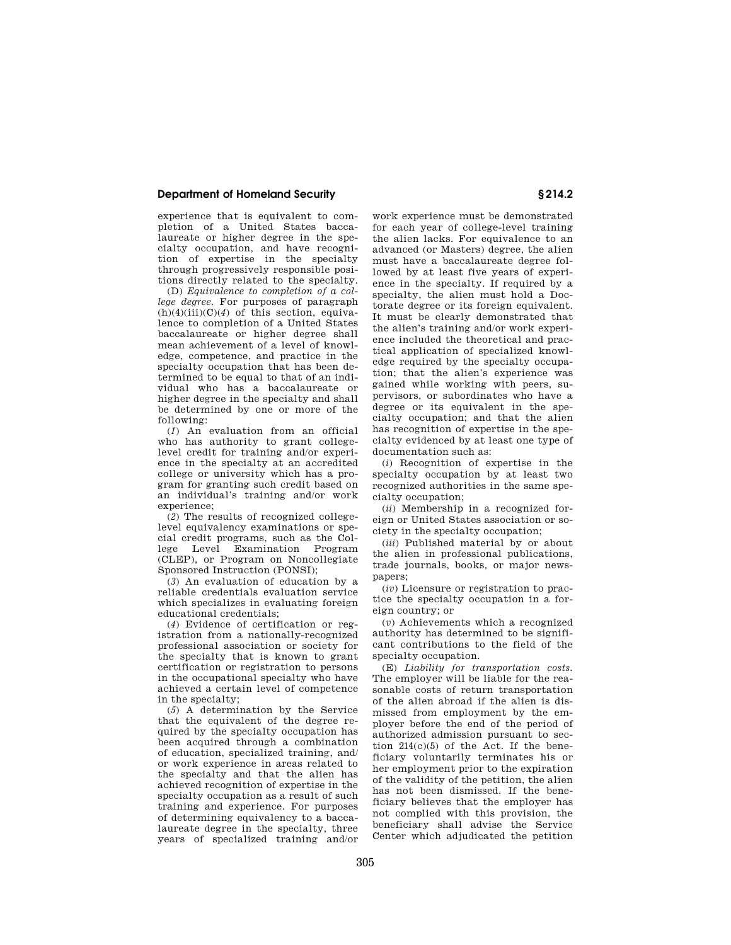experience that is equivalent to completion of a United States baccalaureate or higher degree in the specialty occupation, and have recognition of expertise in the specialty through progressively responsible positions directly related to the specialty.

(D) *Equivalence to completion of a college degree.* For purposes of paragraph  $(h)(4)(iii)(C)(4)$  of this section, equivalence to completion of a United States baccalaureate or higher degree shall mean achievement of a level of knowledge, competence, and practice in the specialty occupation that has been determined to be equal to that of an individual who has a baccalaureate or higher degree in the specialty and shall be determined by one or more of the following:

(*1*) An evaluation from an official who has authority to grant collegelevel credit for training and/or experience in the specialty at an accredited college or university which has a program for granting such credit based on an individual's training and/or work experience;

(*2*) The results of recognized collegelevel equivalency examinations or special credit programs, such as the College Level Examination Program (CLEP), or Program on Noncollegiate Sponsored Instruction (PONSI);

(*3*) An evaluation of education by a reliable credentials evaluation service which specializes in evaluating foreign educational credentials;

(*4*) Evidence of certification or registration from a nationally-recognized professional association or society for the specialty that is known to grant certification or registration to persons in the occupational specialty who have achieved a certain level of competence in the specialty;

(*5*) A determination by the Service that the equivalent of the degree required by the specialty occupation has been acquired through a combination of education, specialized training, and/ or work experience in areas related to the specialty and that the alien has achieved recognition of expertise in the specialty occupation as a result of such training and experience. For purposes of determining equivalency to a baccalaureate degree in the specialty, three years of specialized training and/or

work experience must be demonstrated for each year of college-level training the alien lacks. For equivalence to an advanced (or Masters) degree, the alien must have a baccalaureate degree followed by at least five years of experience in the specialty. If required by a specialty, the alien must hold a Doctorate degree or its foreign equivalent. It must be clearly demonstrated that the alien's training and/or work experience included the theoretical and practical application of specialized knowledge required by the specialty occupation; that the alien's experience was gained while working with peers, supervisors, or subordinates who have a degree or its equivalent in the specialty occupation; and that the alien has recognition of expertise in the specialty evidenced by at least one type of documentation such as:

(*i*) Recognition of expertise in the specialty occupation by at least two recognized authorities in the same specialty occupation;

(*ii*) Membership in a recognized foreign or United States association or society in the specialty occupation;

(*iii*) Published material by or about the alien in professional publications, trade journals, books, or major newspapers;

(*iv*) Licensure or registration to practice the specialty occupation in a foreign country; or

(*v*) Achievements which a recognized authority has determined to be significant contributions to the field of the specialty occupation.

(E) *Liability for transportation costs.*  The employer will be liable for the reasonable costs of return transportation of the alien abroad if the alien is dismissed from employment by the employer before the end of the period of authorized admission pursuant to section 214(c)(5) of the Act. If the beneficiary voluntarily terminates his or her employment prior to the expiration of the validity of the petition, the alien has not been dismissed. If the beneficiary believes that the employer has not complied with this provision, the beneficiary shall advise the Service Center which adjudicated the petition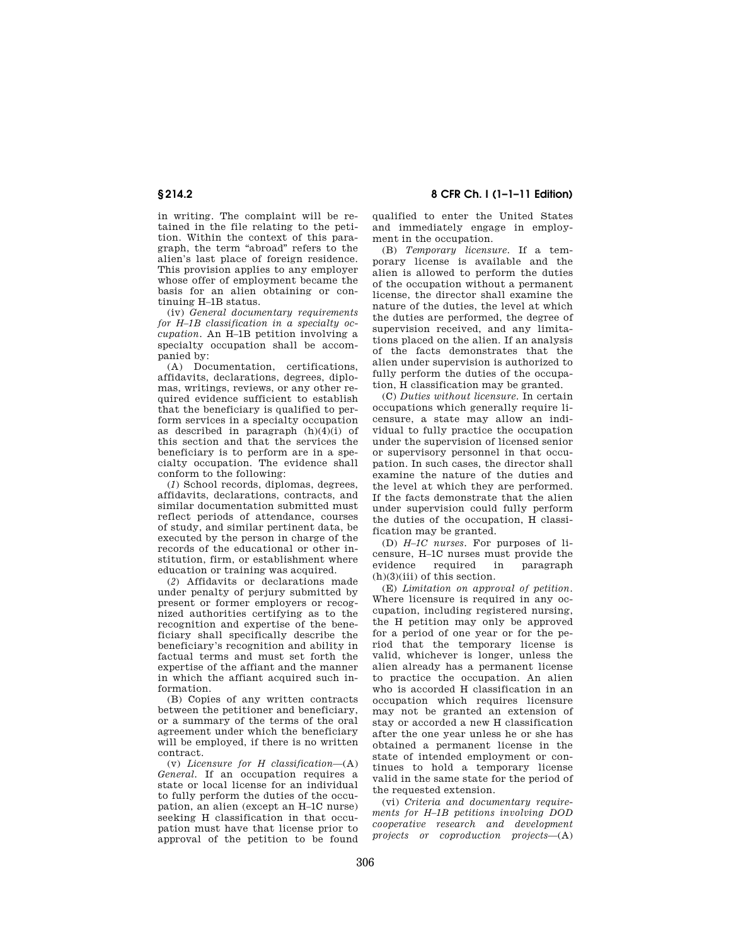in writing. The complaint will be retained in the file relating to the petition. Within the context of this paragraph, the term ''abroad'' refers to the alien's last place of foreign residence. This provision applies to any employer whose offer of employment became the basis for an alien obtaining or continuing H–1B status.

(iv) *General documentary requirements for H–1B classification in a specialty occupation.* An H–1B petition involving a specialty occupation shall be accompanied by:

(A) Documentation, certifications, affidavits, declarations, degrees, diplomas, writings, reviews, or any other required evidence sufficient to establish that the beneficiary is qualified to perform services in a specialty occupation as described in paragraph  $(h)(4)(i)$  of this section and that the services the beneficiary is to perform are in a specialty occupation. The evidence shall conform to the following:

(*1*) School records, diplomas, degrees, affidavits, declarations, contracts, and similar documentation submitted must reflect periods of attendance, courses of study, and similar pertinent data, be executed by the person in charge of the records of the educational or other institution, firm, or establishment where education or training was acquired.

(*2*) Affidavits or declarations made under penalty of perjury submitted by present or former employers or recognized authorities certifying as to the recognition and expertise of the beneficiary shall specifically describe the beneficiary's recognition and ability in factual terms and must set forth the expertise of the affiant and the manner in which the affiant acquired such information.

(B) Copies of any written contracts between the petitioner and beneficiary, or a summary of the terms of the oral agreement under which the beneficiary will be employed, if there is no written contract.

(v) *Licensure for H classification*—(A) *General.* If an occupation requires a state or local license for an individual to fully perform the duties of the occupation, an alien (except an H–1C nurse) seeking H classification in that occupation must have that license prior to approval of the petition to be found

qualified to enter the United States and immediately engage in employment in the occupation.

(B) *Temporary licensure.* If a temporary license is available and the alien is allowed to perform the duties of the occupation without a permanent license, the director shall examine the nature of the duties, the level at which the duties are performed, the degree of supervision received, and any limitations placed on the alien. If an analysis of the facts demonstrates that the alien under supervision is authorized to fully perform the duties of the occupation, H classification may be granted.

(C) *Duties without licensure.* In certain occupations which generally require licensure, a state may allow an individual to fully practice the occupation under the supervision of licensed senior or supervisory personnel in that occupation. In such cases, the director shall examine the nature of the duties and the level at which they are performed. If the facts demonstrate that the alien under supervision could fully perform the duties of the occupation, H classification may be granted.

(D) *H–1C nurses.* For purposes of licensure, H–1C nurses must provide the evidence required in paragraph (h)(3)(iii) of this section.

(E) *Limitation on approval of petition.*  Where licensure is required in any occupation, including registered nursing, the H petition may only be approved for a period of one year or for the period that the temporary license is valid, whichever is longer, unless the alien already has a permanent license to practice the occupation. An alien who is accorded H classification in an occupation which requires licensure may not be granted an extension of stay or accorded a new H classification after the one year unless he or she has obtained a permanent license in the state of intended employment or continues to hold a temporary license valid in the same state for the period of the requested extension.

(vi) *Criteria and documentary requirements for H–1B petitions involving DOD cooperative research and development projects or coproduction projects*—(A)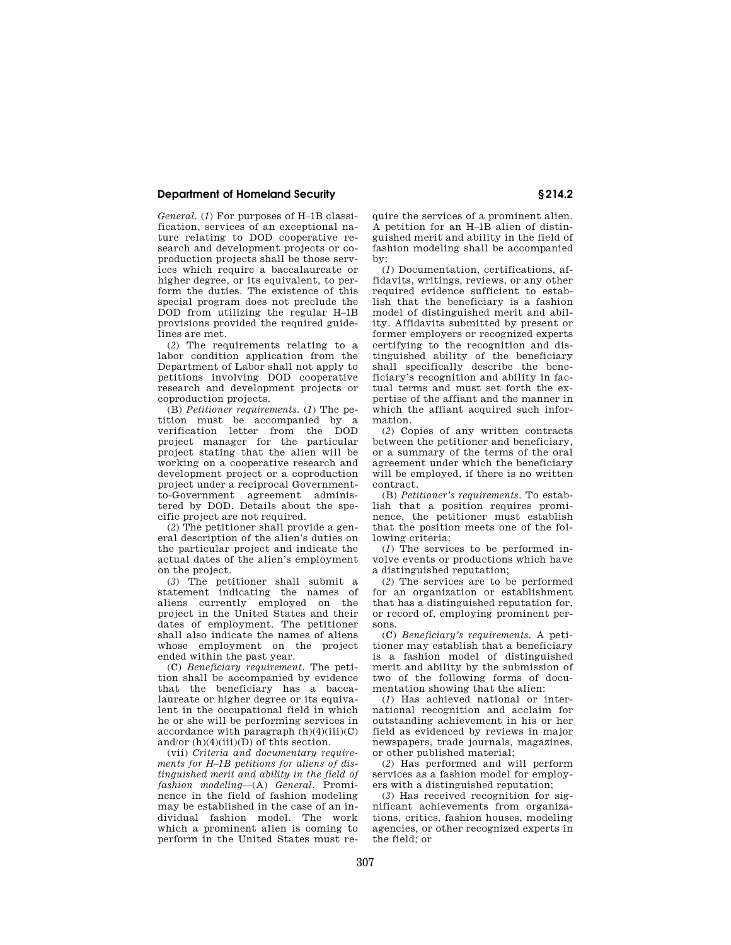*General.* (*1*) For purposes of H–1B classification, services of an exceptional nature relating to DOD cooperative research and development projects or coproduction projects shall be those services which require a baccalaureate or higher degree, or its equivalent, to perform the duties. The existence of this special program does not preclude the DOD from utilizing the regular H–1B provisions provided the required guidelines are met.

(*2*) The requirements relating to a labor condition application from the Department of Labor shall not apply to petitions involving DOD cooperative research and development projects or coproduction projects.

(B) *Petitioner requirements.* (*1*) The petition must be accompanied by a verification letter from the DOD project manager for the particular project stating that the alien will be working on a cooperative research and development project or a coproduction project under a reciprocal Governmentto-Government agreement administered by DOD. Details about the specific project are not required.

(*2*) The petitioner shall provide a general description of the alien's duties on the particular project and indicate the actual dates of the alien's employment on the project.

(*3*) The petitioner shall submit a statement indicating the names of aliens currently employed on the project in the United States and their dates of employment. The petitioner shall also indicate the names of aliens whose employment on the project ended within the past year.

(C) *Beneficiary requirement.* The petition shall be accompanied by evidence that the beneficiary has a baccalaureate or higher degree or its equivalent in the occupational field in which he or she will be performing services in accordance with paragraph  $(h)(4)(iii)(C)$ and/or  $(h)(4)(iii)(D)$  of this section.

(vii) *Criteria and documentary requirements for H–1B petitions for aliens of distinguished merit and ability in the field of fashion modeling*—(A) *General.* Prominence in the field of fashion modeling may be established in the case of an individual fashion model. The work which a prominent alien is coming to perform in the United States must re-

quire the services of a prominent alien. A petition for an H–1B alien of distinguished merit and ability in the field of fashion modeling shall be accompanied by:

(*1*) Documentation, certifications, affidavits, writings, reviews, or any other required evidence sufficient to establish that the beneficiary is a fashion model of distinguished merit and ability. Affidavits submitted by present or former employers or recognized experts certifying to the recognition and distinguished ability of the beneficiary shall specifically describe the beneficiary's recognition and ability in factual terms and must set forth the expertise of the affiant and the manner in which the affiant acquired such information.

(*2*) Copies of any written contracts between the petitioner and beneficiary, or a summary of the terms of the oral agreement under which the beneficiary will be employed, if there is no written contract.

(B) *Petitioner's requirements.* To establish that a position requires prominence, the petitioner must establish that the position meets one of the following criteria:

(*1*) The services to be performed involve events or productions which have a distinguished reputation;

(*2*) The services are to be performed for an organization or establishment that has a distinguished reputation for, or record of, employing prominent persons.

(C) *Beneficiary's requirements.* A petitioner may establish that a beneficiary is a fashion model of distinguished merit and ability by the submission of two of the following forms of documentation showing that the alien:

(*1*) Has achieved national or international recognition and acclaim for outstanding achievement in his or her field as evidenced by reviews in major newspapers, trade journals, magazines, or other published material;

(*2*) Has performed and will perform services as a fashion model for employers with a distinguished reputation;

(*3*) Has received recognition for significant achievements from organizations, critics, fashion houses, modeling agencies, or other recognized experts in the field; or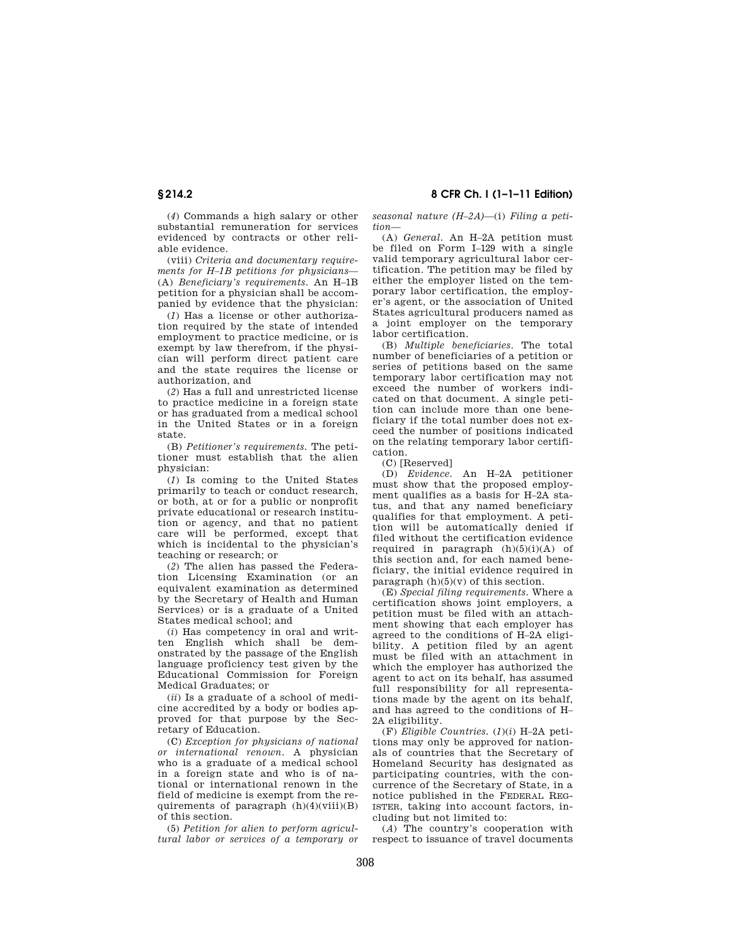**§ 214.2 8 CFR Ch. I (1–1–11 Edition)** 

(*4*) Commands a high salary or other substantial remuneration for services evidenced by contracts or other reliable evidence.

(viii) *Criteria and documentary requirements for H–1B petitions for physicians*— (A) *Beneficiary's requirements.* An H–1B petition for a physician shall be accompanied by evidence that the physician:

(*1*) Has a license or other authorization required by the state of intended employment to practice medicine, or is exempt by law therefrom, if the physician will perform direct patient care and the state requires the license or authorization, and

(*2*) Has a full and unrestricted license to practice medicine in a foreign state or has graduated from a medical school in the United States or in a foreign state.

(B) *Petitioner's requirements.* The petitioner must establish that the alien physician:

(*1*) Is coming to the United States primarily to teach or conduct research, or both, at or for a public or nonprofit private educational or research institution or agency, and that no patient care will be performed, except that which is incidental to the physician's teaching or research; or

(*2*) The alien has passed the Federation Licensing Examination (or an equivalent examination as determined by the Secretary of Health and Human Services) or is a graduate of a United States medical school; and

(*i*) Has competency in oral and written English which shall be demonstrated by the passage of the English language proficiency test given by the Educational Commission for Foreign Medical Graduates; or

(*ii*) Is a graduate of a school of medicine accredited by a body or bodies approved for that purpose by the Secretary of Education.

(C) *Exception for physicians of national or international renown.* A physician who is a graduate of a medical school in a foreign state and who is of national or international renown in the field of medicine is exempt from the requirements of paragraph  $(h)(4)(viii)(B)$ of this section.

(5) *Petition for alien to perform agricultural labor or services of a temporary or*  *seasonal nature (H–2A)*—(i) *Filing a petition*—

(A) *General.* An H–2A petition must be filed on Form I–129 with a single valid temporary agricultural labor certification. The petition may be filed by either the employer listed on the temporary labor certification, the employer's agent, or the association of United States agricultural producers named as a joint employer on the temporary labor certification.

(B) *Multiple beneficiaries*. The total number of beneficiaries of a petition or series of petitions based on the same temporary labor certification may not exceed the number of workers indicated on that document. A single petition can include more than one beneficiary if the total number does not exceed the number of positions indicated on the relating temporary labor certification.

(C) [Reserved]

(D) *Evidence.* An H–2A petitioner must show that the proposed employment qualifies as a basis for H–2A status, and that any named beneficiary qualifies for that employment. A petition will be automatically denied if filed without the certification evidence required in paragraph  $(h)(5)(i)(A)$  of this section and, for each named beneficiary, the initial evidence required in paragraph  $(h)(5)(v)$  of this section.

(E) *Special filing requirements.* Where a certification shows joint employers, a petition must be filed with an attachment showing that each employer has agreed to the conditions of H–2A eligibility. A petition filed by an agent must be filed with an attachment in which the employer has authorized the agent to act on its behalf, has assumed full responsibility for all representations made by the agent on its behalf, and has agreed to the conditions of H– 2A eligibility.

(F) *Eligible Countries*. (*1*)(*i*) H–2A petitions may only be approved for nationals of countries that the Secretary of Homeland Security has designated as participating countries, with the concurrence of the Secretary of State, in a notice published in the FEDERAL REG-ISTER, taking into account factors, including but not limited to:

(*A*) The country's cooperation with respect to issuance of travel documents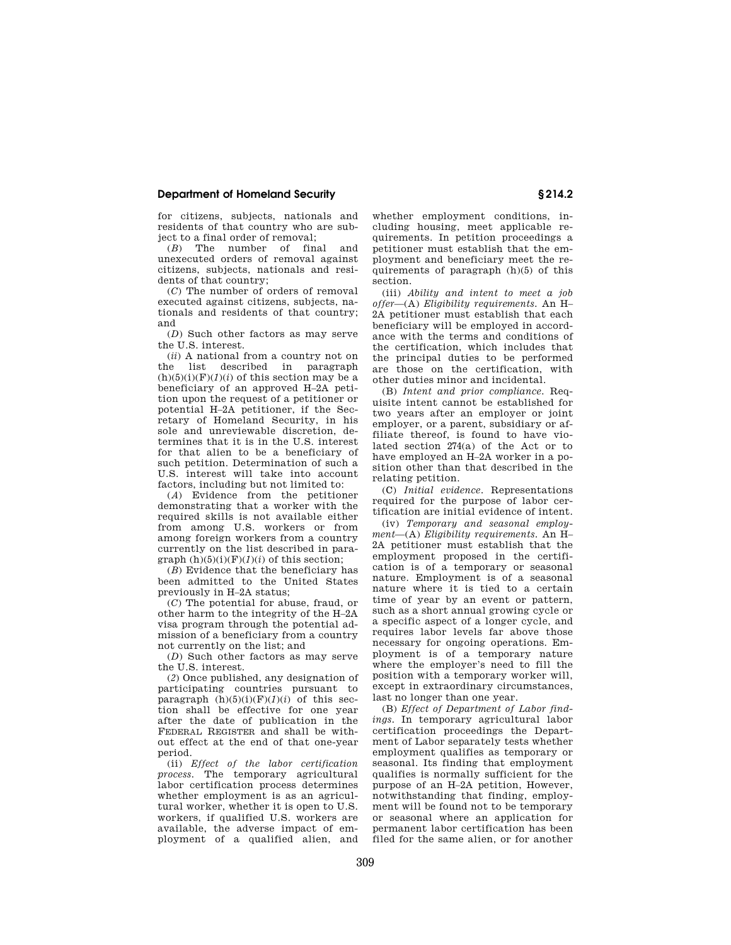for citizens, subjects, nationals and residents of that country who are subject to a final order of removal;

(*B*) The number of final and unexecuted orders of removal against citizens, subjects, nationals and residents of that country;

(*C*) The number of orders of removal executed against citizens, subjects, nationals and residents of that country; and

(*D*) Such other factors as may serve the U.S. interest.

(*ii*) A national from a country not on the list described in paragraph  $(h)(5)(i)(F)(1)(i)$  of this section may be a beneficiary of an approved H–2A petition upon the request of a petitioner or potential H–2A petitioner, if the Secretary of Homeland Security, in his sole and unreviewable discretion, determines that it is in the U.S. interest for that alien to be a beneficiary of such petition. Determination of such a U.S. interest will take into account factors, including but not limited to:

(*A*) Evidence from the petitioner demonstrating that a worker with the required skills is not available either from among U.S. workers or from among foreign workers from a country currently on the list described in paragraph  $(h)(5)(i)(F)(I)(i)$  of this section;

(*B*) Evidence that the beneficiary has been admitted to the United States previously in H–2A status;

(*C*) The potential for abuse, fraud, or other harm to the integrity of the H–2A visa program through the potential admission of a beneficiary from a country not currently on the list; and

(*D*) Such other factors as may serve the U.S. interest.

(*2*) Once published, any designation of participating countries pursuant to paragraph  $(h)(5)(i)(F)(1)(i)$  of this section shall be effective for one year after the date of publication in the FEDERAL REGISTER and shall be without effect at the end of that one-year period.

(ii) *Effect of the labor certification process.* The temporary agricultural labor certification process determines whether employment is as an agricultural worker, whether it is open to U.S. workers, if qualified U.S. workers are available, the adverse impact of employment of a qualified alien, and

whether employment conditions, including housing, meet applicable requirements. In petition proceedings a petitioner must establish that the employment and beneficiary meet the requirements of paragraph (h)(5) of this section.

(iii) *Ability and intent to meet a job offer*—(A) *Eligibility requirements.* An H– 2A petitioner must establish that each beneficiary will be employed in accordance with the terms and conditions of the certification, which includes that the principal duties to be performed are those on the certification, with other duties minor and incidental.

(B) *Intent and prior compliance.* Requisite intent cannot be established for two years after an employer or joint employer, or a parent, subsidiary or affiliate thereof, is found to have violated section 274(a) of the Act or to have employed an H–2A worker in a position other than that described in the relating petition.

(C) *Initial evidence.* Representations required for the purpose of labor certification are initial evidence of intent.

(iv) *Temporary and seasonal employment*—(A) *Eligibility requirements.* An H– 2A petitioner must establish that the employment proposed in the certification is of a temporary or seasonal nature. Employment is of a seasonal nature where it is tied to a certain time of year by an event or pattern, such as a short annual growing cycle or a specific aspect of a longer cycle, and requires labor levels far above those necessary for ongoing operations. Employment is of a temporary nature where the employer's need to fill the position with a temporary worker will, except in extraordinary circumstances, last no longer than one year.

(B) *Effect of Department of Labor findings.* In temporary agricultural labor certification proceedings the Department of Labor separately tests whether employment qualifies as temporary or seasonal. Its finding that employment qualifies is normally sufficient for the purpose of an H–2A petition, However, notwithstanding that finding, employment will be found not to be temporary or seasonal where an application for permanent labor certification has been filed for the same alien, or for another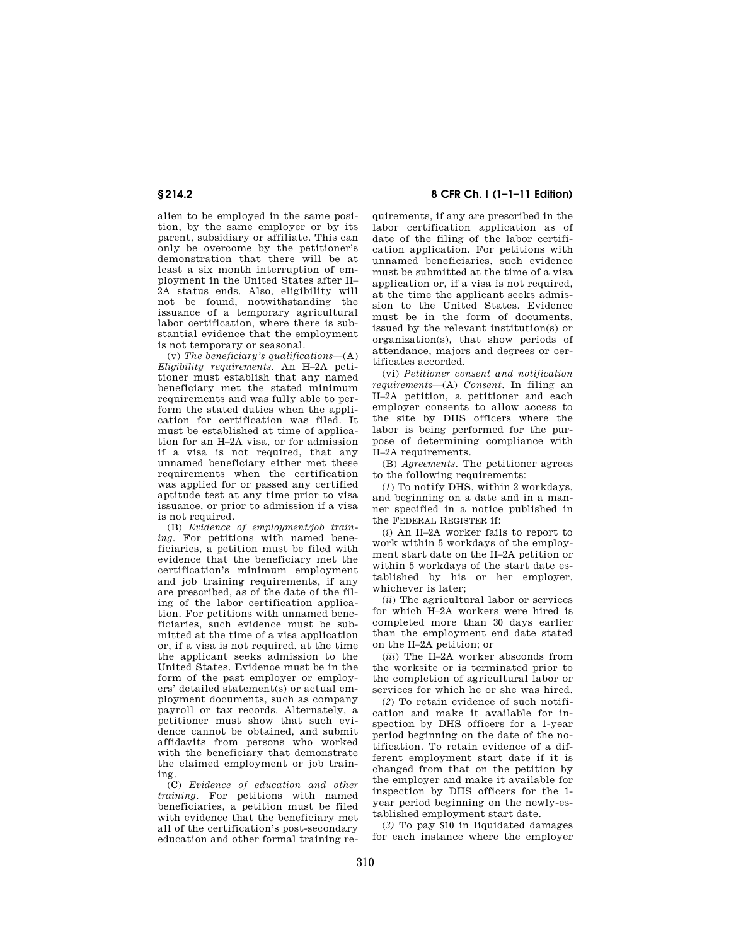alien to be employed in the same position, by the same employer or by its parent, subsidiary or affiliate. This can only be overcome by the petitioner's demonstration that there will be at least a six month interruption of employment in the United States after H– 2A status ends. Also, eligibility will not be found, notwithstanding the issuance of a temporary agricultural labor certification, where there is substantial evidence that the employment is not temporary or seasonal.

(v) *The beneficiary's qualifications*—(A) *Eligibility requirements.* An H–2A petitioner must establish that any named beneficiary met the stated minimum requirements and was fully able to perform the stated duties when the application for certification was filed. It must be established at time of application for an H–2A visa, or for admission if a visa is not required, that any unnamed beneficiary either met these requirements when the certification was applied for or passed any certified aptitude test at any time prior to visa issuance, or prior to admission if a visa is not required.

(B) *Evidence of employment/job training.* For petitions with named beneficiaries, a petition must be filed with evidence that the beneficiary met the certification's minimum employment and job training requirements, if any are prescribed, as of the date of the filing of the labor certification application. For petitions with unnamed beneficiaries, such evidence must be submitted at the time of a visa application or, if a visa is not required, at the time the applicant seeks admission to the United States. Evidence must be in the form of the past employer or employers' detailed statement(s) or actual employment documents, such as company payroll or tax records. Alternately, a petitioner must show that such evidence cannot be obtained, and submit affidavits from persons who worked with the beneficiary that demonstrate the claimed employment or job training.

(C) *Evidence of education and other training.* For petitions with named beneficiaries, a petition must be filed with evidence that the beneficiary met all of the certification's post-secondary education and other formal training re-

**§ 214.2 8 CFR Ch. I (1–1–11 Edition)** 

quirements, if any are prescribed in the labor certification application as of date of the filing of the labor certification application. For petitions with unnamed beneficiaries, such evidence must be submitted at the time of a visa application or, if a visa is not required, at the time the applicant seeks admission to the United States. Evidence must be in the form of documents, issued by the relevant institution(s) or organization(s), that show periods of attendance, majors and degrees or certificates accorded.

(vi) *Petitioner consent and notification requirements*—(A) *Consent*. In filing an H–2A petition, a petitioner and each employer consents to allow access to the site by DHS officers where the labor is being performed for the purpose of determining compliance with H–2A requirements.

(B) *Agreements*. The petitioner agrees to the following requirements:

(*1*) To notify DHS, within 2 workdays, and beginning on a date and in a manner specified in a notice published in the FEDERAL REGISTER if:

(*i*) An H–2A worker fails to report to work within 5 workdays of the employment start date on the H–2A petition or within 5 workdays of the start date established by his or her employer, whichever is later;

(*ii*) The agricultural labor or services for which H–2A workers were hired is completed more than 30 days earlier than the employment end date stated on the H–2A petition; or

(*iii*) The H–2A worker absconds from the worksite or is terminated prior to the completion of agricultural labor or services for which he or she was hired.

(*2*) To retain evidence of such notification and make it available for inspection by DHS officers for a 1-year period beginning on the date of the notification. To retain evidence of a different employment start date if it is changed from that on the petition by the employer and make it available for inspection by DHS officers for the 1 year period beginning on the newly-established employment start date.

(*3)* To pay \$10 in liquidated damages for each instance where the employer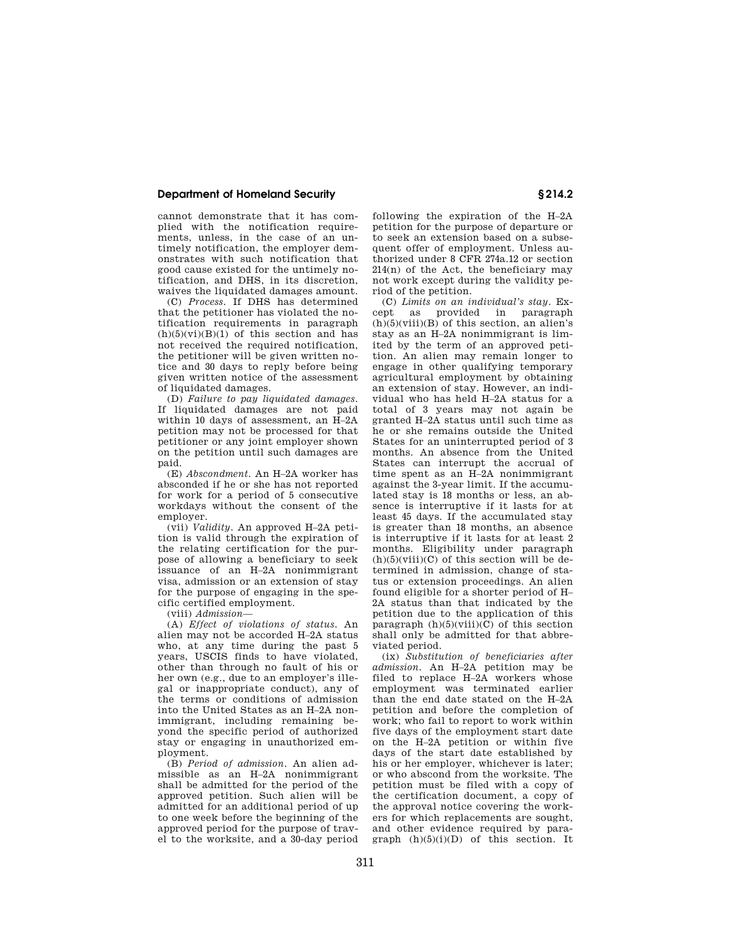cannot demonstrate that it has complied with the notification requirements, unless, in the case of an untimely notification, the employer demonstrates with such notification that good cause existed for the untimely notification, and DHS, in its discretion, waives the liquidated damages amount.

(C) *Process*. If DHS has determined that the petitioner has violated the notification requirements in paragraph  $(h)(5)(vi)(B)(1)$  of this section and has not received the required notification, the petitioner will be given written notice and 30 days to reply before being given written notice of the assessment of liquidated damages.

(D) *Failure to pay liquidated damages*. If liquidated damages are not paid within 10 days of assessment, an H–2A petition may not be processed for that petitioner or any joint employer shown on the petition until such damages are paid.

(E) *Abscondment*. An H–2A worker has absconded if he or she has not reported for work for a period of 5 consecutive workdays without the consent of the employer.

(vii) *Validity.* An approved H–2A petition is valid through the expiration of the relating certification for the purpose of allowing a beneficiary to seek issuance of an H–2A nonimmigrant visa, admission or an extension of stay for the purpose of engaging in the specific certified employment.

(viii) *Admission*—

(A) *Effect of violations of status*. An alien may not be accorded H–2A status who, at any time during the past 5 years, USCIS finds to have violated, other than through no fault of his or her own (e.g., due to an employer's illegal or inappropriate conduct), any of the terms or conditions of admission into the United States as an H–2A nonimmigrant, including remaining beyond the specific period of authorized stay or engaging in unauthorized employment.

(B) *Period of admission*. An alien admissible as an H–2A nonimmigrant shall be admitted for the period of the approved petition. Such alien will be admitted for an additional period of up to one week before the beginning of the approved period for the purpose of travel to the worksite, and a 30-day period following the expiration of the H–2A petition for the purpose of departure or to seek an extension based on a subsequent offer of employment. Unless authorized under 8 CFR 274a.12 or section 214(n) of the Act, the beneficiary may not work except during the validity period of the petition.

(C) *Limits on an individual's stay.* Except as provided in paragraph  $(h)(5)(viii)(B)$  of this section, an alien's stay as an H–2A nonimmigrant is limited by the term of an approved petition. An alien may remain longer to engage in other qualifying temporary agricultural employment by obtaining an extension of stay. However, an individual who has held H–2A status for a total of 3 years may not again be granted H–2A status until such time as he or she remains outside the United States for an uninterrupted period of 3 months. An absence from the United States can interrupt the accrual of time spent as an H–2A nonimmigrant against the 3-year limit. If the accumulated stay is 18 months or less, an absence is interruptive if it lasts for at least 45 days. If the accumulated stay is greater than 18 months, an absence is interruptive if it lasts for at least 2 months. Eligibility under paragraph  $(h)(5)(viii)(C)$  of this section will be determined in admission, change of status or extension proceedings. An alien found eligible for a shorter period of H– 2A status than that indicated by the petition due to the application of this paragraph  $(h)(5)(viii)(\overrightarrow{C})$  of this section shall only be admitted for that abbreviated period.

(ix) *Substitution of beneficiaries after admission.* An H–2A petition may be filed to replace H–2A workers whose employment was terminated earlier than the end date stated on the H–2A petition and before the completion of work; who fail to report to work within five days of the employment start date on the H–2A petition or within five days of the start date established by his or her employer, whichever is later; or who abscond from the worksite. The petition must be filed with a copy of the certification document, a copy of the approval notice covering the workers for which replacements are sought, and other evidence required by paragraph  $(h)(5)(i)(D)$  of this section. It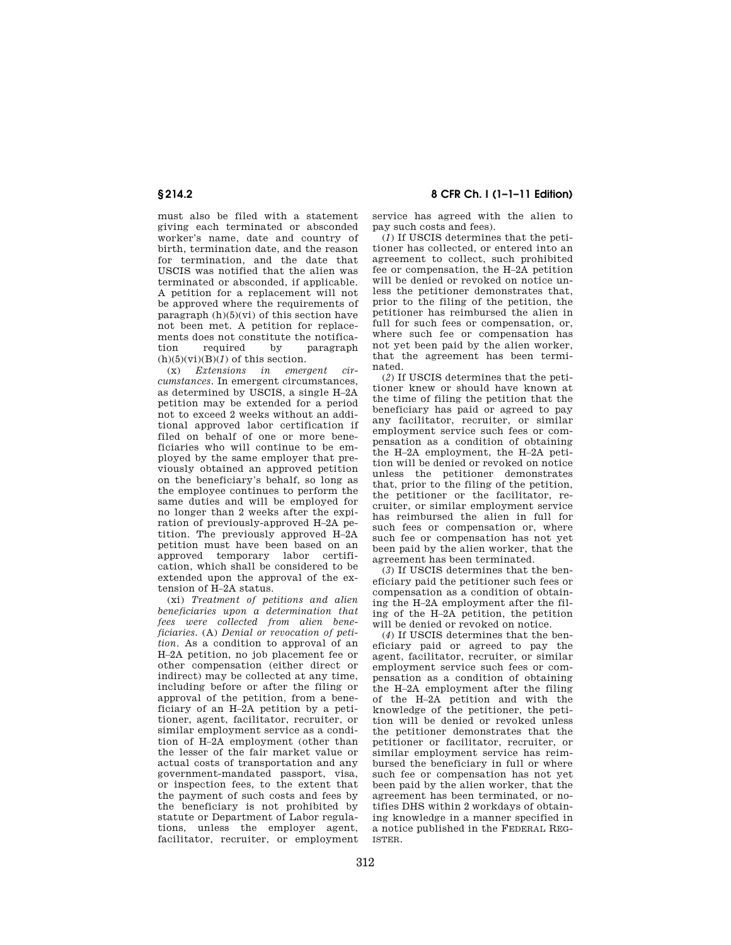must also be filed with a statement giving each terminated or absconded worker's name, date and country of birth, termination date, and the reason for termination, and the date that USCIS was notified that the alien was terminated or absconded, if applicable. A petition for a replacement will not be approved where the requirements of paragraph  $(h)(5)(vi)$  of this section have not been met. A petition for replacements does not constitute the notification required by paragraph  $(h)(5)(vi)(B)(I)$  of this section.

(x) *Extensions in emergent circumstances*. In emergent circumstances, as determined by USCIS, a single H–2A petition may be extended for a period not to exceed 2 weeks without an additional approved labor certification if filed on behalf of one or more beneficiaries who will continue to be employed by the same employer that previously obtained an approved petition on the beneficiary's behalf, so long as the employee continues to perform the same duties and will be employed for no longer than 2 weeks after the expiration of previously-approved H–2A petition. The previously approved H–2A petition must have been based on an approved temporary labor certification, which shall be considered to be extended upon the approval of the extension of H–2A status.

(xi) *Treatment of petitions and alien beneficiaries upon a determination that fees were collected from alien beneficiaries.* (A) *Denial or revocation of petition*. As a condition to approval of an H–2A petition, no job placement fee or other compensation (either direct or indirect) may be collected at any time, including before or after the filing or approval of the petition, from a beneficiary of an H–2A petition by a petitioner, agent, facilitator, recruiter, or similar employment service as a condition of H–2A employment (other than the lesser of the fair market value or actual costs of transportation and any government-mandated passport, visa, or inspection fees, to the extent that the payment of such costs and fees by the beneficiary is not prohibited by statute or Department of Labor regulations, unless the employer agent, facilitator, recruiter, or employment

**§ 214.2 8 CFR Ch. I (1–1–11 Edition)** 

service has agreed with the alien to pay such costs and fees).

(*1*) If USCIS determines that the petitioner has collected, or entered into an agreement to collect, such prohibited fee or compensation, the H–2A petition will be denied or revoked on notice unless the petitioner demonstrates that, prior to the filing of the petition, the petitioner has reimbursed the alien in full for such fees or compensation, or, where such fee or compensation has not yet been paid by the alien worker, that the agreement has been terminated.

(*2*) If USCIS determines that the petitioner knew or should have known at the time of filing the petition that the beneficiary has paid or agreed to pay any facilitator, recruiter, or similar employment service such fees or compensation as a condition of obtaining the H–2A employment, the H–2A petition will be denied or revoked on notice unless the petitioner demonstrates that, prior to the filing of the petition, the petitioner or the facilitator, recruiter, or similar employment service has reimbursed the alien in full for such fees or compensation or, where such fee or compensation has not yet been paid by the alien worker, that the agreement has been terminated.

(*3*) If USCIS determines that the beneficiary paid the petitioner such fees or compensation as a condition of obtaining the H–2A employment after the filing of the H–2A petition, the petition will be denied or revoked on notice.

(*4*) If USCIS determines that the beneficiary paid or agreed to pay the agent, facilitator, recruiter, or similar employment service such fees or compensation as a condition of obtaining the H–2A employment after the filing of the H–2A petition and with the knowledge of the petitioner, the petition will be denied or revoked unless the petitioner demonstrates that the petitioner or facilitator, recruiter, or similar employment service has reimbursed the beneficiary in full or where such fee or compensation has not yet been paid by the alien worker, that the agreement has been terminated, or notifies DHS within 2 workdays of obtaining knowledge in a manner specified in a notice published in the FEDERAL REG-ISTER.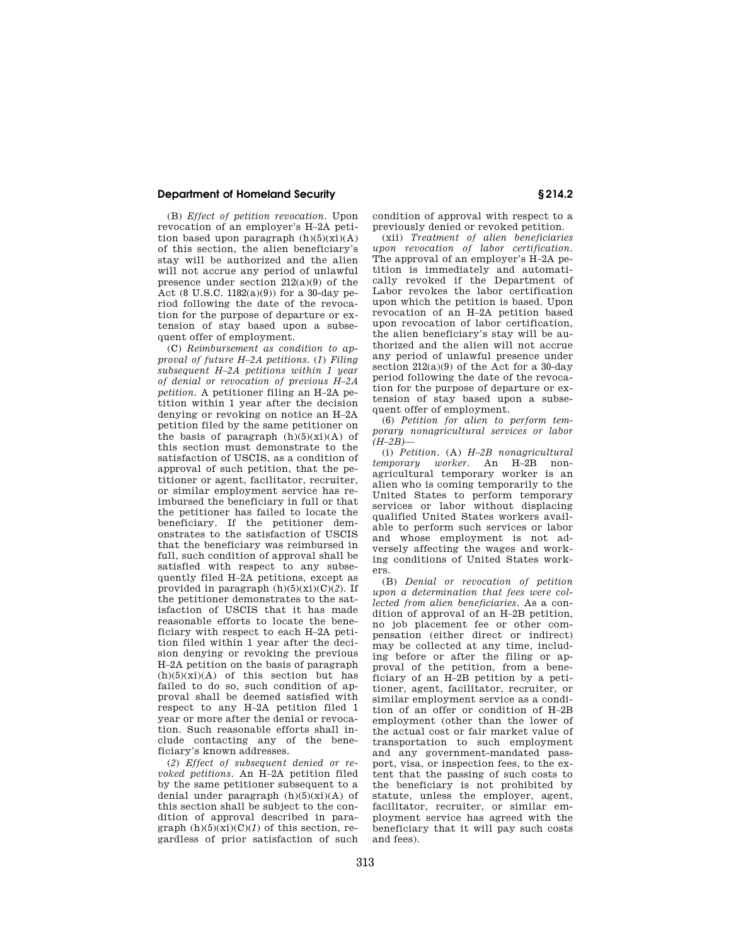(B) *Effect of petition revocation*. Upon revocation of an employer's H–2A petition based upon paragraph  $(h)(5)(xi)(A)$ of this section, the alien beneficiary's stay will be authorized and the alien will not accrue any period of unlawful presence under section 212(a)(9) of the Act (8 U.S.C. 1182(a)(9)) for a 30-day period following the date of the revocation for the purpose of departure or extension of stay based upon a subsequent offer of employment.

(C) *Reimbursement as condition to approval of future H–2A petitions.* (*1*) *Filing subsequent H–2A petitions within 1 year of denial or revocation of previous H–2A petition.* A petitioner filing an H–2A petition within 1 year after the decision denying or revoking on notice an H–2A petition filed by the same petitioner on the basis of paragraph  $(h)(5)(xi)(A)$  of this section must demonstrate to the satisfaction of USCIS, as a condition of approval of such petition, that the petitioner or agent, facilitator, recruiter, or similar employment service has reimbursed the beneficiary in full or that the petitioner has failed to locate the beneficiary. If the petitioner demonstrates to the satisfaction of USCIS that the beneficiary was reimbursed in full, such condition of approval shall be satisfied with respect to any subsequently filed H–2A petitions, except as provided in paragraph (h)(5)(xi)(C)(*2*). If the petitioner demonstrates to the satisfaction of USCIS that it has made reasonable efforts to locate the beneficiary with respect to each H–2A petition filed within 1 year after the decision denying or revoking the previous H–2A petition on the basis of paragraph  $(h)(5)(xi)(A)$  of this section but has failed to do so, such condition of approval shall be deemed satisfied with respect to any H–2A petition filed 1 year or more after the denial or revocation. Such reasonable efforts shall include contacting any of the beneficiary's known addresses.

(*2*) *Effect of subsequent denied or revoked petitions*. An H–2A petition filed by the same petitioner subsequent to a denial under paragraph  $(h)(5)(xi)(A)$  of this section shall be subject to the condition of approval described in paragraph  $(h)(5)(xi)(C)(I)$  of this section, regardless of prior satisfaction of such

condition of approval with respect to a previously denied or revoked petition.

(xii) *Treatment of alien beneficiaries upon revocation of labor certification.*  The approval of an employer's H-2A petition is immediately and automatically revoked if the Department of Labor revokes the labor certification upon which the petition is based. Upon revocation of an H–2A petition based upon revocation of labor certification, the alien beneficiary's stay will be authorized and the alien will not accrue any period of unlawful presence under section 212(a)(9) of the Act for a 30-day period following the date of the revocation for the purpose of departure or extension of stay based upon a subsequent offer of employment.

(6) *Petition for alien to perform temporary nonagricultural services or labor (H–2B)*—

(i) *Petition*. (A) *H–2B nonagricultural temporary worker*. An H–2B nonagricultural temporary worker is an alien who is coming temporarily to the United States to perform temporary services or labor without displacing qualified United States workers available to perform such services or labor and whose employment is not adversely affecting the wages and working conditions of United States workers.

(B) *Denial or revocation of petition upon a determination that fees were collected from alien beneficiaries*. As a condition of approval of an H–2B petition, no job placement fee or other compensation (either direct or indirect) may be collected at any time, including before or after the filing or approval of the petition, from a beneficiary of an H–2B petition by a petitioner, agent, facilitator, recruiter, or similar employment service as a condition of an offer or condition of H–2B employment (other than the lower of the actual cost or fair market value of transportation to such employment and any government-mandated passport, visa, or inspection fees, to the extent that the passing of such costs to the beneficiary is not prohibited by statute, unless the employer, agent, facilitator, recruiter, or similar employment service has agreed with the beneficiary that it will pay such costs and fees).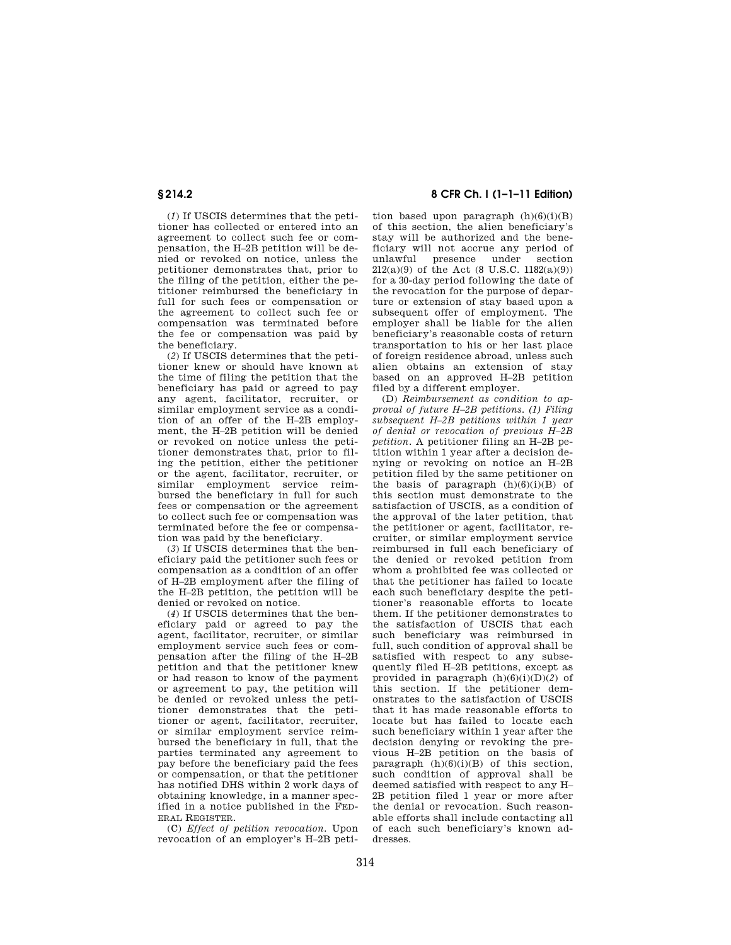(*1*) If USCIS determines that the petitioner has collected or entered into an agreement to collect such fee or compensation, the H–2B petition will be denied or revoked on notice, unless the petitioner demonstrates that, prior to the filing of the petition, either the petitioner reimbursed the beneficiary in full for such fees or compensation or the agreement to collect such fee or compensation was terminated before the fee or compensation was paid by the beneficiary.

(*2*) If USCIS determines that the petitioner knew or should have known at the time of filing the petition that the beneficiary has paid or agreed to pay any agent, facilitator, recruiter, or similar employment service as a condition of an offer of the H–2B employment, the H–2B petition will be denied or revoked on notice unless the petitioner demonstrates that, prior to filing the petition, either the petitioner or the agent, facilitator, recruiter, or similar employment service reimbursed the beneficiary in full for such fees or compensation or the agreement to collect such fee or compensation was terminated before the fee or compensation was paid by the beneficiary.

(*3*) If USCIS determines that the beneficiary paid the petitioner such fees or compensation as a condition of an offer of H–2B employment after the filing of the H–2B petition, the petition will be denied or revoked on notice.

(*4*) If USCIS determines that the beneficiary paid or agreed to pay the agent, facilitator, recruiter, or similar employment service such fees or compensation after the filing of the H–2B petition and that the petitioner knew or had reason to know of the payment or agreement to pay, the petition will be denied or revoked unless the petitioner demonstrates that the petitioner or agent, facilitator, recruiter, or similar employment service reimbursed the beneficiary in full, that the parties terminated any agreement to pay before the beneficiary paid the fees or compensation, or that the petitioner has notified DHS within 2 work days of obtaining knowledge, in a manner specified in a notice published in the FED-ERAL REGISTER.

(C) *Effect of petition revocation.* Upon revocation of an employer's H–2B peti-

# **§ 214.2 8 CFR Ch. I (1–1–11 Edition)**

tion based upon paragraph  $(h)(6)(i)(B)$ of this section, the alien beneficiary's stay will be authorized and the beneficiary will not accrue any period of<br>unlawful presence under section unlawful presence  $212(a)(9)$  of the Act (8 U.S.C. 1182(a)(9)) for a 30-day period following the date of the revocation for the purpose of departure or extension of stay based upon a subsequent offer of employment. The employer shall be liable for the alien beneficiary's reasonable costs of return transportation to his or her last place of foreign residence abroad, unless such alien obtains an extension of stay based on an approved H–2B petition filed by a different employer.

(D) *Reimbursement as condition to approval of future H–2B petitions. (1) Filing subsequent H–2B petitions within 1 year of denial or revocation of previous H–2B petition*. A petitioner filing an H–2B petition within 1 year after a decision denying or revoking on notice an H–2B petition filed by the same petitioner on the basis of paragraph  $(h)(6)(i)(B)$  of this section must demonstrate to the satisfaction of USCIS, as a condition of the approval of the later petition, that the petitioner or agent, facilitator, recruiter, or similar employment service reimbursed in full each beneficiary of the denied or revoked petition from whom a prohibited fee was collected or that the petitioner has failed to locate each such beneficiary despite the petitioner's reasonable efforts to locate them. If the petitioner demonstrates to the satisfaction of USCIS that each such beneficiary was reimbursed in full, such condition of approval shall be satisfied with respect to any subsequently filed H–2B petitions, except as provided in paragraph  $(h)(6)(i)(D)(2)$  of this section. If the petitioner demonstrates to the satisfaction of USCIS that it has made reasonable efforts to locate but has failed to locate each such beneficiary within 1 year after the decision denying or revoking the previous H–2B petition on the basis of paragraph  $(h)(6)(i)(B)$  of this section, such condition of approval shall be deemed satisfied with respect to any H– 2B petition filed 1 year or more after the denial or revocation. Such reasonable efforts shall include contacting all of each such beneficiary's known addresses.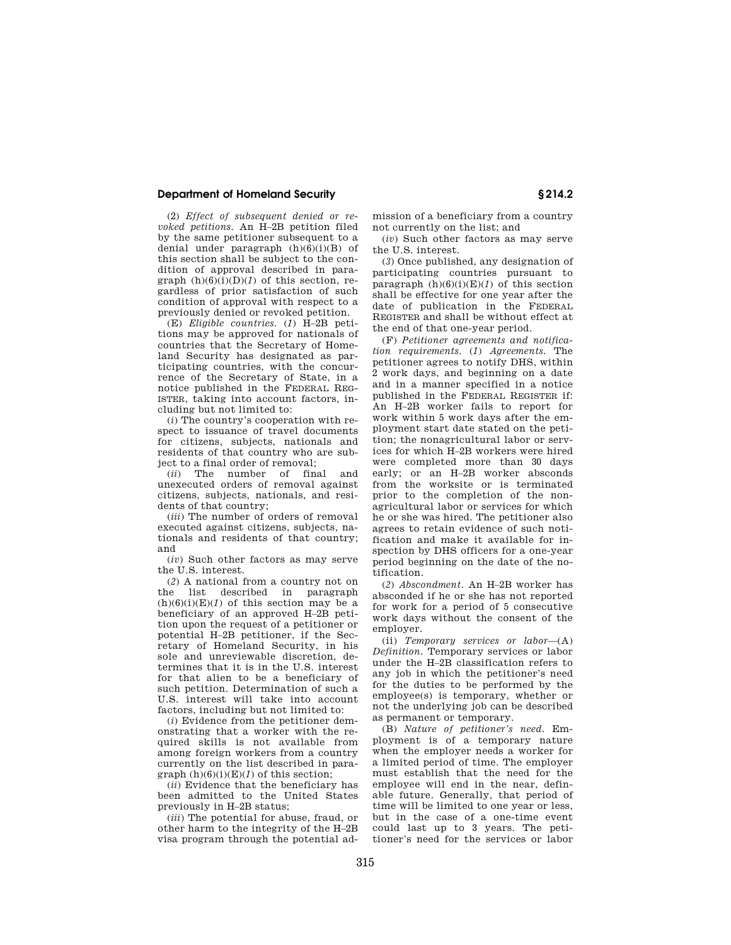(2) *Effect of subsequent denied or revoked petitions.* An H–2B petition filed by the same petitioner subsequent to a denial under paragraph  $(h)(6)(i)(B)$  of this section shall be subject to the condition of approval described in paragraph  $(h)(6)(i)(D)(1)$  of this section, regardless of prior satisfaction of such condition of approval with respect to a previously denied or revoked petition.

(E) *Eligible countries.* (*1*) H–2B petitions may be approved for nationals of countries that the Secretary of Homeland Security has designated as participating countries, with the concurrence of the Secretary of State, in a notice published in the FEDERAL REG-ISTER, taking into account factors, including but not limited to:

(*i*) The country's cooperation with respect to issuance of travel documents for citizens, subjects, nationals and residents of that country who are subject to a final order of removal;

(*ii*) The number of final and unexecuted orders of removal against citizens, subjects, nationals, and residents of that country;

(*iii*) The number of orders of removal executed against citizens, subjects, nationals and residents of that country; and

(*iv*) Such other factors as may serve the U.S. interest.

(*2*) A national from a country not on the list described in paragraph  $(h)(6)(i)(E)(1)$  of this section may be a beneficiary of an approved H–2B petition upon the request of a petitioner or potential H–2B petitioner, if the Secretary of Homeland Security, in his sole and unreviewable discretion, determines that it is in the U.S. interest for that alien to be a beneficiary of such petition. Determination of such a U.S. interest will take into account factors, including but not limited to:

(*i*) Evidence from the petitioner demonstrating that a worker with the required skills is not available from among foreign workers from a country currently on the list described in paragraph  $(h)(6)(i)(E)(I)$  of this section;

(*ii*) Evidence that the beneficiary has been admitted to the United States previously in H–2B status;

(*iii*) The potential for abuse, fraud, or other harm to the integrity of the H–2B visa program through the potential admission of a beneficiary from a country not currently on the list; and

(*iv*) Such other factors as may serve the U.S. interest.

(*3*) Once published, any designation of participating countries pursuant to paragraph  $(h)(6)(i)(E)(I)$  of this section shall be effective for one year after the date of publication in the FEDERAL REGISTER and shall be without effect at the end of that one-year period.

(F) *Petitioner agreements and notification requirements.* (*1*) *Agreements.* The petitioner agrees to notify DHS, within 2 work days, and beginning on a date and in a manner specified in a notice published in the FEDERAL REGISTER if: An H–2B worker fails to report for work within 5 work days after the employment start date stated on the petition; the nonagricultural labor or services for which H–2B workers were hired were completed more than 30 days early; or an H–2B worker absconds from the worksite or is terminated prior to the completion of the nonagricultural labor or services for which he or she was hired. The petitioner also agrees to retain evidence of such notification and make it available for inspection by DHS officers for a one-year period beginning on the date of the notification.

(*2*) *Abscondment.* An H–2B worker has absconded if he or she has not reported for work for a period of 5 consecutive work days without the consent of the employer.

(ii) *Temporary services or labor*—(A) *Definition.* Temporary services or labor under the H–2B classification refers to any job in which the petitioner's need for the duties to be performed by the employee(s) is temporary, whether or not the underlying job can be described as permanent or temporary.

(B) *Nature of petitioner's need.* Employment is of a temporary nature when the employer needs a worker for a limited period of time. The employer must establish that the need for the employee will end in the near, definable future. Generally, that period of time will be limited to one year or less, but in the case of a one-time event could last up to 3 years. The petitioner's need for the services or labor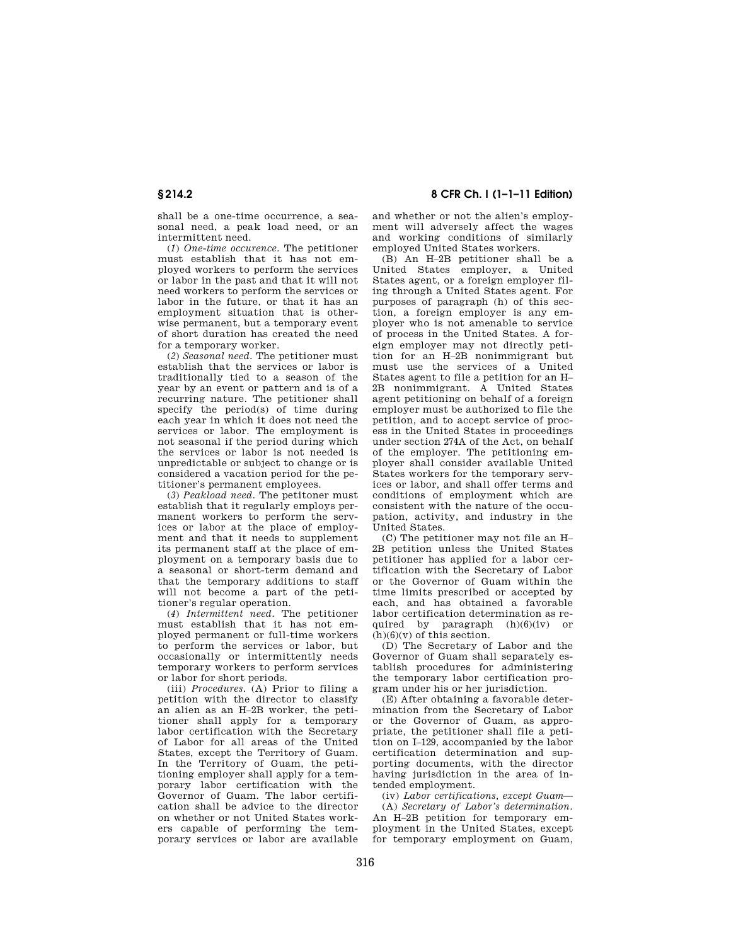shall be a one-time occurrence, a seasonal need, a peak load need, or an intermittent need.

(*1*) *One-time occurence.* The petitioner must establish that it has not employed workers to perform the services or labor in the past and that it will not need workers to perform the services or labor in the future, or that it has an employment situation that is otherwise permanent, but a temporary event of short duration has created the need for a temporary worker.

(*2*) *Seasonal need.* The petitioner must establish that the services or labor is traditionally tied to a season of the year by an event or pattern and is of a recurring nature. The petitioner shall specify the period(s) of time during each year in which it does not need the services or labor. The employment is not seasonal if the period during which the services or labor is not needed is unpredictable or subject to change or is considered a vacation period for the petitioner's permanent employees.

(*3*) *Peakload need.* The petitoner must establish that it regularly employs permanent workers to perform the services or labor at the place of employment and that it needs to supplement its permanent staff at the place of employment on a temporary basis due to a seasonal or short-term demand and that the temporary additions to staff will not become a part of the petitioner's regular operation.

(*4*) *Intermittent need.* The petitioner must establish that it has not employed permanent or full-time workers to perform the services or labor, but occasionally or intermittently needs temporary workers to perform services or labor for short periods.

(iii) *Procedures.* (A) Prior to filing a petition with the director to classify an alien as an H–2B worker, the petitioner shall apply for a temporary labor certification with the Secretary of Labor for all areas of the United States, except the Territory of Guam. In the Territory of Guam, the petitioning employer shall apply for a temporary labor certification with the Governor of Guam. The labor certification shall be advice to the director on whether or not United States workers capable of performing the temporary services or labor are available

**§ 214.2 8 CFR Ch. I (1–1–11 Edition)** 

and whether or not the alien's employment will adversely affect the wages and working conditions of similarly employed United States workers.

(B) An H–2B petitioner shall be a United States employer, a United States agent, or a foreign employer filing through a United States agent. For purposes of paragraph (h) of this section, a foreign employer is any employer who is not amenable to service of process in the United States. A foreign employer may not directly petition for an H–2B nonimmigrant but must use the services of a United States agent to file a petition for an H– 2B nonimmigrant. A United States agent petitioning on behalf of a foreign employer must be authorized to file the petition, and to accept service of process in the United States in proceedings under section 274A of the Act, on behalf of the employer. The petitioning employer shall consider available United States workers for the temporary services or labor, and shall offer terms and conditions of employment which are consistent with the nature of the occupation, activity, and industry in the United States.

(C) The petitioner may not file an H– 2B petition unless the United States petitioner has applied for a labor certification with the Secretary of Labor or the Governor of Guam within the time limits prescribed or accepted by each, and has obtained a favorable labor certification determination as required by paragraph  $(h)(6)(iv)$  or  $(h)(6)(v)$  of this section.

(D) The Secretary of Labor and the Governor of Guam shall separately establish procedures for administering the temporary labor certification program under his or her jurisdiction.

(E) After obtaining a favorable determination from the Secretary of Labor or the Governor of Guam, as appropriate, the petitioner shall file a petition on I–129, accompanied by the labor certification determination and supporting documents, with the director having jurisdiction in the area of intended employment.

(iv) *Labor certifications, except Guam*—

(A) *Secretary of Labor's determination.*  An H–2B petition for temporary employment in the United States, except for temporary employment on Guam,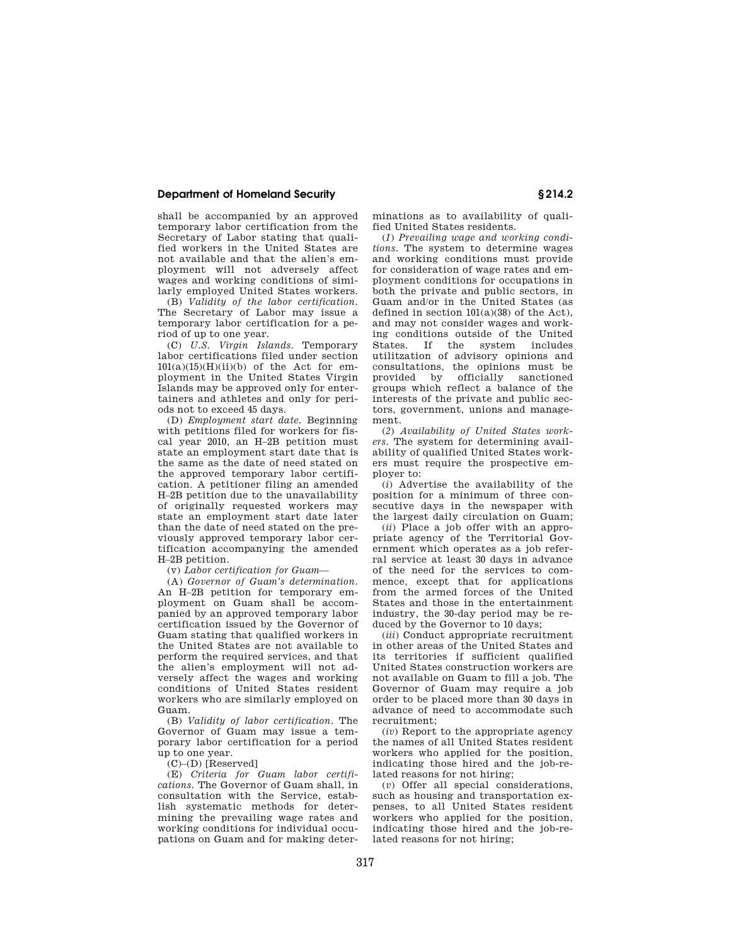shall be accompanied by an approved temporary labor certification from the Secretary of Labor stating that qualified workers in the United States are not available and that the alien's employment will not adversely affect wages and working conditions of similarly employed United States workers.

(B) *Validity of the labor certification.*  The Secretary of Labor may issue a temporary labor certification for a period of up to one year.

(C) *U.S. Virgin Islands.* Temporary labor certifications filed under section  $101(a)(15)(H)(ii)(b)$  of the Act for employment in the United States Virgin Islands may be approved only for entertainers and athletes and only for periods not to exceed 45 days.

(D) *Employment start date.* Beginning with petitions filed for workers for fiscal year 2010, an H–2B petition must state an employment start date that is the same as the date of need stated on the approved temporary labor certification. A petitioner filing an amended H–2B petition due to the unavailability of originally requested workers may state an employment start date later than the date of need stated on the previously approved temporary labor certification accompanying the amended H–2B petition.

(v) *Labor certification for Guam*—

(A) *Governor of Guam's determination.*  An H–2B petition for temporary employment on Guam shall be accompanied by an approved temporary labor certification issued by the Governor of Guam stating that qualified workers in the United States are not available to perform the required services, and that the alien's employment will not adversely affect the wages and working conditions of United States resident workers who are similarly employed on Guam.

(B) *Validity of labor certification.* The Governor of Guam may issue a temporary labor certification for a period up to one year.

(C)–(D) [Reserved]

(E) *Criteria for Guam labor certifications.* The Governor of Guam shall, in consultation with the Service, establish systematic methods for determining the prevailing wage rates and working conditions for individual occupations on Guam and for making determinations as to availability of qualified United States residents.

(*1*) *Prevailing wage and working conditions.* The system to determine wages and working conditions must provide for consideration of wage rates and employment conditions for occupations in both the private and public sectors, in Guam and/or in the United States (as defined in section 101(a)(38) of the Act), and may not consider wages and working conditions outside of the United States. If the system includes utilitzation of advisory opinions and consultations, the opinions must be provided by officially sanctioned groups which reflect a balance of the interests of the private and public sectors, government, unions and management.

(*2*) *Availability of United States workers.* The system for determining availability of qualified United States workers must require the prospective employer to:

(*i*) Advertise the availability of the position for a minimum of three consecutive days in the newspaper with the largest daily circulation on Guam;

(*ii*) Place a job offer with an appropriate agency of the Territorial Government which operates as a job referral service at least 30 days in advance of the need for the services to commence, except that for applications from the armed forces of the United States and those in the entertainment industry, the 30-day period may be reduced by the Governor to 10 days;

(*iii*) Conduct appropriate recruitment in other areas of the United States and its territories if sufficient qualified United States construction workers are not available on Guam to fill a job. The Governor of Guam may require a job order to be placed more than 30 days in advance of need to accommodate such recruitment;

(*iv*) Report to the appropriate agency the names of all United States resident workers who applied for the position, indicating those hired and the job-related reasons for not hiring;

(*v*) Offer all special considerations, such as housing and transportation expenses, to all United States resident workers who applied for the position, indicating those hired and the job-related reasons for not hiring;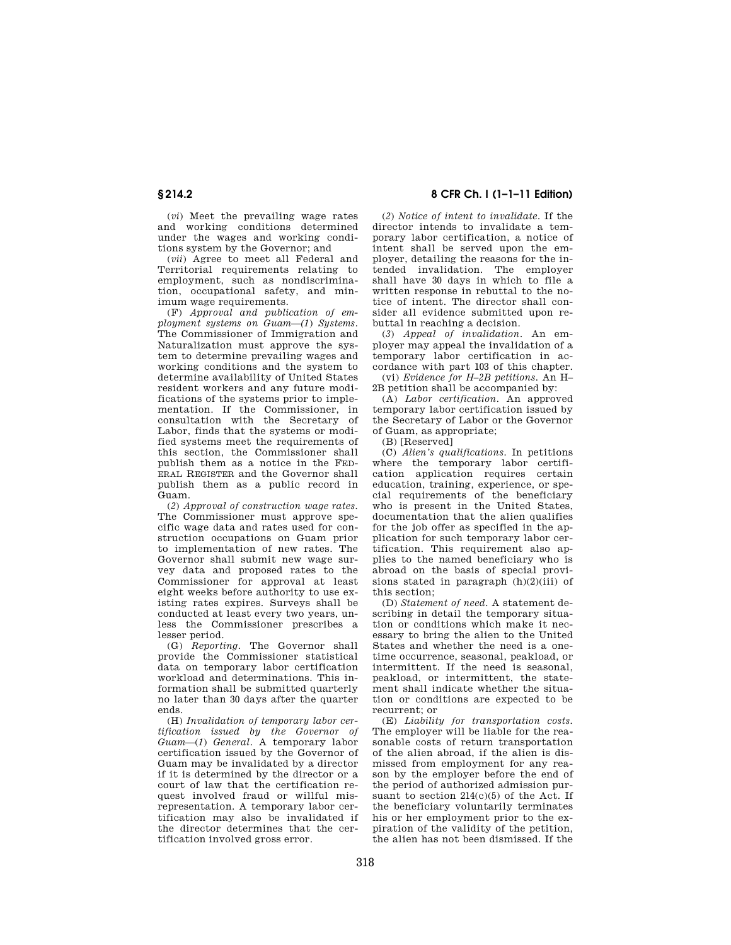(*vi*) Meet the prevailing wage rates and working conditions determined under the wages and working conditions system by the Governor; and

(*vii*) Agree to meet all Federal and Territorial requirements relating to employment, such as nondiscrimination, occupational safety, and minimum wage requirements.

(F) *Approval and publication of employment systems on Guam—(1*) *Systems.*  The Commissioner of Immigration and Naturalization must approve the system to determine prevailing wages and working conditions and the system to determine availability of United States resident workers and any future modifications of the systems prior to implementation. If the Commissioner, in consultation with the Secretary of Labor, finds that the systems or modified systems meet the requirements of this section, the Commissioner shall publish them as a notice in the FED-ERAL REGISTER and the Governor shall publish them as a public record in Guam.

(*2*) *Approval of construction wage rates.*  The Commissioner must approve specific wage data and rates used for construction occupations on Guam prior to implementation of new rates. The Governor shall submit new wage survey data and proposed rates to the Commissioner for approval at least eight weeks before authority to use existing rates expires. Surveys shall be conducted at least every two years, unless the Commissioner prescribes a lesser period.

(G) *Reporting.* The Governor shall provide the Commissioner statistical data on temporary labor certification workload and determinations. This information shall be submitted quarterly no later than 30 days after the quarter ends.

(H) *Invalidation of temporary labor certification issued by the Governor of Guam*—(*1*) *General.* A temporary labor certification issued by the Governor of Guam may be invalidated by a director if it is determined by the director or a court of law that the certification request involved fraud or willful misrepresentation. A temporary labor certification may also be invalidated if the director determines that the certification involved gross error.

# **§ 214.2 8 CFR Ch. I (1–1–11 Edition)**

(*2*) *Notice of intent to invalidate.* If the director intends to invalidate a temporary labor certification, a notice of intent shall be served upon the employer, detailing the reasons for the intended invalidation. The employer shall have 30 days in which to file a written response in rebuttal to the notice of intent. The director shall consider all evidence submitted upon rebuttal in reaching a decision.

(*3*) *Appeal of invalidation.* An employer may appeal the invalidation of a temporary labor certification in accordance with part 103 of this chapter.

(vi) *Evidence for H–2B petitions.* An H– 2B petition shall be accompanied by:

(A) *Labor certification.* An approved temporary labor certification issued by the Secretary of Labor or the Governor of Guam, as appropriate;

(B) [Reserved]

(C) *Alien's qualifications.* In petitions where the temporary labor certification application requires certain education, training, experience, or special requirements of the beneficiary who is present in the United States, documentation that the alien qualifies for the job offer as specified in the application for such temporary labor certification. This requirement also applies to the named beneficiary who is abroad on the basis of special provisions stated in paragraph  $(h)(2)(iii)$  of this section;

(D) *Statement of need.* A statement describing in detail the temporary situation or conditions which make it necessary to bring the alien to the United States and whether the need is a onetime occurrence, seasonal, peakload, or intermittent. If the need is seasonal, peakload, or intermittent, the statement shall indicate whether the situation or conditions are expected to be recurrent; or

(E) *Liability for transportation costs.*  The employer will be liable for the reasonable costs of return transportation of the alien abroad, if the alien is dismissed from employment for any reason by the employer before the end of the period of authorized admission pursuant to section  $214(c)(5)$  of the Act. If the beneficiary voluntarily terminates his or her employment prior to the expiration of the validity of the petition, the alien has not been dismissed. If the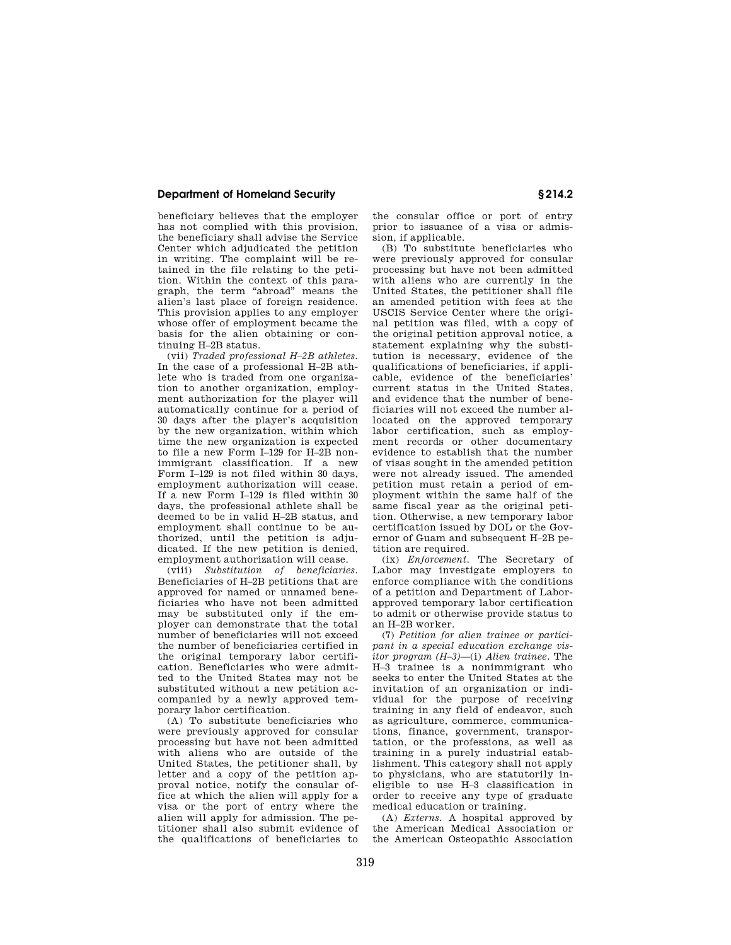beneficiary believes that the employer has not complied with this provision, the beneficiary shall advise the Service Center which adjudicated the petition in writing. The complaint will be retained in the file relating to the petition. Within the context of this paragraph, the term ''abroad'' means the alien's last place of foreign residence. This provision applies to any employer whose offer of employment became the basis for the alien obtaining or continuing H–2B status.

(vii) *Traded professional H–2B athletes.*  In the case of a professional H–2B athlete who is traded from one organization to another organization, employment authorization for the player will automatically continue for a period of 30 days after the player's acquisition by the new organization, within which time the new organization is expected to file a new Form I–129 for H–2B nonimmigrant classification. If a new Form I–129 is not filed within 30 days, employment authorization will cease. If a new Form I–129 is filed within 30 days, the professional athlete shall be deemed to be in valid H–2B status, and employment shall continue to be authorized, until the petition is adjudicated. If the new petition is denied, employment authorization will cease.

(viii) *Substitution of beneficiaries.*  Beneficiaries of H–2B petitions that are approved for named or unnamed beneficiaries who have not been admitted may be substituted only if the employer can demonstrate that the total number of beneficiaries will not exceed the number of beneficiaries certified in the original temporary labor certification. Beneficiaries who were admitted to the United States may not be substituted without a new petition accompanied by a newly approved temporary labor certification.

(A) To substitute beneficiaries who were previously approved for consular processing but have not been admitted with aliens who are outside of the United States, the petitioner shall, by letter and a copy of the petition approval notice, notify the consular office at which the alien will apply for a visa or the port of entry where the alien will apply for admission. The petitioner shall also submit evidence of the qualifications of beneficiaries to

the consular office or port of entry prior to issuance of a visa or admission, if applicable.

(B) To substitute beneficiaries who were previously approved for consular processing but have not been admitted with aliens who are currently in the United States, the petitioner shall file an amended petition with fees at the USCIS Service Center where the original petition was filed, with a copy of the original petition approval notice, a statement explaining why the substitution is necessary, evidence of the qualifications of beneficiaries, if applicable, evidence of the beneficiaries' current status in the United States, and evidence that the number of beneficiaries will not exceed the number allocated on the approved temporary labor certification, such as employment records or other documentary evidence to establish that the number of visas sought in the amended petition were not already issued. The amended petition must retain a period of employment within the same half of the same fiscal year as the original petition. Otherwise, a new temporary labor certification issued by DOL or the Governor of Guam and subsequent H–2B petition are required.

(ix) *Enforcement.* The Secretary of Labor may investigate employers to enforce compliance with the conditions of a petition and Department of Laborapproved temporary labor certification to admit or otherwise provide status to an H–2B worker.

(7) *Petition for alien trainee or participant in a special education exchange visitor program (H–3)*—(i) *Alien trainee.* The H–3 trainee is a nonimmigrant who seeks to enter the United States at the invitation of an organization or individual for the purpose of receiving training in any field of endeavor, such as agriculture, commerce, communications, finance, government, transportation, or the professions, as well as training in a purely industrial establishment. This category shall not apply to physicians, who are statutorily ineligible to use H–3 classification in order to receive any type of graduate medical education or training.

(A) *Externs.* A hospital approved by the American Medical Association or the American Osteopathic Association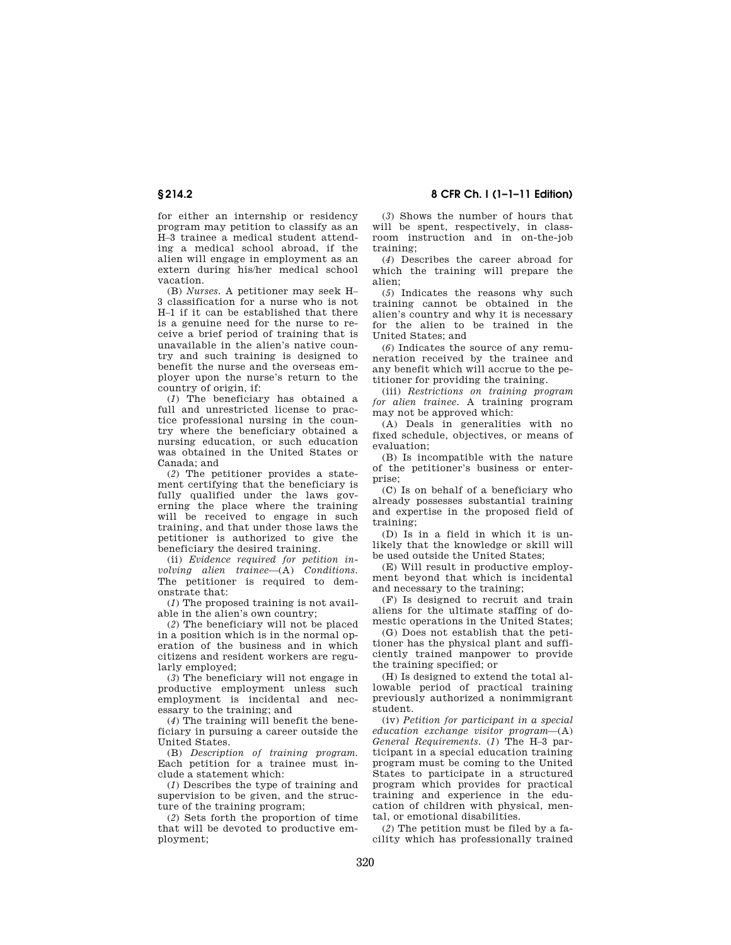for either an internship or residency program may petition to classify as an H–3 trainee a medical student attending a medical school abroad, if the alien will engage in employment as an extern during his/her medical school vacation.

(B) *Nurses.* A petitioner may seek H– 3 classification for a nurse who is not H–1 if it can be established that there is a genuine need for the nurse to receive a brief period of training that is unavailable in the alien's native country and such training is designed to benefit the nurse and the overseas employer upon the nurse's return to the country of origin, if:

(*1*) The beneficiary has obtained a full and unrestricted license to practice professional nursing in the country where the beneficiary obtained a nursing education, or such education was obtained in the United States or Canada; and

(*2*) The petitioner provides a statement certifying that the beneficiary is fully qualified under the laws governing the place where the training will be received to engage in such training, and that under those laws the petitioner is authorized to give the beneficiary the desired training.

(ii) *Evidence required for petition involving alien trainee*—(A) *Conditions.*  The petitioner is required to demonstrate that:

(*1*) The proposed training is not available in the alien's own country;

(*2*) The beneficiary will not be placed in a position which is in the normal operation of the business and in which citizens and resident workers are regularly employed;

(*3*) The beneficiary will not engage in productive employment unless such employment is incidental and necessary to the training; and

(*4*) The training will benefit the beneficiary in pursuing a career outside the United States.

(B) *Description of training program.*  Each petition for a trainee must include a statement which:

(*1*) Describes the type of training and supervision to be given, and the structure of the training program;

(*2*) Sets forth the proportion of time that will be devoted to productive employment;

**§ 214.2 8 CFR Ch. I (1–1–11 Edition)** 

(*3*) Shows the number of hours that will be spent, respectively, in classroom instruction and in on-the-job training;

(*4*) Describes the career abroad for which the training will prepare the alien;

(*5*) Indicates the reasons why such training cannot be obtained in the alien's country and why it is necessary for the alien to be trained in the United States; and

(*6*) Indicates the source of any remuneration received by the trainee and any benefit which will accrue to the petitioner for providing the training.

(iii) *Restrictions on training program for alien trainee.* A training program may not be approved which:

(A) Deals in generalities with no fixed schedule, objectives, or means of evaluation;

(B) Is incompatible with the nature of the petitioner's business or enterprise;

(C) Is on behalf of a beneficiary who already possesses substantial training and expertise in the proposed field of training;

(D) Is in a field in which it is unlikely that the knowledge or skill will be used outside the United States;

(E) Will result in productive employment beyond that which is incidental and necessary to the training;

(F) Is designed to recruit and train aliens for the ultimate staffing of domestic operations in the United States;

(G) Does not establish that the petitioner has the physical plant and sufficiently trained manpower to provide the training specified; or

(H) Is designed to extend the total allowable period of practical training previously authorized a nonimmigrant student.

(iv) *Petition for participant in a special education exchange visitor program*—(A) *General Requirements.* (*1*) The H–3 participant in a special education training program must be coming to the United States to participate in a structured program which provides for practical training and experience in the education of children with physical, mental, or emotional disabilities.

(*2*) The petition must be filed by a facility which has professionally trained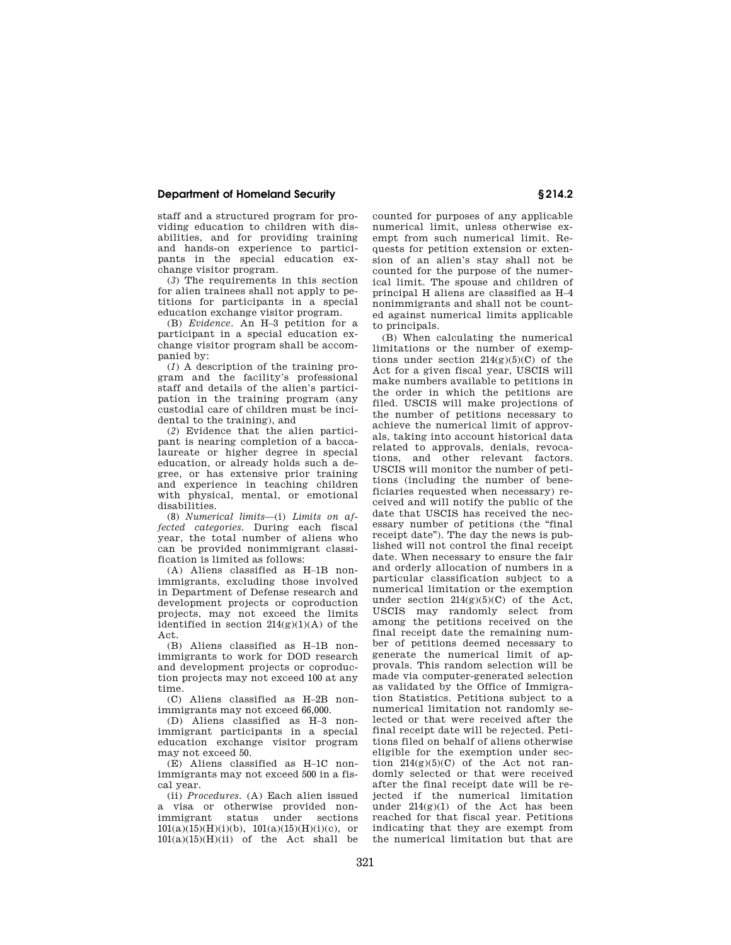staff and a structured program for providing education to children with disabilities, and for providing training and hands-on experience to participants in the special education exchange visitor program.

(*3*) The requirements in this section for alien trainees shall not apply to petitions for participants in a special education exchange visitor program.

(B) *Evidence.* An H–3 petition for a participant in a special education exchange visitor program shall be accompanied by:

(*1*) A description of the training program and the facility's professional staff and details of the alien's participation in the training program (any custodial care of children must be incidental to the training), and

(*2*) Evidence that the alien participant is nearing completion of a baccalaureate or higher degree in special education, or already holds such a degree, or has extensive prior training and experience in teaching children with physical, mental, or emotional disabilities.

(8) *Numerical limits*—(i) *Limits on affected categories.* During each fiscal year, the total number of aliens who can be provided nonimmigrant classification is limited as follows:

(A) Aliens classified as H–1B nonimmigrants, excluding those involved in Department of Defense research and development projects or coproduction projects, may not exceed the limits identified in section  $214(g)(1)(A)$  of the Act.

(B) Aliens classified as H–1B nonimmigrants to work for DOD research and development projects or coproduction projects may not exceed 100 at any time.

(C) Aliens classified as H–2B nonimmigrants may not exceed 66,000.

(D) Aliens classified as H–3 nonimmigrant participants in a special education exchange visitor program may not exceed 50.

(E) Aliens classified as H–1C nonimmigrants may not exceed 500 in a fiscal year.

(ii) *Procedures.* (A) Each alien issued a visa or otherwise provided nonimmigrant status under sections  $101(a)(15)(H)(i)(b)$ ,  $101(a)(15)(H)(i)(c)$ , or  $101(a)(15)(H)(ii)$  of the Act shall be counted for purposes of any applicable numerical limit, unless otherwise exempt from such numerical limit. Requests for petition extension or extension of an alien's stay shall not be counted for the purpose of the numerical limit. The spouse and children of principal H aliens are classified as H–4 nonimmigrants and shall not be counted against numerical limits applicable to principals.

(B) When calculating the numerical limitations or the number of exemptions under section  $214(g)(5)(C)$  of the Act for a given fiscal year, USCIS will make numbers available to petitions in the order in which the petitions are filed. USCIS will make projections of the number of petitions necessary to achieve the numerical limit of approvals, taking into account historical data related to approvals, denials, revocations, and other relevant factors. USCIS will monitor the number of petitions (including the number of beneficiaries requested when necessary) received and will notify the public of the date that USCIS has received the necessary number of petitions (the "final receipt date''). The day the news is published will not control the final receipt date. When necessary to ensure the fair and orderly allocation of numbers in a particular classification subject to a numerical limitation or the exemption under section  $214(g)(5)(C)$  of the Act, USCIS may randomly select from among the petitions received on the final receipt date the remaining number of petitions deemed necessary to generate the numerical limit of approvals. This random selection will be made via computer-generated selection as validated by the Office of Immigration Statistics. Petitions subject to a numerical limitation not randomly selected or that were received after the final receipt date will be rejected. Petitions filed on behalf of aliens otherwise eligible for the exemption under section  $214(g)(5)(C)$  of the Act not randomly selected or that were received after the final receipt date will be rejected if the numerical limitation under  $214(g)(1)$  of the Act has been reached for that fiscal year. Petitions indicating that they are exempt from the numerical limitation but that are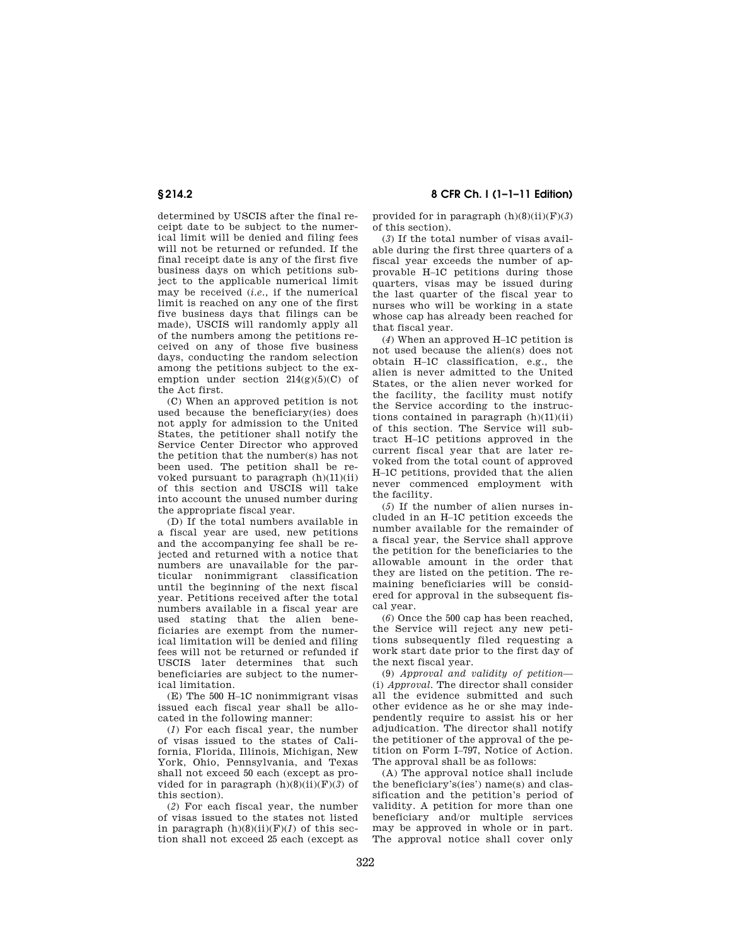# **§ 214.2 8 CFR Ch. I (1–1–11 Edition)**

determined by USCIS after the final receipt date to be subject to the numerical limit will be denied and filing fees will not be returned or refunded. If the final receipt date is any of the first five business days on which petitions subject to the applicable numerical limit may be received (*i.e.*, if the numerical limit is reached on any one of the first five business days that filings can be made), USCIS will randomly apply all of the numbers among the petitions received on any of those five business days, conducting the random selection among the petitions subject to the exemption under section  $214(g)(5)(C)$  of the Act first.

(C) When an approved petition is not used because the beneficiary(ies) does not apply for admission to the United States, the petitioner shall notify the Service Center Director who approved the petition that the number(s) has not been used. The petition shall be revoked pursuant to paragraph (h)(11)(ii) of this section and USCIS will take into account the unused number during the appropriate fiscal year.

(D) If the total numbers available in a fiscal year are used, new petitions and the accompanying fee shall be rejected and returned with a notice that numbers are unavailable for the particular nonimmigrant classification until the beginning of the next fiscal year. Petitions received after the total numbers available in a fiscal year are used stating that the alien beneficiaries are exempt from the numerical limitation will be denied and filing fees will not be returned or refunded if USCIS later determines that such beneficiaries are subject to the numerical limitation.

(E) The 500 H–1C nonimmigrant visas issued each fiscal year shall be allocated in the following manner:

(*1*) For each fiscal year, the number of visas issued to the states of California, Florida, Illinois, Michigan, New York, Ohio, Pennsylvania, and Texas shall not exceed 50 each (except as provided for in paragraph  $(h)(8)(ii)(F)(3)$  of this section).

(*2*) For each fiscal year, the number of visas issued to the states not listed in paragraph  $(h)(8)(ii)(F)(I)$  of this section shall not exceed 25 each (except as provided for in paragraph  $(h)(8)(ii)(F)(3)$ of this section).

(*3*) If the total number of visas available during the first three quarters of a fiscal year exceeds the number of approvable H–1C petitions during those quarters, visas may be issued during the last quarter of the fiscal year to nurses who will be working in a state whose cap has already been reached for that fiscal year.

(*4*) When an approved H–1C petition is not used because the alien(s) does not obtain H–1C classification, e.g., the alien is never admitted to the United States, or the alien never worked for the facility, the facility must notify the Service according to the instructions contained in paragraph (h)(11)(ii) of this section. The Service will subtract H–1C petitions approved in the current fiscal year that are later revoked from the total count of approved H–1C petitions, provided that the alien never commenced employment with the facility.

(*5*) If the number of alien nurses included in an H–1C petition exceeds the number available for the remainder of a fiscal year, the Service shall approve the petition for the beneficiaries to the allowable amount in the order that they are listed on the petition. The remaining beneficiaries will be considered for approval in the subsequent fiscal year.

(*6*) Once the 500 cap has been reached, the Service will reject any new petitions subsequently filed requesting a work start date prior to the first day of the next fiscal year.

(9) *Approval and validity of petition*— (i) *Approval.* The director shall consider all the evidence submitted and such other evidence as he or she may independently require to assist his or her adjudication. The director shall notify the petitioner of the approval of the petition on Form I–797, Notice of Action. The approval shall be as follows:

(A) The approval notice shall include the beneficiary's(ies') name(s) and classification and the petition's period of validity. A petition for more than one beneficiary and/or multiple services may be approved in whole or in part. The approval notice shall cover only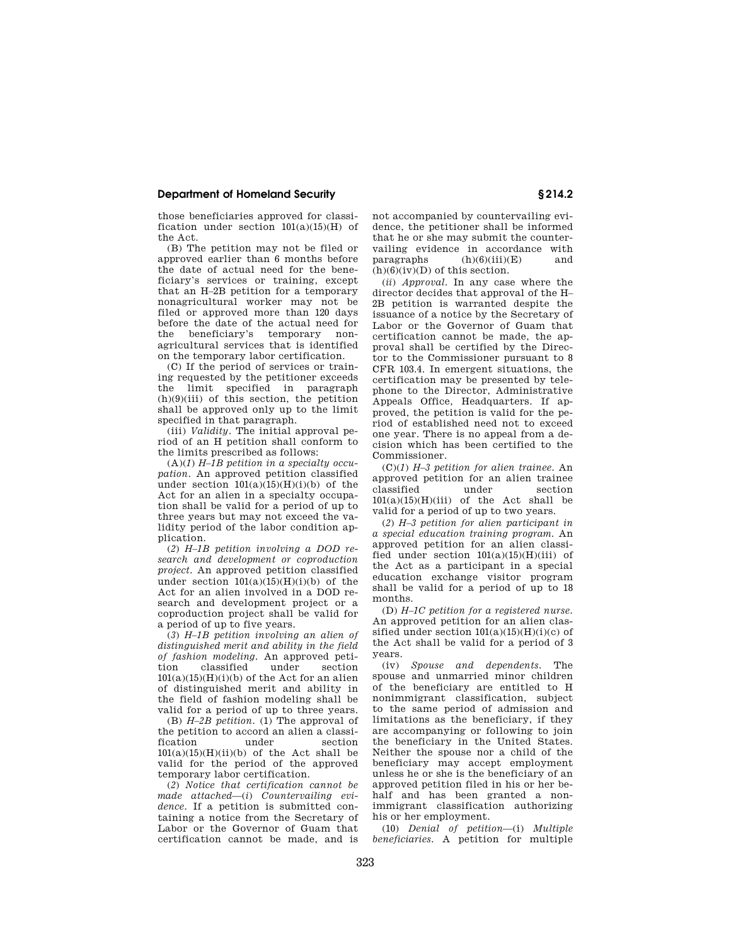those beneficiaries approved for classification under section  $101(a)(15)(H)$  of the Act.

(B) The petition may not be filed or approved earlier than 6 months before the date of actual need for the beneficiary's services or training, except that an H–2B petition for a temporary nonagricultural worker may not be filed or approved more than 120 days before the date of the actual need for<br>the beneficiary's temporary nonbeneficiary's agricultural services that is identified on the temporary labor certification.

(C) If the period of services or training requested by the petitioner exceeds the limit specified in paragraph (h)(9)(iii) of this section, the petition shall be approved only up to the limit specified in that paragraph.

(iii) *Validity.* The initial approval period of an H petition shall conform to the limits prescribed as follows:

(A)(*1*) *H–1B petition in a specialty occupation.* An approved petition classified under section  $101(a)(15)(H)(i)(b)$  of the Act for an alien in a specialty occupation shall be valid for a period of up to three years but may not exceed the validity period of the labor condition application.

(*2*) *H–1B petition involving a DOD research and development or coproduction project.* An approved petition classified under section  $101(a)(15)(H)(i)$  of the Act for an alien involved in a DOD research and development project or a coproduction project shall be valid for a period of up to five years.

(*3*) *H–1B petition involving an alien of distinguished merit and ability in the field of fashion modeling.* An approved peticlassified  $101(a)(15)(H)(i)$  of the Act for an alien of distinguished merit and ability in the field of fashion modeling shall be valid for a period of up to three years.

(B) *H–2B petition.* (1) The approval of the petition to accord an alien a classification under section  $101(a)(15)(H)(ii)(b)$  of the Act shall be valid for the period of the approved temporary labor certification.

(*2*) *Notice that certification cannot be made attached*—(*i*) *Countervailing evidence.* If a petition is submitted containing a notice from the Secretary of Labor or the Governor of Guam that certification cannot be made, and is

not accompanied by countervailing evidence, the petitioner shall be informed that he or she may submit the countervailing evidence in accordance with paragraphs  $(h)(6)(iii)(E)$  and  $(h)(6)(iv)(D)$  of this section.

(*ii*) *Approval.* In any case where the director decides that approval of the H– 2B petition is warranted despite the issuance of a notice by the Secretary of Labor or the Governor of Guam that certification cannot be made, the approval shall be certified by the Director to the Commissioner pursuant to 8 CFR 103.4. In emergent situations, the certification may be presented by telephone to the Director, Administrative Appeals Office, Headquarters. If approved, the petition is valid for the period of established need not to exceed one year. There is no appeal from a decision which has been certified to the Commissioner.

(C)(*1*) *H–3 petition for alien trainee.* An approved petition for an alien trainee classified under section  $101(a)(15)(H)(iii)$  of the Act shall be valid for a period of up to two years.

(*2*) *H–3 petition for alien participant in a special education training program.* An approved petition for an alien classified under section  $101(a)(15)(H)(iii)$  of the Act as a participant in a special education exchange visitor program shall be valid for a period of up to 18 months.

(D) *H–1C petition for a registered nurse.*  An approved petition for an alien classified under section  $101(a)(15)(H)(i)(c)$  of the Act shall be valid for a period of 3 years.

(iv) *Spouse and dependents.* The spouse and unmarried minor children of the beneficiary are entitled to H nonimmigrant classification, subject to the same period of admission and limitations as the beneficiary, if they are accompanying or following to join the beneficiary in the United States. Neither the spouse nor a child of the beneficiary may accept employment unless he or she is the beneficiary of an approved petition filed in his or her behalf and has been granted a nonimmigrant classification authorizing his or her employment.

(10) *Denial of petition*—(i) *Multiple beneficiaries.* A petition for multiple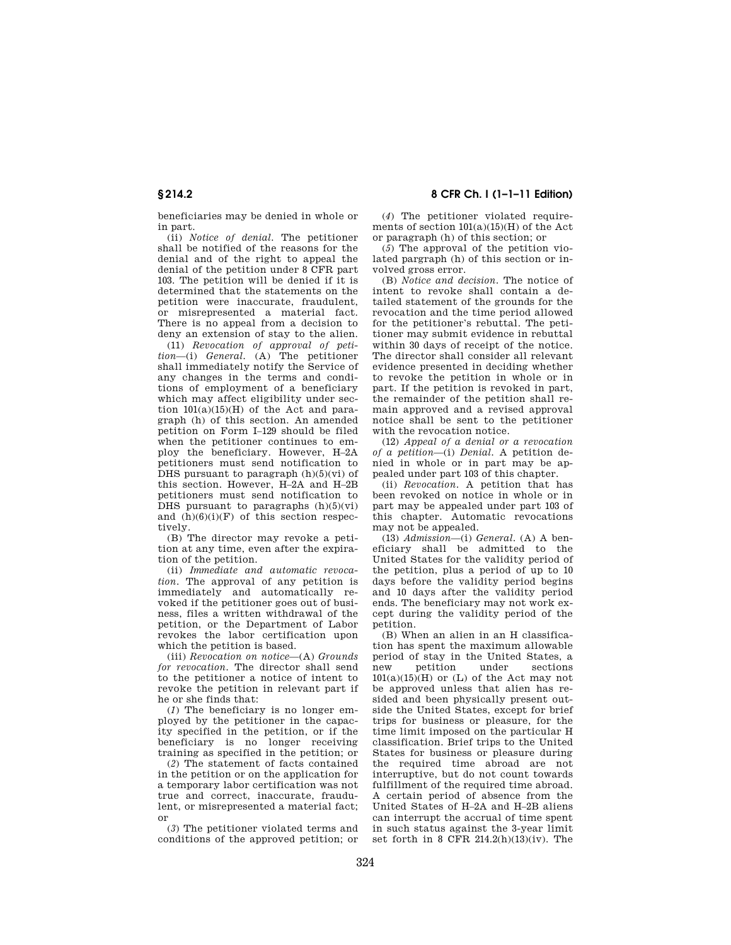beneficiaries may be denied in whole or in part.

(ii) *Notice of denial.* The petitioner shall be notified of the reasons for the denial and of the right to appeal the denial of the petition under 8 CFR part 103. The petition will be denied if it is determined that the statements on the petition were inaccurate, fraudulent, or misrepresented a material fact. There is no appeal from a decision to deny an extension of stay to the alien.

(11) *Revocation of approval of petition*—(i) *General.* (A) The petitioner shall immediately notify the Service of any changes in the terms and conditions of employment of a beneficiary which may affect eligibility under section  $101(a)(15)(H)$  of the Act and paragraph (h) of this section. An amended petition on Form I–129 should be filed when the petitioner continues to employ the beneficiary. However, H–2A petitioners must send notification to DHS pursuant to paragraph (h)(5)(vi) of this section. However, H–2A and H–2B petitioners must send notification to DHS pursuant to paragraphs  $(h)(5)(vi)$ and  $(h)(6)(i)(F)$  of this section respectively.

(B) The director may revoke a petition at any time, even after the expiration of the petition.

(ii) *Immediate and automatic revocation*. The approval of any petition is immediately and automatically revoked if the petitioner goes out of business, files a written withdrawal of the petition, or the Department of Labor revokes the labor certification upon which the petition is based.

(iii) *Revocation on notice*—(A) *Grounds for revocation.* The director shall send to the petitioner a notice of intent to revoke the petition in relevant part if he or she finds that:

(*1*) The beneficiary is no longer employed by the petitioner in the capacity specified in the petition, or if the beneficiary is no longer receiving training as specified in the petition; or

(*2*) The statement of facts contained in the petition or on the application for a temporary labor certification was not true and correct, inaccurate, fraudulent, or misrepresented a material fact; or

(*3*) The petitioner violated terms and conditions of the approved petition; or

# **§ 214.2 8 CFR Ch. I (1–1–11 Edition)**

(*4*) The petitioner violated requirements of section  $101(a)(15)(H)$  of the Act or paragraph (h) of this section; or

(*5*) The approval of the petition violated pargraph (h) of this section or involved gross error.

(B) *Notice and decision.* The notice of intent to revoke shall contain a detailed statement of the grounds for the revocation and the time period allowed for the petitioner's rebuttal. The petitioner may submit evidence in rebuttal within 30 days of receipt of the notice. The director shall consider all relevant evidence presented in deciding whether to revoke the petition in whole or in part. If the petition is revoked in part, the remainder of the petition shall remain approved and a revised approval notice shall be sent to the petitioner with the revocation notice.

(12) *Appeal of a denial or a revocation of a petition*—(i) *Denial.* A petition denied in whole or in part may be appealed under part 103 of this chapter.

(ii) *Revocation.* A petition that has been revoked on notice in whole or in part may be appealed under part 103 of this chapter. Automatic revocations may not be appealed.

(13) *Admission*—(i) *General.* (A) A beneficiary shall be admitted to the United States for the validity period of the petition, plus a period of up to 10 days before the validity period begins and 10 days after the validity period ends. The beneficiary may not work except during the validity period of the petition.

(B) When an alien in an H classification has spent the maximum allowable period of stay in the United States, a<br>new petition under sections new petition  $101(a)(15)(H)$  or (L) of the Act may not be approved unless that alien has resided and been physically present outside the United States, except for brief trips for business or pleasure, for the time limit imposed on the particular H classification. Brief trips to the United States for business or pleasure during the required time abroad are not interruptive, but do not count towards fulfillment of the required time abroad. A certain period of absence from the United States of H–2A and H–2B aliens can interrupt the accrual of time spent in such status against the 3-year limit set forth in 8 CFR  $214.2(h)(13)(iv)$ . The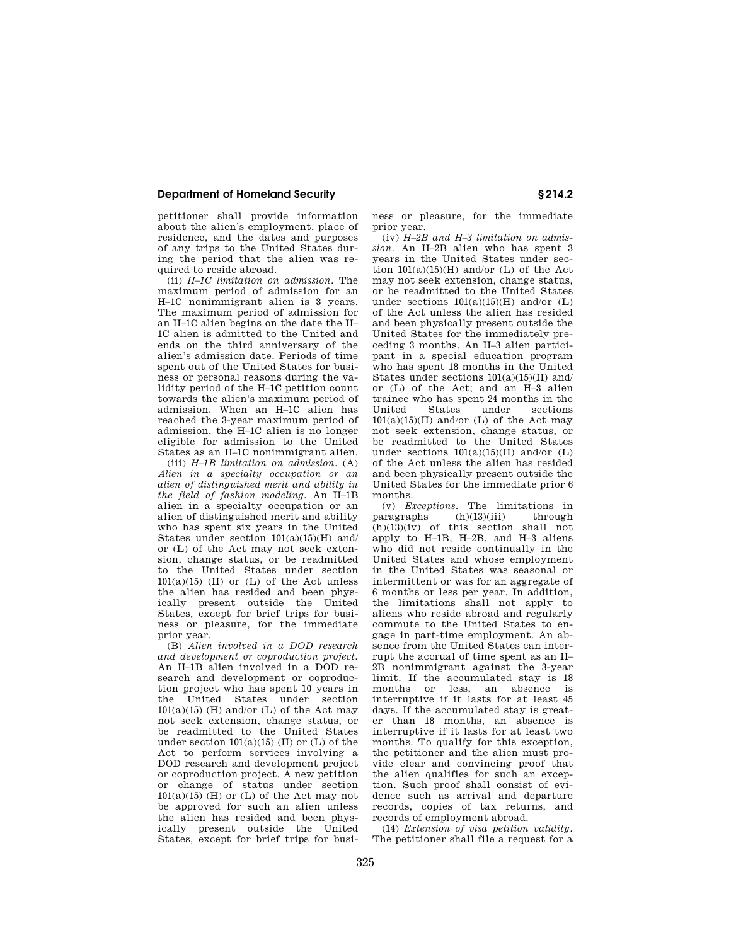petitioner shall provide information about the alien's employment, place of residence, and the dates and purposes of any trips to the United States during the period that the alien was required to reside abroad.

(ii) *H–1C limitation on admission.* The maximum period of admission for an H–1C nonimmigrant alien is 3 years. The maximum period of admission for an H–1C alien begins on the date the H– 1C alien is admitted to the United and ends on the third anniversary of the alien's admission date. Periods of time spent out of the United States for business or personal reasons during the validity period of the H–1C petition count towards the alien's maximum period of admission. When an H–1C alien has reached the 3-year maximum period of admission, the H–1C alien is no longer eligible for admission to the United States as an H–1C nonimmigrant alien.

(iii) *H–1B limitation on admission.* (A) *Alien in a specialty occupation or an alien of distinguished merit and ability in the field of fashion modeling.* An H–1B alien in a specialty occupation or an alien of distinguished merit and ability who has spent six years in the United States under section  $101(a)(15)(H)$  and/ or (L) of the Act may not seek extension, change status, or be readmitted to the United States under section  $101(a)(15)$  (H) or (L) of the Act unless the alien has resided and been physically present outside the United States, except for brief trips for business or pleasure, for the immediate prior year.

(B) *Alien involved in a DOD research and development or coproduction project.*  An H–1B alien involved in a DOD research and development or coproduction project who has spent 10 years in the United States under section  $101(a)(15)$  (H) and/or (L) of the Act may not seek extension, change status, or be readmitted to the United States under section  $101(a)(15)$  (H) or  $(L)$  of the Act to perform services involving a DOD research and development project or coproduction project. A new petition or change of status under section  $101(a)(15)$  (H) or (L) of the Act may not be approved for such an alien unless the alien has resided and been physically present outside the United States, except for brief trips for business or pleasure, for the immediate prior year.

(iv) *H–2B and H–3 limitation on admission.* An H–2B alien who has spent 3 years in the United States under section  $101(a)(15)(H)$  and/or (L) of the Act may not seek extension, change status, or be readmitted to the United States under sections  $101(a)(15)(H)$  and/or  $(L)$ of the Act unless the alien has resided and been physically present outside the United States for the immediately preceding 3 months. An H–3 alien participant in a special education program who has spent 18 months in the United States under sections  $101(a)(15)(H)$  and/ or (L) of the Act; and an H–3 alien trainee who has spent 24 months in the<br>United States under sections under sections  $101(a)(15)(H)$  and/or (L) of the Act may not seek extension, change status, or be readmitted to the United States under sections  $101(a)(15)(H)$  and/or  $(L)$ of the Act unless the alien has resided and been physically present outside the United States for the immediate prior 6 months.

(v) *Exceptions.* The limitations in  $(h)(13)(iii)$ (h)(13)(iv) of this section shall not apply to H–1B, H–2B, and H–3 aliens who did not reside continually in the United States and whose employment in the United States was seasonal or intermittent or was for an aggregate of 6 months or less per year. In addition, the limitations shall not apply to aliens who reside abroad and regularly commute to the United States to engage in part-time employment. An absence from the United States can interrupt the accrual of time spent as an H– 2B nonimmigrant against the 3-year limit. If the accumulated stay is 18 months or less, an absence is interruptive if it lasts for at least 45 days. If the accumulated stay is greater than 18 months, an absence is interruptive if it lasts for at least two months. To qualify for this exception, the petitioner and the alien must provide clear and convincing proof that the alien qualifies for such an exception. Such proof shall consist of evidence such as arrival and departure records, copies of tax returns, and records of employment abroad.

(14) *Extension of visa petition validity.*  The petitioner shall file a request for a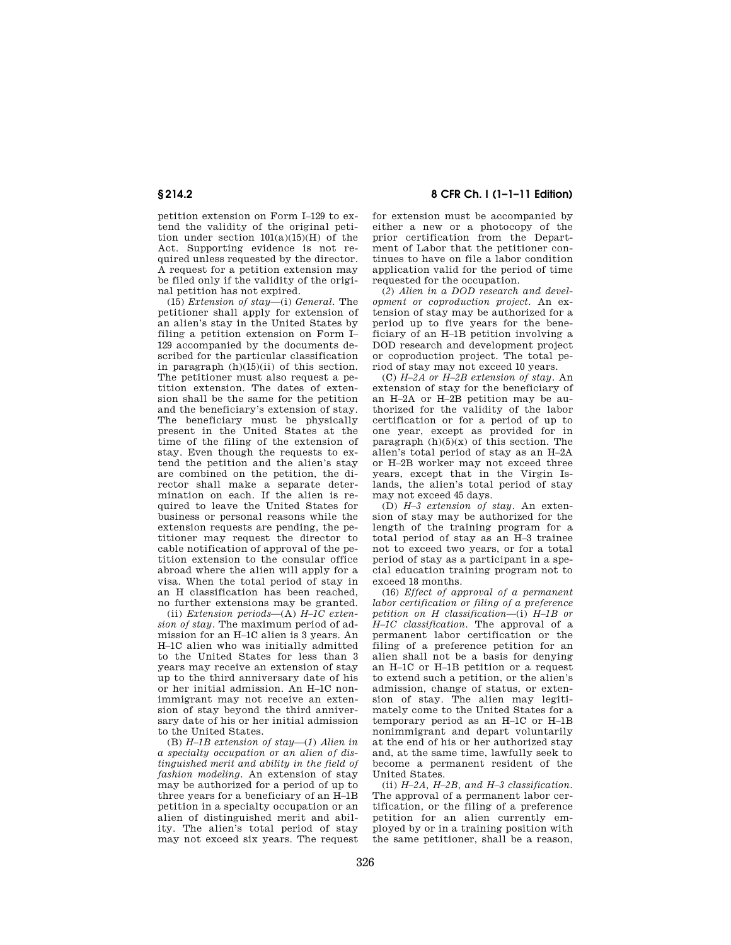petition extension on Form I–129 to extend the validity of the original petition under section  $101(a)(15)(H)$  of the Act. Supporting evidence is not required unless requested by the director. A request for a petition extension may be filed only if the validity of the original petition has not expired.

(15) *Extension of stay*—(i) *General.* The petitioner shall apply for extension of an alien's stay in the United States by filing a petition extension on Form I– 129 accompanied by the documents described for the particular classification in paragraph  $(h)(15)(ii)$  of this section. The petitioner must also request a petition extension. The dates of extension shall be the same for the petition and the beneficiary's extension of stay. The beneficiary must be physically present in the United States at the time of the filing of the extension of stay. Even though the requests to extend the petition and the alien's stay are combined on the petition, the director shall make a separate determination on each. If the alien is required to leave the United States for business or personal reasons while the extension requests are pending, the petitioner may request the director to cable notification of approval of the petition extension to the consular office abroad where the alien will apply for a visa. When the total period of stay in an H classification has been reached, no further extensions may be granted.

(ii) *Extension periods*—(A) *H–1C extension of stay.* The maximum period of admission for an H–1C alien is 3 years. An H–1C alien who was initially admitted to the United States for less than 3 years may receive an extension of stay up to the third anniversary date of his or her initial admission. An H–1C nonimmigrant may not receive an extension of stay beyond the third anniversary date of his or her initial admission to the United States.

(B) *H–1B extension of stay*—(*1*) *Alien in a specialty occupation or an alien of distinguished merit and ability in the field of fashion modeling.* An extension of stay may be authorized for a period of up to three years for a beneficiary of an H–1B petition in a specialty occupation or an alien of distinguished merit and ability. The alien's total period of stay may not exceed six years. The request

**§ 214.2 8 CFR Ch. I (1–1–11 Edition)** 

for extension must be accompanied by either a new or a photocopy of the prior certification from the Department of Labor that the petitioner continues to have on file a labor condition application valid for the period of time requested for the occupation.

(*2*) *Alien in a DOD research and development or coproduction project.* An extension of stay may be authorized for a period up to five years for the beneficiary of an H–1B petition involving a DOD research and development project or coproduction project. The total period of stay may not exceed 10 years.

(C) *H–2A or H–2B extension of stay.* An extension of stay for the beneficiary of an H–2A or H–2B petition may be authorized for the validity of the labor certification or for a period of up to one year, except as provided for in paragraph  $(h)(5)(x)$  of this section. The alien's total period of stay as an H–2A or H–2B worker may not exceed three years, except that in the Virgin Islands, the alien's total period of stay may not exceed 45 days.

(D) *H–3 extension of stay.* An extension of stay may be authorized for the length of the training program for a total period of stay as an H–3 trainee not to exceed two years, or for a total period of stay as a participant in a special education training program not to exceed 18 months.

(16) *Effect of approval of a permanent labor certification or filing of a preference petition on H classification*—(i) *H–1B or H–1C classification.* The approval of a permanent labor certification or the filing of a preference petition for an alien shall not be a basis for denying an H–1C or H–1B petition or a request to extend such a petition, or the alien's admission, change of status, or extension of stay. The alien may legitimately come to the United States for a temporary period as an H–1C or H–1B nonimmigrant and depart voluntarily at the end of his or her authorized stay and, at the same time, lawfully seek to become a permanent resident of the United States.

(ii) *H–2A, H–2B, and H–3 classification.*  The approval of a permanent labor certification, or the filing of a preference petition for an alien currently employed by or in a training position with the same petitioner, shall be a reason,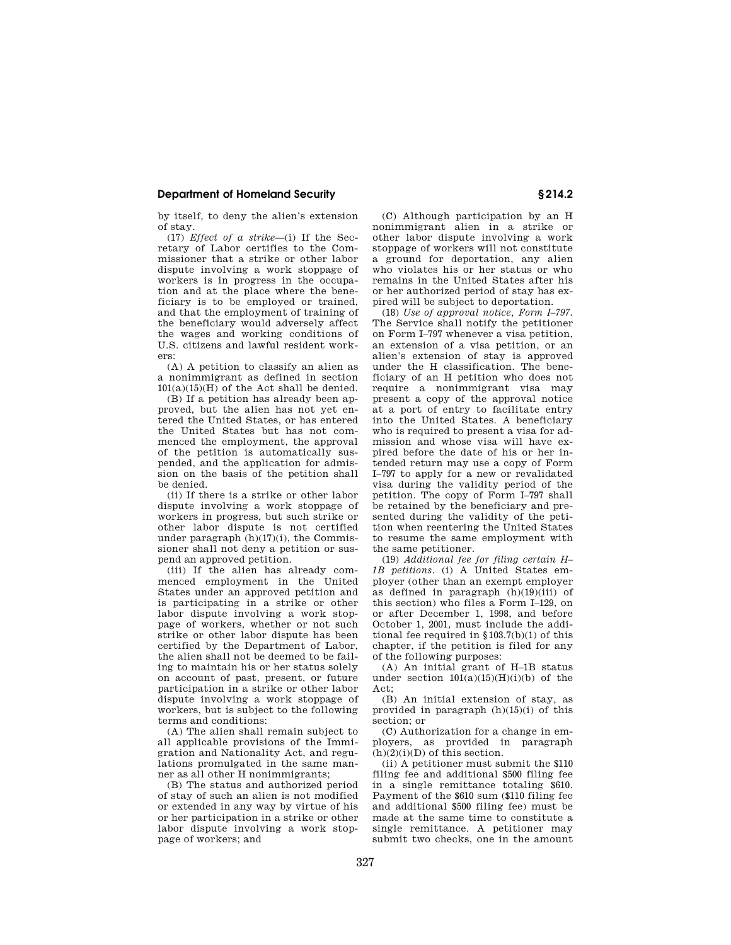by itself, to deny the alien's extension of stay.

(17) *Effect of a strike*—(i) If the Secretary of Labor certifies to the Commissioner that a strike or other labor dispute involving a work stoppage of workers is in progress in the occupation and at the place where the beneficiary is to be employed or trained, and that the employment of training of the beneficiary would adversely affect the wages and working conditions of U.S. citizens and lawful resident workers:

(A) A petition to classify an alien as a nonimmigrant as defined in section  $101(a)(15)(H)$  of the Act shall be denied.

(B) If a petition has already been approved, but the alien has not yet entered the United States, or has entered the United States but has not commenced the employment, the approval of the petition is automatically suspended, and the application for admission on the basis of the petition shall be denied.

(ii) If there is a strike or other labor dispute involving a work stoppage of workers in progress, but such strike or other labor dispute is not certified under paragraph (h)(17)(i), the Commissioner shall not deny a petition or suspend an approved petition.

(iii) If the alien has already commenced employment in the United States under an approved petition and is participating in a strike or other labor dispute involving a work stoppage of workers, whether or not such strike or other labor dispute has been certified by the Department of Labor, the alien shall not be deemed to be failing to maintain his or her status solely on account of past, present, or future participation in a strike or other labor dispute involving a work stoppage of workers, but is subject to the following terms and conditions:

(A) The alien shall remain subject to all applicable provisions of the Immigration and Nationality Act, and regulations promulgated in the same manner as all other H nonimmigrants;

(B) The status and authorized period of stay of such an alien is not modified or extended in any way by virtue of his or her participation in a strike or other labor dispute involving a work stoppage of workers; and

(C) Although participation by an H nonimmigrant alien in a strike or other labor dispute involving a work stoppage of workers will not constitute a ground for deportation, any alien who violates his or her status or who remains in the United States after his or her authorized period of stay has expired will be subject to deportation.

(18) *Use of approval notice, Form I–797.*  The Service shall notify the petitioner on Form I–797 whenever a visa petition, an extension of a visa petition, or an alien's extension of stay is approved under the H classification. The beneficiary of an H petition who does not require a nonimmigrant visa may present a copy of the approval notice at a port of entry to facilitate entry into the United States. A beneficiary who is required to present a visa for admission and whose visa will have expired before the date of his or her intended return may use a copy of Form I–797 to apply for a new or revalidated visa during the validity period of the petition. The copy of Form I–797 shall be retained by the beneficiary and presented during the validity of the petition when reentering the United States to resume the same employment with the same petitioner.

(19) *Additional fee for filing certain H– 1B petitions.* (i) A United States employer (other than an exempt employer as defined in paragraph (h)(19)(iii) of this section) who files a Form I–129, on or after December 1, 1998, and before October 1, 2001, must include the additional fee required in  $$103.7(b)(1)$  of this chapter, if the petition is filed for any of the following purposes:

(A) An initial grant of H–1B status under section  $101(a)(15)(H)(i)(b)$  of the Act;

(B) An initial extension of stay, as provided in paragraph (h)(15)(i) of this section; or

(C) Authorization for a change in employers, as provided in paragraph  $(h)(2)(i)(D)$  of this section.

(ii) A petitioner must submit the \$110 filing fee and additional \$500 filing fee in a single remittance totaling \$610. Payment of the \$610 sum (\$110 filing fee and additional \$500 filing fee) must be made at the same time to constitute a single remittance. A petitioner may submit two checks, one in the amount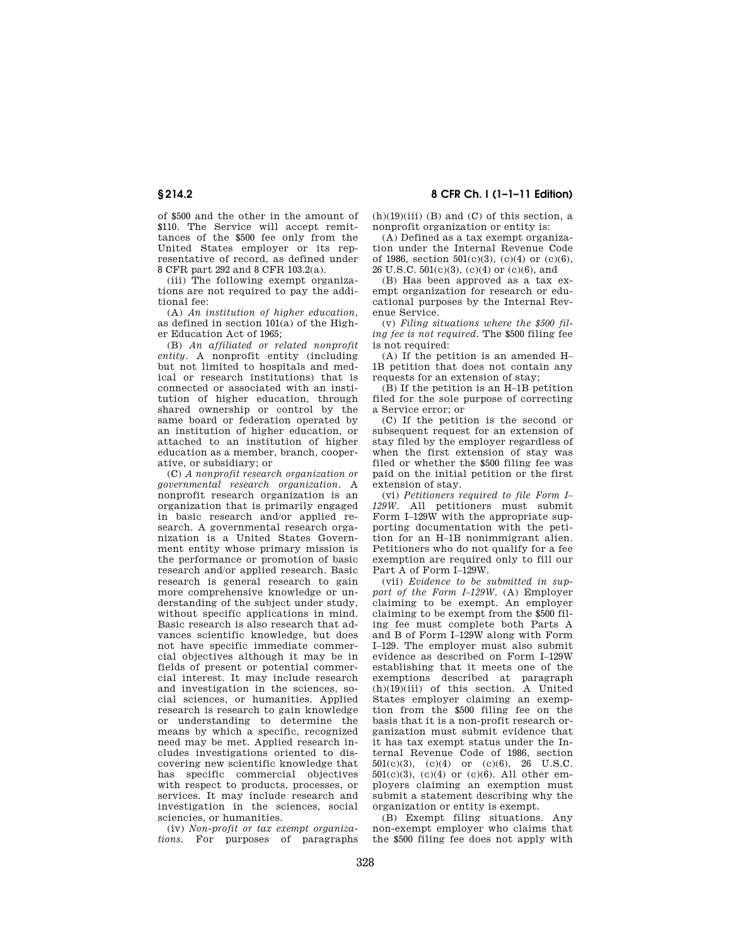of \$500 and the other in the amount of \$110. The Service will accept remittances of the \$500 fee only from the United States employer or its representative of record, as defined under 8 CFR part 292 and 8 CFR 103.2(a).

(iii) The following exempt organizations are not required to pay the additional fee:

(A) *An institution of higher education,*  as defined in section 101(a) of the Higher Education Act of 1965;

(B) *An affiliated or related nonprofit entity.* A nonprofit entity (including but not limited to hospitals and medical or research institutions) that is connected or associated with an institution of higher education, through shared ownership or control by the same board or federation operated by an institution of higher education, or attached to an institution of higher education as a member, branch, cooperative, or subsidiary; or

(C) *A nonprofit research organization or governmental research organization.* A nonprofit research organization is an organization that is primarily engaged in basic research and/or applied research. A governmental research organization is a United States Government entity whose primary mission is the performance or promotion of basic research and/or applied research. Basic research is general research to gain more comprehensive knowledge or understanding of the subject under study, without specific applications in mind. Basic research is also research that advances scientific knowledge, but does not have specific immediate commercial objectives although it may be in fields of present or potential commercial interest. It may include research and investigation in the sciences, social sciences, or humanities. Applied research is research to gain knowledge or understanding to determine the means by which a specific, recognized need may be met. Applied research includes investigations oriented to discovering new scientific knowledge that has specific commercial objectives with respect to products, processes, or services. It may include research and investigation in the sciences, social sciencies, or humanities.

(iv) *Non-profit or tax exempt organizations.* For purposes of paragraphs

**§ 214.2 8 CFR Ch. I (1–1–11 Edition)** 

 $(h)(19)(iii)$  (B) and (C) of this section, a nonprofit organization or entity is:

(A) Defined as a tax exempt organization under the Internal Revenue Code of 1986, section  $501(c)(3)$ ,  $(c)(4)$  or  $(c)(6)$ , 26 U.S.C. 501(c)(3), (c)(4) or (c)(6), and

(B) Has been approved as a tax exempt organization for research or educational purposes by the Internal Revenue Service.

(v) *Filing situations where the \$500 filing fee is not required.* The \$500 filing fee is not required:

(A) If the petition is an amended H– 1B petition that does not contain any requests for an extension of stay;

(B) If the petition is an H–1B petition filed for the sole purpose of correcting a Service error; or

(C) If the petition is the second or subsequent request for an extension of stay filed by the employer regardless of when the first extension of stay was filed or whether the \$500 filing fee was paid on the initial petition or the first extension of stay.

(vi) *Petitioners required to file Form I– 129W.* All petitioners must submit Form I–129W with the appropriate supporting documentation with the petition for an H–1B nonimmigrant alien. Petitioners who do not qualify for a fee exemption are required only to fill our Part A of Form I–129W.

(vii) *Evidence to be submitted in support of the Form I–129W.* (A) Employer claiming to be exempt. An employer claiming to be exempt from the \$500 filing fee must complete both Parts A and B of Form I–129W along with Form I–129. The employer must also submit evidence as described on Form I–129W establishing that it meets one of the exemptions described at paragraph  $(h)(19)(iii)$  of this section. A United States employer claiming an exemption from the \$500 filing fee on the basis that it is a non-profit research organization must submit evidence that it has tax exempt status under the Internal Revenue Code of 1986, section 501(c)(3), (c)(4) or (c)(6), 26 U.S.C.  $501(c)(3)$ ,  $(c)(4)$  or  $(c)(6)$ . All other employers claiming an exemption must submit a statement describing why the organization or entity is exempt.

(B) Exempt filing situations. Any non-exempt employer who claims that the \$500 filing fee does not apply with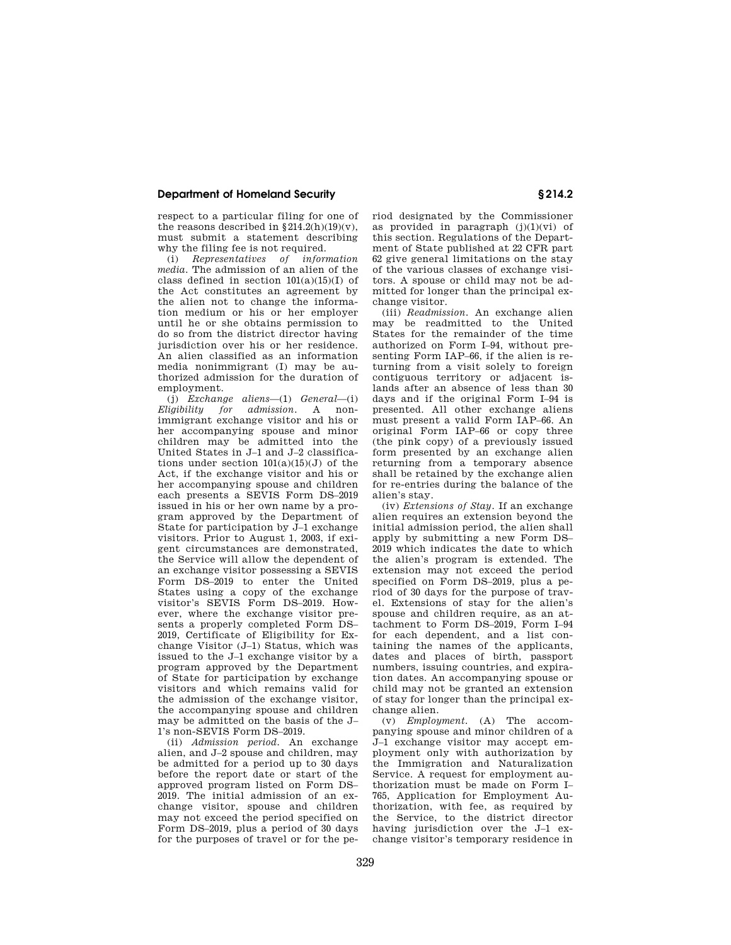respect to a particular filing for one of the reasons described in  $§214.2(h)(19)(v)$ , must submit a statement describing why the filing fee is not required.

(i) *Representatives of information media.* The admission of an alien of the class defined in section  $101(a)(15)(I)$  of the Act constitutes an agreement by the alien not to change the information medium or his or her employer until he or she obtains permission to do so from the district director having jurisdiction over his or her residence. An alien classified as an information media nonimmigrant (I) may be authorized admission for the duration of employment.

(j) *Exchange aliens*—(1) *General*—(i) *Eligibility for admission.* A nonimmigrant exchange visitor and his or her accompanying spouse and minor children may be admitted into the United States in J–1 and J–2 classifications under section  $101(a)(15)(J)$  of the Act, if the exchange visitor and his or her accompanying spouse and children each presents a SEVIS Form DS–2019 issued in his or her own name by a program approved by the Department of State for participation by  $\bar{J}$ –1 exchange visitors. Prior to August 1, 2003, if exigent circumstances are demonstrated, the Service will allow the dependent of an exchange visitor possessing a SEVIS Form DS–2019 to enter the United States using a copy of the exchange visitor's SEVIS Form DS–2019. However, where the exchange visitor presents a properly completed Form DS– 2019, Certificate of Eligibility for Exchange Visitor (J–1) Status, which was issued to the J–1 exchange visitor by a program approved by the Department of State for participation by exchange visitors and which remains valid for the admission of the exchange visitor, the accompanying spouse and children may be admitted on the basis of the J– 1's non-SEVIS Form DS–2019.

(ii) *Admission period.* An exchange alien, and J–2 spouse and children, may be admitted for a period up to 30 days before the report date or start of the approved program listed on Form DS– 2019. The initial admission of an exchange visitor, spouse and children may not exceed the period specified on Form DS–2019, plus a period of 30 days for the purposes of travel or for the period designated by the Commissioner as provided in paragraph  $(j)(1)(vi)$  of this section. Regulations of the Department of State published at 22 CFR part 62 give general limitations on the stay of the various classes of exchange visitors. A spouse or child may not be admitted for longer than the principal exchange visitor.

(iii) *Readmission.* An exchange alien may be readmitted to the United States for the remainder of the time authorized on Form I–94, without presenting Form IAP–66, if the alien is returning from a visit solely to foreign contiguous territory or adjacent islands after an absence of less than 30 days and if the original Form I–94 is presented. All other exchange aliens must present a valid Form IAP–66. An original Form IAP–66 or copy three (the pink copy) of a previously issued form presented by an exchange alien returning from a temporary absence shall be retained by the exchange alien for re-entries during the balance of the alien's stay.

(iv) *Extensions of Stay.* If an exchange alien requires an extension beyond the initial admission period, the alien shall apply by submitting a new Form DS– 2019 which indicates the date to which the alien's program is extended. The extension may not exceed the period specified on Form DS–2019, plus a period of 30 days for the purpose of travel. Extensions of stay for the alien's spouse and children require, as an attachment to Form DS–2019, Form I–94 for each dependent, and a list containing the names of the applicants, dates and places of birth, passport numbers, issuing countries, and expiration dates. An accompanying spouse or child may not be granted an extension of stay for longer than the principal exchange alien.

(v) *Employment.* (A) The accompanying spouse and minor children of a J–1 exchange visitor may accept employment only with authorization by the Immigration and Naturalization Service. A request for employment authorization must be made on Form I– 765, Application for Employment Authorization, with fee, as required by the Service, to the district director having jurisdiction over the J–1 exchange visitor's temporary residence in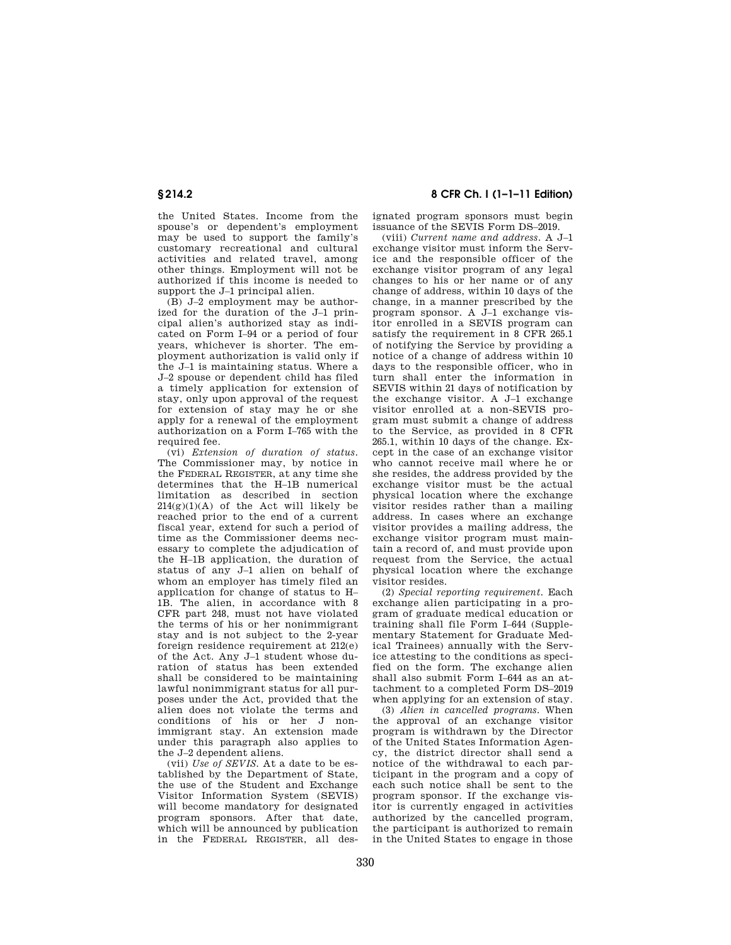the United States. Income from the spouse's or dependent's employment may be used to support the family's customary recreational and cultural activities and related travel, among other things. Employment will not be authorized if this income is needed to support the J–1 principal alien.

(B) J–2 employment may be authorized for the duration of the J–1 principal alien's authorized stay as indicated on Form I–94 or a period of four years, whichever is shorter. The employment authorization is valid only if the J–1 is maintaining status. Where a J–2 spouse or dependent child has filed a timely application for extension of stay, only upon approval of the request for extension of stay may he or she apply for a renewal of the employment authorization on a Form I–765 with the required fee.

(vi) *Extension of duration of status.*  The Commissioner may, by notice in the FEDERAL REGISTER, at any time she determines that the H–1B numerical limitation as described in section  $214(g)(1)(A)$  of the Act will likely be reached prior to the end of a current fiscal year, extend for such a period of time as the Commissioner deems necessary to complete the adjudication of the H–1B application, the duration of status of any J–1 alien on behalf of whom an employer has timely filed an application for change of status to H– 1B. The alien, in accordance with 8 CFR part 248, must not have violated the terms of his or her nonimmigrant stay and is not subject to the 2-year foreign residence requirement at 212(e) of the Act. Any J–1 student whose duration of status has been extended shall be considered to be maintaining lawful nonimmigrant status for all purposes under the Act, provided that the alien does not violate the terms and conditions of his or her J nonimmigrant stay. An extension made under this paragraph also applies to the J–2 dependent aliens.

(vii) *Use of SEVIS.* At a date to be established by the Department of State, the use of the Student and Exchange Visitor Information System (SEVIS) will become mandatory for designated program sponsors. After that date, which will be announced by publication in the FEDERAL REGISTER, all des-

**§ 214.2 8 CFR Ch. I (1–1–11 Edition)** 

ignated program sponsors must begin issuance of the SEVIS Form DS–2019.

(viii) *Current name and address.* A J–1 exchange visitor must inform the Service and the responsible officer of the exchange visitor program of any legal changes to his or her name or of any change of address, within 10 days of the change, in a manner prescribed by the program sponsor. A J–1 exchange visitor enrolled in a SEVIS program can satisfy the requirement in 8 CFR 265.1 of notifying the Service by providing a notice of a change of address within 10 days to the responsible officer, who in turn shall enter the information in SEVIS within 21 days of notification by the exchange visitor. A J–1 exchange visitor enrolled at a non-SEVIS program must submit a change of address to the Service, as provided in 8 CFR 265.1, within 10 days of the change. Except in the case of an exchange visitor who cannot receive mail where he or she resides, the address provided by the exchange visitor must be the actual physical location where the exchange visitor resides rather than a mailing address. In cases where an exchange visitor provides a mailing address, the exchange visitor program must maintain a record of, and must provide upon request from the Service, the actual physical location where the exchange visitor resides.

(2) *Special reporting requirement.* Each exchange alien participating in a program of graduate medical education or training shall file Form I–644 (Supplementary Statement for Graduate Medical Trainees) annually with the Service attesting to the conditions as specified on the form. The exchange alien shall also submit Form I–644 as an attachment to a completed Form DS–2019 when applying for an extension of stay.

(3) *Alien in cancelled programs.* When the approval of an exchange visitor program is withdrawn by the Director of the United States Information Agency, the district director shall send a notice of the withdrawal to each participant in the program and a copy of each such notice shall be sent to the program sponsor. If the exchange visitor is currently engaged in activities authorized by the cancelled program, the participant is authorized to remain in the United States to engage in those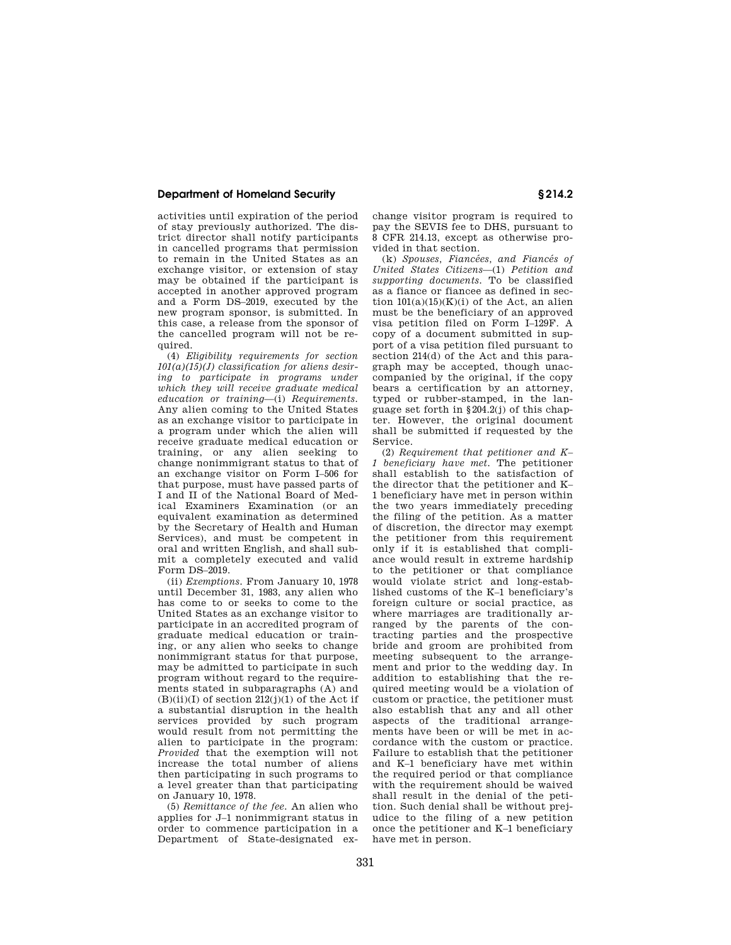activities until expiration of the period of stay previously authorized. The district director shall notify participants in cancelled programs that permission to remain in the United States as an exchange visitor, or extension of stay may be obtained if the participant is accepted in another approved program and a Form DS–2019, executed by the new program sponsor, is submitted. In this case, a release from the sponsor of the cancelled program will not be required.

(4) *Eligibility requirements for section 101(a)(15)(J) classification for aliens desiring to participate in programs under which they will receive graduate medical education or training*—(i) *Requirements.*  Any alien coming to the United States as an exchange visitor to participate in a program under which the alien will receive graduate medical education or training, or any alien seeking to change nonimmigrant status to that of an exchange visitor on Form I–506 for that purpose, must have passed parts of I and II of the National Board of Medical Examiners Examination (or an equivalent examination as determined by the Secretary of Health and Human Services), and must be competent in oral and written English, and shall submit a completely executed and valid Form DS–2019.

(ii) *Exemptions.* From January 10, 1978 until December 31, 1983, any alien who has come to or seeks to come to the United States as an exchange visitor to participate in an accredited program of graduate medical education or training, or any alien who seeks to change nonimmigrant status for that purpose, may be admitted to participate in such program without regard to the requirements stated in subparagraphs (A) and  $(B)(ii)(I)$  of section  $212(j)(1)$  of the Act if a substantial disruption in the health services provided by such program would result from not permitting the alien to participate in the program: *Provided* that the exemption will not increase the total number of aliens then participating in such programs to a level greater than that participating on January 10, 1978.

(5) *Remittance of the fee.* An alien who applies for J–1 nonimmigrant status in order to commence participation in a Department of State-designated exchange visitor program is required to pay the SEVIS fee to DHS, pursuant to 8 CFR 214.13, except as otherwise provided in that section.

(k) *Spouses, Fiancées, and Fiancés of United States Citizens*—(1) *Petition and supporting documents.* To be classified as a fiance or fiancee as defined in section  $101(a)(15)(K)(i)$  of the Act, an alien must be the beneficiary of an approved visa petition filed on Form I–129F. A copy of a document submitted in support of a visa petition filed pursuant to section 214(d) of the Act and this paragraph may be accepted, though unaccompanied by the original, if the copy bears a certification by an attorney, typed or rubber-stamped, in the language set forth in §204.2(j) of this chapter. However, the original document shall be submitted if requested by the Service.

(2) *Requirement that petitioner and K– 1 beneficiary have met.* The petitioner shall establish to the satisfaction of the director that the petitioner and K– 1 beneficiary have met in person within the two years immediately preceding the filing of the petition. As a matter of discretion, the director may exempt the petitioner from this requirement only if it is established that compliance would result in extreme hardship to the petitioner or that compliance would violate strict and long-established customs of the K–1 beneficiary's foreign culture or social practice, as where marriages are traditionally arranged by the parents of the contracting parties and the prospective bride and groom are prohibited from meeting subsequent to the arrangement and prior to the wedding day. In addition to establishing that the required meeting would be a violation of custom or practice, the petitioner must also establish that any and all other aspects of the traditional arrangements have been or will be met in accordance with the custom or practice. Failure to establish that the petitioner and K–1 beneficiary have met within the required period or that compliance with the requirement should be waived shall result in the denial of the petition. Such denial shall be without prejudice to the filing of a new petition once the petitioner and K–1 beneficiary have met in person.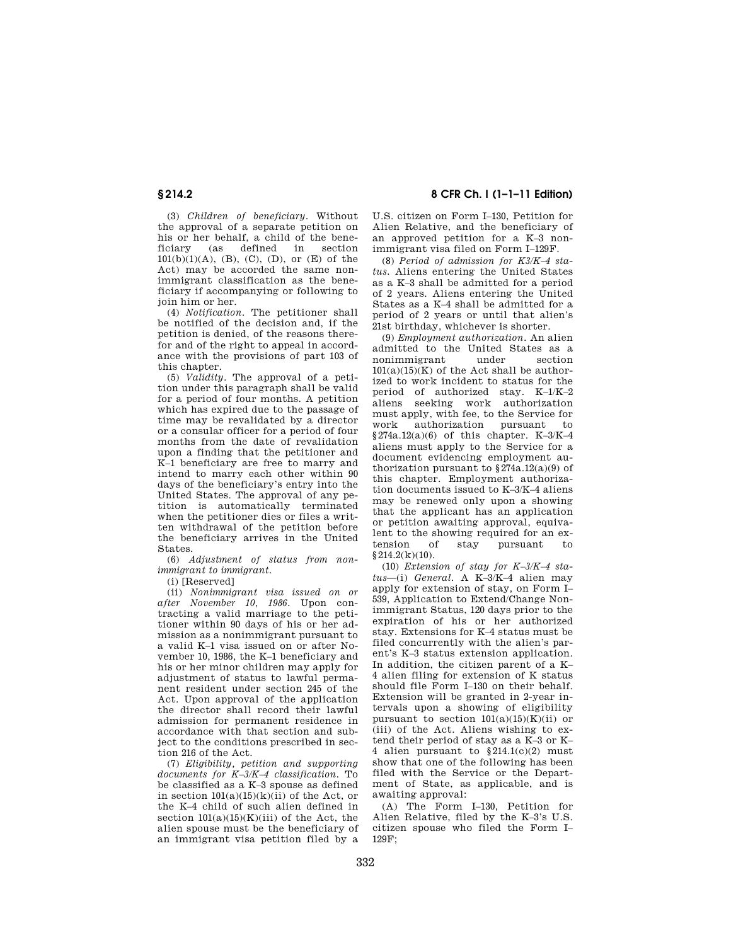(3) *Children of beneficiary.* Without the approval of a separate petition on his or her behalf, a child of the bene-<br>ficiary (as defined in section ficiary (as defined in section  $101(b)(1)(A)$ , (B), (C), (D), or (E) of the Act) may be accorded the same nonimmigrant classification as the beneficiary if accompanying or following to join him or her.

(4) *Notification.* The petitioner shall be notified of the decision and, if the petition is denied, of the reasons therefor and of the right to appeal in accordance with the provisions of part 103 of this chapter.

(5) *Validity.* The approval of a petition under this paragraph shall be valid for a period of four months. A petition which has expired due to the passage of time may be revalidated by a director or a consular officer for a period of four months from the date of revalidation upon a finding that the petitioner and K–1 beneficiary are free to marry and intend to marry each other within 90 days of the beneficiary's entry into the United States. The approval of any petition is automatically terminated when the petitioner dies or files a written withdrawal of the petition before the beneficiary arrives in the United **States** 

(6) *Adjustment of status from nonimmigrant to immigrant.* 

(i) [Reserved]

(ii) *Nonimmigrant visa issued on or after November 10, 1986.* Upon contracting a valid marriage to the petitioner within 90 days of his or her admission as a nonimmigrant pursuant to a valid K–1 visa issued on or after November 10, 1986, the K–1 beneficiary and his or her minor children may apply for adjustment of status to lawful permanent resident under section 245 of the Act. Upon approval of the application the director shall record their lawful admission for permanent residence in accordance with that section and subject to the conditions prescribed in section 216 of the Act.

(7) *Eligibility, petition and supporting documents for K–3/K–4 classification.* To be classified as a K–3 spouse as defined in section  $101(a)(15)(k)(ii)$  of the Act, or the K–4 child of such alien defined in section  $101(a)(15)(K)(iii)$  of the Act, the alien spouse must be the beneficiary of an immigrant visa petition filed by a

**§ 214.2 8 CFR Ch. I (1–1–11 Edition)** 

U.S. citizen on Form I–130, Petition for Alien Relative, and the beneficiary of an approved petition for a K–3 nonimmigrant visa filed on Form I–129F.

(8) *Period of admission for K3/K–4 status.* Aliens entering the United States as a K–3 shall be admitted for a period of 2 years. Aliens entering the United States as a K–4 shall be admitted for a period of 2 years or until that alien's 21st birthday, whichever is shorter.

(9) *Employment authorization.* An alien admitted to the United States as a nonimmigrant under section  $101(a)(15)(K)$  of the Act shall be authorized to work incident to status for the period of authorized stay. K–1/K–2 aliens seeking work authorization must apply, with fee, to the Service for work authorization pursuant to  $§274a.12(a)(6)$  of this chapter. K-3/K-4 aliens must apply to the Service for a document evidencing employment authorization pursuant to  $§274a.12(a)(9)$  of this chapter. Employment authorization documents issued to K–3/K–4 aliens may be renewed only upon a showing that the applicant has an application or petition awaiting approval, equivalent to the showing required for an extension of stay pursuant to  $§214.2(k)(10).$ 

(10) *Extension of stay for K–3/K–4 status*—(i) *General.* A K–3/K–4 alien may apply for extension of stay, on Form I– 539, Application to Extend/Change Nonimmigrant Status, 120 days prior to the expiration of his or her authorized stay. Extensions for K–4 status must be filed concurrently with the alien's parent's K–3 status extension application. In addition, the citizen parent of a K– 4 alien filing for extension of K status should file Form I–130 on their behalf. Extension will be granted in 2-year intervals upon a showing of eligibility pursuant to section  $101(a)(15)(K)(ii)$  or (iii) of the Act. Aliens wishing to extend their period of stay as a K–3 or K– 4 alien pursuant to  $$214.1(c)(2)$  must show that one of the following has been filed with the Service or the Department of State, as applicable, and is awaiting approval:

(A) The Form I–130, Petition for Alien Relative, filed by the K–3's U.S. citizen spouse who filed the Form I–  $129F$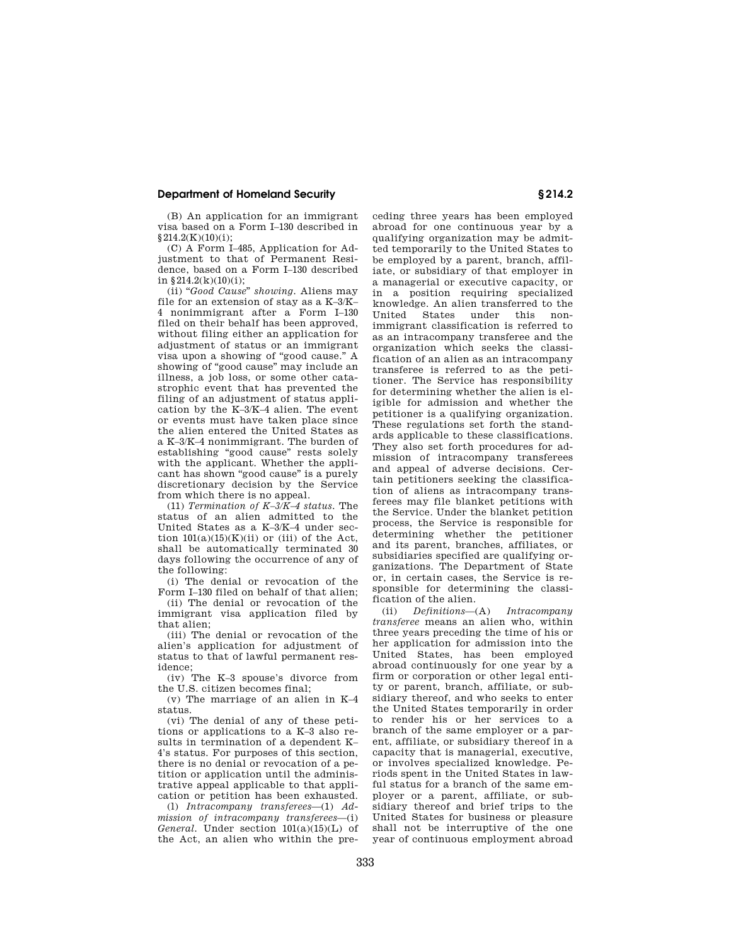(B) An application for an immigrant visa based on a Form I–130 described in §214.2(K)(10)(i);

(C) A Form I–485, Application for Adjustment to that of Permanent Residence, based on a Form I–130 described in  $$214.2(k)(10)(i);$ 

(ii) ''*Good Cause*'' *showing.* Aliens may file for an extension of stay as a K–3/K– 4 nonimmigrant after a Form I–130 filed on their behalf has been approved, without filing either an application for adjustment of status or an immigrant visa upon a showing of ''good cause.'' A showing of "good cause" may include an illness, a job loss, or some other catastrophic event that has prevented the filing of an adjustment of status application by the K–3/K–4 alien. The event or events must have taken place since the alien entered the United States as a K–3/K–4 nonimmigrant. The burden of establishing ''good cause'' rests solely with the applicant. Whether the applicant has shown "good cause" is a purely discretionary decision by the Service from which there is no appeal.

(11) *Termination of K–3/K–4 status.* The status of an alien admitted to the United States as a K–3/K–4 under section  $101(a)(15)(K)(ii)$  or (iii) of the Act, shall be automatically terminated 30 days following the occurrence of any of the following:

(i) The denial or revocation of the Form I–130 filed on behalf of that alien;

(ii) The denial or revocation of the immigrant visa application filed by that alien;

(iii) The denial or revocation of the alien's application for adjustment of status to that of lawful permanent residence;

(iv) The K–3 spouse's divorce from the U.S. citizen becomes final;

(v) The marriage of an alien in K–4 status.

(vi) The denial of any of these petitions or applications to a K–3 also results in termination of a dependent K– 4's status. For purposes of this section, there is no denial or revocation of a petition or application until the administrative appeal applicable to that application or petition has been exhausted.

(l) *Intracompany transferees*—(1) *Admission of intracompany transferees*—(i) *General.* Under section 101(a)(15)(L) of the Act, an alien who within the preceding three years has been employed abroad for one continuous year by a qualifying organization may be admitted temporarily to the United States to be employed by a parent, branch, affiliate, or subsidiary of that employer in a managerial or executive capacity, or in a position requiring specialized knowledge. An alien transferred to the United States under this nonimmigrant classification is referred to as an intracompany transferee and the organization which seeks the classification of an alien as an intracompany transferee is referred to as the petitioner. The Service has responsibility for determining whether the alien is eligible for admission and whether the petitioner is a qualifying organization. These regulations set forth the standards applicable to these classifications. They also set forth procedures for admission of intracompany transferees and appeal of adverse decisions. Certain petitioners seeking the classification of aliens as intracompany transferees may file blanket petitions with the Service. Under the blanket petition process, the Service is responsible for determining whether the petitioner and its parent, branches, affiliates, or subsidiaries specified are qualifying organizations. The Department of State or, in certain cases, the Service is responsible for determining the classification of the alien.

(ii) *Definitions*—(A) *Intracompany transferee* means an alien who, within three years preceding the time of his or her application for admission into the United States, has been employed abroad continuously for one year by a firm or corporation or other legal entity or parent, branch, affiliate, or subsidiary thereof, and who seeks to enter the United States temporarily in order to render his or her services to a branch of the same employer or a parent, affiliate, or subsidiary thereof in a capacity that is managerial, executive, or involves specialized knowledge. Periods spent in the United States in lawful status for a branch of the same employer or a parent, affiliate, or subsidiary thereof and brief trips to the United States for business or pleasure shall not be interruptive of the one year of continuous employment abroad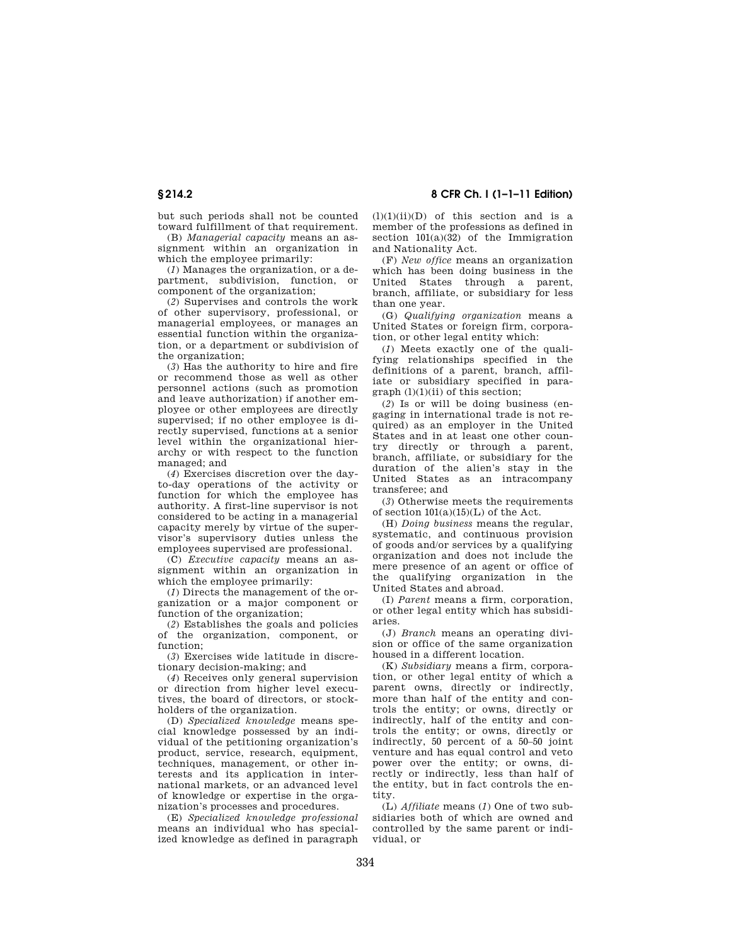but such periods shall not be counted toward fulfillment of that requirement.

(B) *Managerial capacity* means an assignment within an organization in which the employee primarily:

(*1*) Manages the organization, or a department, subdivision, function, or component of the organization;

(*2*) Supervises and controls the work of other supervisory, professional, or managerial employees, or manages an essential function within the organization, or a department or subdivision of the organization;

(*3*) Has the authority to hire and fire or recommend those as well as other personnel actions (such as promotion and leave authorization) if another employee or other employees are directly supervised; if no other employee is directly supervised, functions at a senior level within the organizational hierarchy or with respect to the function managed; and

(*4*) Exercises discretion over the dayto-day operations of the activity or function for which the employee has authority. A first-line supervisor is not considered to be acting in a managerial capacity merely by virtue of the supervisor's supervisory duties unless the employees supervised are professional.

(C) *Executive capacity* means an assignment within an organization in which the employee primarily:

(*1*) Directs the management of the organization or a major component or function of the organization;

(*2*) Establishes the goals and policies of the organization, component, or function;

(*3*) Exercises wide latitude in discretionary decision-making; and

(*4*) Receives only general supervision or direction from higher level executives, the board of directors, or stockholders of the organization.

(D) *Specialized knowledge* means special knowledge possessed by an individual of the petitioning organization's product, service, research, equipment, techniques, management, or other interests and its application in international markets, or an advanced level of knowledge or expertise in the organization's processes and procedures.

(E) *Specialized knowledge professional*  means an individual who has specialized knowledge as defined in paragraph  $(l)(1)(ii)(D)$  of this section and is a member of the professions as defined in section 101(a)(32) of the Immigration and Nationality Act.

(F) *New office* means an organization which has been doing business in the United States through a parent, branch, affiliate, or subsidiary for less than one year.

(G) *Qualifying organization* means a United States or foreign firm, corporation, or other legal entity which:

(*1*) Meets exactly one of the qualifying relationships specified in the definitions of a parent, branch, affiliate or subsidiary specified in para $graph (l)(1)(ii)$  of this section;

(*2*) Is or will be doing business (engaging in international trade is not required) as an employer in the United States and in at least one other country directly or through a parent, branch, affiliate, or subsidiary for the duration of the alien's stay in the United States as an intracompany transferee; and

(*3*) Otherwise meets the requirements of section  $101(a)(15)(L)$  of the Act.

(H) *Doing business* means the regular, systematic, and continuous provision of goods and/or services by a qualifying organization and does not include the mere presence of an agent or office of the qualifying organization in the United States and abroad.

(I) *Parent* means a firm, corporation, or other legal entity which has subsidiaries.

(J) *Branch* means an operating division or office of the same organization housed in a different location.

(K) *Subsidiary* means a firm, corporation, or other legal entity of which a parent owns, directly or indirectly, more than half of the entity and controls the entity; or owns, directly or indirectly, half of the entity and controls the entity; or owns, directly or indirectly, 50 percent of a 50–50 joint venture and has equal control and veto power over the entity; or owns, directly or indirectly, less than half of the entity, but in fact controls the entity.

(L) *Affiliate* means (*1*) One of two subsidiaries both of which are owned and controlled by the same parent or individual, or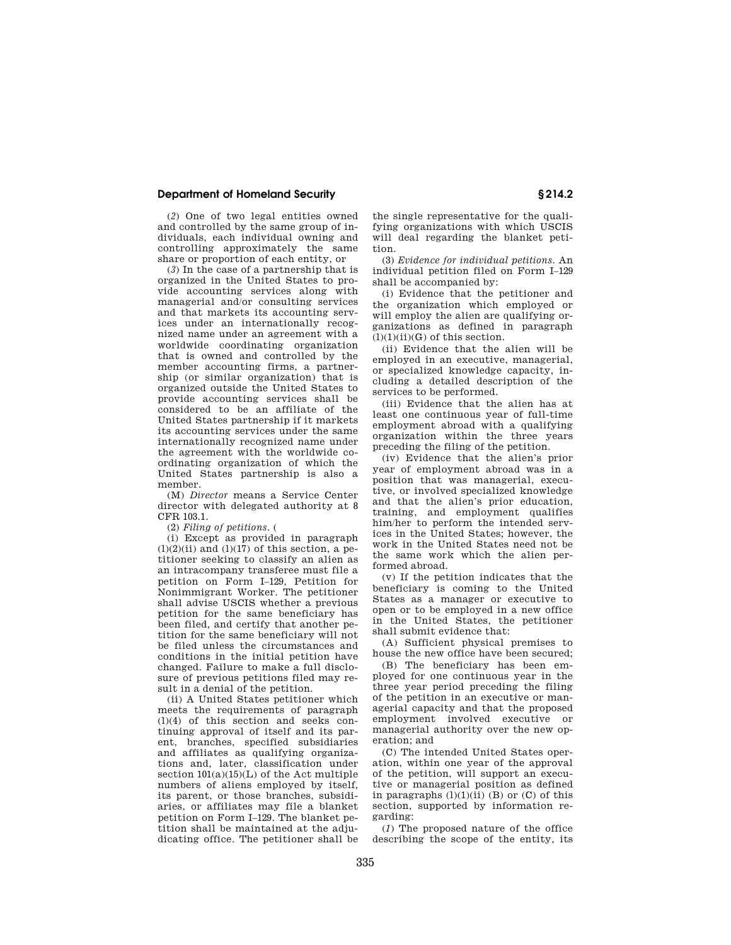(*2*) One of two legal entities owned and controlled by the same group of individuals, each individual owning and controlling approximately the same share or proportion of each entity, or

(*3*) In the case of a partnership that is organized in the United States to provide accounting services along with managerial and/or consulting services and that markets its accounting services under an internationally recognized name under an agreement with a worldwide coordinating organization that is owned and controlled by the member accounting firms, a partnership (or similar organization) that is organized outside the United States to provide accounting services shall be considered to be an affiliate of the United States partnership if it markets its accounting services under the same internationally recognized name under the agreement with the worldwide coordinating organization of which the United States partnership is also a member.

(M) *Director* means a Service Center director with delegated authority at 8 CFR 103.1.

(2) *Filing of petitions.* (

(i) Except as provided in paragraph  $(1)(2)(ii)$  and  $(1)(17)$  of this section, a petitioner seeking to classify an alien as an intracompany transferee must file a petition on Form I–129, Petition for Nonimmigrant Worker. The petitioner shall advise USCIS whether a previous petition for the same beneficiary has been filed, and certify that another petition for the same beneficiary will not be filed unless the circumstances and conditions in the initial petition have changed. Failure to make a full disclosure of previous petitions filed may result in a denial of the petition.

(ii) A United States petitioner which meets the requirements of paragraph (l)(4) of this section and seeks continuing approval of itself and its parent, branches, specified subsidiaries and affiliates as qualifying organizations and, later, classification under section  $101(a)(15)(L)$  of the Act multiple numbers of aliens employed by itself, its parent, or those branches, subsidiaries, or affiliates may file a blanket petition on Form I–129. The blanket petition shall be maintained at the adjudicating office. The petitioner shall be

the single representative for the qualifying organizations with which USCIS will deal regarding the blanket petition.

(3) *Evidence for individual petitions.* An individual petition filed on Form I–129 shall be accompanied by:

(i) Evidence that the petitioner and the organization which employed or will employ the alien are qualifying organizations as defined in paragraph  $(l)(1)(ii)(G)$  of this section.

(ii) Evidence that the alien will be employed in an executive, managerial, or specialized knowledge capacity, including a detailed description of the services to be performed.

(iii) Evidence that the alien has at least one continuous year of full-time employment abroad with a qualifying organization within the three years preceding the filing of the petition.

(iv) Evidence that the alien's prior year of employment abroad was in a position that was managerial, executive, or involved specialized knowledge and that the alien's prior education, training, and employment qualifies him/her to perform the intended services in the United States; however, the work in the United States need not be the same work which the alien performed abroad.

(v) If the petition indicates that the beneficiary is coming to the United States as a manager or executive to open or to be employed in a new office in the United States, the petitioner shall submit evidence that:

(A) Sufficient physical premises to house the new office have been secured;

(B) The beneficiary has been employed for one continuous year in the three year period preceding the filing of the petition in an executive or managerial capacity and that the proposed employment involved executive or managerial authority over the new operation; and

(C) The intended United States operation, within one year of the approval of the petition, will support an executive or managerial position as defined in paragraphs  $(l)(1)(ii)$  (B) or  $(C)$  of this section, supported by information regarding:

(*1*) The proposed nature of the office describing the scope of the entity, its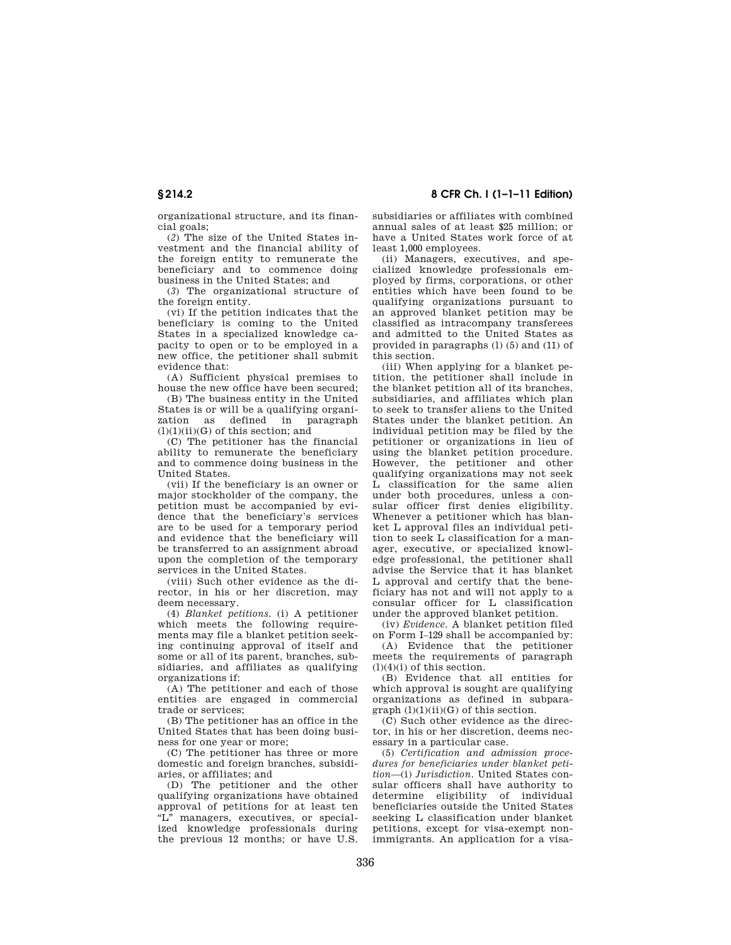organizational structure, and its financial goals;

(*2*) The size of the United States investment and the financial ability of the foreign entity to remunerate the beneficiary and to commence doing business in the United States; and

(*3*) The organizational structure of the foreign entity.

(vi) If the petition indicates that the beneficiary is coming to the United States in a specialized knowledge capacity to open or to be employed in a new office, the petitioner shall submit evidence that:

(A) Sufficient physical premises to house the new office have been secured;

(B) The business entity in the United States is or will be a qualifying organization as defined in paragraph  $(l)(1)(ii)(G)$  of this section; and

(C) The petitioner has the financial ability to remunerate the beneficiary and to commence doing business in the United States.

(vii) If the beneficiary is an owner or major stockholder of the company, the petition must be accompanied by evidence that the beneficiary's services are to be used for a temporary period and evidence that the beneficiary will be transferred to an assignment abroad upon the completion of the temporary services in the United States.

(viii) Such other evidence as the director, in his or her discretion, may deem necessary.

(4) *Blanket petitions.* (i) A petitioner which meets the following requirements may file a blanket petition seeking continuing approval of itself and some or all of its parent, branches, subsidiaries, and affiliates as qualifying organizations if:

(A) The petitioner and each of those entities are engaged in commercial trade or services;

(B) The petitioner has an office in the United States that has been doing business for one year or more;

(C) The petitioner has three or more domestic and foreign branches, subsidiaries, or affiliates; and

(D) The petitioner and the other qualifying organizations have obtained approval of petitions for at least ten "L" managers, executives, or specialized knowledge professionals during the previous 12 months; or have U.S.

**§ 214.2 8 CFR Ch. I (1–1–11 Edition)** 

subsidiaries or affiliates with combined annual sales of at least \$25 million; or have a United States work force of at least 1,000 employees.

(ii) Managers, executives, and specialized knowledge professionals employed by firms, corporations, or other entities which have been found to be qualifying organizations pursuant to an approved blanket petition may be classified as intracompany transferees and admitted to the United States as provided in paragraphs (l) (5) and (11) of this section.

(iii) When applying for a blanket petition, the petitioner shall include in the blanket petition all of its branches, subsidiaries, and affiliates which plan to seek to transfer aliens to the United States under the blanket petition. An individual petition may be filed by the petitioner or organizations in lieu of using the blanket petition procedure. However, the petitioner and other qualifying organizations may not seek L classification for the same alien under both procedures, unless a consular officer first denies eligibility. Whenever a petitioner which has blanket L approval files an individual petition to seek L classification for a manager, executive, or specialized knowledge professional, the petitioner shall advise the Service that it has blanket L approval and certify that the beneficiary has not and will not apply to a consular officer for L classification under the approved blanket petition.

(iv) *Evidence.* A blanket petition filed on Form I–129 shall be accompanied by:

(A) Evidence that the petitioner meets the requirements of paragraph  $(l)(4)(i)$  of this section.

(B) Evidence that all entities for which approval is sought are qualifying organizations as defined in subparagraph  $(l)(1)(ii)(G)$  of this section.

(C) Such other evidence as the director, in his or her discretion, deems necessary in a particular case.

(5) *Certification and admission procedures for beneficiaries under blanket petition*—(i) *Jurisdiction.* United States consular officers shall have authority to determine eligibility of individual beneficiaries outside the United States seeking L classification under blanket petitions, except for visa-exempt nonimmigrants. An application for a visa-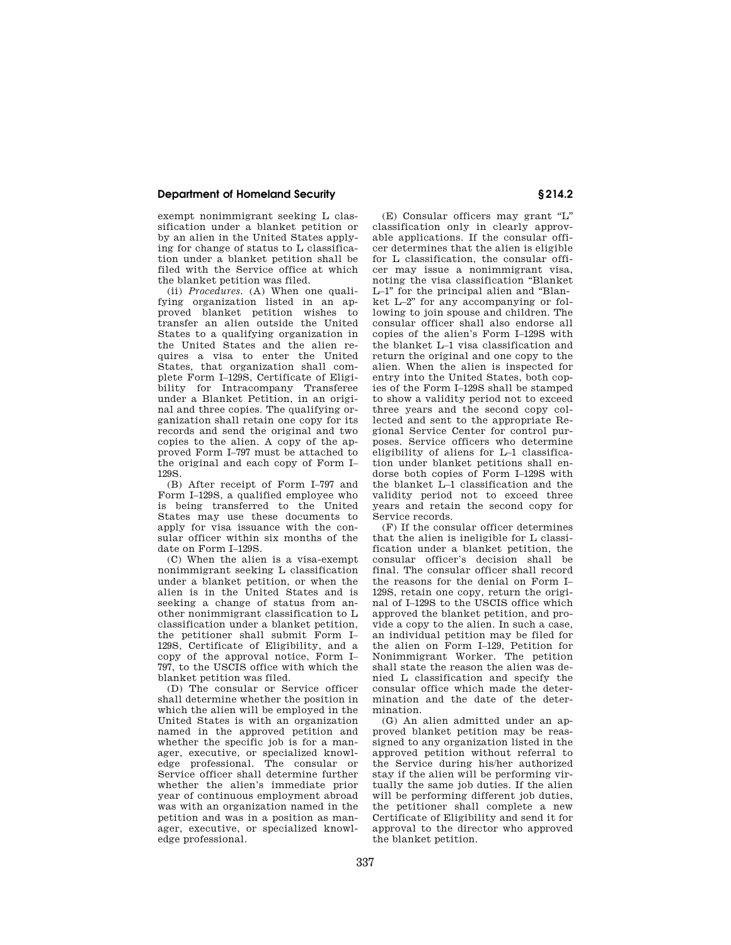exempt nonimmigrant seeking L classification under a blanket petition or by an alien in the United States applying for change of status to L classification under a blanket petition shall be filed with the Service office at which the blanket petition was filed.

(ii) *Procedures.* (A) When one qualifying organization listed in an approved blanket petition wishes to transfer an alien outside the United States to a qualifying organization in the United States and the alien requires a visa to enter the United States, that organization shall complete Form I–129S, Certificate of Eligibility for Intracompany Transferee under a Blanket Petition, in an original and three copies. The qualifying organization shall retain one copy for its records and send the original and two copies to the alien. A copy of the approved Form I–797 must be attached to the original and each copy of Form I– 129S.

(B) After receipt of Form I–797 and Form I–129S, a qualified employee who is being transferred to the United States may use these documents to apply for visa issuance with the consular officer within six months of the date on Form I–129S.

(C) When the alien is a visa-exempt nonimmigrant seeking L classification under a blanket petition, or when the alien is in the United States and is seeking a change of status from another nonimmigrant classification to L classification under a blanket petition, the petitioner shall submit Form I– 129S, Certificate of Eligibility, and a copy of the approval notice, Form I– 797, to the USCIS office with which the blanket petition was filed.

(D) The consular or Service officer shall determine whether the position in which the alien will be employed in the United States is with an organization named in the approved petition and whether the specific job is for a manager, executive, or specialized knowledge professional. The consular or Service officer shall determine further whether the alien's immediate prior year of continuous employment abroad was with an organization named in the petition and was in a position as manager, executive, or specialized knowledge professional.

(E) Consular officers may grant ''L'' classification only in clearly approvable applications. If the consular officer determines that the alien is eligible for L classification, the consular officer may issue a nonimmigrant visa, noting the visa classification ''Blanket L–1'' for the principal alien and ''Blanket L–2'' for any accompanying or following to join spouse and children. The consular officer shall also endorse all copies of the alien's Form I–129S with the blanket L–1 visa classification and return the original and one copy to the alien. When the alien is inspected for entry into the United States, both copies of the Form I–129S shall be stamped to show a validity period not to exceed three years and the second copy collected and sent to the appropriate Regional Service Center for control purposes. Service officers who determine eligibility of aliens for L–1 classification under blanket petitions shall endorse both copies of Form I–129S with the blanket L–1 classification and the validity period not to exceed three years and retain the second copy for Service records.

(F) If the consular officer determines that the alien is ineligible for L classification under a blanket petition, the consular officer's decision shall be final. The consular officer shall record the reasons for the denial on Form I– 129S, retain one copy, return the original of I–129S to the USCIS office which approved the blanket petition, and provide a copy to the alien. In such a case, an individual petition may be filed for the alien on Form I–129, Petition for Nonimmigrant Worker. The petition shall state the reason the alien was denied L classification and specify the consular office which made the determination and the date of the determination.

(G) An alien admitted under an approved blanket petition may be reassigned to any organization listed in the approved petition without referral to the Service during his/her authorized stay if the alien will be performing virtually the same job duties. If the alien will be performing different job duties, the petitioner shall complete a new Certificate of Eligibility and send it for approval to the director who approved the blanket petition.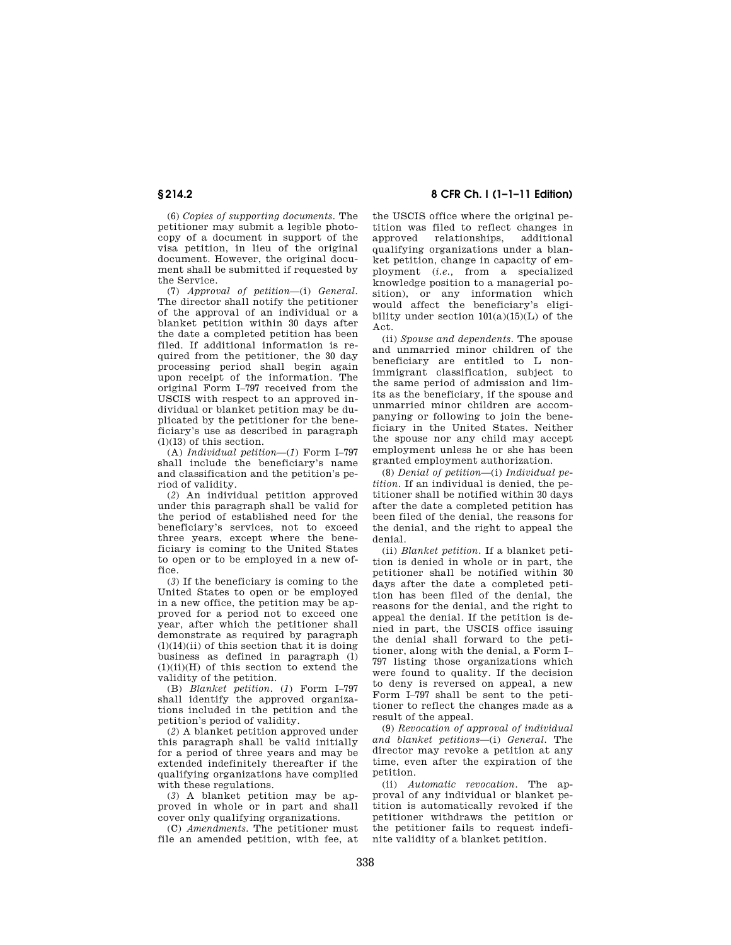(6) *Copies of supporting documents.* The petitioner may submit a legible photocopy of a document in support of the visa petition, in lieu of the original document. However, the original document shall be submitted if requested by the Service.

(7) *Approval of petition*—(i) *General.*  The director shall notify the petitioner of the approval of an individual or a blanket petition within 30 days after the date a completed petition has been filed. If additional information is required from the petitioner, the 30 day processing period shall begin again upon receipt of the information. The original Form I–797 received from the USCIS with respect to an approved individual or blanket petition may be duplicated by the petitioner for the beneficiary's use as described in paragraph  $(1)(13)$  of this section.

(A) *Individual petition*—(*1*) Form I–797 shall include the beneficiary's name and classification and the petition's period of validity.

(*2*) An individual petition approved under this paragraph shall be valid for the period of established need for the beneficiary's services, not to exceed three years, except where the beneficiary is coming to the United States to open or to be employed in a new office.

(*3*) If the beneficiary is coming to the United States to open or be employed in a new office, the petition may be approved for a period not to exceed one year, after which the petitioner shall demonstrate as required by paragraph  $(l)(14)(ii)$  of this section that it is doing  $b$ usiness as defined in paragraph  $(l)$  $(1)(ii)(H)$  of this section to extend the validity of the petition.

(B) *Blanket petition.* (*1*) Form I–797 shall identify the approved organizations included in the petition and the petition's period of validity.

(*2*) A blanket petition approved under this paragraph shall be valid initially for a period of three years and may be extended indefinitely thereafter if the qualifying organizations have complied with these regulations.

(*3*) A blanket petition may be approved in whole or in part and shall cover only qualifying organizations.

(C) *Amendments.* The petitioner must file an amended petition, with fee, at

**§ 214.2 8 CFR Ch. I (1–1–11 Edition)** 

the USCIS office where the original petition was filed to reflect changes in approved relationships, additional qualifying organizations under a blanket petition, change in capacity of employment (*i.e.,* from a specialized knowledge position to a managerial position), or any information which would affect the beneficiary's eligibility under section  $101(a)(15)(L)$  of the Act.

(ii) *Spouse and dependents.* The spouse and unmarried minor children of the beneficiary are entitled to L nonimmigrant classification, subject to the same period of admission and limits as the beneficiary, if the spouse and unmarried minor children are accompanying or following to join the beneficiary in the United States. Neither the spouse nor any child may accept employment unless he or she has been granted employment authorization.

(8) *Denial of petition*—(i) *Individual petition.* If an individual is denied, the petitioner shall be notified within 30 days after the date a completed petition has been filed of the denial, the reasons for the denial, and the right to appeal the denial.

(ii) *Blanket petition.* If a blanket petition is denied in whole or in part, the petitioner shall be notified within 30 days after the date a completed petition has been filed of the denial, the reasons for the denial, and the right to appeal the denial. If the petition is denied in part, the USCIS office issuing the denial shall forward to the petitioner, along with the denial, a Form I– 797 listing those organizations which were found to quality. If the decision to deny is reversed on appeal, a new Form I–797 shall be sent to the petitioner to reflect the changes made as a result of the appeal.

(9) *Revocation of approval of individual and blanket petitions*—(i) *General.* The director may revoke a petition at any time, even after the expiration of the petition.

(ii) *Automatic revocation.* The approval of any individual or blanket petition is automatically revoked if the petitioner withdraws the petition or the petitioner fails to request indefinite validity of a blanket petition.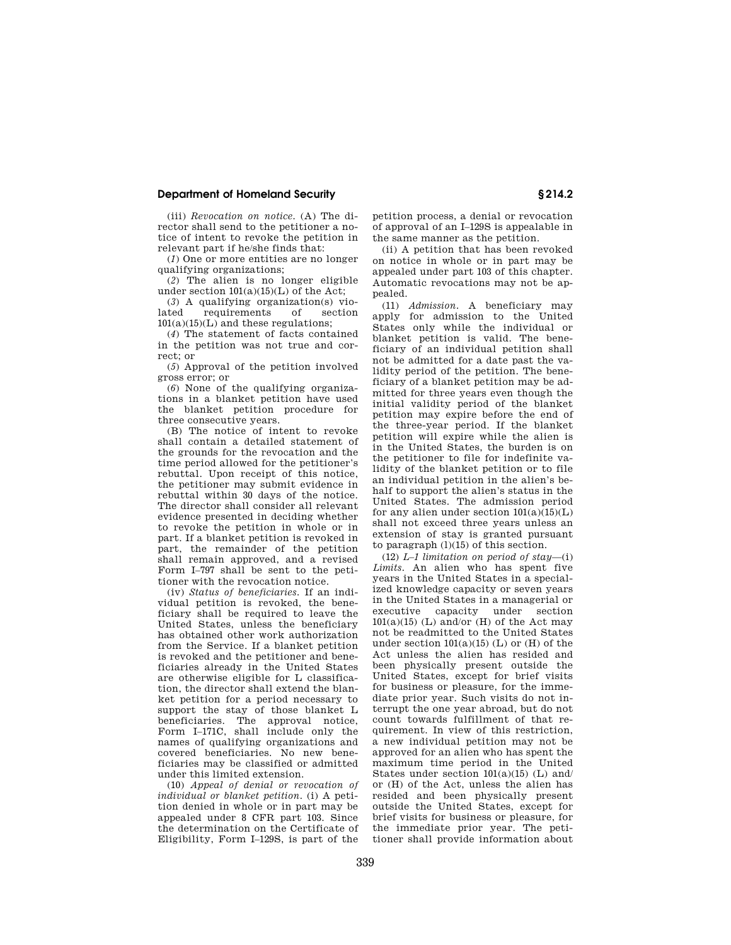(iii) *Revocation on notice.* (A) The director shall send to the petitioner a notice of intent to revoke the petition in relevant part if he/she finds that:

(*1*) One or more entities are no longer qualifying organizations;

(*2*) The alien is no longer eligible under section 101(a)(15)(L) of the Act;

(3) A qualifying organization(s) vio-<br>lated requirements of section requirements  $101(a)(15)(L)$  and these regulations;

(*4*) The statement of facts contained in the petition was not true and correct; or

(*5*) Approval of the petition involved gross error; or

(*6*) None of the qualifying organizations in a blanket petition have used the blanket petition procedure for three consecutive years.

(B) The notice of intent to revoke shall contain a detailed statement of the grounds for the revocation and the time period allowed for the petitioner's rebuttal. Upon receipt of this notice, the petitioner may submit evidence in rebuttal within 30 days of the notice. The director shall consider all relevant evidence presented in deciding whether to revoke the petition in whole or in part. If a blanket petition is revoked in part, the remainder of the petition shall remain approved, and a revised Form I–797 shall be sent to the petitioner with the revocation notice.

(iv) *Status of beneficiaries.* If an individual petition is revoked, the beneficiary shall be required to leave the United States, unless the beneficiary has obtained other work authorization from the Service. If a blanket petition is revoked and the petitioner and beneficiaries already in the United States are otherwise eligible for L classification, the director shall extend the blanket petition for a period necessary to support the stay of those blanket L beneficiaries. The approval notice, Form I–171C, shall include only the names of qualifying organizations and covered beneficiaries. No new beneficiaries may be classified or admitted under this limited extension.

(10) *Appeal of denial or revocation of individual or blanket petition.* (i) A petition denied in whole or in part may be appealed under 8 CFR part 103. Since the determination on the Certificate of Eligibility, Form I–129S, is part of the

petition process, a denial or revocation of approval of an I–129S is appealable in the same manner as the petition.

(ii) A petition that has been revoked on notice in whole or in part may be appealed under part 103 of this chapter. Automatic revocations may not be appealed.

(11) *Admission.* A beneficiary may apply for admission to the United States only while the individual or blanket petition is valid. The beneficiary of an individual petition shall not be admitted for a date past the validity period of the petition. The beneficiary of a blanket petition may be admitted for three years even though the initial validity period of the blanket petition may expire before the end of the three-year period. If the blanket petition will expire while the alien is in the United States, the burden is on the petitioner to file for indefinite validity of the blanket petition or to file an individual petition in the alien's behalf to support the alien's status in the United States. The admission period for any alien under section  $101(a)(15)(L)$ shall not exceed three years unless an extension of stay is granted pursuant to paragraph  $(l)(15)$  of this section.

(12) *L–1 limitation on period of stay*—(i) *Limits.* An alien who has spent five years in the United States in a specialized knowledge capacity or seven years in the United States in a managerial or executive capacity under section  $101(a)(15)$  (L) and/or (H) of the Act may not be readmitted to the United States under section  $101(a)(15)$  (L) or (H) of the Act unless the alien has resided and been physically present outside the United States, except for brief visits for business or pleasure, for the immediate prior year. Such visits do not interrupt the one year abroad, but do not count towards fulfillment of that requirement. In view of this restriction, a new individual petition may not be approved for an alien who has spent the maximum time period in the United States under section 101(a)(15) (L) and/ or (H) of the Act, unless the alien has resided and been physically present outside the United States, except for brief visits for business or pleasure, for the immediate prior year. The petitioner shall provide information about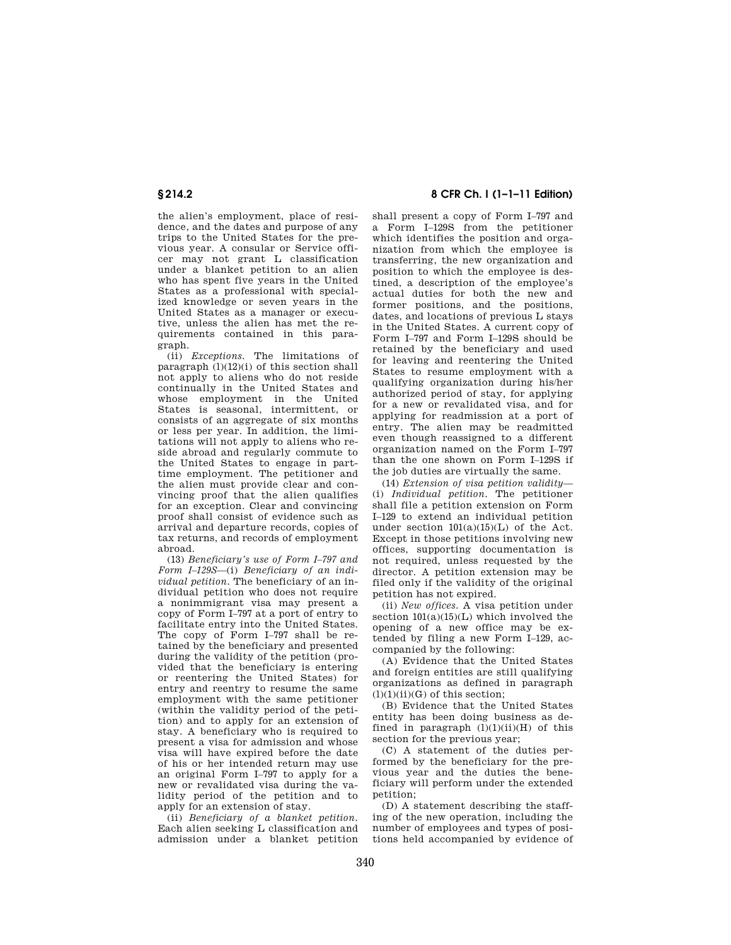the alien's employment, place of residence, and the dates and purpose of any trips to the United States for the previous year. A consular or Service officer may not grant L classification under a blanket petition to an alien who has spent five years in the United States as a professional with specialized knowledge or seven years in the United States as a manager or executive, unless the alien has met the requirements contained in this paragraph.

(ii) *Exceptions.* The limitations of paragraph  $(1)(12)(i)$  of this section shall not apply to aliens who do not reside continually in the United States and whose employment in the United States is seasonal, intermittent, or consists of an aggregate of six months or less per year. In addition, the limitations will not apply to aliens who reside abroad and regularly commute to the United States to engage in parttime employment. The petitioner and the alien must provide clear and convincing proof that the alien qualifies for an exception. Clear and convincing proof shall consist of evidence such as arrival and departure records, copies of tax returns, and records of employment abroad.

(13) *Beneficiary's use of Form I–797 and Form I–129S*—(i) *Beneficiary of an individual petition.* The beneficiary of an individual petition who does not require a nonimmigrant visa may present a copy of Form I–797 at a port of entry to facilitate entry into the United States. The copy of Form I–797 shall be retained by the beneficiary and presented during the validity of the petition (provided that the beneficiary is entering or reentering the United States) for entry and reentry to resume the same employment with the same petitioner (within the validity period of the petition) and to apply for an extension of stay. A beneficiary who is required to present a visa for admission and whose visa will have expired before the date of his or her intended return may use an original Form I–797 to apply for a new or revalidated visa during the validity period of the petition and to apply for an extension of stay.

(ii) *Beneficiary of a blanket petition.*  Each alien seeking L classification and admission under a blanket petition

**§ 214.2 8 CFR Ch. I (1–1–11 Edition)** 

shall present a copy of Form I–797 and a Form I–129S from the petitioner which identifies the position and organization from which the employee is transferring, the new organization and position to which the employee is destined, a description of the employee's actual duties for both the new and former positions, and the positions, dates, and locations of previous L stays in the United States. A current copy of Form I–797 and Form I–129S should be retained by the beneficiary and used for leaving and reentering the United States to resume employment with a qualifying organization during his/her authorized period of stay, for applying for a new or revalidated visa, and for applying for readmission at a port of entry. The alien may be readmitted even though reassigned to a different organization named on the Form I–797 than the one shown on Form I–129S if the job duties are virtually the same.

(14) *Extension of visa petition validity*— (i) *Individual petition.* The petitioner shall file a petition extension on Form I–129 to extend an individual petition under section  $101(a)(15)(L)$  of the Act. Except in those petitions involving new offices, supporting documentation is not required, unless requested by the director. A petition extension may be filed only if the validity of the original petition has not expired.

(ii) *New offices.* A visa petition under section  $101(a)(15)(L)$  which involved the opening of a new office may be extended by filing a new Form I–129, accompanied by the following:

(A) Evidence that the United States and foreign entities are still qualifying organizations as defined in paragraph  $(l)(1)(ii)(G)$  of this section:

(B) Evidence that the United States entity has been doing business as defined in paragraph  $(l)(1)(ii)(H)$  of this section for the previous year;

(C) A statement of the duties performed by the beneficiary for the previous year and the duties the beneficiary will perform under the extended petition;

(D) A statement describing the staffing of the new operation, including the number of employees and types of positions held accompanied by evidence of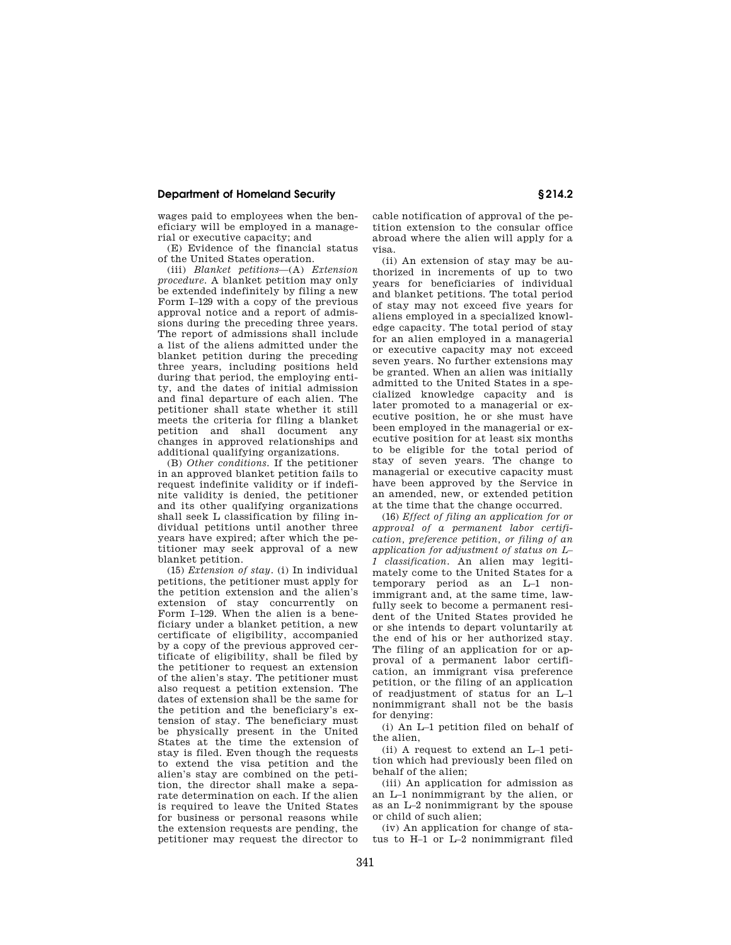wages paid to employees when the beneficiary will be employed in a managerial or executive capacity; and

(E) Evidence of the financial status of the United States operation.

(iii) *Blanket petitions*—(A) *Extension procedure.* A blanket petition may only be extended indefinitely by filing a new Form I–129 with a copy of the previous approval notice and a report of admissions during the preceding three years. The report of admissions shall include a list of the aliens admitted under the blanket petition during the preceding three years, including positions held during that period, the employing entity, and the dates of initial admission and final departure of each alien. The petitioner shall state whether it still meets the criteria for filing a blanket petition and shall document any changes in approved relationships and additional qualifying organizations.

(B) *Other conditions.* If the petitioner in an approved blanket petition fails to request indefinite validity or if indefinite validity is denied, the petitioner and its other qualifying organizations shall seek L classification by filing individual petitions until another three years have expired; after which the petitioner may seek approval of a new blanket petition.

(15) *Extension of stay.* (i) In individual petitions, the petitioner must apply for the petition extension and the alien's extension of stay concurrently on Form I–129. When the alien is a beneficiary under a blanket petition, a new certificate of eligibility, accompanied by a copy of the previous approved certificate of eligibility, shall be filed by the petitioner to request an extension of the alien's stay. The petitioner must also request a petition extension. The dates of extension shall be the same for the petition and the beneficiary's extension of stay. The beneficiary must be physically present in the United States at the time the extension of stay is filed. Even though the requests to extend the visa petition and the alien's stay are combined on the petition, the director shall make a separate determination on each. If the alien is required to leave the United States for business or personal reasons while the extension requests are pending, the petitioner may request the director to

cable notification of approval of the petition extension to the consular office abroad where the alien will apply for a visa.

(ii) An extension of stay may be authorized in increments of up to two years for beneficiaries of individual and blanket petitions. The total period of stay may not exceed five years for aliens employed in a specialized knowledge capacity. The total period of stay for an alien employed in a managerial or executive capacity may not exceed seven years. No further extensions may be granted. When an alien was initially admitted to the United States in a specialized knowledge capacity and is later promoted to a managerial or executive position, he or she must have been employed in the managerial or executive position for at least six months to be eligible for the total period of stay of seven years. The change to managerial or executive capacity must have been approved by the Service in an amended, new, or extended petition at the time that the change occurred.

(16) *Effect of filing an application for or approval of a permanent labor certification, preference petition, or filing of an application for adjustment of status on L– 1 classification.* An alien may legitimately come to the United States for a temporary period as an L–1 nonimmigrant and, at the same time, lawfully seek to become a permanent resident of the United States provided he or she intends to depart voluntarily at the end of his or her authorized stay. The filing of an application for or approval of a permanent labor certification, an immigrant visa preference petition, or the filing of an application of readjustment of status for an L–1 nonimmigrant shall not be the basis for denying:

(i) An L–1 petition filed on behalf of the alien,

(ii) A request to extend an L–1 petition which had previously been filed on behalf of the alien;

(iii) An application for admission as an L–1 nonimmigrant by the alien, or as an L–2 nonimmigrant by the spouse or child of such alien;

(iv) An application for change of status to H–1 or L–2 nonimmigrant filed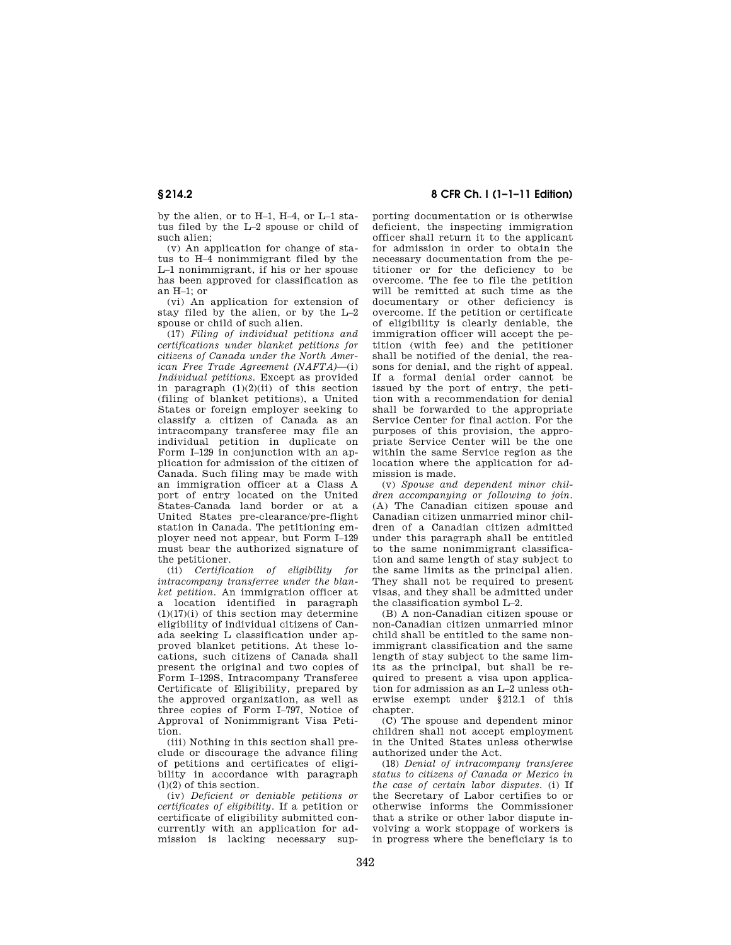by the alien, or to H–1, H–4, or L–1 status filed by the L–2 spouse or child of such alien;

(v) An application for change of status to H–4 nonimmigrant filed by the L–1 nonimmigrant, if his or her spouse has been approved for classification as an H–1; or

(vi) An application for extension of stay filed by the alien, or by the L–2 spouse or child of such alien.

(17) *Filing of individual petitions and certifications under blanket petitions for citizens of Canada under the North American Free Trade Agreement (NAFTA)*—(i) *Individual petitions.* Except as provided in paragraph  $(1)(2)(ii)$  of this section (filing of blanket petitions), a United States or foreign employer seeking to classify a citizen of Canada as an intracompany transferee may file an individual petition in duplicate on Form I–129 in conjunction with an application for admission of the citizen of Canada. Such filing may be made with an immigration officer at a Class A port of entry located on the United States-Canada land border or at a United States pre-clearance/pre-flight station in Canada. The petitioning employer need not appear, but Form I–129 must bear the authorized signature of the petitioner.

(ii) *Certification of eligibility for intracompany transferree under the blanket petition.* An immigration officer at a location identified in paragraph  $(1)(17)(i)$  of this section may determine eligibility of individual citizens of Canada seeking L classification under approved blanket petitions. At these locations, such citizens of Canada shall present the original and two copies of Form I–129S, Intracompany Transferee Certificate of Eligibility, prepared by the approved organization, as well as three copies of Form I–797, Notice of Approval of Nonimmigrant Visa Petition.

(iii) Nothing in this section shall preclude or discourage the advance filing of petitions and certificates of eligibility in accordance with paragraph (l)(2) of this section.

(iv) *Deficient or deniable petitions or certificates of eligibility.* If a petition or certificate of eligibility submitted concurrently with an application for admission is lacking necessary sup-

**§ 214.2 8 CFR Ch. I (1–1–11 Edition)** 

porting documentation or is otherwise deficient, the inspecting immigration officer shall return it to the applicant for admission in order to obtain the necessary documentation from the petitioner or for the deficiency to be overcome. The fee to file the petition will be remitted at such time as the documentary or other deficiency is overcome. If the petition or certificate of eligibility is clearly deniable, the immigration officer will accept the petition (with fee) and the petitioner shall be notified of the denial, the reasons for denial, and the right of appeal. If a formal denial order cannot be issued by the port of entry, the petition with a recommendation for denial shall be forwarded to the appropriate Service Center for final action. For the purposes of this provision, the appropriate Service Center will be the one within the same Service region as the location where the application for admission is made.

(v) *Spouse and dependent minor children accompanying or following to join.*  (A) The Canadian citizen spouse and Canadian citizen unmarried minor children of a Canadian citizen admitted under this paragraph shall be entitled to the same nonimmigrant classification and same length of stay subject to the same limits as the principal alien. They shall not be required to present visas, and they shall be admitted under the classification symbol L–2.

(B) A non-Canadian citizen spouse or non-Canadian citizen unmarried minor child shall be entitled to the same nonimmigrant classification and the same length of stay subject to the same limits as the principal, but shall be required to present a visa upon application for admission as an L–2 unless otherwise exempt under §212.1 of this chapter.

(C) The spouse and dependent minor children shall not accept employment in the United States unless otherwise authorized under the Act.

(18) *Denial of intracompany transferee status to citizens of Canada or Mexico in the case of certain labor disputes.* (i) If the Secretary of Labor certifies to or otherwise informs the Commissioner that a strike or other labor dispute involving a work stoppage of workers is in progress where the beneficiary is to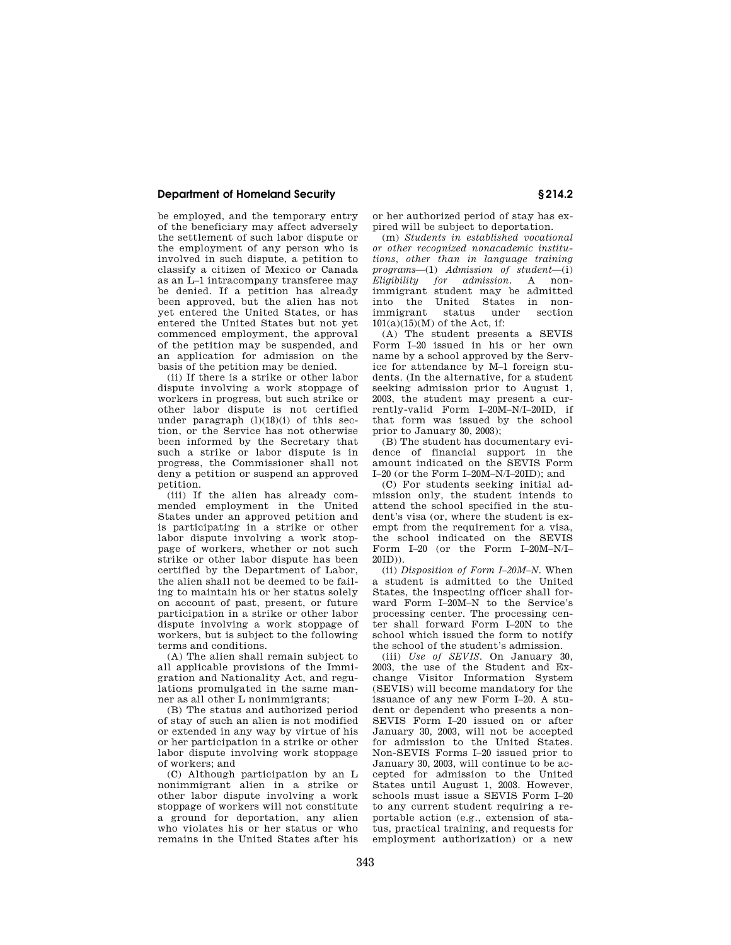be employed, and the temporary entry of the beneficiary may affect adversely the settlement of such labor dispute or the employment of any person who is involved in such dispute, a petition to classify a citizen of Mexico or Canada as an L–1 intracompany transferee may be denied. If a petition has already been approved, but the alien has not yet entered the United States, or has entered the United States but not yet commenced employment, the approval of the petition may be suspended, and an application for admission on the basis of the petition may be denied.

(ii) If there is a strike or other labor dispute involving a work stoppage of workers in progress, but such strike or other labor dispute is not certified under paragraph  $(l)(18)(i)$  of this section, or the Service has not otherwise been informed by the Secretary that such a strike or labor dispute is in progress, the Commissioner shall not deny a petition or suspend an approved petition.

(iii) If the alien has already commended employment in the United States under an approved petition and is participating in a strike or other labor dispute involving a work stoppage of workers, whether or not such strike or other labor dispute has been certified by the Department of Labor, the alien shall not be deemed to be failing to maintain his or her status solely on account of past, present, or future participation in a strike or other labor dispute involving a work stoppage of workers, but is subject to the following terms and conditions.

(A) The alien shall remain subject to all applicable provisions of the Immigration and Nationality Act, and regulations promulgated in the same manner as all other L nonimmigrants;

(B) The status and authorized period of stay of such an alien is not modified or extended in any way by virtue of his or her participation in a strike or other labor dispute involving work stoppage of workers; and

(C) Although participation by an L nonimmigrant alien in a strike or other labor dispute involving a work stoppage of workers will not constitute a ground for deportation, any alien who violates his or her status or who remains in the United States after his or her authorized period of stay has expired will be subject to deportation.

(m) *Students in established vocational or other recognized nonacademic institutions, other than in language training programs*—(1) *Admission of student*—(i) *Eligibility for admission.* A nonimmigrant student may be admitted into the United States in nonunder section  $101(a)(15)(M)$  of the Act, if:

(A) The student presents a SEVIS Form I–20 issued in his or her own name by a school approved by the Service for attendance by M–1 foreign students. (In the alternative, for a student seeking admission prior to August 1, 2003, the student may present a currently-valid Form I–20M–N/I–20ID, if that form was issued by the school prior to January 30, 2003);

(B) The student has documentary evidence of financial support in the amount indicated on the SEVIS Form I–20 (or the Form I–20M–N/I–20ID); and

(C) For students seeking initial admission only, the student intends to attend the school specified in the student's visa (or, where the student is exempt from the requirement for a visa, the school indicated on the SEVIS Form I–20 (or the Form I–20M–N/I– 20ID)).

(ii) *Disposition of Form I–20M–N.* When a student is admitted to the United States, the inspecting officer shall forward Form I–20M–N to the Service's processing center. The processing center shall forward Form I–20N to the school which issued the form to notify the school of the student's admission.

(iii) *Use of SEVIS.* On January 30, 2003, the use of the Student and Exchange Visitor Information System (SEVIS) will become mandatory for the issuance of any new Form I–20. A student or dependent who presents a non-SEVIS Form I–20 issued on or after January 30, 2003, will not be accepted for admission to the United States. Non-SEVIS Forms I–20 issued prior to January 30, 2003, will continue to be accepted for admission to the United States until August 1, 2003. However, schools must issue a SEVIS Form I–20 to any current student requiring a reportable action (e.g., extension of status, practical training, and requests for employment authorization) or a new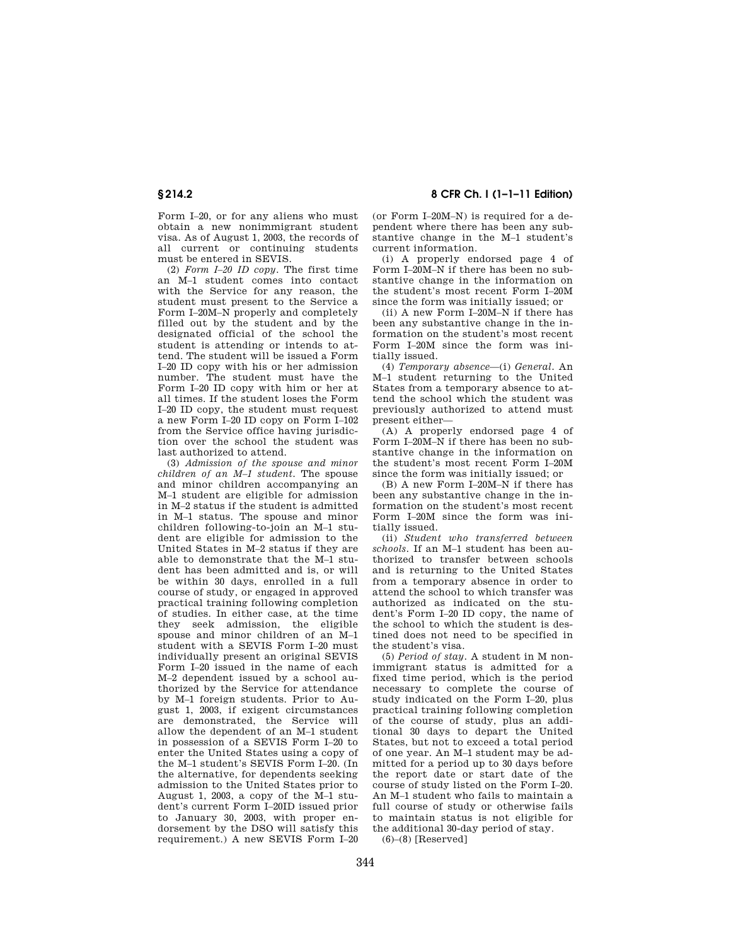Form I–20, or for any aliens who must obtain a new nonimmigrant student visa. As of August 1, 2003, the records of all current or continuing students must be entered in SEVIS.

(2) *Form I–20 ID copy.* The first time an M–1 student comes into contact with the Service for any reason, the student must present to the Service a Form I–20M–N properly and completely filled out by the student and by the designated official of the school the student is attending or intends to attend. The student will be issued a Form I–20 ID copy with his or her admission number. The student must have the Form I–20 ID copy with him or her at all times. If the student loses the Form I–20 ID copy, the student must request a new Form I–20 ID copy on Form I–102 from the Service office having jurisdiction over the school the student was last authorized to attend.

(3) *Admission of the spouse and minor children of an M–1 student.* The spouse and minor children accompanying an M–1 student are eligible for admission in M–2 status if the student is admitted in M–1 status. The spouse and minor children following-to-join an M–1 student are eligible for admission to the United States in M–2 status if they are able to demonstrate that the M–1 student has been admitted and is, or will be within 30 days, enrolled in a full course of study, or engaged in approved practical training following completion of studies. In either case, at the time they seek admission, the eligible spouse and minor children of an M–1 student with a SEVIS Form I–20 must individually present an original SEVIS Form I–20 issued in the name of each M–2 dependent issued by a school authorized by the Service for attendance by M–1 foreign students. Prior to August 1, 2003, if exigent circumstances are demonstrated, the Service will allow the dependent of an M–1 student in possession of a SEVIS Form I–20 to enter the United States using a copy of the M–1 student's SEVIS Form I–20. (In the alternative, for dependents seeking admission to the United States prior to August 1, 2003, a copy of the M–1 student's current Form I–20ID issued prior to January 30, 2003, with proper endorsement by the DSO will satisfy this requirement.) A new SEVIS Form I–20

**§ 214.2 8 CFR Ch. I (1–1–11 Edition)** 

(or Form I–20M–N) is required for a dependent where there has been any substantive change in the M–1 student's current information.

(i) A properly endorsed page 4 of Form I–20M–N if there has been no substantive change in the information on the student's most recent Form I–20M since the form was initially issued; or

(ii) A new Form I–20M–N if there has been any substantive change in the information on the student's most recent Form I–20M since the form was initially issued.

(4) *Temporary absence*—(i) *General.* An M–1 student returning to the United States from a temporary absence to attend the school which the student was previously authorized to attend must present either—

(A) A properly endorsed page 4 of Form I–20M–N if there has been no substantive change in the information on the student's most recent Form I–20M since the form was initially issued; or

(B) A new Form I–20M–N if there has been any substantive change in the information on the student's most recent Form I–20M since the form was initially issued.

(ii) *Student who transferred between schools.* If an M–1 student has been authorized to transfer between schools and is returning to the United States from a temporary absence in order to attend the school to which transfer was authorized as indicated on the student's Form I–20 ID copy, the name of the school to which the student is destined does not need to be specified in the student's visa.

(5) *Period of stay.* A student in M nonimmigrant status is admitted for a fixed time period, which is the period necessary to complete the course of study indicated on the Form I–20, plus practical training following completion of the course of study, plus an additional 30 days to depart the United States, but not to exceed a total period of one year. An M–1 student may be admitted for a period up to 30 days before the report date or start date of the course of study listed on the Form I–20. An M–1 student who fails to maintain a full course of study or otherwise fails to maintain status is not eligible for the additional 30-day period of stay.

 $(6)$ – $(8)$  [Reserved]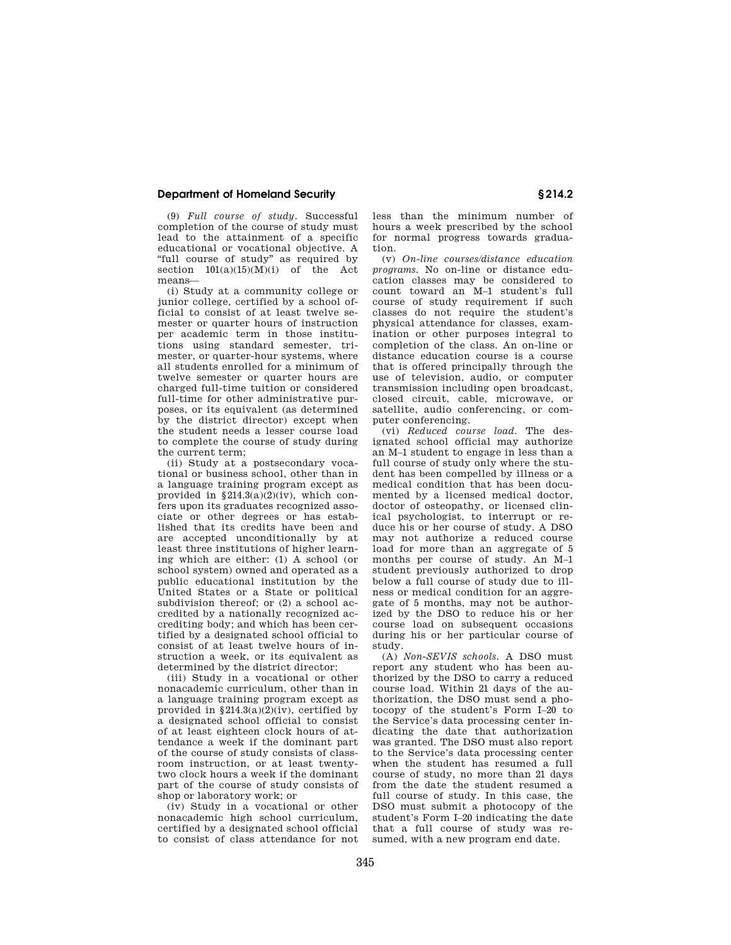(9) *Full course of study.* Successful completion of the course of study must lead to the attainment of a specific educational or vocational objective. A "full course of study" as required by section  $101(a)(15)(M)(i)$  of the Act means—

(i) Study at a community college or junior college, certified by a school official to consist of at least twelve semester or quarter hours of instruction per academic term in those institutions using standard semester, trimester, or quarter-hour systems, where all students enrolled for a minimum of twelve semester or quarter hours are charged full-time tuition or considered full-time for other administrative purposes, or its equivalent (as determined by the district director) except when the student needs a lesser course load to complete the course of study during the current term;

(ii) Study at a postsecondary vocational or business school, other than in a language training program except as provided in  $$214.3(a)(2)(iv)$ , which confers upon its graduates recognized associate or other degrees or has established that its credits have been and are accepted unconditionally by at least three institutions of higher learning which are either: (1) A school (or school system) owned and operated as a public educational institution by the United States or a State or political subdivision thereof; or (2) a school accredited by a nationally recognized accrediting body; and which has been certified by a designated school official to consist of at least twelve hours of instruction a week, or its equivalent as determined by the district director;

(iii) Study in a vocational or other nonacademic curriculum, other than in a language training program except as provided in §214.3(a)(2)(iv), certified by a designated school official to consist of at least eighteen clock hours of attendance a week if the dominant part of the course of study consists of classroom instruction, or at least twentytwo clock hours a week if the dominant part of the course of study consists of shop or laboratory work; or

(iv) Study in a vocational or other nonacademic high school curriculum, certified by a designated school official to consist of class attendance for not less than the minimum number of hours a week prescribed by the school for normal progress towards graduation.

(v) *On-line courses/distance education programs.* No on-line or distance education classes may be considered to count toward an M–1 student's full course of study requirement if such classes do not require the student's physical attendance for classes, examination or other purposes integral to completion of the class. An on-line or distance education course is a course that is offered principally through the use of television, audio, or computer transmission including open broadcast, closed circuit, cable, microwave, or satellite, audio conferencing, or computer conferencing.

(vi) *Reduced course load.* The designated school official may authorize an M–1 student to engage in less than a full course of study only where the student has been compelled by illness or a medical condition that has been documented by a licensed medical doctor, doctor of osteopathy, or licensed clinical psychologist, to interrupt or reduce his or her course of study. A DSO may not authorize a reduced course load for more than an aggregate of 5 months per course of study. An M–1 student previously authorized to drop below a full course of study due to illness or medical condition for an aggregate of 5 months, may not be authorized by the DSO to reduce his or her course load on subsequent occasions during his or her particular course of study.

(A) *Non-SEVIS schools.* A DSO must report any student who has been authorized by the DSO to carry a reduced course load. Within 21 days of the authorization, the DSO must send a photocopy of the student's Form I–20 to the Service's data processing center indicating the date that authorization was granted. The DSO must also report to the Service's data processing center when the student has resumed a full course of study, no more than 21 days from the date the student resumed a full course of study. In this case, the DSO must submit a photocopy of the student's Form I–20 indicating the date that a full course of study was resumed, with a new program end date.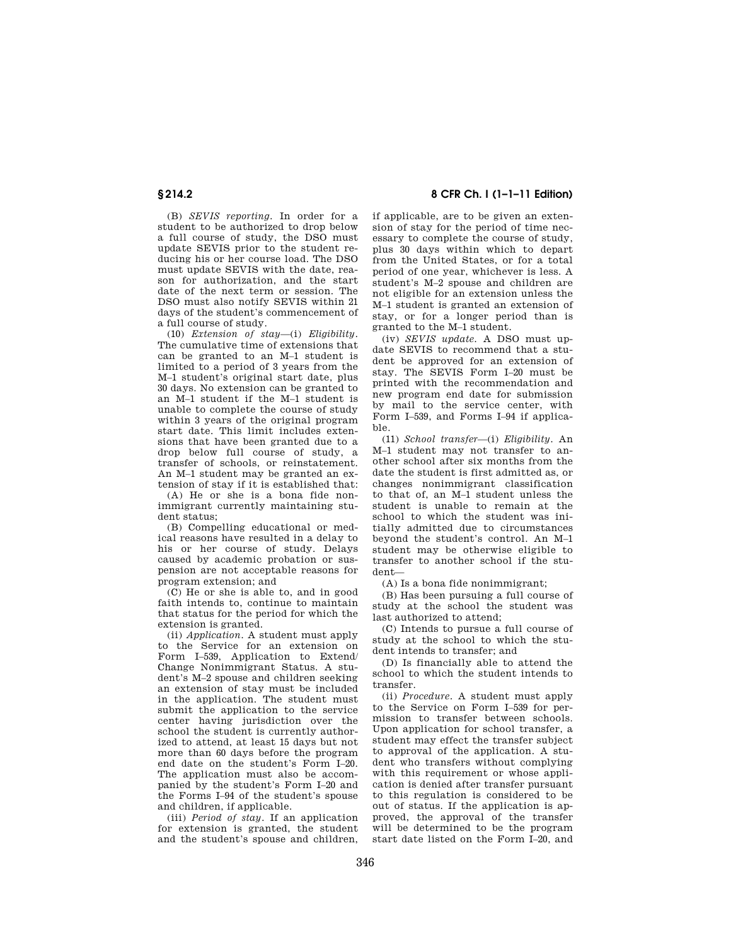(B) *SEVIS reporting.* In order for a student to be authorized to drop below a full course of study, the DSO must update SEVIS prior to the student reducing his or her course load. The DSO must update SEVIS with the date, reason for authorization, and the start date of the next term or session. The DSO must also notify SEVIS within 21 days of the student's commencement of a full course of study.

(10) *Extension of stay*—(i) *Eligibility.*  The cumulative time of extensions that can be granted to an M–1 student is limited to a period of 3 years from the M–1 student's original start date, plus 30 days. No extension can be granted to an M–1 student if the M–1 student is unable to complete the course of study within 3 years of the original program start date. This limit includes extensions that have been granted due to a drop below full course of study, a transfer of schools, or reinstatement. An M–1 student may be granted an extension of stay if it is established that:

(A) He or she is a bona fide nonimmigrant currently maintaining student status;

(B) Compelling educational or medical reasons have resulted in a delay to his or her course of study. Delays caused by academic probation or suspension are not acceptable reasons for program extension; and

(C) He or she is able to, and in good faith intends to, continue to maintain that status for the period for which the extension is granted.

(ii) *Application.* A student must apply to the Service for an extension on Form I–539, Application to Extend/ Change Nonimmigrant Status. A student's M–2 spouse and children seeking an extension of stay must be included in the application. The student must submit the application to the service center having jurisdiction over the school the student is currently authorized to attend, at least 15 days but not more than 60 days before the program end date on the student's Form I–20. The application must also be accompanied by the student's Form I–20 and the Forms I–94 of the student's spouse and children, if applicable.

(iii) *Period of stay.* If an application for extension is granted, the student and the student's spouse and children,

**§ 214.2 8 CFR Ch. I (1–1–11 Edition)** 

if applicable, are to be given an extension of stay for the period of time necessary to complete the course of study, plus 30 days within which to depart from the United States, or for a total period of one year, whichever is less. A student's M–2 spouse and children are not eligible for an extension unless the M–1 student is granted an extension of stay, or for a longer period than is granted to the M–1 student.

(iv) *SEVIS update.* A DSO must update SEVIS to recommend that a student be approved for an extension of stay. The SEVIS Form I–20 must be printed with the recommendation and new program end date for submission by mail to the service center, with Form I–539, and Forms I–94 if applicable.

(11) *School transfer*—(i) *Eligibility.* An M–1 student may not transfer to another school after six months from the date the student is first admitted as, or changes nonimmigrant classification to that of, an M–1 student unless the student is unable to remain at the school to which the student was initially admitted due to circumstances beyond the student's control. An M–1 student may be otherwise eligible to transfer to another school if the student—

(A) Is a bona fide nonimmigrant;

(B) Has been pursuing a full course of study at the school the student was last authorized to attend;

(C) Intends to pursue a full course of study at the school to which the student intends to transfer; and

(D) Is financially able to attend the school to which the student intends to transfer.

(ii) *Procedure.* A student must apply to the Service on Form I–539 for permission to transfer between schools. Upon application for school transfer, a student may effect the transfer subject to approval of the application. A student who transfers without complying with this requirement or whose application is denied after transfer pursuant to this regulation is considered to be out of status. If the application is approved, the approval of the transfer will be determined to be the program start date listed on the Form I–20, and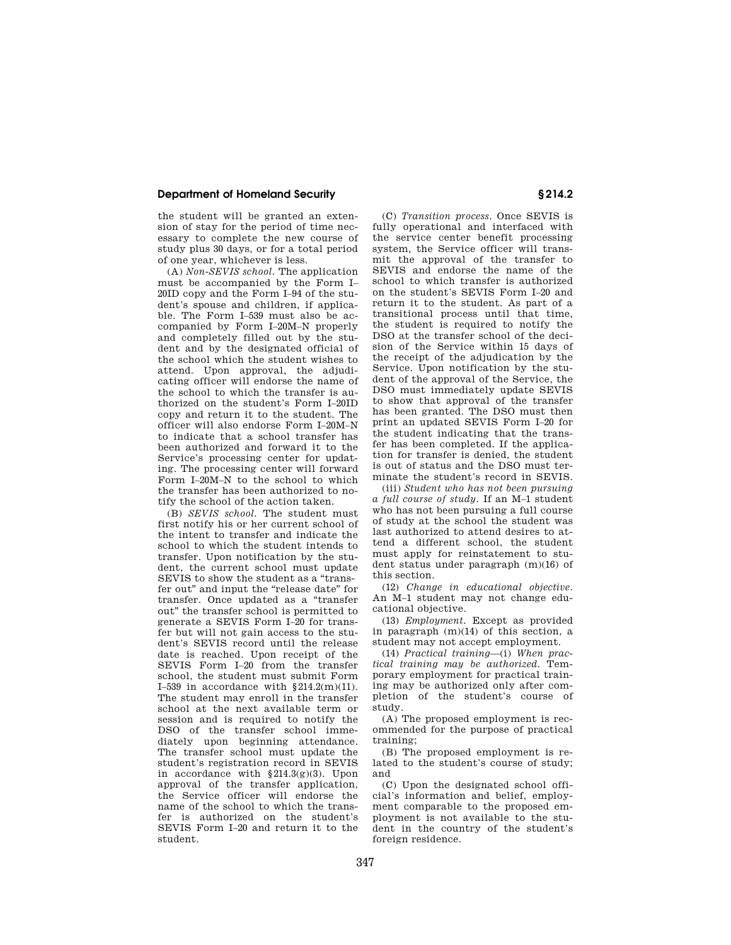the student will be granted an extension of stay for the period of time necessary to complete the new course of study plus 30 days, or for a total period of one year, whichever is less.

(A) *Non-SEVIS school.* The application must be accompanied by the Form I– 20ID copy and the Form I–94 of the student's spouse and children, if applicable. The Form I–539 must also be accompanied by Form I–20M–N properly and completely filled out by the student and by the designated official of the school which the student wishes to attend. Upon approval, the adjudicating officer will endorse the name of the school to which the transfer is authorized on the student's Form I–20ID copy and return it to the student. The officer will also endorse Form I–20M–N to indicate that a school transfer has been authorized and forward it to the Service's processing center for updating. The processing center will forward Form I–20M–N to the school to which the transfer has been authorized to notify the school of the action taken.

(B) *SEVIS school.* The student must first notify his or her current school of the intent to transfer and indicate the school to which the student intends to transfer. Upon notification by the student, the current school must update SEVIS to show the student as a ''transfer out" and input the "release date" for transfer. Once updated as a ''transfer out'' the transfer school is permitted to generate a SEVIS Form I–20 for transfer but will not gain access to the student's SEVIS record until the release date is reached. Upon receipt of the SEVIS Form I–20 from the transfer school, the student must submit Form I-539 in accordance with  $$214.2(m)(11)$ . The student may enroll in the transfer school at the next available term or session and is required to notify the DSO of the transfer school immediately upon beginning attendance. The transfer school must update the student's registration record in SEVIS in accordance with §214.3(g)(3). Upon approval of the transfer application, the Service officer will endorse the name of the school to which the transfer is authorized on the student's SEVIS Form I–20 and return it to the student.

(C) *Transition process.* Once SEVIS is fully operational and interfaced with the service center benefit processing system, the Service officer will transmit the approval of the transfer to SEVIS and endorse the name of the school to which transfer is authorized on the student's SEVIS Form I–20 and return it to the student. As part of a transitional process until that time, the student is required to notify the DSO at the transfer school of the decision of the Service within 15 days of the receipt of the adjudication by the Service. Upon notification by the student of the approval of the Service, the DSO must immediately update SEVIS to show that approval of the transfer has been granted. The DSO must then print an updated SEVIS Form I–20 for the student indicating that the transfer has been completed. If the application for transfer is denied, the student is out of status and the DSO must terminate the student's record in SEVIS.

(iii) *Student who has not been pursuing a full course of study.* If an M–1 student who has not been pursuing a full course of study at the school the student was last authorized to attend desires to attend a different school, the student must apply for reinstatement to student status under paragraph (m)(16) of this section.

(12) *Change in educational objective.*  An M–1 student may not change educational objective.

(13) *Employment.* Except as provided in paragraph (m)(14) of this section, a student may not accept employment.

(14) *Practical training*—(i) *When practical training may be authorized.* Temporary employment for practical training may be authorized only after completion of the student's course of study.

(A) The proposed employment is recommended for the purpose of practical training;

(B) The proposed employment is related to the student's course of study; and

(C) Upon the designated school official's information and belief, employment comparable to the proposed employment is not available to the student in the country of the student's foreign residence.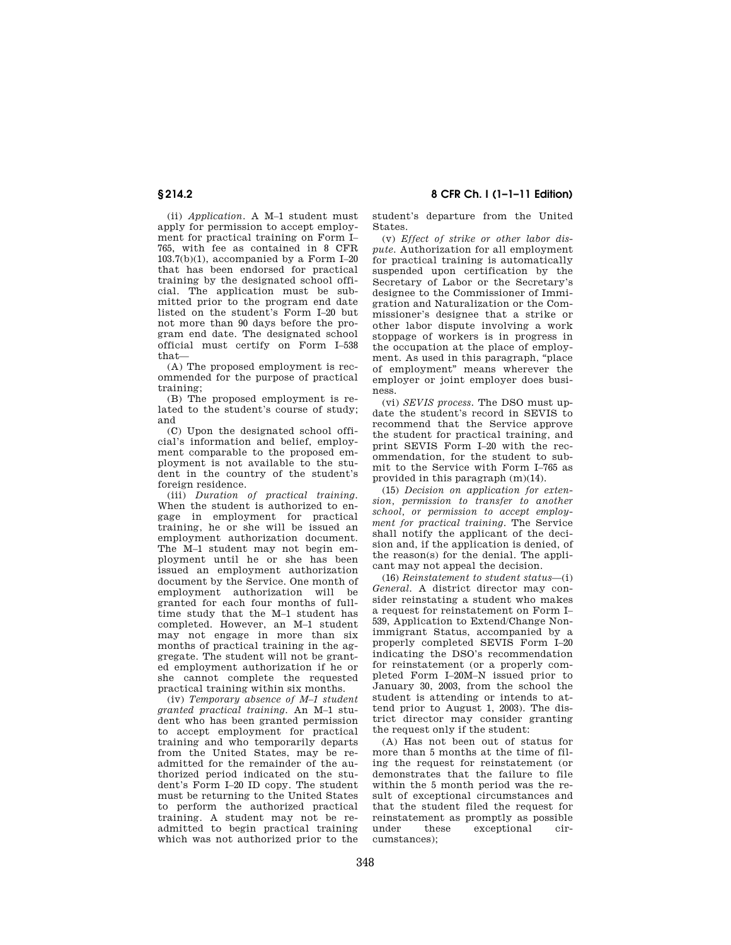(ii) *Application.* A M–1 student must apply for permission to accept employment for practical training on Form I– 765, with fee as contained in 8 CFR 103.7(b)(1), accompanied by a Form I–20 that has been endorsed for practical training by the designated school official. The application must be submitted prior to the program end date listed on the student's Form I–20 but not more than 90 days before the program end date. The designated school official must certify on Form I–538 that—

(A) The proposed employment is recommended for the purpose of practical training;

(B) The proposed employment is related to the student's course of study; and

(C) Upon the designated school official's information and belief, employment comparable to the proposed employment is not available to the student in the country of the student's foreign residence.

(iii) *Duration of practical training.*  When the student is authorized to engage in employment for practical training, he or she will be issued an employment authorization document. The M–1 student may not begin employment until he or she has been issued an employment authorization document by the Service. One month of employment authorization will be granted for each four months of fulltime study that the M–1 student has completed. However, an M–1 student may not engage in more than six months of practical training in the aggregate. The student will not be granted employment authorization if he or she cannot complete the requested practical training within six months.

(iv) *Temporary absence of M–1 student granted practical training.* An M–1 student who has been granted permission to accept employment for practical training and who temporarily departs from the United States, may be readmitted for the remainder of the authorized period indicated on the student's Form I–20 ID copy. The student must be returning to the United States to perform the authorized practical training. A student may not be readmitted to begin practical training which was not authorized prior to the

**§ 214.2 8 CFR Ch. I (1–1–11 Edition)** 

student's departure from the United States.

(v) *Effect of strike or other labor dispute.* Authorization for all employment for practical training is automatically suspended upon certification by the Secretary of Labor or the Secretary's designee to the Commissioner of Immigration and Naturalization or the Commissioner's designee that a strike or other labor dispute involving a work stoppage of workers is in progress in the occupation at the place of employment. As used in this paragraph, "place" of employment'' means wherever the employer or joint employer does business.

(vi) *SEVIS process.* The DSO must update the student's record in SEVIS to recommend that the Service approve the student for practical training, and print SEVIS Form I–20 with the recommendation, for the student to submit to the Service with Form I–765 as provided in this paragraph (m)(14).

(15) *Decision on application for extension, permission to transfer to another school, or permission to accept employment for practical training.* The Service shall notify the applicant of the decision and, if the application is denied, of the reason(s) for the denial. The applicant may not appeal the decision.

(16) *Reinstatement to student status*—(i) *General.* A district director may consider reinstating a student who makes a request for reinstatement on Form I– 539, Application to Extend/Change Nonimmigrant Status, accompanied by a properly completed SEVIS Form I–20 indicating the DSO's recommendation for reinstatement (or a properly completed Form I–20M–N issued prior to January 30, 2003, from the school the student is attending or intends to attend prior to August 1, 2003). The district director may consider granting the request only if the student:

(A) Has not been out of status for more than 5 months at the time of filing the request for reinstatement (or demonstrates that the failure to file within the 5 month period was the result of exceptional circumstances and that the student filed the request for reinstatement as promptly as possible under these exceptional circumstances);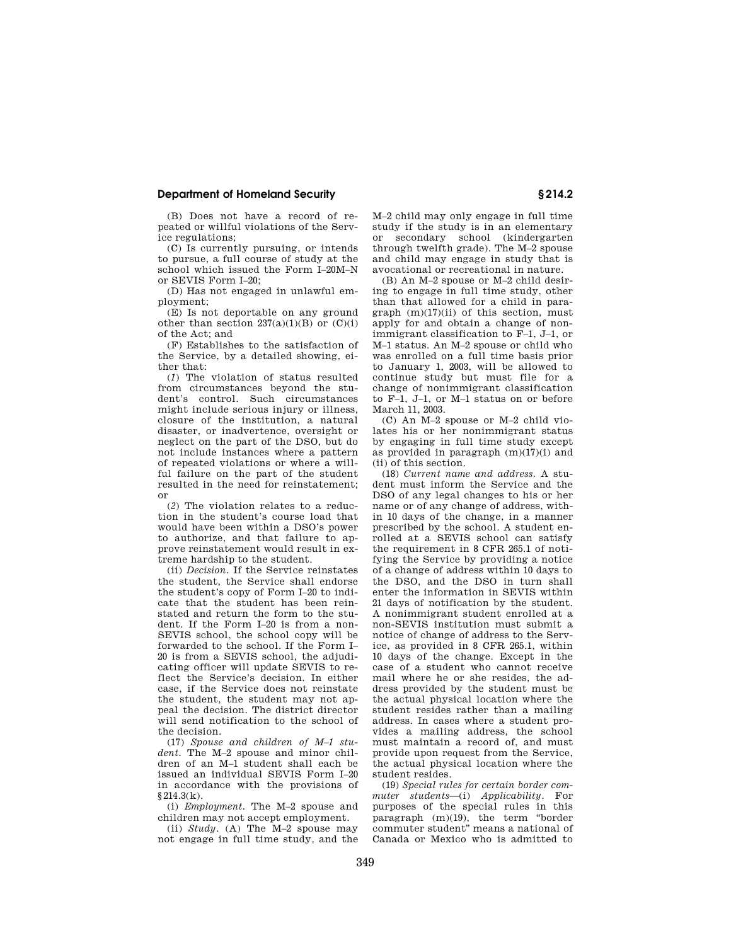(B) Does not have a record of repeated or willful violations of the Service regulations;

(C) Is currently pursuing, or intends to pursue, a full course of study at the school which issued the Form I–20M–N or SEVIS Form I–20;

(D) Has not engaged in unlawful employment;

(E) Is not deportable on any ground other than section  $237(a)(1)(B)$  or  $(C)(i)$ of the Act; and

(F) Establishes to the satisfaction of the Service, by a detailed showing, either that:

(*1*) The violation of status resulted from circumstances beyond the student's control. Such circumstances might include serious injury or illness, closure of the institution, a natural disaster, or inadvertence, oversight or neglect on the part of the DSO, but do not include instances where a pattern of repeated violations or where a willful failure on the part of the student resulted in the need for reinstatement; or

(*2*) The violation relates to a reduction in the student's course load that would have been within a DSO's power to authorize, and that failure to approve reinstatement would result in extreme hardship to the student.

(ii) *Decision.* If the Service reinstates the student, the Service shall endorse the student's copy of Form I–20 to indicate that the student has been reinstated and return the form to the student. If the Form I–20 is from a non-SEVIS school, the school copy will be forwarded to the school. If the Form I– 20 is from a SEVIS school, the adjudicating officer will update SEVIS to reflect the Service's decision. In either case, if the Service does not reinstate the student, the student may not appeal the decision. The district director will send notification to the school of the decision.

(17) *Spouse and children of M–1 student.* The M–2 spouse and minor children of an M–1 student shall each be issued an individual SEVIS Form I–20 in accordance with the provisions of §214.3(k).

(i) *Employment.* The M–2 spouse and children may not accept employment.

(ii) *Study.* (A) The M–2 spouse may not engage in full time study, and the M–2 child may only engage in full time study if the study is in an elementary or secondary school (kindergarten through twelfth grade). The M–2 spouse and child may engage in study that is avocational or recreational in nature.

(B) An M–2 spouse or M–2 child desiring to engage in full time study, other than that allowed for a child in paragraph (m)(17)(ii) of this section, must apply for and obtain a change of nonimmigrant classification to F–1, J–1, or M–1 status. An M–2 spouse or child who was enrolled on a full time basis prior to January 1, 2003, will be allowed to continue study but must file for a change of nonimmigrant classification to F–1, J–1, or M–1 status on or before March 11, 2003.

(C) An M–2 spouse or M–2 child violates his or her nonimmigrant status by engaging in full time study except as provided in paragraph (m)(17)(i) and (ii) of this section.

(18) *Current name and address.* A student must inform the Service and the DSO of any legal changes to his or her name or of any change of address, within 10 days of the change, in a manner prescribed by the school. A student enrolled at a SEVIS school can satisfy the requirement in 8 CFR 265.1 of notifying the Service by providing a notice of a change of address within 10 days to the DSO, and the DSO in turn shall enter the information in SEVIS within 21 days of notification by the student. A nonimmigrant student enrolled at a non-SEVIS institution must submit a notice of change of address to the Service, as provided in 8 CFR 265.1, within 10 days of the change. Except in the case of a student who cannot receive mail where he or she resides, the address provided by the student must be the actual physical location where the student resides rather than a mailing address. In cases where a student provides a mailing address, the school must maintain a record of, and must provide upon request from the Service, the actual physical location where the student resides.

(19) *Special rules for certain border commuter students*—(i) *Applicability.* For purposes of the special rules in this paragraph  $(m)(19)$ , the term "border" commuter student'' means a national of Canada or Mexico who is admitted to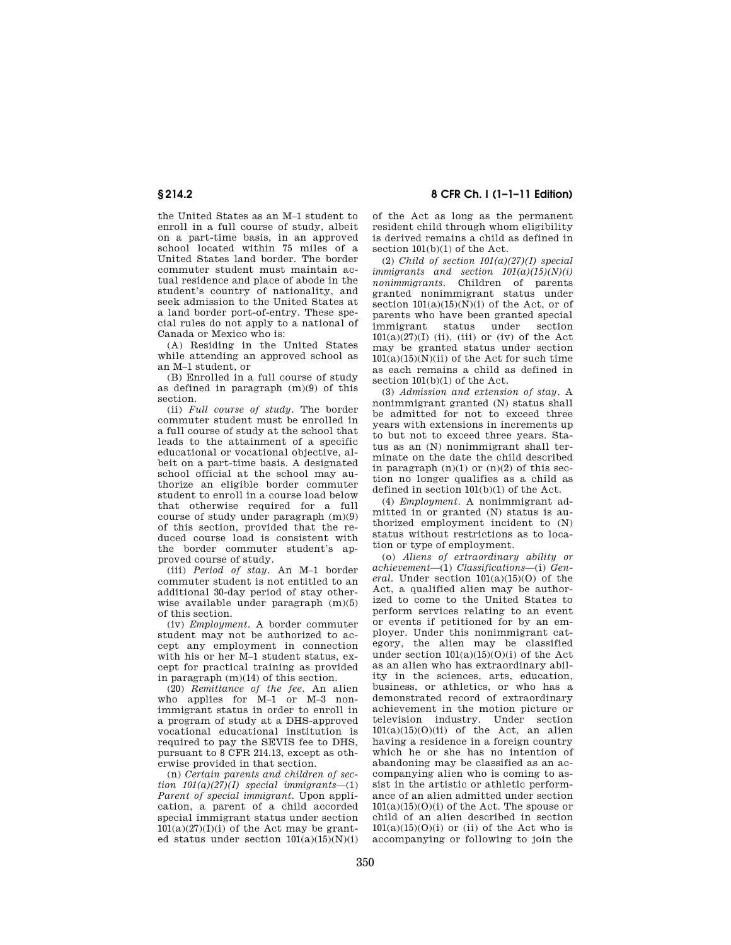## **§ 214.2 8 CFR Ch. I (1–1–11 Edition)**

the United States as an M–1 student to enroll in a full course of study, albeit on a part-time basis, in an approved school located within 75 miles of a United States land border. The border commuter student must maintain actual residence and place of abode in the student's country of nationality, and seek admission to the United States at a land border port-of-entry. These special rules do not apply to a national of Canada or Mexico who is:

(A) Residing in the United States while attending an approved school as an M–1 student, or

(B) Enrolled in a full course of study as defined in paragraph (m)(9) of this section.

(ii) *Full course of study.* The border commuter student must be enrolled in a full course of study at the school that leads to the attainment of a specific educational or vocational objective, albeit on a part-time basis. A designated school official at the school may authorize an eligible border commuter student to enroll in a course load below that otherwise required for a full course of study under paragraph (m)(9) of this section, provided that the reduced course load is consistent with the border commuter student's approved course of study.

(iii) *Period of stay.* An M–1 border commuter student is not entitled to an additional 30-day period of stay otherwise available under paragraph (m)(5) of this section.

(iv) *Employment.* A border commuter student may not be authorized to accept any employment in connection with his or her M–1 student status, except for practical training as provided in paragraph (m)(14) of this section.

(20) *Remittance of the fee.* An alien who applies for M–1 or M–3 nonimmigrant status in order to enroll in a program of study at a DHS-approved vocational educational institution is required to pay the SEVIS fee to DHS, pursuant to 8 CFR 214.13, except as otherwise provided in that section.

(n) *Certain parents and children of section 101(a)(27)(I) special immigrants*—(1) *Parent of special immigrant.* Upon application, a parent of a child accorded special immigrant status under section  $101(a)(27)(I)(i)$  of the Act may be granted status under section  $101(a)(15)(N)(i)$  of the Act as long as the permanent resident child through whom eligibility is derived remains a child as defined in section 101(b)(1) of the Act.

(2) *Child of section 101(a)(27)(I) special immigrants and section 101(a)(15)(N)(i) nonimmigrants.* Children of parents granted nonimmigrant status under section  $101(a)(15)(N)(i)$  of the Act, or of parents who have been granted special immigrant status under section  $101(a)(27)(I)$  (ii), (iii) or (iv) of the Act may be granted status under section  $101(a)(15)(N)(ii)$  of the Act for such time as each remains a child as defined in section 101(b)(1) of the Act.

(3) *Admission and extension of stay.* A nonimmigrant granted (N) status shall be admitted for not to exceed three years with extensions in increments up to but not to exceed three years. Status as an (N) nonimmigrant shall terminate on the date the child described in paragraph  $(n)(1)$  or  $(n)(2)$  of this section no longer qualifies as a child as defined in section 101(b)(1) of the Act.

(4) *Employment.* A nonimmigrant admitted in or granted (N) status is authorized employment incident to (N) status without restrictions as to location or type of employment.

(o) *Aliens of extraordinary ability or achievement*—(1) *Classifications*—(i) *General.* Under section 101(a)(15)(O) of the Act, a qualified alien may be authorized to come to the United States to perform services relating to an event or events if petitioned for by an employer. Under this nonimmigrant category, the alien may be classified under section  $101(a)(15)(0)(i)$  of the Act as an alien who has extraordinary ability in the sciences, arts, education, business, or athletics, or who has a demonstrated record of extraordinary achievement in the motion picture or television industry. Under section  $101(a)(15)(O)(ii)$  of the Act, an alien having a residence in a foreign country which he or she has no intention of abandoning may be classified as an accompanying alien who is coming to assist in the artistic or athletic performance of an alien admitted under section  $101(a)(15)(O)(i)$  of the Act. The spouse or child of an alien described in section  $101(a)(15)(O)(i)$  or (ii) of the Act who is accompanying or following to join the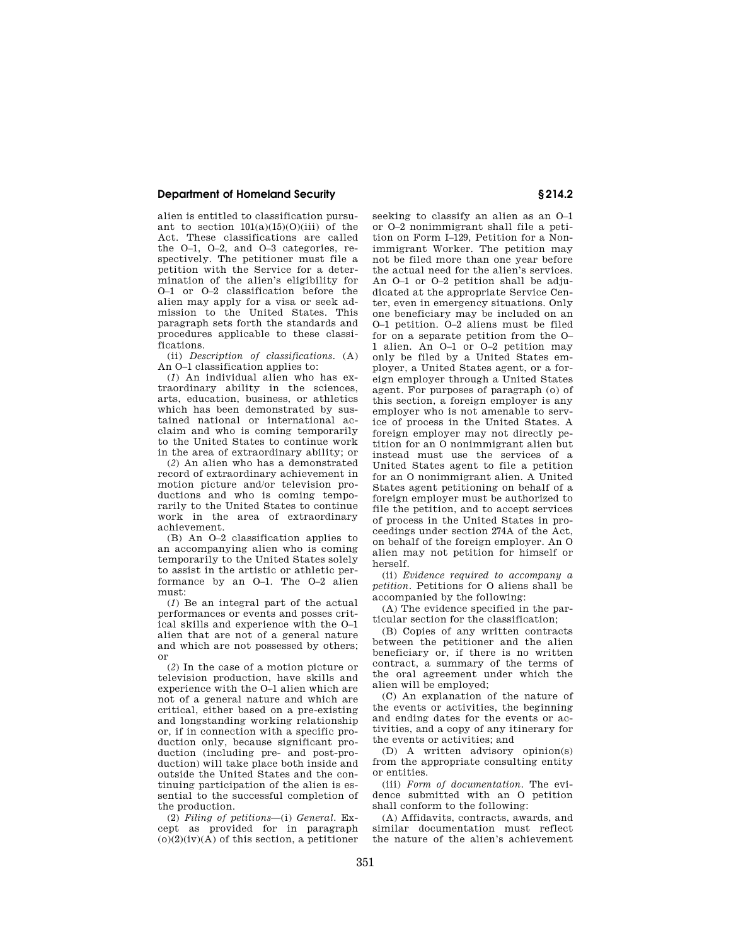alien is entitled to classification pursuant to section  $101(a)(15)(0)(iii)$  of the Act. These classifications are called the O–1, O–2, and O–3 categories, respectively. The petitioner must file a petition with the Service for a determination of the alien's eligibility for O–1 or O–2 classification before the alien may apply for a visa or seek admission to the United States. This paragraph sets forth the standards and procedures applicable to these classifications.

(ii) *Description of classifications.* (A) An O–1 classification applies to:

(*1*) An individual alien who has extraordinary ability in the sciences, arts, education, business, or athletics which has been demonstrated by sustained national or international acclaim and who is coming temporarily to the United States to continue work in the area of extraordinary ability; or

(*2*) An alien who has a demonstrated record of extraordinary achievement in motion picture and/or television productions and who is coming temporarily to the United States to continue work in the area of extraordinary achievement.

(B) An O–2 classification applies to an accompanying alien who is coming temporarily to the United States solely to assist in the artistic or athletic performance by an O–1. The O–2 alien must:

(*1*) Be an integral part of the actual performances or events and posses critical skills and experience with the O–1 alien that are not of a general nature and which are not possessed by others; or

(*2*) In the case of a motion picture or television production, have skills and experience with the O–1 alien which are not of a general nature and which are critical, either based on a pre-existing and longstanding working relationship or, if in connection with a specific production only, because significant production (including pre- and post-production) will take place both inside and outside the United States and the continuing participation of the alien is essential to the successful completion of the production.

(2) *Filing of petitions*—(i) *General.* Except as provided for in paragraph  $(0)(2)(iv)$ (A) of this section, a petitioner seeking to classify an alien as an O–1 or O–2 nonimmigrant shall file a petition on Form I–129, Petition for a Nonimmigrant Worker. The petition may not be filed more than one year before the actual need for the alien's services. An O–1 or O–2 petition shall be adjudicated at the appropriate Service Center, even in emergency situations. Only one beneficiary may be included on an O–1 petition. O–2 aliens must be filed for on a separate petition from the O– 1 alien. An O–1 or O–2 petition may only be filed by a United States employer, a United States agent, or a foreign employer through a United States agent. For purposes of paragraph (o) of this section, a foreign employer is any employer who is not amenable to service of process in the United States. A foreign employer may not directly petition for an O nonimmigrant alien but instead must use the services of a United States agent to file a petition for an O nonimmigrant alien. A United States agent petitioning on behalf of a foreign employer must be authorized to file the petition, and to accept services of process in the United States in proceedings under section 274A of the Act, on behalf of the foreign employer. An O alien may not petition for himself or herself.

(ii) *Evidence required to accompany a petition.* Petitions for O aliens shall be accompanied by the following:

(A) The evidence specified in the particular section for the classification;

(B) Copies of any written contracts between the petitioner and the alien beneficiary or, if there is no written contract, a summary of the terms of the oral agreement under which the alien will be employed;

(C) An explanation of the nature of the events or activities, the beginning and ending dates for the events or activities, and a copy of any itinerary for the events or activities; and

(D) A written advisory opinion(s) from the appropriate consulting entity or entities.

(iii) *Form of documentation.* The evidence submitted with an O petition shall conform to the following:

(A) Affidavits, contracts, awards, and similar documentation must reflect the nature of the alien's achievement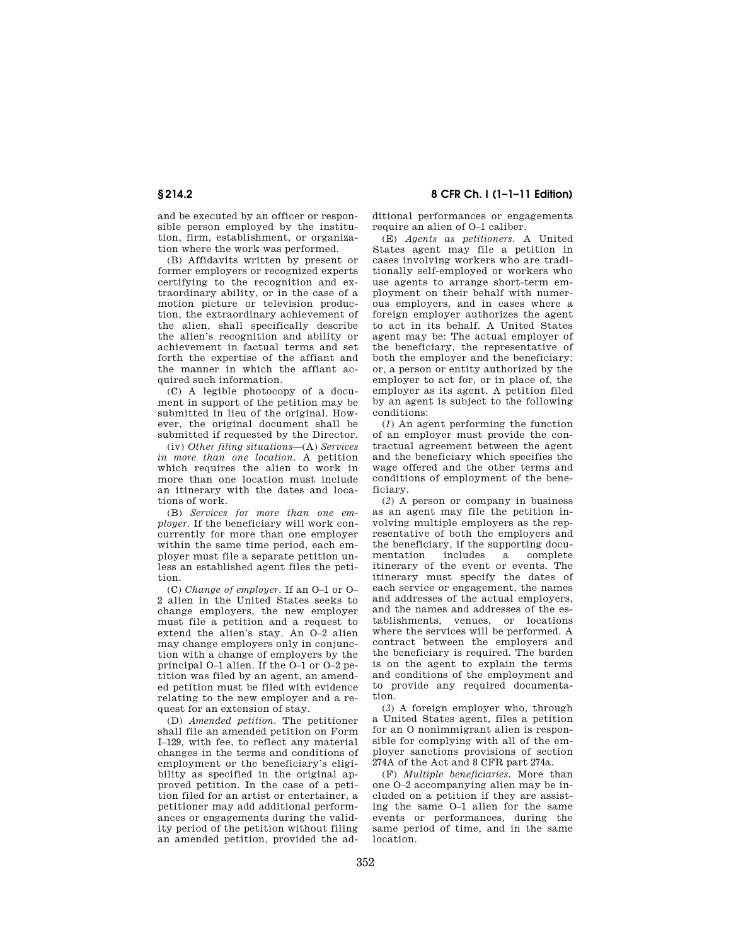and be executed by an officer or responsible person employed by the institution, firm, establishment, or organization where the work was performed.

(B) Affidavits written by present or former employers or recognized experts certifying to the recognition and extraordinary ability, or in the case of a motion picture or television production, the extraordinary achievement of the alien, shall specifically describe the alien's recognition and ability or achievement in factual terms and set forth the expertise of the affiant and the manner in which the affiant acquired such information.

(C) A legible photocopy of a document in support of the petition may be submitted in lieu of the original. However, the original document shall be submitted if requested by the Director.

(iv) *Other filing situations*—(A) *Services in more than one location.* A petition which requires the alien to work in more than one location must include an itinerary with the dates and locations of work.

(B) *Services for more than one employer.* If the beneficiary will work concurrently for more than one employer within the same time period, each employer must file a separate petition unless an established agent files the petition.

(C) *Change of employer.* If an O–1 or O– 2 alien in the United States seeks to change employers, the new employer must file a petition and a request to extend the alien's stay. An O–2 alien may change employers only in conjunction with a change of employers by the principal O–1 alien. If the O–1 or O–2 petition was filed by an agent, an amended petition must be filed with evidence relating to the new employer and a request for an extension of stay.

(D) *Amended petition.* The petitioner shall file an amended petition on Form I–129, with fee, to reflect any material changes in the terms and conditions of employment or the beneficiary's eligibility as specified in the original approved petition. In the case of a petition filed for an artist or entertainer, a petitioner may add additional performances or engagements during the validity period of the petition without filing an amended petition, provided the ad-

**§ 214.2 8 CFR Ch. I (1–1–11 Edition)** 

ditional performances or engagements require an alien of O–1 caliber.

(E) *Agents as petitioners.* A United States agent may file a petition in cases involving workers who are traditionally self-employed or workers who use agents to arrange short-term employment on their behalf with numerous employers, and in cases where a foreign employer authorizes the agent to act in its behalf. A United States agent may be: The actual employer of the beneficiary, the representative of both the employer and the beneficiary; or, a person or entity authorized by the employer to act for, or in place of, the employer as its agent. A petition filed by an agent is subject to the following conditions:

(*1*) An agent performing the function of an employer must provide the contractual agreement between the agent and the beneficiary which specifies the wage offered and the other terms and conditions of employment of the beneficiary.

(*2*) A person or company in business as an agent may file the petition involving multiple employers as the representative of both the employers and the beneficiary, if the supporting docu-<br>mentation includes a complete mentation includes a itinerary of the event or events. The itinerary must specify the dates of each service or engagement, the names and addresses of the actual employers, and the names and addresses of the establishments, venues, or locations where the services will be performed. A contract between the employers and the beneficiary is required. The burden is on the agent to explain the terms and conditions of the employment and to provide any required documentation.

(*3*) A foreign employer who, through a United States agent, files a petition for an O nonimmigrant alien is responsible for complying with all of the employer sanctions provisions of section 274A of the Act and 8 CFR part 274a.

(F) *Multiple beneficiaries.* More than one O–2 accompanying alien may be included on a petition if they are assisting the same O–1 alien for the same events or performances, during the same period of time, and in the same location.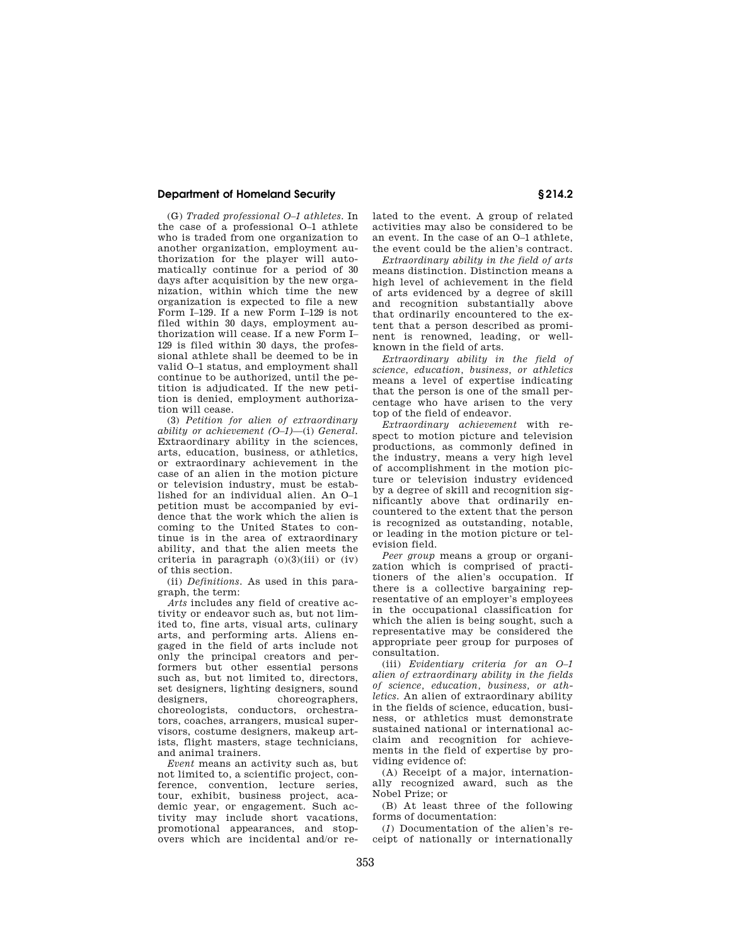(G) *Traded professional O–1 athletes.* In the case of a professional O–1 athlete who is traded from one organization to another organization, employment authorization for the player will automatically continue for a period of 30 days after acquisition by the new organization, within which time the new organization is expected to file a new Form I–129. If a new Form I–129 is not filed within 30 days, employment authorization will cease. If a new Form I– 129 is filed within 30 days, the professional athlete shall be deemed to be in valid O–1 status, and employment shall continue to be authorized, until the petition is adjudicated. If the new petition is denied, employment authorization will cease.

(3) *Petition for alien of extraordinary ability or achievement (O–1)*—(i) *General.*  Extraordinary ability in the sciences, arts, education, business, or athletics, or extraordinary achievement in the case of an alien in the motion picture or television industry, must be established for an individual alien. An O–1 petition must be accompanied by evidence that the work which the alien is coming to the United States to continue is in the area of extraordinary ability, and that the alien meets the criteria in paragraph  $(0)(3)(iii)$  or  $(iv)$ of this section.

(ii) *Definitions.* As used in this paragraph, the term:

*Arts* includes any field of creative activity or endeavor such as, but not limited to, fine arts, visual arts, culinary arts, and performing arts. Aliens engaged in the field of arts include not only the principal creators and performers but other essential persons such as, but not limited to, directors, set designers, lighting designers, sound designers, choreographers, choreologists, conductors, orchestrators, coaches, arrangers, musical supervisors, costume designers, makeup artists, flight masters, stage technicians, and animal trainers.

*Event* means an activity such as, but not limited to, a scientific project, conference, convention, lecture series, tour, exhibit, business project, academic year, or engagement. Such activity may include short vacations, promotional appearances, and stopovers which are incidental and/or related to the event. A group of related activities may also be considered to be an event. In the case of an O–1 athlete, the event could be the alien's contract.

*Extraordinary ability in the field of arts*  means distinction. Distinction means a high level of achievement in the field of arts evidenced by a degree of skill and recognition substantially above that ordinarily encountered to the extent that a person described as prominent is renowned, leading, or wellknown in the field of arts.

*Extraordinary ability in the field of science, education, business, or athletics*  means a level of expertise indicating that the person is one of the small percentage who have arisen to the very top of the field of endeavor.

*Extraordinary achievement* with respect to motion picture and television productions, as commonly defined in the industry, means a very high level of accomplishment in the motion picture or television industry evidenced by a degree of skill and recognition significantly above that ordinarily encountered to the extent that the person is recognized as outstanding, notable, or leading in the motion picture or television field.

*Peer group* means a group or organization which is comprised of practitioners of the alien's occupation. If there is a collective bargaining representative of an employer's employees in the occupational classification for which the alien is being sought, such a representative may be considered the appropriate peer group for purposes of consultation.

(iii) *Evidentiary criteria for an O–1 alien of extraordinary ability in the fields of science, education, business, or athletics.* An alien of extraordinary ability in the fields of science, education, business, or athletics must demonstrate sustained national or international acclaim and recognition for achievements in the field of expertise by providing evidence of:

(A) Receipt of a major, internationally recognized award, such as the Nobel Prize; or

(B) At least three of the following forms of documentation:

(*1*) Documentation of the alien's receipt of nationally or internationally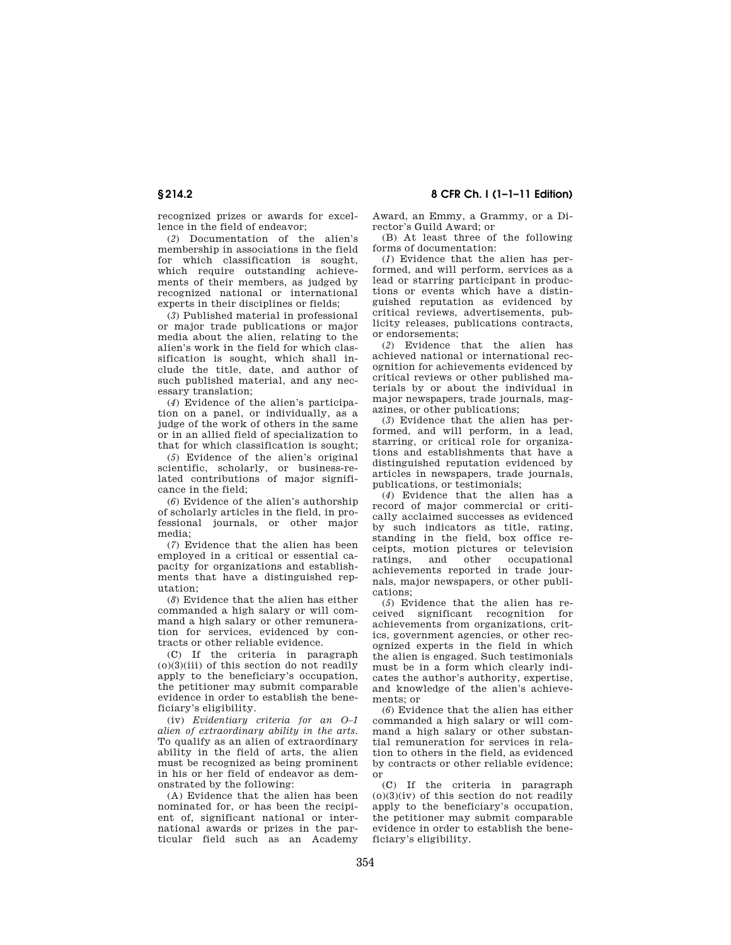recognized prizes or awards for excellence in the field of endeavor;

(*2*) Documentation of the alien's membership in associations in the field for which classification is sought, which require outstanding achievements of their members, as judged by recognized national or international experts in their disciplines or fields;

(*3*) Published material in professional or major trade publications or major media about the alien, relating to the alien's work in the field for which classification is sought, which shall include the title, date, and author of such published material, and any necessary translation;

(*4*) Evidence of the alien's participation on a panel, or individually, as a judge of the work of others in the same or in an allied field of specialization to that for which classification is sought;

(*5*) Evidence of the alien's original scientific, scholarly, or business-related contributions of major significance in the field;

(*6*) Evidence of the alien's authorship of scholarly articles in the field, in professional journals, or other major media;

(*7*) Evidence that the alien has been employed in a critical or essential capacity for organizations and establishments that have a distinguished reputation;

(*8*) Evidence that the alien has either commanded a high salary or will command a high salary or other remuneration for services, evidenced by contracts or other reliable evidence.

(C) If the criteria in paragraph  $(0)(3)(iii)$  of this section do not readily apply to the beneficiary's occupation, the petitioner may submit comparable evidence in order to establish the beneficiary's eligibility.

(iv) *Evidentiary criteria for an O–1 alien of extraordinary ability in the arts.*  To qualify as an alien of extraordinary ability in the field of arts, the alien must be recognized as being prominent in his or her field of endeavor as demonstrated by the following:

(A) Evidence that the alien has been nominated for, or has been the recipient of, significant national or international awards or prizes in the particular field such as an Academy Award, an Emmy, a Grammy, or a Director's Guild Award; or

(B) At least three of the following forms of documentation:

(*1*) Evidence that the alien has performed, and will perform, services as a lead or starring participant in productions or events which have a distinguished reputation as evidenced by critical reviews, advertisements, publicity releases, publications contracts, or endorsements;

(*2*) Evidence that the alien has achieved national or international recognition for achievements evidenced by critical reviews or other published materials by or about the individual in major newspapers, trade journals, magazines, or other publications;

(*3*) Evidence that the alien has performed, and will perform, in a lead, starring, or critical role for organizations and establishments that have a distinguished reputation evidenced by articles in newspapers, trade journals, publications, or testimonials;

(*4*) Evidence that the alien has a record of major commercial or critically acclaimed successes as evidenced by such indicators as title, rating, standing in the field, box office receipts, motion pictures or television ratings, and other occupational achievements reported in trade journals, major newspapers, or other publications;

(*5*) Evidence that the alien has received significant recognition for achievements from organizations, critics, government agencies, or other recognized experts in the field in which the alien is engaged. Such testimonials must be in a form which clearly indicates the author's authority, expertise, and knowledge of the alien's achievements; or

(*6*) Evidence that the alien has either commanded a high salary or will command a high salary or other substantial remuneration for services in relation to others in the field, as evidenced by contracts or other reliable evidence; or

(C) If the criteria in paragraph  $(0)(3)(iv)$  of this section do not readily apply to the beneficiary's occupation, the petitioner may submit comparable evidence in order to establish the beneficiary's eligibility.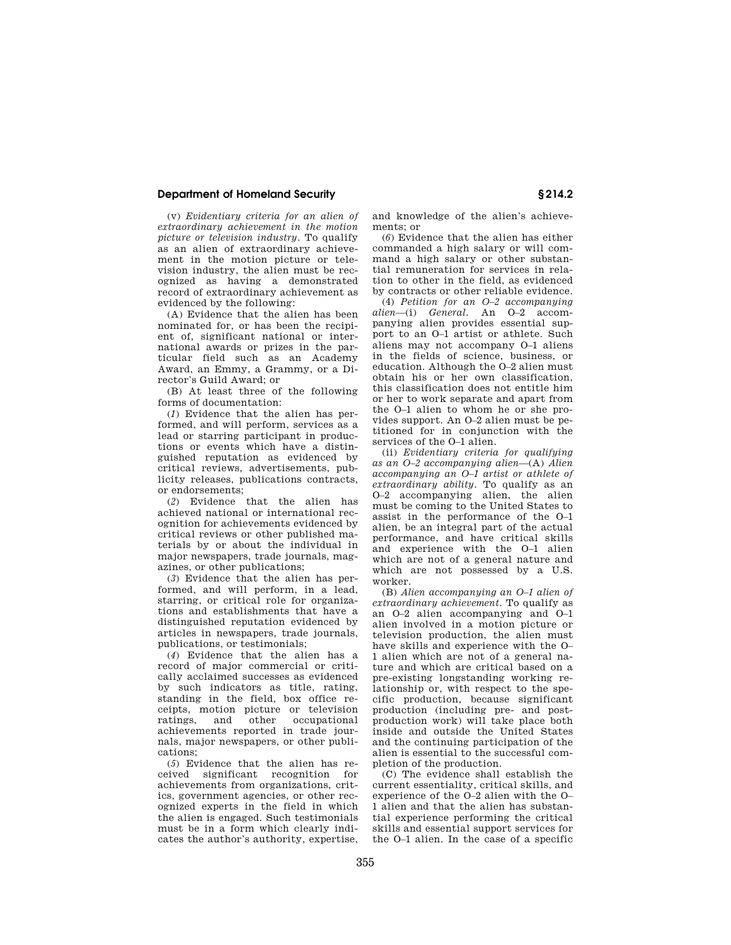(v) *Evidentiary criteria for an alien of extraordinary achievement in the motion picture or television industry.* To qualify as an alien of extraordinary achievement in the motion picture or television industry, the alien must be recognized as having a demonstrated record of extraordinary achievement as evidenced by the following:

(A) Evidence that the alien has been nominated for, or has been the recipient of, significant national or international awards or prizes in the particular field such as an Academy Award, an Emmy, a Grammy, or a Director's Guild Award; or

(B) At least three of the following forms of documentation:

(*1*) Evidence that the alien has performed, and will perform, services as a lead or starring participant in productions or events which have a distinguished reputation as evidenced by critical reviews, advertisements, publicity releases, publications contracts, or endorsements;

(*2*) Evidence that the alien has achieved national or international recognition for achievements evidenced by critical reviews or other published materials by or about the individual in major newspapers, trade journals, magazines, or other publications;

(*3*) Evidence that the alien has performed, and will perform, in a lead, starring, or critical role for organizations and establishments that have a distinguished reputation evidenced by articles in newspapers, trade journals, publications, or testimonials;

(*4*) Evidence that the alien has a record of major commercial or critically acclaimed successes as evidenced by such indicators as title, rating, standing in the field, box office receipts, motion picture or television occupational achievements reported in trade journals, major newspapers, or other publications;

(*5*) Evidence that the alien has received significant recognition for achievements from organizations, critics, government agencies, or other recognized experts in the field in which the alien is engaged. Such testimonials must be in a form which clearly indicates the author's authority, expertise, and knowledge of the alien's achievements; or

(*6*) Evidence that the alien has either commanded a high salary or will command a high salary or other substantial remuneration for services in relation to other in the field, as evidenced by contracts or other reliable evidence.

(4) *Petition for an O–2 accompanying alien*—(i) *General.* An O–2 accompanying alien provides essential support to an O–1 artist or athlete. Such aliens may not accompany O–1 aliens in the fields of science, business, or education. Although the O–2 alien must obtain his or her own classification, this classification does not entitle him or her to work separate and apart from the O–1 alien to whom he or she provides support. An O–2 alien must be petitioned for in conjunction with the services of the O–1 alien.

(ii) *Evidentiary criteria for qualifying as an O–2 accompanying alien*—(A) *Alien accompanying an O–1 artist or athlete of extraordinary ability.* To qualify as an O–2 accompanying alien, the alien must be coming to the United States to assist in the performance of the O–1 alien, be an integral part of the actual performance, and have critical skills and experience with the O–1 alien which are not of a general nature and which are not possessed by a U.S. worker.

(B) *Alien accompanying an O–1 alien of extraordinary achievement.* To qualify as an O–2 alien accompanying and O–1 alien involved in a motion picture or television production, the alien must have skills and experience with the O– 1 alien which are not of a general nature and which are critical based on a pre-existing longstanding working relationship or, with respect to the specific production, because significant production (including pre- and postproduction work) will take place both inside and outside the United States and the continuing participation of the alien is essential to the successful completion of the production.

(C) The evidence shall establish the current essentiality, critical skills, and experience of the O–2 alien with the O– 1 alien and that the alien has substantial experience performing the critical skills and essential support services for the O–1 alien. In the case of a specific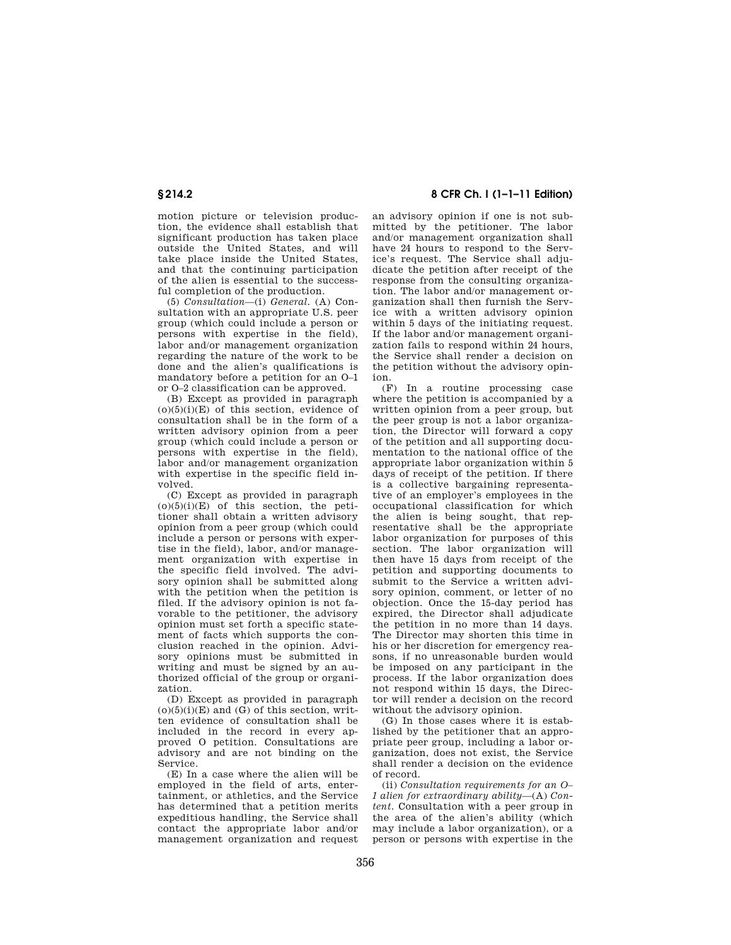motion picture or television production, the evidence shall establish that significant production has taken place outside the United States, and will take place inside the United States, and that the continuing participation of the alien is essential to the successful completion of the production.

(5) *Consultation*—(i) *General.* (A) Consultation with an appropriate U.S. peer group (which could include a person or persons with expertise in the field), labor and/or management organization regarding the nature of the work to be done and the alien's qualifications is mandatory before a petition for an O–1 or O–2 classification can be approved.

(B) Except as provided in paragraph  $(0)(5)(i)(E)$  of this section, evidence of consultation shall be in the form of a written advisory opinion from a peer group (which could include a person or persons with expertise in the field), labor and/or management organization with expertise in the specific field involved.

(C) Except as provided in paragraph  $(0)(5)(i)(E)$  of this section, the petitioner shall obtain a written advisory opinion from a peer group (which could include a person or persons with expertise in the field), labor, and/or management organization with expertise in the specific field involved. The advisory opinion shall be submitted along with the petition when the petition is filed. If the advisory opinion is not favorable to the petitioner, the advisory opinion must set forth a specific statement of facts which supports the conclusion reached in the opinion. Advisory opinions must be submitted in writing and must be signed by an authorized official of the group or organization.

(D) Except as provided in paragraph  $(a)(5)(i)$  and  $(G)$  of this section, written evidence of consultation shall be included in the record in every approved O petition. Consultations are advisory and are not binding on the Service.

(E) In a case where the alien will be employed in the field of arts, entertainment, or athletics, and the Service has determined that a petition merits expeditious handling, the Service shall contact the appropriate labor and/or management organization and request

**§ 214.2 8 CFR Ch. I (1–1–11 Edition)** 

an advisory opinion if one is not submitted by the petitioner. The labor and/or management organization shall have 24 hours to respond to the Service's request. The Service shall adjudicate the petition after receipt of the response from the consulting organization. The labor and/or management organization shall then furnish the Service with a written advisory opinion within 5 days of the initiating request. If the labor and/or management organization fails to respond within 24 hours, the Service shall render a decision on the petition without the advisory opinion.

(F) In a routine processing case where the petition is accompanied by a written opinion from a peer group, but the peer group is not a labor organization, the Director will forward a copy of the petition and all supporting documentation to the national office of the appropriate labor organization within 5 days of receipt of the petition. If there is a collective bargaining representative of an employer's employees in the occupational classification for which the alien is being sought, that representative shall be the appropriate labor organization for purposes of this section. The labor organization will then have 15 days from receipt of the petition and supporting documents to submit to the Service a written advisory opinion, comment, or letter of no objection. Once the 15-day period has expired, the Director shall adjudicate the petition in no more than 14 days. The Director may shorten this time in his or her discretion for emergency reasons, if no unreasonable burden would be imposed on any participant in the process. If the labor organization does not respond within 15 days, the Director will render a decision on the record without the advisory opinion.

(G) In those cases where it is established by the petitioner that an appropriate peer group, including a labor organization, does not exist, the Service shall render a decision on the evidence of record.

(ii) *Consultation requirements for an O– 1 alien for extraordinary ability*—(A) *Content.* Consultation with a peer group in the area of the alien's ability (which may include a labor organization), or a person or persons with expertise in the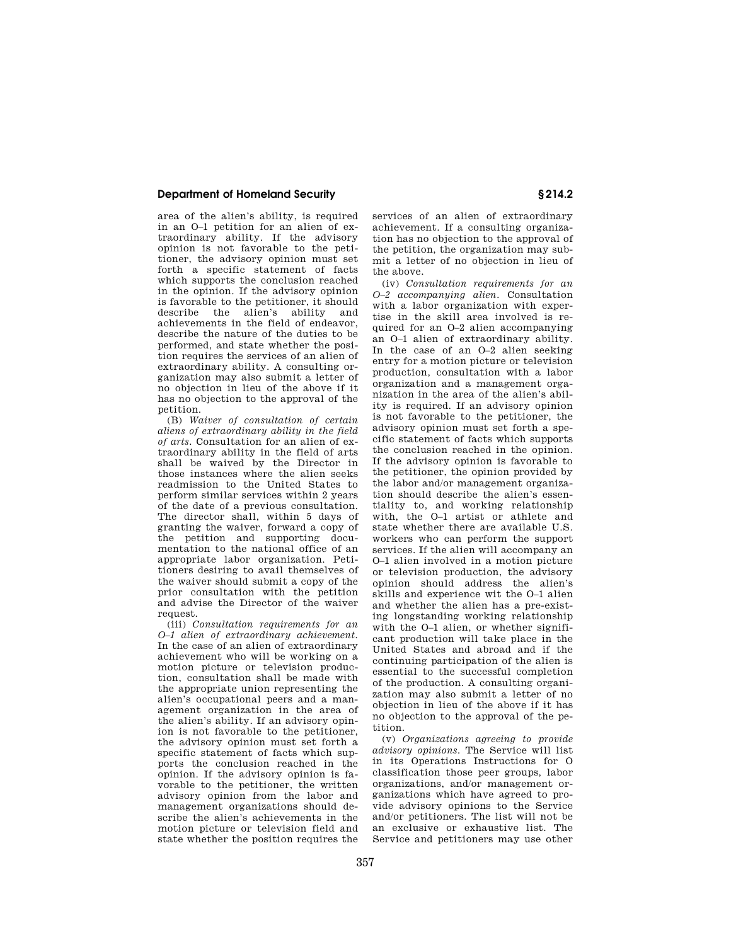area of the alien's ability, is required in an O–1 petition for an alien of extraordinary ability. If the advisory opinion is not favorable to the petitioner, the advisory opinion must set forth a specific statement of facts which supports the conclusion reached in the opinion. If the advisory opinion is favorable to the petitioner, it should describe the alien's ability and achievements in the field of endeavor, describe the nature of the duties to be performed, and state whether the position requires the services of an alien of extraordinary ability. A consulting organization may also submit a letter of no objection in lieu of the above if it has no objection to the approval of the petition.

(B) *Waiver of consultation of certain aliens of extraordinary ability in the field of arts.* Consultation for an alien of extraordinary ability in the field of arts shall be waived by the Director in those instances where the alien seeks readmission to the United States to perform similar services within 2 years of the date of a previous consultation. The director shall, within 5 days of granting the waiver, forward a copy of the petition and supporting documentation to the national office of an appropriate labor organization. Petitioners desiring to avail themselves of the waiver should submit a copy of the prior consultation with the petition and advise the Director of the waiver request.

(iii) *Consultation requirements for an O–1 alien of extraordinary achievement.*  In the case of an alien of extraordinary achievement who will be working on a motion picture or television production, consultation shall be made with the appropriate union representing the alien's occupational peers and a management organization in the area of the alien's ability. If an advisory opinion is not favorable to the petitioner, the advisory opinion must set forth a specific statement of facts which supports the conclusion reached in the opinion. If the advisory opinion is favorable to the petitioner, the written advisory opinion from the labor and management organizations should describe the alien's achievements in the motion picture or television field and state whether the position requires the

services of an alien of extraordinary achievement. If a consulting organization has no objection to the approval of the petition, the organization may submit a letter of no objection in lieu of the above.

(iv) *Consultation requirements for an O–2 accompanying alien.* Consultation with a labor organization with expertise in the skill area involved is required for an O–2 alien accompanying an O–1 alien of extraordinary ability. In the case of an O–2 alien seeking entry for a motion picture or television production, consultation with a labor organization and a management organization in the area of the alien's ability is required. If an advisory opinion is not favorable to the petitioner, the advisory opinion must set forth a specific statement of facts which supports the conclusion reached in the opinion. If the advisory opinion is favorable to the petitioner, the opinion provided by the labor and/or management organization should describe the alien's essentiality to, and working relationship with, the O–1 artist or athlete and state whether there are available U.S. workers who can perform the support services. If the alien will accompany an O–1 alien involved in a motion picture or television production, the advisory opinion should address the alien's skills and experience wit the O–1 alien and whether the alien has a pre-existing longstanding working relationship with the O–1 alien, or whether significant production will take place in the United States and abroad and if the continuing participation of the alien is essential to the successful completion of the production. A consulting organization may also submit a letter of no objection in lieu of the above if it has no objection to the approval of the petition.

(v) *Organizations agreeing to provide advisory opinions.* The Service will list in its Operations Instructions for O classification those peer groups, labor organizations, and/or management organizations which have agreed to provide advisory opinions to the Service and/or petitioners. The list will not be an exclusive or exhaustive list. The Service and petitioners may use other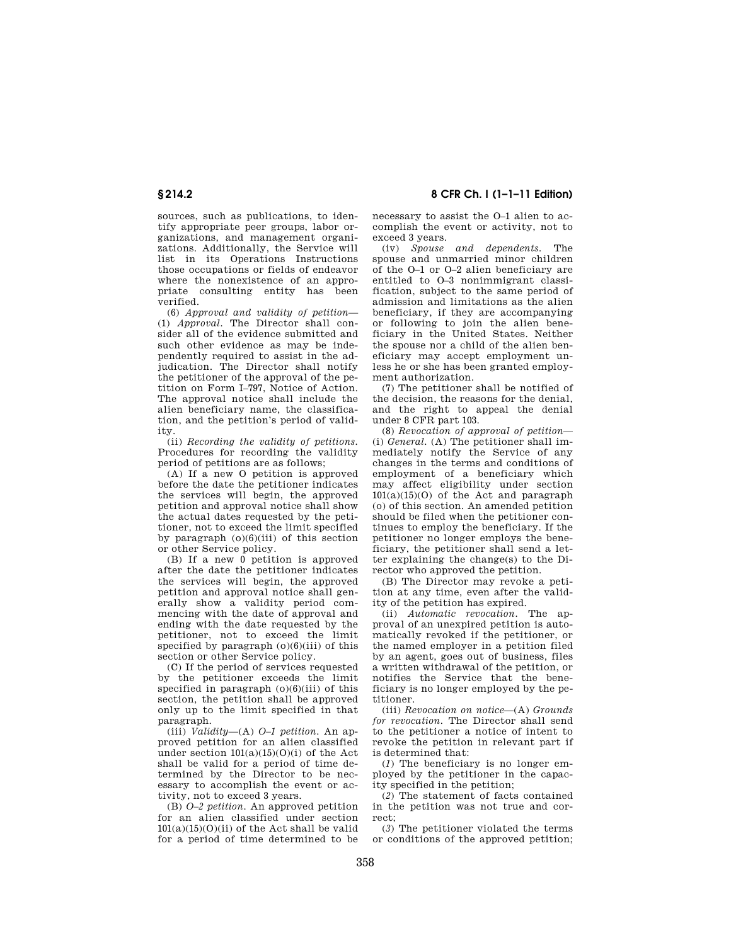sources, such as publications, to identify appropriate peer groups, labor organizations, and management organizations. Additionally, the Service will list in its Operations Instructions those occupations or fields of endeavor where the nonexistence of an appropriate consulting entity has been verified.

(6) *Approval and validity of petition*— (1) *Approval.* The Director shall consider all of the evidence submitted and such other evidence as may be independently required to assist in the adjudication. The Director shall notify the petitioner of the approval of the petition on Form I–797, Notice of Action. The approval notice shall include the alien beneficiary name, the classification, and the petition's period of validity.

(ii) *Recording the validity of petitions.*  Procedures for recording the validity period of petitions are as follows;

(A) If a new O petition is approved before the date the petitioner indicates the services will begin, the approved petition and approval notice shall show the actual dates requested by the petitioner, not to exceed the limit specified by paragraph  $(0)(6)(iii)$  of this section or other Service policy.

(B) If a new 0 petition is approved after the date the petitioner indicates the services will begin, the approved petition and approval notice shall generally show a validity period commencing with the date of approval and ending with the date requested by the petitioner, not to exceed the limit specified by paragraph  $(0)(6)(iii)$  of this section or other Service policy.

(C) If the period of services requested by the petitioner exceeds the limit specified in paragraph  $(0)(6)(iii)$  of this section, the petition shall be approved only up to the limit specified in that paragraph.

(iii) *Validity*—(A) *O–1 petition.* An approved petition for an alien classified under section  $101(a)(15)(0)(i)$  of the Act shall be valid for a period of time determined by the Director to be necessary to accomplish the event or activity, not to exceed 3 years.

(B) *O–2 petition.* An approved petition for an alien classified under section  $101(a)(15)(O)(ii)$  of the Act shall be valid for a period of time determined to be

**§ 214.2 8 CFR Ch. I (1–1–11 Edition)** 

necessary to assist the O–1 alien to accomplish the event or activity, not to exceed 3 years.

(iv) *Spouse and dependents.* The spouse and unmarried minor children of the O–1 or O–2 alien beneficiary are entitled to O–3 nonimmigrant classification, subject to the same period of admission and limitations as the alien beneficiary, if they are accompanying or following to join the alien beneficiary in the United States. Neither the spouse nor a child of the alien beneficiary may accept employment unless he or she has been granted employment authorization.

(7) The petitioner shall be notified of the decision, the reasons for the denial, and the right to appeal the denial under 8 CFR part 103.

(8) *Revocation of approval of petition*— (i) *General.* (A) The petitioner shall immediately notify the Service of any changes in the terms and conditions of employment of a beneficiary which may affect eligibility under section  $101(a)(15)(0)$  of the Act and paragraph (o) of this section. An amended petition should be filed when the petitioner continues to employ the beneficiary. If the petitioner no longer employs the beneficiary, the petitioner shall send a letter explaining the change(s) to the Director who approved the petition.

(B) The Director may revoke a petition at any time, even after the validity of the petition has expired.

(ii) *Automatic revocation.* The approval of an unexpired petition is automatically revoked if the petitioner, or the named employer in a petition filed by an agent, goes out of business, files a written withdrawal of the petition, or notifies the Service that the beneficiary is no longer employed by the petitioner.

(iii) *Revocation on notice*—(A) *Grounds for revocation.* The Director shall send to the petitioner a notice of intent to revoke the petition in relevant part if is determined that:

(*1*) The beneficiary is no longer employed by the petitioner in the capacity specified in the petition;

(*2*) The statement of facts contained in the petition was not true and correct;

(*3*) The petitioner violated the terms or conditions of the approved petition;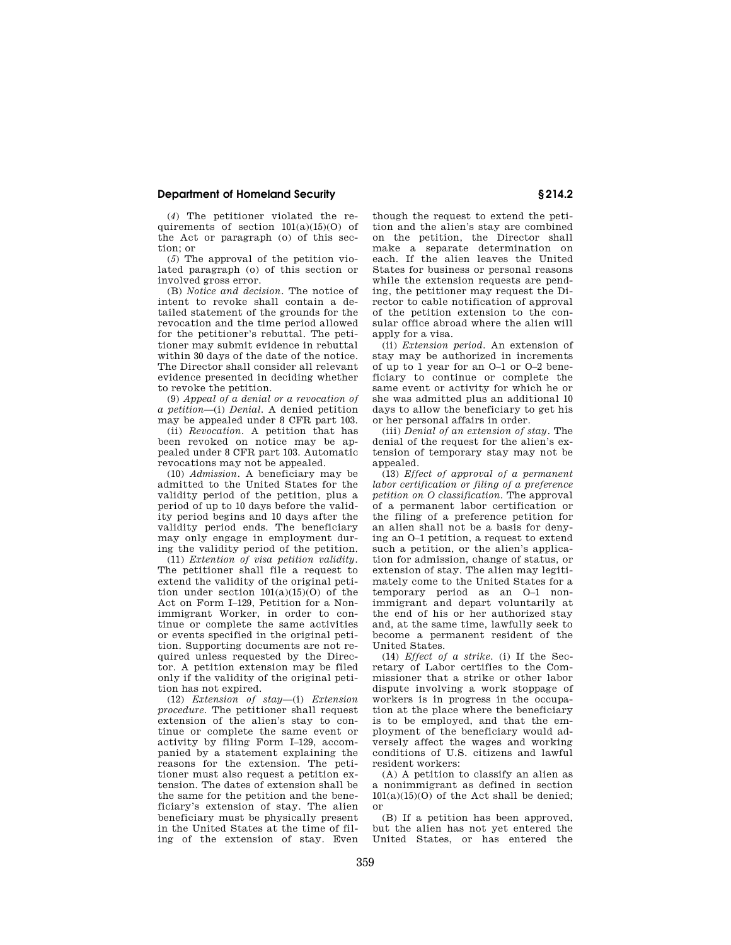(*4*) The petitioner violated the requirements of section  $101(a)(15)(0)$  of the Act or paragraph (o) of this section; or

(*5*) The approval of the petition violated paragraph (o) of this section or involved gross error.

(B) *Notice and decision.* The notice of intent to revoke shall contain a detailed statement of the grounds for the revocation and the time period allowed for the petitioner's rebuttal. The petitioner may submit evidence in rebuttal within 30 days of the date of the notice. The Director shall consider all relevant evidence presented in deciding whether to revoke the petition.

(9) *Appeal of a denial or a revocation of a petition*—(i) *Denial.* A denied petition may be appealed under 8 CFR part 103.

(ii) *Revocation.* A petition that has been revoked on notice may be appealed under 8 CFR part 103. Automatic revocations may not be appealed.

(10) *Admission.* A beneficiary may be admitted to the United States for the validity period of the petition, plus a period of up to 10 days before the validity period begins and 10 days after the validity period ends. The beneficiary may only engage in employment during the validity period of the petition.

(11) *Extention of visa petition validity.*  The petitioner shall file a request to extend the validity of the original petition under section  $101(a)(15)(0)$  of the Act on Form I–129, Petition for a Nonimmigrant Worker, in order to continue or complete the same activities or events specified in the original petition. Supporting documents are not required unless requested by the Director. A petition extension may be filed only if the validity of the original petition has not expired.

(12) *Extension of stay*—(i) *Extension procedure.* The petitioner shall request extension of the alien's stay to continue or complete the same event or activity by filing Form I–129, accompanied by a statement explaining the reasons for the extension. The petitioner must also request a petition extension. The dates of extension shall be the same for the petition and the beneficiary's extension of stay. The alien beneficiary must be physically present in the United States at the time of filing of the extension of stay. Even

though the request to extend the petition and the alien's stay are combined on the petition, the Director shall make a separate determination on each. If the alien leaves the United States for business or personal reasons while the extension requests are pending, the petitioner may request the Director to cable notification of approval of the petition extension to the consular office abroad where the alien will apply for a visa.

(ii) *Extension period.* An extension of stay may be authorized in increments of up to 1 year for an O–1 or O–2 beneficiary to continue or complete the same event or activity for which he or she was admitted plus an additional 10 days to allow the beneficiary to get his or her personal affairs in order.

(iii) *Denial of an extension of stay.* The denial of the request for the alien's extension of temporary stay may not be appealed.

(13) *Effect of approval of a permanent labor certification or filing of a preference petition on O classification.* The approval of a permanent labor certification or the filing of a preference petition for an alien shall not be a basis for denying an O–1 petition, a request to extend such a petition, or the alien's application for admission, change of status, or extension of stay. The alien may legitimately come to the United States for a temporary period as an O–1 nonimmigrant and depart voluntarily at the end of his or her authorized stay and, at the same time, lawfully seek to become a permanent resident of the United States.

(14) *Effect of a strike.* (i) If the Secretary of Labor certifies to the Commissioner that a strike or other labor dispute involving a work stoppage of workers is in progress in the occupation at the place where the beneficiary is to be employed, and that the employment of the beneficiary would adversely affect the wages and working conditions of U.S. citizens and lawful resident workers:

(A) A petition to classify an alien as a nonimmigrant as defined in section  $101(a)(15)(O)$  of the Act shall be denied; or

(B) If a petition has been approved, but the alien has not yet entered the United States, or has entered the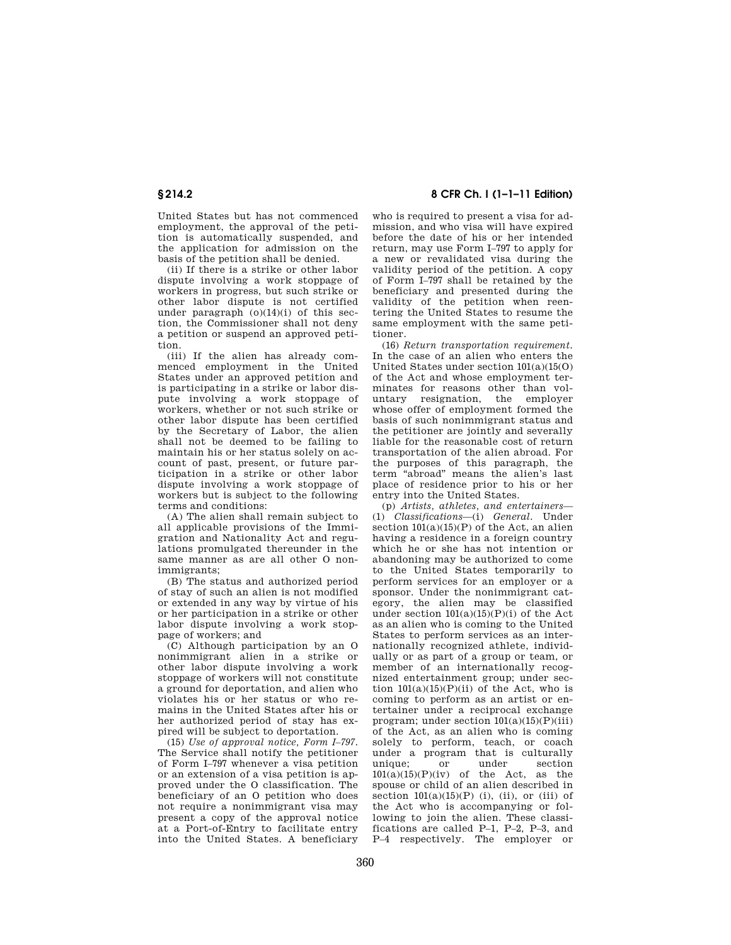United States but has not commenced employment, the approval of the petition is automatically suspended, and the application for admission on the basis of the petition shall be denied.

(ii) If there is a strike or other labor dispute involving a work stoppage of workers in progress, but such strike or other labor dispute is not certified under paragraph  $(o)(14)(i)$  of this section, the Commissioner shall not deny a petition or suspend an approved petition.

(iii) If the alien has already commenced employment in the United States under an approved petition and is participating in a strike or labor dispute involving a work stoppage of workers, whether or not such strike or other labor dispute has been certified by the Secretary of Labor, the alien shall not be deemed to be failing to maintain his or her status solely on account of past, present, or future participation in a strike or other labor dispute involving a work stoppage of workers but is subject to the following terms and conditions:

(A) The alien shall remain subject to all applicable provisions of the Immigration and Nationality Act and regulations promulgated thereunder in the same manner as are all other O nonimmigrants;

(B) The status and authorized period of stay of such an alien is not modified or extended in any way by virtue of his or her participation in a strike or other labor dispute involving a work stoppage of workers; and

(C) Although participation by an O nonimmigrant alien in a strike or other labor dispute involving a work stoppage of workers will not constitute a ground for deportation, and alien who violates his or her status or who remains in the United States after his or her authorized period of stay has expired will be subject to deportation.

(15) *Use of approval notice, Form I–797.*  The Service shall notify the petitioner of Form I–797 whenever a visa petition or an extension of a visa petition is approved under the O classification. The beneficiary of an O petition who does not require a nonimmigrant visa may present a copy of the approval notice at a Port-of-Entry to facilitate entry into the United States. A beneficiary

# **§ 214.2 8 CFR Ch. I (1–1–11 Edition)**

who is required to present a visa for admission, and who visa will have expired before the date of his or her intended return, may use Form I–797 to apply for a new or revalidated visa during the validity period of the petition. A copy of Form I–797 shall be retained by the beneficiary and presented during the validity of the petition when reentering the United States to resume the same employment with the same petitioner.

(16) *Return transportation requirement.*  In the case of an alien who enters the United States under section 101(a)(15(O) of the Act and whose employment terminates for reasons other than voluntary resignation, the employer whose offer of employment formed the basis of such nonimmigrant status and the petitioner are jointly and severally liable for the reasonable cost of return transportation of the alien abroad. For the purposes of this paragraph, the term ''abroad'' means the alien's last place of residence prior to his or her entry into the United States.

(p) *Artists, athletes, and entertainers*— (1) *Classifications*—(i) *General.* Under section  $101(a)(15)(P)$  of the Act, an alien having a residence in a foreign country which he or she has not intention or abandoning may be authorized to come to the United States temporarily to perform services for an employer or a sponsor. Under the nonimmigrant category, the alien may be classified under section  $101(a)(15)(P)(i)$  of the Act as an alien who is coming to the United States to perform services as an internationally recognized athlete, individually or as part of a group or team, or member of an internationally recognized entertainment group; under section  $101(a)(15)(P)(ii)$  of the Act, who is coming to perform as an artist or entertainer under a reciprocal exchange program; under section  $101(a)(15)(P)(iii)$ of the Act, as an alien who is coming solely to perform, teach, or coach under a program that is culturally unique; or under section  $101(a)(15)(P)(iv)$  of the Act, as the spouse or child of an alien described in section  $101(a)(15)(P)$  (i), (ii), or (iii) of the Act who is accompanying or following to join the alien. These classifications are called P–1, P–2, P–3, and P–4 respectively. The employer or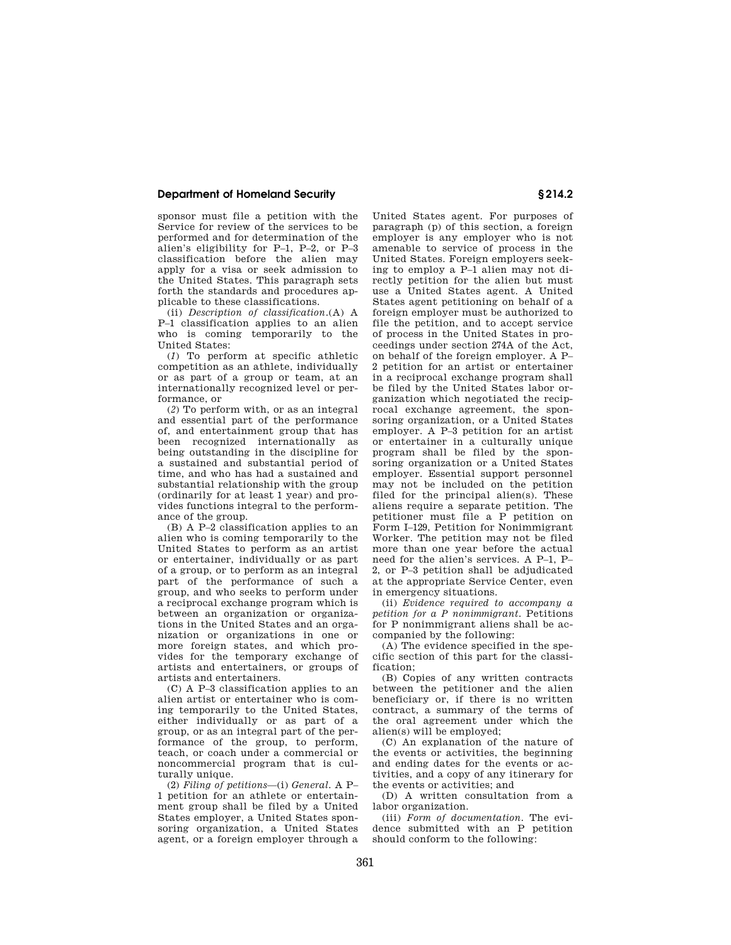sponsor must file a petition with the Service for review of the services to be performed and for determination of the alien's eligibility for P–1, P–2, or P–3 classification before the alien may apply for a visa or seek admission to the United States. This paragraph sets forth the standards and procedures applicable to these classifications.

(ii) *Description of classification*.(A) A P–1 classification applies to an alien who is coming temporarily to the United States:

(*1*) To perform at specific athletic competition as an athlete, individually or as part of a group or team, at an internationally recognized level or performance, or

(*2*) To perform with, or as an integral and essential part of the performance of, and entertainment group that has been recognized internationally as being outstanding in the discipline for a sustained and substantial period of time, and who has had a sustained and substantial relationship with the group (ordinarily for at least 1 year) and provides functions integral to the performance of the group.

(B) A P–2 classification applies to an alien who is coming temporarily to the United States to perform as an artist or entertainer, individually or as part of a group, or to perform as an integral part of the performance of such a group, and who seeks to perform under a reciprocal exchange program which is between an organization or organizations in the United States and an organization or organizations in one or more foreign states, and which provides for the temporary exchange of artists and entertainers, or groups of artists and entertainers.

(C) A P–3 classification applies to an alien artist or entertainer who is coming temporarily to the United States, either individually or as part of a group, or as an integral part of the performance of the group, to perform, teach, or coach under a commercial or noncommercial program that is culturally unique.

(2) *Filing of petitions*—(i) *General.* A P– 1 petition for an athlete or entertainment group shall be filed by a United States employer, a United States sponsoring organization, a United States agent, or a foreign employer through a United States agent. For purposes of paragraph (p) of this section, a foreign employer is any employer who is not amenable to service of process in the United States. Foreign employers seeking to employ a P–1 alien may not directly petition for the alien but must use a United States agent. A United States agent petitioning on behalf of a foreign employer must be authorized to file the petition, and to accept service of process in the United States in proceedings under section 274A of the Act, on behalf of the foreign employer. A P– 2 petition for an artist or entertainer in a reciprocal exchange program shall be filed by the United States labor organization which negotiated the reciprocal exchange agreement, the sponsoring organization, or a United States employer. A P–3 petition for an artist or entertainer in a culturally unique program shall be filed by the sponsoring organization or a United States employer. Essential support personnel may not be included on the petition filed for the principal alien(s). These aliens require a separate petition. The petitioner must file a P petition on Form I–129, Petition for Nonimmigrant Worker. The petition may not be filed more than one year before the actual need for the alien's services. A P–1, P– 2, or P–3 petition shall be adjudicated at the appropriate Service Center, even in emergency situations.

(ii) *Evidence required to accompany a petition for a P nonimmigrant.* Petitions for P nonimmigrant aliens shall be accompanied by the following:

(A) The evidence specified in the specific section of this part for the classification;

(B) Copies of any written contracts between the petitioner and the alien beneficiary or, if there is no written contract, a summary of the terms of the oral agreement under which the alien(s) will be employed;

(C) An explanation of the nature of the events or activities, the beginning and ending dates for the events or activities, and a copy of any itinerary for the events or activities; and

(D) A written consultation from a labor organization.

(iii) *Form of documentation.* The evidence submitted with an P petition should conform to the following: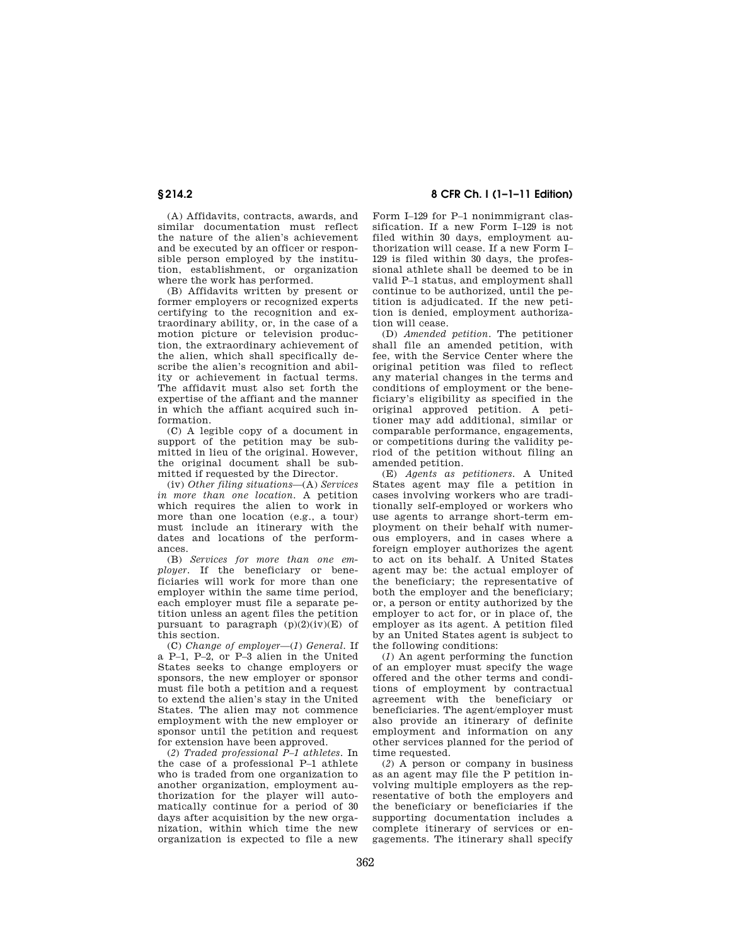(A) Affidavits, contracts, awards, and similar documentation must reflect the nature of the alien's achievement and be executed by an officer or responsible person employed by the institution, establishment, or organization where the work has performed.

(B) Affidavits written by present or former employers or recognized experts certifying to the recognition and extraordinary ability, or, in the case of a motion picture or television production, the extraordinary achievement of the alien, which shall specifically describe the alien's recognition and ability or achievement in factual terms. The affidavit must also set forth the expertise of the affiant and the manner in which the affiant acquired such information.

(C) A legible copy of a document in support of the petition may be submitted in lieu of the original. However, the original document shall be submitted if requested by the Director.

(iv) *Other filing situations*—(A) *Services in more than one location.* A petition which requires the alien to work in more than one location (e.g., a tour) must include an itinerary with the dates and locations of the performances.

(B) *Services for more than one employer.* If the beneficiary or beneficiaries will work for more than one employer within the same time period, each employer must file a separate petition unless an agent files the petition pursuant to paragraph  $(p)(2)(iv)(E)$  of this section.

(C) *Change of employer*—(*1*) *General.* If a P–1, P–2, or P–3 alien in the United States seeks to change employers or sponsors, the new employer or sponsor must file both a petition and a request to extend the alien's stay in the United States. The alien may not commence employment with the new employer or sponsor until the petition and request for extension have been approved.

(*2*) *Traded professional P–1 athletes.* In the case of a professional P–1 athlete who is traded from one organization to another organization, employment authorization for the player will automatically continue for a period of 30 days after acquisition by the new organization, within which time the new organization is expected to file a new

**§ 214.2 8 CFR Ch. I (1–1–11 Edition)** 

Form I–129 for P–1 nonimmigrant classification. If a new Form I–129 is not filed within 30 days, employment authorization will cease. If a new Form I– 129 is filed within 30 days, the professional athlete shall be deemed to be in valid P–1 status, and employment shall continue to be authorized, until the petition is adjudicated. If the new petition is denied, employment authorization will cease.

(D) *Amended petition.* The petitioner shall file an amended petition, with fee, with the Service Center where the original petition was filed to reflect any material changes in the terms and conditions of employment or the beneficiary's eligibility as specified in the original approved petition. A petitioner may add additional, similar or comparable performance, engagements, or competitions during the validity period of the petition without filing an amended petition.

(E) *Agents as petitioners.* A United States agent may file a petition in cases involving workers who are traditionally self-employed or workers who use agents to arrange short-term employment on their behalf with numerous employers, and in cases where a foreign employer authorizes the agent to act on its behalf. A United States agent may be: the actual employer of the beneficiary; the representative of both the employer and the beneficiary; or, a person or entity authorized by the employer to act for, or in place of, the employer as its agent. A petition filed by an United States agent is subject to the following conditions:

(*1*) An agent performing the function of an employer must specify the wage offered and the other terms and conditions of employment by contractual agreement with the beneficiary or beneficiaries. The agent/employer must also provide an itinerary of definite employment and information on any other services planned for the period of time requested.

(*2*) A person or company in business as an agent may file the P petition involving multiple employers as the representative of both the employers and the beneficiary or beneficiaries if the supporting documentation includes a complete itinerary of services or engagements. The itinerary shall specify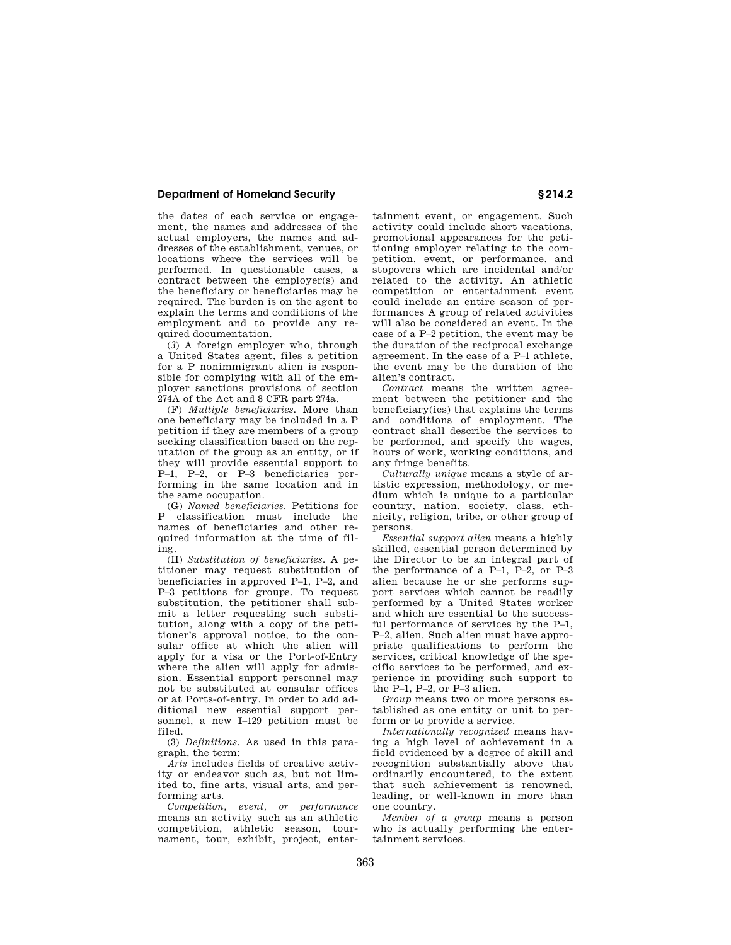the dates of each service or engagement, the names and addresses of the actual employers, the names and addresses of the establishment, venues, or locations where the services will be performed. In questionable cases, a contract between the employer(s) and the beneficiary or beneficiaries may be required. The burden is on the agent to explain the terms and conditions of the employment and to provide any required documentation.

(*3*) A foreign employer who, through a United States agent, files a petition for a P nonimmigrant alien is responsible for complying with all of the employer sanctions provisions of section 274A of the Act and 8 CFR part 274a.

(F) *Multiple beneficiaries.* More than one beneficiary may be included in a P petition if they are members of a group seeking classification based on the reputation of the group as an entity, or if they will provide essential support to P–1, P–2, or P–3 beneficiaries performing in the same location and in the same occupation.

(G) *Named beneficiaries.* Petitions for classification must include the names of beneficiaries and other required information at the time of filing.

(H) *Substitution of beneficiaries.* A petitioner may request substitution of beneficiaries in approved P–1, P–2, and P–3 petitions for groups. To request substitution, the petitioner shall submit a letter requesting such substitution, along with a copy of the petitioner's approval notice, to the consular office at which the alien will apply for a visa or the Port-of-Entry where the alien will apply for admission. Essential support personnel may not be substituted at consular offices or at Ports-of-entry. In order to add additional new essential support personnel, a new I–129 petition must be filed.

(3) *Definitions.* As used in this paragraph, the term:

*Arts* includes fields of creative activity or endeavor such as, but not limited to, fine arts, visual arts, and performing arts.<br>Competition.

*Competition, event, or performance*  means an activity such as an athletic competition, athletic season, tournament, tour, exhibit, project, enter-

tainment event, or engagement. Such activity could include short vacations, promotional appearances for the petitioning employer relating to the competition, event, or performance, and stopovers which are incidental and/or related to the activity. An athletic competition or entertainment event could include an entire season of performances A group of related activities will also be considered an event. In the case of a P–2 petition, the event may be the duration of the reciprocal exchange agreement. In the case of a P–1 athlete, the event may be the duration of the alien's contract.

*Contract* means the written agreement between the petitioner and the beneficiary(ies) that explains the terms and conditions of employment. The contract shall describe the services to be performed, and specify the wages, hours of work, working conditions, and any fringe benefits.

*Culturally unique* means a style of artistic expression, methodology, or medium which is unique to a particular country, nation, society, class, ethnicity, religion, tribe, or other group of persons.

*Essential support alien* means a highly skilled, essential person determined by the Director to be an integral part of the performance of a P–1, P–2, or P–3 alien because he or she performs support services which cannot be readily performed by a United States worker and which are essential to the successful performance of services by the P–1, P–2, alien. Such alien must have appropriate qualifications to perform the services, critical knowledge of the specific services to be performed, and experience in providing such support to the P–1, P–2, or P–3 alien.

*Group* means two or more persons established as one entity or unit to perform or to provide a service.

*Internationally recognized* means having a high level of achievement in a field evidenced by a degree of skill and recognition substantially above that ordinarily encountered, to the extent that such achievement is renowned, leading, or well-known in more than one country.

*Member of a group* means a person who is actually performing the entertainment services.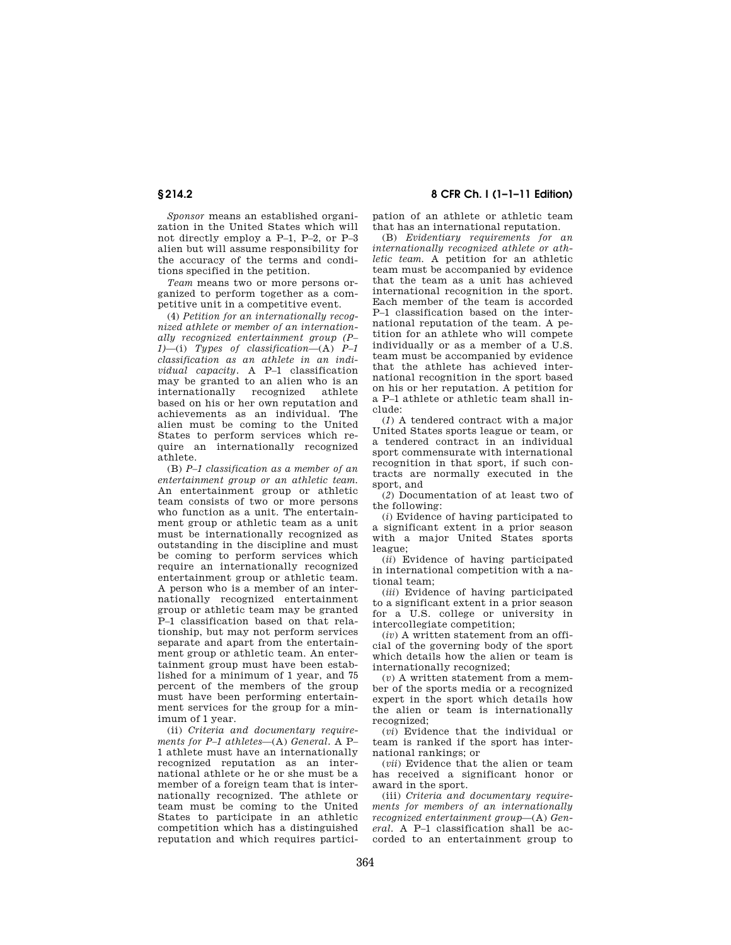*Sponsor* means an established organization in the United States which will not directly employ a P–1, P–2, or P–3 alien but will assume responsibility for the accuracy of the terms and conditions specified in the petition.

*Team* means two or more persons organized to perform together as a competitive unit in a competitive event.

(4) *Petition for an internationally recognized athlete or member of an internationally recognized entertainment group (P– 1)*—(i) *Types of classification*—(A) *P–1 classification as an athlete in an individual capacity.* A P–1 classification may be granted to an alien who is an internationally recognized athlete based on his or her own reputation and achievements as an individual. The alien must be coming to the United States to perform services which require an internationally recognized athlete.

(B) *P–1 classification as a member of an entertainment group or an athletic team.*  An entertainment group or athletic team consists of two or more persons who function as a unit. The entertainment group or athletic team as a unit must be internationally recognized as outstanding in the discipline and must be coming to perform services which require an internationally recognized entertainment group or athletic team. A person who is a member of an internationally recognized entertainment group or athletic team may be granted P–1 classification based on that relationship, but may not perform services separate and apart from the entertainment group or athletic team. An entertainment group must have been established for a minimum of 1 year, and 75 percent of the members of the group must have been performing entertainment services for the group for a minimum of 1 year.

(ii) *Criteria and documentary requirements for P–1 athletes*—(A) *General.* A P– 1 athlete must have an internationally recognized reputation as an international athlete or he or she must be a member of a foreign team that is internationally recognized. The athlete or team must be coming to the United States to participate in an athletic competition which has a distinguished reputation and which requires partici-

**§ 214.2 8 CFR Ch. I (1–1–11 Edition)** 

pation of an athlete or athletic team that has an international reputation.

(B) *Evidentiary requirements for an internationally recognized athlete or athletic team.* A petition for an athletic team must be accompanied by evidence that the team as a unit has achieved international recognition in the sport. Each member of the team is accorded P–1 classification based on the international reputation of the team. A petition for an athlete who will compete individually or as a member of a U.S. team must be accompanied by evidence that the athlete has achieved international recognition in the sport based on his or her reputation. A petition for a P–1 athlete or athletic team shall include:

(*1*) A tendered contract with a major United States sports league or team, or a tendered contract in an individual sport commensurate with international recognition in that sport, if such contracts are normally executed in the sport, and

(*2*) Documentation of at least two of the following:

(*i*) Evidence of having participated to a significant extent in a prior season with a major United States sports league;

(*ii*) Evidence of having participated in international competition with a national team;

(*iii*) Evidence of having participated to a significant extent in a prior season for a U.S. college or university in intercollegiate competition;

(*iv*) A written statement from an official of the governing body of the sport which details how the alien or team is internationally recognized;

(*v*) A written statement from a member of the sports media or a recognized expert in the sport which details how the alien or team is internationally recognized;

(*vi*) Evidence that the individual or team is ranked if the sport has international rankings; or

(*vii*) Evidence that the alien or team has received a significant honor or award in the sport.

(iii) *Criteria and documentary requirements for members of an internationally recognized entertainment group*—(A) *General.* A P–1 classification shall be accorded to an entertainment group to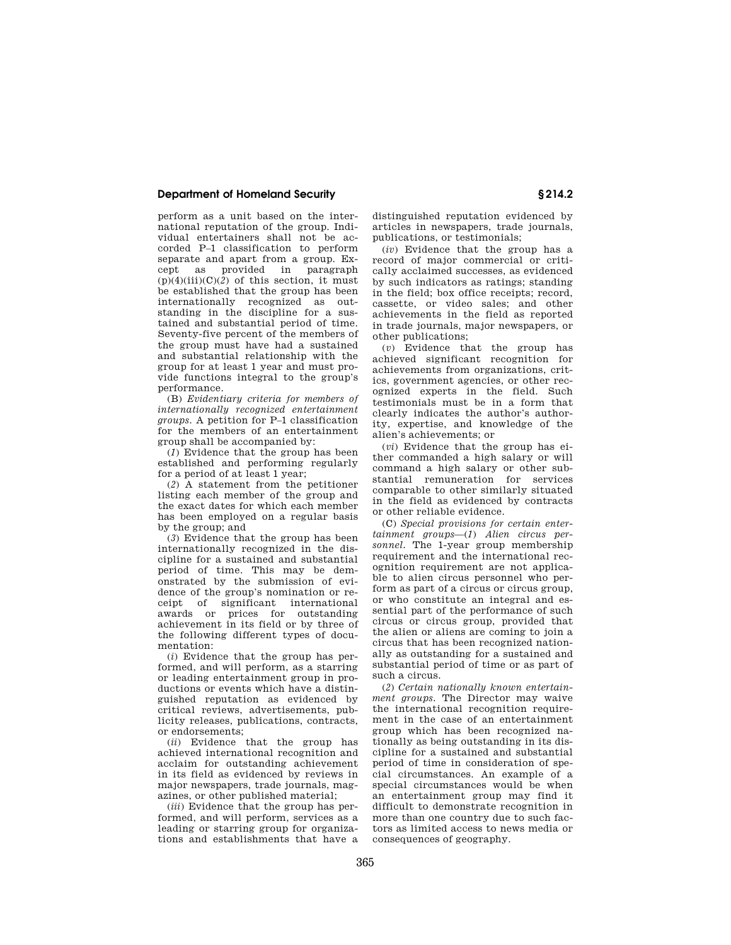perform as a unit based on the international reputation of the group. Individual entertainers shall not be accorded P–1 classification to perform separate and apart from a group. Except as provided in paragraph  $(p)(4)(iii)(C)(2)$  of this section, it must be established that the group has been internationally recognized as outstanding in the discipline for a sustained and substantial period of time. Seventy-five percent of the members of the group must have had a sustained and substantial relationship with the group for at least 1 year and must provide functions integral to the group's performance.

(B) *Evidentiary criteria for members of internationally recognized entertainment groups.* A petition for P–1 classification for the members of an entertainment group shall be accompanied by:

(*1*) Evidence that the group has been established and performing regularly for a period of at least 1 year;

(*2*) A statement from the petitioner listing each member of the group and the exact dates for which each member has been employed on a regular basis by the group; and

(*3*) Evidence that the group has been internationally recognized in the discipline for a sustained and substantial period of time. This may be demonstrated by the submission of evidence of the group's nomination or receipt of significant international awards or prices for outstanding achievement in its field or by three of the following different types of documentation:

(*i*) Evidence that the group has performed, and will perform, as a starring or leading entertainment group in productions or events which have a distinguished reputation as evidenced by critical reviews, advertisements, publicity releases, publications, contracts, or endorsements;

(*ii*) Evidence that the group has achieved international recognition and acclaim for outstanding achievement in its field as evidenced by reviews in major newspapers, trade journals, magazines, or other published material;

(*iii*) Evidence that the group has performed, and will perform, services as a leading or starring group for organizations and establishments that have a

distinguished reputation evidenced by articles in newspapers, trade journals, publications, or testimonials;

(*iv*) Evidence that the group has a record of major commercial or critically acclaimed successes, as evidenced by such indicators as ratings; standing in the field; box office receipts; record, cassette, or video sales; and other achievements in the field as reported in trade journals, major newspapers, or other publications;

(*v*) Evidence that the group has achieved significant recognition for achievements from organizations, critics, government agencies, or other recognized experts in the field. Such testimonials must be in a form that clearly indicates the author's authority, expertise, and knowledge of the alien's achievements; or

(*vi*) Evidence that the group has either commanded a high salary or will command a high salary or other substantial remuneration for services comparable to other similarly situated in the field as evidenced by contracts or other reliable evidence.

(C) *Special provisions for certain entertainment groups*—(*1*) *Alien circus personnel.* The 1-year group membership requirement and the international recognition requirement are not applicable to alien circus personnel who perform as part of a circus or circus group, or who constitute an integral and essential part of the performance of such circus or circus group, provided that the alien or aliens are coming to join a circus that has been recognized nationally as outstanding for a sustained and substantial period of time or as part of such a circus.

(*2*) *Certain nationally known entertainment groups.* The Director may waive the international recognition requirement in the case of an entertainment group which has been recognized nationally as being outstanding in its discipline for a sustained and substantial period of time in consideration of special circumstances. An example of a special circumstances would be when an entertainment group may find it difficult to demonstrate recognition in more than one country due to such factors as limited access to news media or consequences of geography.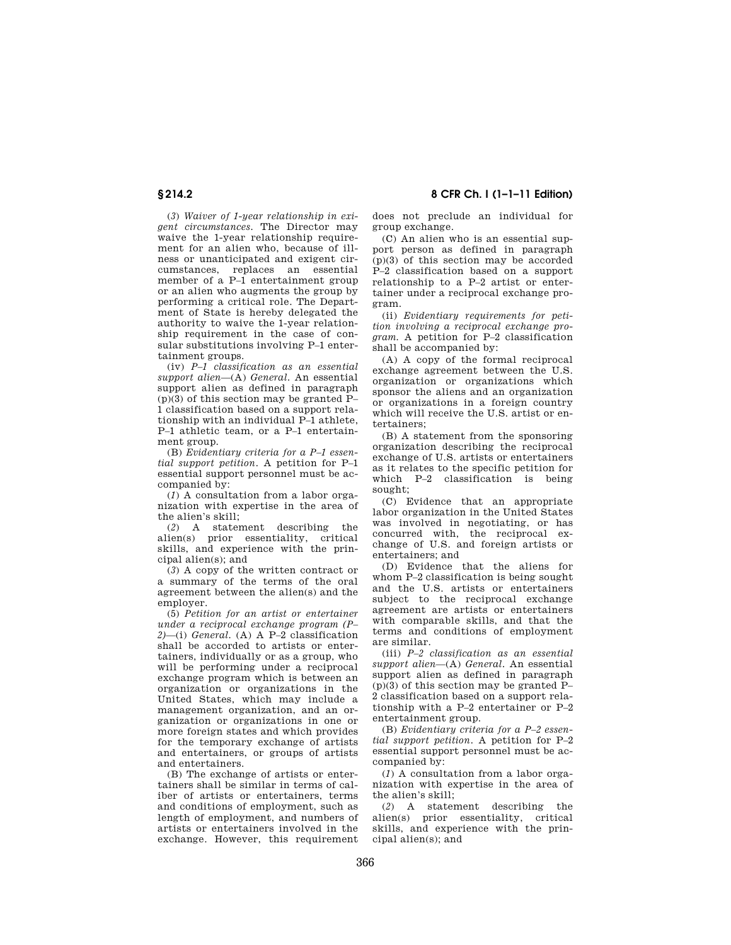**§ 214.2 8 CFR Ch. I (1–1–11 Edition)** 

(*3*) *Waiver of 1-year relationship in exigent circumstances.* The Director may waive the 1-year relationship requirement for an alien who, because of illness or unanticipated and exigent circumstances, replaces an essential member of a P–1 entertainment group or an alien who augments the group by performing a critical role. The Department of State is hereby delegated the authority to waive the 1-year relationship requirement in the case of consular substitutions involving P–1 entertainment groups.

(iv) *P–1 classification as an essential support alien*—(A) *General.* An essential support alien as defined in paragraph  $(p)(3)$  of this section may be granted P– 1 classification based on a support relationship with an individual P–1 athlete, P–1 athletic team, or a P–1 entertainment group.

(B) *Evidentiary criteria for a P–1 essential support petition.* A petition for P–1 essential support personnel must be accompanied by:

(*1*) A consultation from a labor organization with expertise in the area of the alien's skill;

(*2*) A statement describing the alien(s) prior essentiality, critical skills, and experience with the principal alien(s); and

(*3*) A copy of the written contract or a summary of the terms of the oral agreement between the alien(s) and the employer.

(5) *Petition for an artist or entertainer under a reciprocal exchange program (P– 2)*—(i) *General.* (A) A P–2 classification shall be accorded to artists or entertainers, individually or as a group, who will be performing under a reciprocal exchange program which is between an organization or organizations in the United States, which may include a management organization, and an organization or organizations in one or more foreign states and which provides for the temporary exchange of artists and entertainers, or groups of artists and entertainers.

(B) The exchange of artists or entertainers shall be similar in terms of caliber of artists or entertainers, terms and conditions of employment, such as length of employment, and numbers of artists or entertainers involved in the exchange. However, this requirement

does not preclude an individual for group exchange.

(C) An alien who is an essential support person as defined in paragraph (p)(3) of this section may be accorded P–2 classification based on a support relationship to a P–2 artist or entertainer under a reciprocal exchange program.

(ii) *Evidentiary requirements for petition involving a reciprocal exchange program.* A petition for P–2 classification shall be accompanied by:

(A) A copy of the formal reciprocal exchange agreement between the U.S. organization or organizations which sponsor the aliens and an organization or organizations in a foreign country which will receive the U.S. artist or entertainers;

(B) A statement from the sponsoring organization describing the reciprocal exchange of U.S. artists or entertainers as it relates to the specific petition for which P–2 classification is being sought;

(C) Evidence that an appropriate labor organization in the United States was involved in negotiating, or has concurred with, the reciprocal exchange of U.S. and foreign artists or entertainers; and

(D) Evidence that the aliens for whom P–2 classification is being sought and the U.S. artists or entertainers subject to the reciprocal exchange agreement are artists or entertainers with comparable skills, and that the terms and conditions of employment are similar.

(iii) *P–2 classification as an essential support alien*—(A) *General.* An essential support alien as defined in paragraph  $(p)(3)$  of this section may be granted P– 2 classification based on a support relationship with a P–2 entertainer or P–2 entertainment group.

(B) *Evidentiary criteria for a P–2 essential support petition.* A petition for P–2 essential support personnel must be accompanied by:

(*1*) A consultation from a labor organization with expertise in the area of the alien's skill;

(*2*) A statement describing the alien(s) prior essentiality, critical skills, and experience with the principal alien(s); and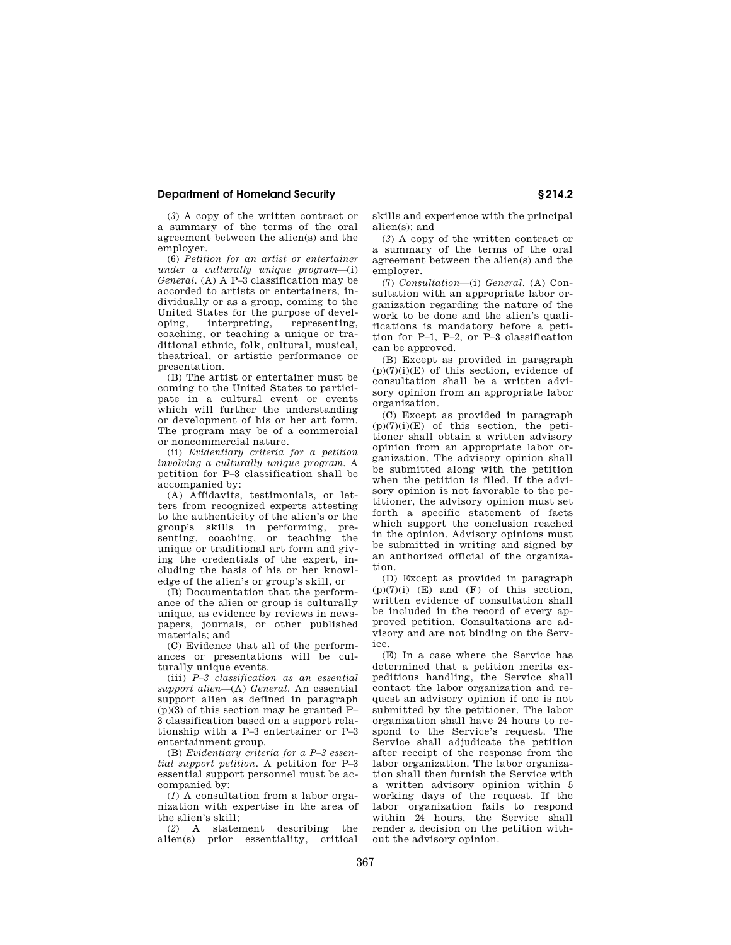(*3*) A copy of the written contract or a summary of the terms of the oral agreement between the alien(s) and the employer.

(6) *Petition for an artist or entertainer under a culturally unique program*—(i) *General.* (A) A P–3 classification may be accorded to artists or entertainers, individually or as a group, coming to the United States for the purpose of developing, interpreting, representing, interpreting, representing, coaching, or teaching a unique or traditional ethnic, folk, cultural, musical, theatrical, or artistic performance or presentation.

(B) The artist or entertainer must be coming to the United States to participate in a cultural event or events which will further the understanding or development of his or her art form. The program may be of a commercial or noncommercial nature.

(ii) *Evidentiary criteria for a petition involving a culturally unique program.* A petition for P–3 classification shall be accompanied by:

(A) Affidavits, testimonials, or letters from recognized experts attesting to the authenticity of the alien's or the group's skills in performing, presenting, coaching, or teaching the unique or traditional art form and giving the credentials of the expert, including the basis of his or her knowledge of the alien's or group's skill, or

(B) Documentation that the performance of the alien or group is culturally unique, as evidence by reviews in newspapers, journals, or other published materials; and

(C) Evidence that all of the performances or presentations will be culturally unique events.

(iii) *P–3 classification as an essential support alien*—(A) *General.* An essential support alien as defined in paragraph  $(p)(3)$  of this section may be granted P-3 classification based on a support relationship with a P–3 entertainer or P–3 entertainment group.

(B) *Evidentiary criteria for a P–3 essential support petition.* A petition for P–3 essential support personnel must be accompanied by:

(*1*) A consultation from a labor organization with expertise in the area of the alien's skill;

(*2*) A statement describing the alien(s) prior essentiality, critical skills and experience with the principal alien(s); and

(*3*) A copy of the written contract or a summary of the terms of the oral agreement between the alien(s) and the employer.

(7) *Consultation*—(i) *General.* (A) Consultation with an appropriate labor organization regarding the nature of the work to be done and the alien's qualifications is mandatory before a petition for P–1, P–2, or P–3 classification can be approved.

(B) Except as provided in paragraph  $(p)(7)(i)(E)$  of this section, evidence of consultation shall be a written advisory opinion from an appropriate labor organization.

(C) Except as provided in paragraph  $(p)(7)(i)(E)$  of this section, the petitioner shall obtain a written advisory opinion from an appropriate labor organization. The advisory opinion shall be submitted along with the petition when the petition is filed. If the advisory opinion is not favorable to the petitioner, the advisory opinion must set forth a specific statement of facts which support the conclusion reached in the opinion. Advisory opinions must be submitted in writing and signed by an authorized official of the organization.

(D) Except as provided in paragraph  $(p)(7)(i)$  (E) and  $(F)$  of this section, written evidence of consultation shall be included in the record of every approved petition. Consultations are advisory and are not binding on the Service.

(E) In a case where the Service has determined that a petition merits expeditious handling, the Service shall contact the labor organization and request an advisory opinion if one is not submitted by the petitioner. The labor organization shall have 24 hours to respond to the Service's request. The Service shall adjudicate the petition after receipt of the response from the labor organization. The labor organization shall then furnish the Service with a written advisory opinion within 5 working days of the request. If the labor organization fails to respond within 24 hours, the Service shall render a decision on the petition without the advisory opinion.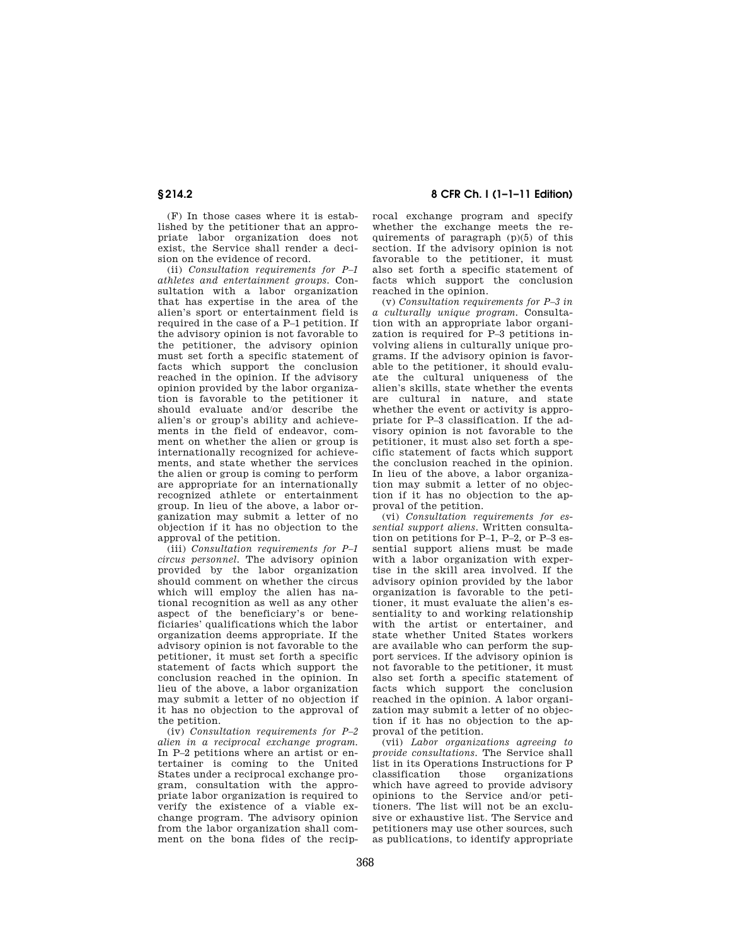(F) In those cases where it is established by the petitioner that an appropriate labor organization does not exist, the Service shall render a decision on the evidence of record.

(ii) *Consultation requirements for P–1 athletes and entertainment groups.* Consultation with a labor organization that has expertise in the area of the alien's sport or entertainment field is required in the case of a P–1 petition. If the advisory opinion is not favorable to the petitioner, the advisory opinion must set forth a specific statement of facts which support the conclusion reached in the opinion. If the advisory opinion provided by the labor organization is favorable to the petitioner it should evaluate and/or describe the alien's or group's ability and achievements in the field of endeavor, comment on whether the alien or group is internationally recognized for achievements, and state whether the services the alien or group is coming to perform are appropriate for an internationally recognized athlete or entertainment group. In lieu of the above, a labor organization may submit a letter of no objection if it has no objection to the approval of the petition.

(iii) *Consultation requirements for P–1 circus personnel.* The advisory opinion provided by the labor organization should comment on whether the circus which will employ the alien has national recognition as well as any other aspect of the beneficiary's or beneficiaries' qualifications which the labor organization deems appropriate. If the advisory opinion is not favorable to the petitioner, it must set forth a specific statement of facts which support the conclusion reached in the opinion. In lieu of the above, a labor organization may submit a letter of no objection if it has no objection to the approval of the petition.

(iv) *Consultation requirements for P–2 alien in a reciprocal exchange program.*  In P–2 petitions where an artist or entertainer is coming to the United States under a reciprocal exchange program, consultation with the appropriate labor organization is required to verify the existence of a viable exchange program. The advisory opinion from the labor organization shall comment on the bona fides of the recip-

## **§ 214.2 8 CFR Ch. I (1–1–11 Edition)**

rocal exchange program and specify whether the exchange meets the requirements of paragraph (p)(5) of this section. If the advisory opinion is not favorable to the petitioner, it must also set forth a specific statement of facts which support the conclusion reached in the opinion.

(v) *Consultation requirements for P–3 in a culturally unique program.* Consultation with an appropriate labor organization is required for P–3 petitions involving aliens in culturally unique programs. If the advisory opinion is favorable to the petitioner, it should evaluate the cultural uniqueness of the alien's skills, state whether the events are cultural in nature, and state whether the event or activity is appropriate for P–3 classification. If the advisory opinion is not favorable to the petitioner, it must also set forth a specific statement of facts which support the conclusion reached in the opinion. In lieu of the above, a labor organization may submit a letter of no objection if it has no objection to the approval of the petition.

(vi) *Consultation requirements for essential support aliens.* Written consultation on petitions for P–1, P–2, or P–3 essential support aliens must be made with a labor organization with expertise in the skill area involved. If the advisory opinion provided by the labor organization is favorable to the petitioner, it must evaluate the alien's essentiality to and working relationship with the artist or entertainer, and state whether United States workers are available who can perform the support services. If the advisory opinion is not favorable to the petitioner, it must also set forth a specific statement of facts which support the conclusion reached in the opinion. A labor organization may submit a letter of no objection if it has no objection to the approval of the petition.

(vii) *Labor organizations agreeing to provide consultations.* The Service shall Itst in its Operations Instructions for P<br>classification those organizations organizations which have agreed to provide advisory opinions to the Service and/or petitioners. The list will not be an exclusive or exhaustive list. The Service and petitioners may use other sources, such as publications, to identify appropriate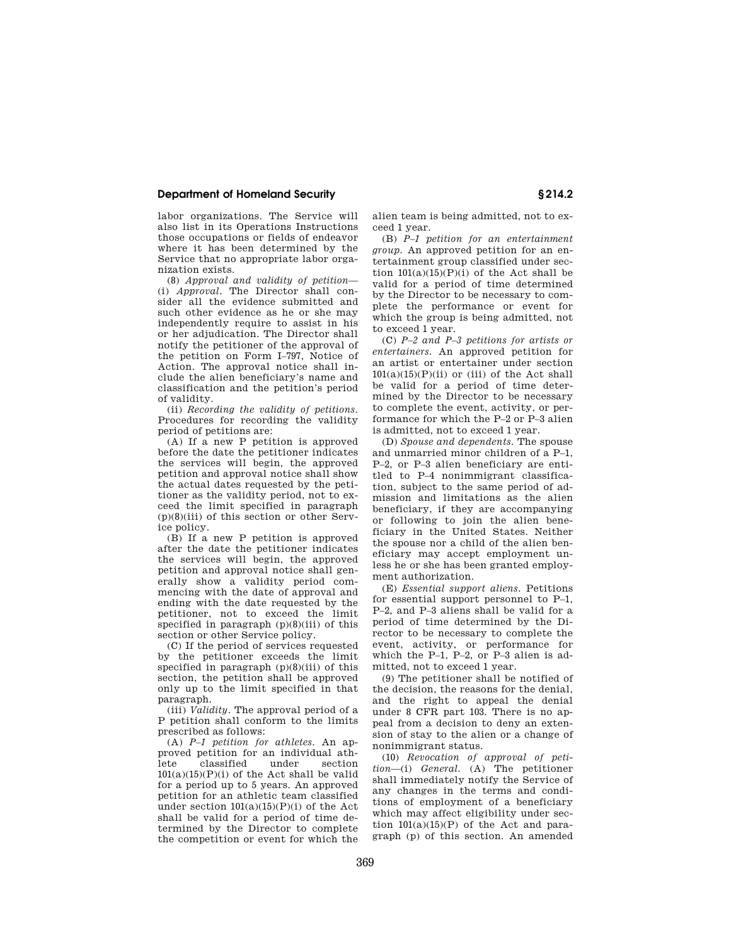labor organizations. The Service will also list in its Operations Instructions those occupations or fields of endeavor where it has been determined by the Service that no appropriate labor organization exists.

(8) *Approval and validity of petition*— (i) *Approval.* The Director shall consider all the evidence submitted and such other evidence as he or she may independently require to assist in his or her adjudication. The Director shall notify the petitioner of the approval of the petition on Form I–797, Notice of Action. The approval notice shall include the alien beneficiary's name and classification and the petition's period of validity.

(ii) *Recording the validity of petitions.*  Procedures for recording the validity period of petitions are:

(A) If a new P petition is approved before the date the petitioner indicates the services will begin, the approved petition and approval notice shall show the actual dates requested by the petitioner as the validity period, not to exceed the limit specified in paragraph  $(p)(8)(iii)$  of this section or other Service policy.

(B) If a new P petition is approved after the date the petitioner indicates the services will begin, the approved petition and approval notice shall generally show a validity period commencing with the date of approval and ending with the date requested by the petitioner, not to exceed the limit specified in paragraph  $(p)(8)(iii)$  of this section or other Service policy.

(C) If the period of services requested by the petitioner exceeds the limit specified in paragraph  $(p)(8)(iii)$  of this section, the petition shall be approved only up to the limit specified in that paragraph.

(iii) *Validity.* The approval period of a P petition shall conform to the limits prescribed as follows:

(A) *P–1 petition for athletes.* An approved petition for an individual athlete classified under section  $101(a)(15)(P)(i)$  of the Act shall be valid for a period up to 5 years. An approved petition for an athletic team classified under section  $101(a)(15)(P)(i)$  of the Act shall be valid for a period of time determined by the Director to complete the competition or event for which the alien team is being admitted, not to exceed 1 year.

(B) *P–1 petition for an entertainment group.* An approved petition for an entertainment group classified under section  $101(a)(15)(P)(i)$  of the Act shall be valid for a period of time determined by the Director to be necessary to complete the performance or event for which the group is being admitted, not to exceed 1 year.

(C) *P–2 and P–3 petitions for artists or entertainers.* An approved petition for an artist or entertainer under section  $101(a)(15)(P)(ii)$  or (iii) of the Act shall be valid for a period of time determined by the Director to be necessary to complete the event, activity, or performance for which the P–2 or P–3 alien is admitted, not to exceed 1 year.

(D) *Spouse and dependents.* The spouse and unmarried minor children of a P–1, P–2, or P–3 alien beneficiary are entitled to P–4 nonimmigrant classification, subject to the same period of admission and limitations as the alien beneficiary, if they are accompanying or following to join the alien beneficiary in the United States. Neither the spouse nor a child of the alien beneficiary may accept employment unless he or she has been granted employment authorization.

(E) *Essential support aliens.* Petitions for essential support personnel to P–1, P–2, and P–3 aliens shall be valid for a period of time determined by the Director to be necessary to complete the event, activity, or performance for which the P–1, P–2, or P–3 alien is admitted, not to exceed 1 year.

(9) The petitioner shall be notified of the decision, the reasons for the denial, and the right to appeal the denial under 8 CFR part 103. There is no appeal from a decision to deny an extension of stay to the alien or a change of nonimmigrant status.

(10) *Revocation of approval of petition*—(i) *General.* (A) The petitioner shall immediately notify the Service of any changes in the terms and conditions of employment of a beneficiary which may affect eligibility under section  $101(a)(15)(P)$  of the Act and paragraph (p) of this section. An amended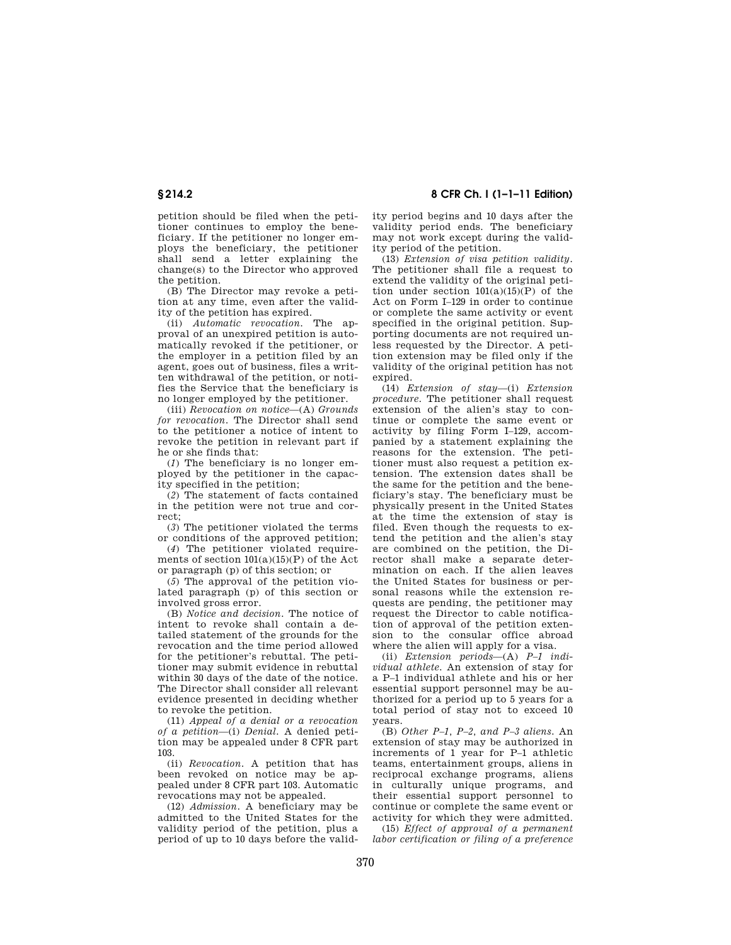petition should be filed when the petitioner continues to employ the beneficiary. If the petitioner no longer employs the beneficiary, the petitioner shall send a letter explaining the change(s) to the Director who approved the petition.

(B) The Director may revoke a petition at any time, even after the validity of the petition has expired.

(ii) *Automatic revocation.* The approval of an unexpired petition is automatically revoked if the petitioner, or the employer in a petition filed by an agent, goes out of business, files a written withdrawal of the petition, or notifies the Service that the beneficiary is no longer employed by the petitioner.

(iii) *Revocation on notice*—(A) *Grounds for revocation.* The Director shall send to the petitioner a notice of intent to revoke the petition in relevant part if he or she finds that:

(*1*) The beneficiary is no longer employed by the petitioner in the capacity specified in the petition;

(*2*) The statement of facts contained in the petition were not true and correct;

(*3*) The petitioner violated the terms or conditions of the approved petition;

(*4*) The petitioner violated requirements of section  $101(a)(15)(P)$  of the Act or paragraph (p) of this section; or

(*5*) The approval of the petition violated paragraph (p) of this section or involved gross error.

(B) *Notice and decision.* The notice of intent to revoke shall contain a detailed statement of the grounds for the revocation and the time period allowed for the petitioner's rebuttal. The petitioner may submit evidence in rebuttal within 30 days of the date of the notice. The Director shall consider all relevant evidence presented in deciding whether to revoke the petition.

(11) *Appeal of a denial or a revocation of a petition*—(i) *Denial.* A denied petition may be appealed under 8 CFR part 103.

(ii) *Revocation.* A petition that has been revoked on notice may be appealed under 8 CFR part 103. Automatic revocations may not be appealed.

(12) *Admission.* A beneficiary may be admitted to the United States for the validity period of the petition, plus a period of up to 10 days before the validity period begins and 10 days after the validity period ends. The beneficiary may not work except during the validity period of the petition.

(13) *Extension of visa petition validity.*  The petitioner shall file a request to extend the validity of the original petition under section  $101(a)(15)(P)$  of the Act on Form I–129 in order to continue or complete the same activity or event specified in the original petition. Supporting documents are not required unless requested by the Director. A petition extension may be filed only if the validity of the original petition has not expired.

(14) *Extension of stay*—(i) *Extension procedure.* The petitioner shall request extension of the alien's stay to continue or complete the same event or activity by filing Form I–129, accompanied by a statement explaining the reasons for the extension. The petitioner must also request a petition extension. The extension dates shall be the same for the petition and the beneficiary's stay. The beneficiary must be physically present in the United States at the time the extension of stay is filed. Even though the requests to extend the petition and the alien's stay are combined on the petition, the Director shall make a separate determination on each. If the alien leaves the United States for business or personal reasons while the extension requests are pending, the petitioner may request the Director to cable notification of approval of the petition extension to the consular office abroad where the alien will apply for a visa.

(ii) *Extension periods*—(A) *P–1 individual athlete.* An extension of stay for a P–1 individual athlete and his or her essential support personnel may be authorized for a period up to 5 years for a total period of stay not to exceed 10 years.

(B) *Other P–1, P–2, and P–3 aliens.* An extension of stay may be authorized in increments of 1 year for P–1 athletic teams, entertainment groups, aliens in reciprocal exchange programs, aliens in culturally unique programs, and their essential support personnel to continue or complete the same event or activity for which they were admitted.

(15) *Effect of approval of a permanent labor certification or filing of a preference*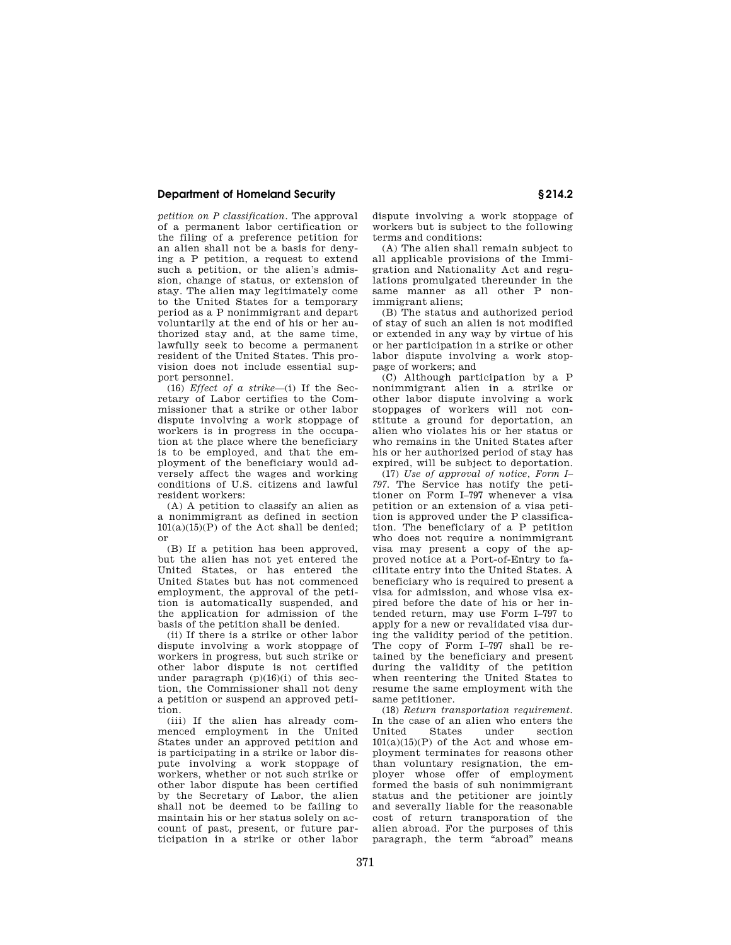*petition on P classification.* The approval of a permanent labor certification or the filing of a preference petition for an alien shall not be a basis for denying a P petition, a request to extend such a petition, or the alien's admission, change of status, or extension of stay. The alien may legitimately come to the United States for a temporary period as a P nonimmigrant and depart voluntarily at the end of his or her authorized stay and, at the same time, lawfully seek to become a permanent resident of the United States. This provision does not include essential support personnel.

(16) *Effect of a strike*—(i) If the Secretary of Labor certifies to the Commissioner that a strike or other labor dispute involving a work stoppage of workers is in progress in the occupation at the place where the beneficiary is to be employed, and that the employment of the beneficiary would adversely affect the wages and working conditions of U.S. citizens and lawful resident workers:

(A) A petition to classify an alien as a nonimmigrant as defined in section  $101(a)(15)(P)$  of the Act shall be denied; or

(B) If a petition has been approved, but the alien has not yet entered the United States, or has entered the United States but has not commenced employment, the approval of the petition is automatically suspended, and the application for admission of the basis of the petition shall be denied.

(ii) If there is a strike or other labor dispute involving a work stoppage of workers in progress, but such strike or other labor dispute is not certified under paragraph  $(p)(16)(i)$  of this section, the Commissioner shall not deny a petition or suspend an approved petition.

(iii) If the alien has already commenced employment in the United States under an approved petition and is participating in a strike or labor dispute involving a work stoppage of workers, whether or not such strike or other labor dispute has been certified by the Secretary of Labor, the alien shall not be deemed to be failing to maintain his or her status solely on account of past, present, or future participation in a strike or other labor

dispute involving a work stoppage of workers but is subject to the following terms and conditions:

(A) The alien shall remain subject to all applicable provisions of the Immigration and Nationality Act and regulations promulgated thereunder in the same manner as all other P nonimmigrant aliens;

(B) The status and authorized period of stay of such an alien is not modified or extended in any way by virtue of his or her participation in a strike or other labor dispute involving a work stoppage of workers; and

(C) Although participation by a P nonimmigrant alien in a strike or other labor dispute involving a work stoppages of workers will not constitute a ground for deportation, an alien who violates his or her status or who remains in the United States after his or her authorized period of stay has expired, will be subject to deportation.

(17) *Use of approval of notice, Form I– 797.* The Service has notify the petitioner on Form I–797 whenever a visa petition or an extension of a visa petition is approved under the P classification. The beneficiary of a P petition who does not require a nonimmigrant visa may present a copy of the approved notice at a Port-of-Entry to facilitate entry into the United States. A beneficiary who is required to present a visa for admission, and whose visa expired before the date of his or her intended return, may use Form I–797 to apply for a new or revalidated visa during the validity period of the petition. The copy of Form I–797 shall be retained by the beneficiary and present during the validity of the petition when reentering the United States to resume the same employment with the same petitioner.

(18) *Return transportation requirement.*  In the case of an alien who enters the States  $101(a)(15)(P)$  of the Act and whose employment terminates for reasons other than voluntary resignation, the employer whose offer of employment formed the basis of suh nonimmigrant status and the petitioner are jointly and severally liable for the reasonable cost of return transporation of the alien abroad. For the purposes of this paragraph, the term "abroad" means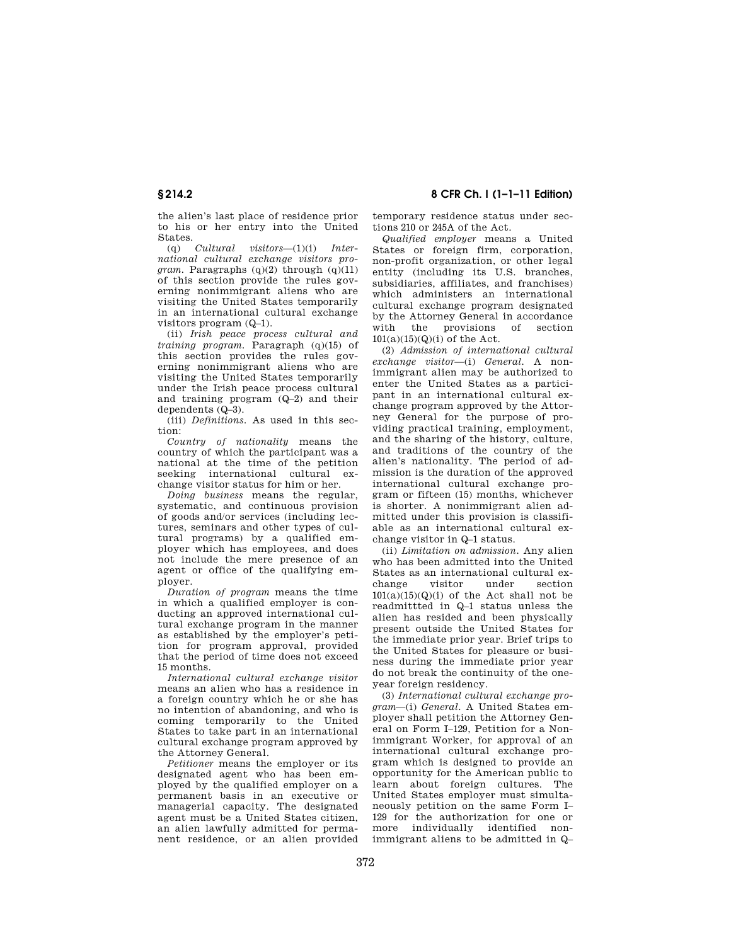the alien's last place of residence prior to his or her entry into the United States.

(q) *Cultural visitors*—(1)(i) *International cultural exchange visitors program.* Paragraphs (q)(2) through (q)(11) of this section provide the rules governing nonimmigrant aliens who are visiting the United States temporarily in an international cultural exchange visitors program (Q–1).

(ii) *Irish peace process cultural and training program.* Paragraph (q)(15) of this section provides the rules governing nonimmigrant aliens who are visiting the United States temporarily under the Irish peace process cultural and training program (Q–2) and their dependents (Q–3).

(iii) *Definitions.* As used in this section:

*Country of nationality* means the country of which the participant was a national at the time of the petition seeking international cultural exchange visitor status for him or her.

*Doing business* means the regular, systematic, and continuous provision of goods and/or services (including lectures, seminars and other types of cultural programs) by a qualified employer which has employees, and does not include the mere presence of an agent or office of the qualifying employer.

*Duration of program* means the time in which a qualified employer is conducting an approved international cultural exchange program in the manner as established by the employer's petition for program approval, provided that the period of time does not exceed 15 months.

*International cultural exchange visitor*  means an alien who has a residence in a foreign country which he or she has no intention of abandoning, and who is coming temporarily to the United States to take part in an international cultural exchange program approved by the Attorney General.

*Petitioner* means the employer or its designated agent who has been employed by the qualified employer on a permanent basis in an executive or managerial capacity. The designated agent must be a United States citizen, an alien lawfully admitted for permanent residence, or an alien provided

**§ 214.2 8 CFR Ch. I (1–1–11 Edition)** 

temporary residence status under sections 210 or 245A of the Act.

*Qualified employer* means a United States or foreign firm, corporation, non-profit organization, or other legal entity (including its U.S. branches, subsidiaries, affiliates, and franchises) which administers an international cultural exchange program designated by the Attorney General in accordance with the provisions of section  $101(a)(15)(Q)(i)$  of the Act.

(2) *Admission of international cultural exchange visitor*—(i) *General.* A nonimmigrant alien may be authorized to enter the United States as a participant in an international cultural exchange program approved by the Attorney General for the purpose of providing practical training, employment, and the sharing of the history, culture, and traditions of the country of the alien's nationality. The period of admission is the duration of the approved international cultural exchange program or fifteen (15) months, whichever is shorter. A nonimmigrant alien admitted under this provision is classifiable as an international cultural exchange visitor in Q–1 status.

(ii) *Limitation on admission.* Any alien who has been admitted into the United States as an international cultural exchange visitor under section  $101(a)(15)(Q)(i)$  of the Act shall not be readmittted in Q–1 status unless the alien has resided and been physically present outside the United States for the immediate prior year. Brief trips to the United States for pleasure or business during the immediate prior year do not break the continuity of the oneyear foreign residency.

(3) *International cultural exchange program*—(i) *General.* A United States employer shall petition the Attorney General on Form I–129, Petition for a Nonimmigrant Worker, for approval of an international cultural exchange program which is designed to provide an opportunity for the American public to learn about foreign cultures. The United States employer must simultaneously petition on the same Form I– 129 for the authorization for one or more individually identified nonimmigrant aliens to be admitted in Q–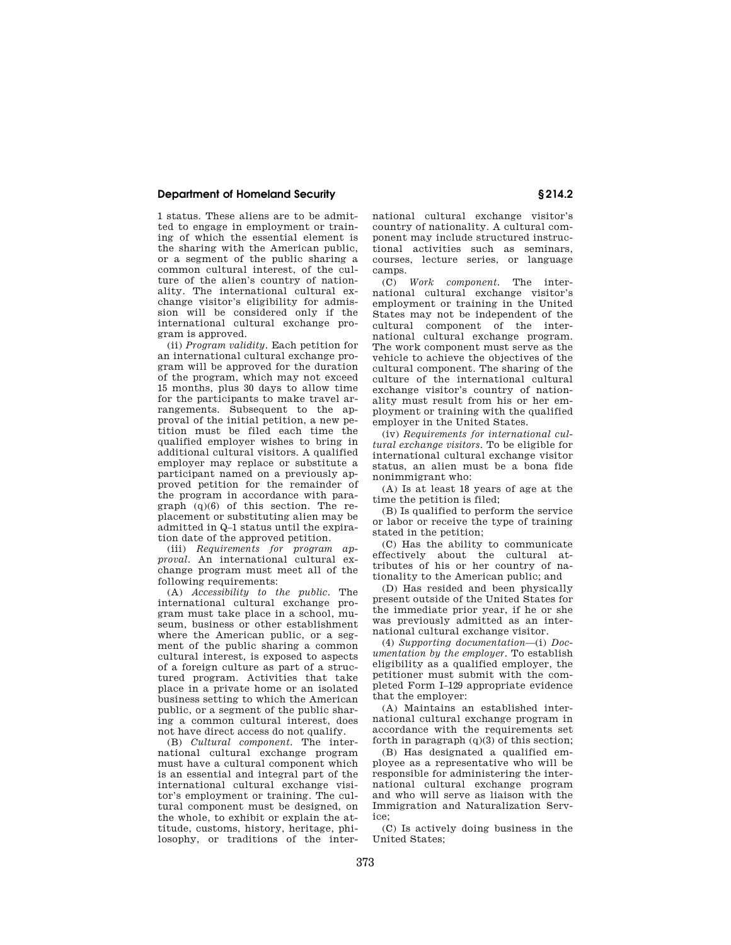1 status. These aliens are to be admitted to engage in employment or training of which the essential element is the sharing with the American public, or a segment of the public sharing a common cultural interest, of the culture of the alien's country of nationality. The international cultural exchange visitor's eligibility for admission will be considered only if the international cultural exchange program is approved.

(ii) *Program validity.* Each petition for an international cultural exchange program will be approved for the duration of the program, which may not exceed 15 months, plus 30 days to allow time for the participants to make travel arrangements. Subsequent to the approval of the initial petition, a new petition must be filed each time the qualified employer wishes to bring in additional cultural visitors. A qualified employer may replace or substitute a participant named on a previously approved petition for the remainder of the program in accordance with paragraph  $(q)(6)$  of this section. The replacement or substituting alien may be admitted in Q–1 status until the expiration date of the approved petition.

(iii) *Requirements for program approval.* An international cultural exchange program must meet all of the following requirements:

(A) *Accessibility to the public.* The international cultural exchange program must take place in a school, museum, business or other establishment where the American public, or a segment of the public sharing a common cultural interest, is exposed to aspects of a foreign culture as part of a structured program. Activities that take place in a private home or an isolated business setting to which the American public, or a segment of the public sharing a common cultural interest, does not have direct access do not qualify.

(B) *Cultural component.* The international cultural exchange program must have a cultural component which is an essential and integral part of the international cultural exchange visitor's employment or training. The cultural component must be designed, on the whole, to exhibit or explain the attitude, customs, history, heritage, philosophy, or traditions of the international cultural exchange visitor's country of nationality. A cultural component may include structured instructional activities such as seminars, courses, lecture series, or language camps.

(C) *Work component.* The international cultural exchange visitor's employment or training in the United States may not be independent of the cultural component of the international cultural exchange program. The work component must serve as the vehicle to achieve the objectives of the cultural component. The sharing of the culture of the international cultural exchange visitor's country of nationality must result from his or her employment or training with the qualified employer in the United States.

(iv) *Requirements for international cultural exchange visitors.* To be eligible for international cultural exchange visitor status, an alien must be a bona fide nonimmigrant who:

(A) Is at least 18 years of age at the time the petition is filed;

(B) Is qualified to perform the service or labor or receive the type of training stated in the petition;

(C) Has the ability to communicate effectively about the cultural attributes of his or her country of nationality to the American public; and

(D) Has resided and been physically present outside of the United States for the immediate prior year, if he or she was previously admitted as an international cultural exchange visitor.

(4) *Supporting documentation*—(i) *Documentation by the employer.* To establish eligibility as a qualified employer, the petitioner must submit with the completed Form I–129 appropriate evidence that the employer:

(A) Maintains an established international cultural exchange program in accordance with the requirements set forth in paragraph  $(q)(3)$  of this section;

(B) Has designated a qualified employee as a representative who will be responsible for administering the international cultural exchange program and who will serve as liaison with the Immigration and Naturalization Service;

(C) Is actively doing business in the United States;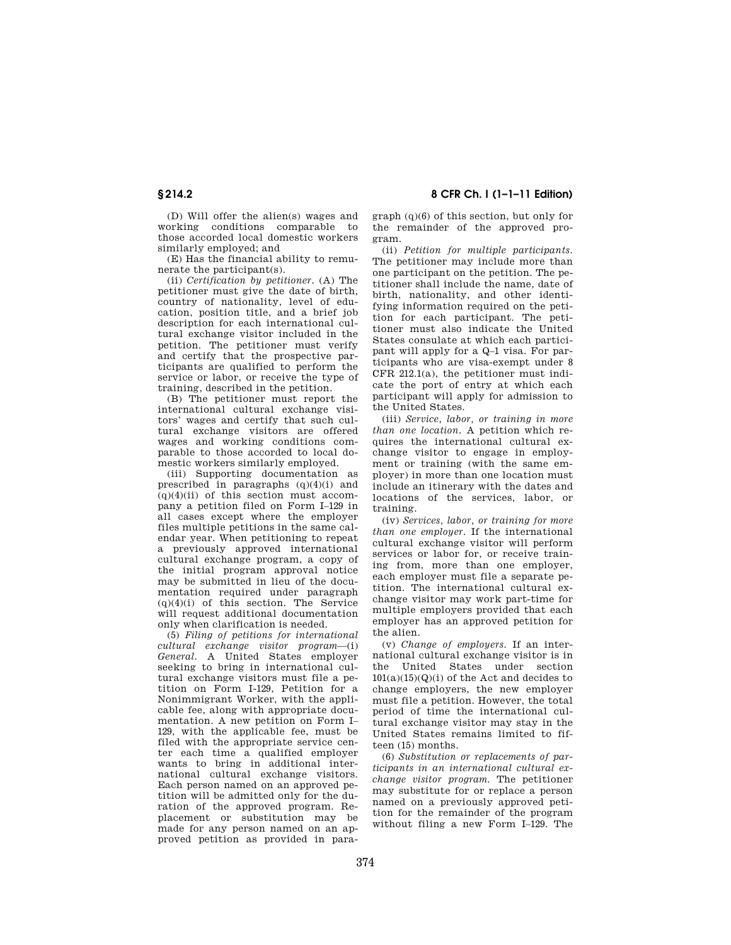(D) Will offer the alien(s) wages and working conditions comparable to those accorded local domestic workers similarly employed; and

(E) Has the financial ability to remunerate the participant(s).

(ii) *Certification by petitioner.* (A) The petitioner must give the date of birth, country of nationality, level of education, position title, and a brief job description for each international cultural exchange visitor included in the petition. The petitioner must verify and certify that the prospective participants are qualified to perform the service or labor, or receive the type of training, described in the petition.

(B) The petitioner must report the international cultural exchange visitors' wages and certify that such cultural exchange visitors are offered wages and working conditions comparable to those accorded to local domestic workers similarly employed.

(iii) Supporting documentation as prescribed in paragraphs  $(q)(4)(i)$  and  $(a)(4)(ii)$  of this section must accompany a petition filed on Form I–129 in all cases except where the employer files multiple petitions in the same calendar year. When petitioning to repeat a previously approved international cultural exchange program, a copy of the initial program approval notice may be submitted in lieu of the documentation required under paragraph  $(a)(4)(i)$  of this section. The Service will request additional documentation only when clarification is needed.

(5) *Filing of petitions for international cultural exchange visitor program*—(i) *General.* A United States employer seeking to bring in international cultural exchange visitors must file a petition on Form I-129, Petition for a Nonimmigrant Worker, with the applicable fee, along with appropriate documentation. A new petition on Form I– 129, with the applicable fee, must be filed with the appropriate service center each time a qualified employer wants to bring in additional international cultural exchange visitors. Each person named on an approved petition will be admitted only for the duration of the approved program. Replacement or substitution may be made for any person named on an approved petition as provided in para-

**§ 214.2 8 CFR Ch. I (1–1–11 Edition)** 

graph (q)(6) of this section, but only for the remainder of the approved program.

(ii) *Petition for multiple participants.*  The petitioner may include more than one participant on the petition. The petitioner shall include the name, date of birth, nationality, and other identifying information required on the petition for each participant. The petitioner must also indicate the United States consulate at which each participant will apply for a Q–1 visa. For participants who are visa-exempt under 8 CFR 212.1(a), the petitioner must indicate the port of entry at which each participant will apply for admission to the United States.

(iii) *Service, labor, or training in more than one location.* A petition which requires the international cultural exchange visitor to engage in employment or training (with the same employer) in more than one location must include an itinerary with the dates and locations of the services, labor, or training.

(iv) *Services, labor, or training for more than one employer.* If the international cultural exchange visitor will perform services or labor for, or receive training from, more than one employer, each employer must file a separate petition. The international cultural exchange visitor may work part-time for multiple employers provided that each employer has an approved petition for the alien.

(v) *Change of employers.* If an international cultural exchange visitor is in the United States under section  $101(a)(15)(Q)(i)$  of the Act and decides to change employers, the new employer must file a petition. However, the total period of time the international cultural exchange visitor may stay in the United States remains limited to fifteen (15) months.

(6) *Substitution or replacements of participants in an international cultural exchange visitor program.* The petitioner may substitute for or replace a person named on a previously approved petition for the remainder of the program without filing a new Form I–129. The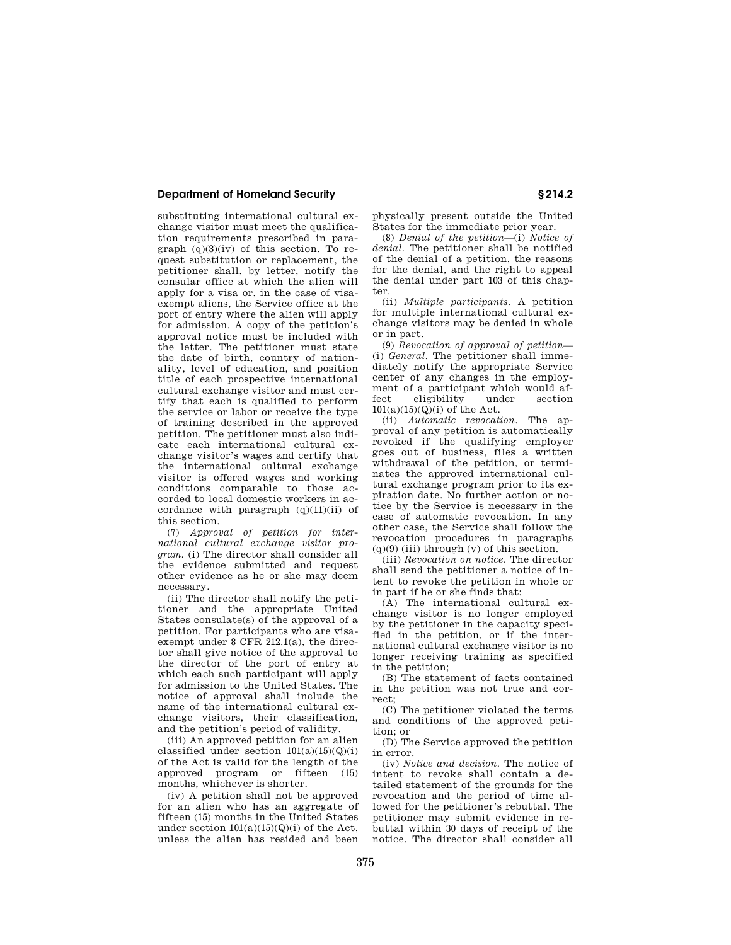substituting international cultural exchange visitor must meet the qualification requirements prescribed in paragraph  $(q)(3)(iv)$  of this section. To request substitution or replacement, the petitioner shall, by letter, notify the consular office at which the alien will apply for a visa or, in the case of visaexempt aliens, the Service office at the port of entry where the alien will apply for admission. A copy of the petition's approval notice must be included with the letter. The petitioner must state the date of birth, country of nationality, level of education, and position title of each prospective international cultural exchange visitor and must certify that each is qualified to perform the service or labor or receive the type of training described in the approved petition. The petitioner must also indicate each international cultural exchange visitor's wages and certify that the international cultural exchange visitor is offered wages and working conditions comparable to those accorded to local domestic workers in accordance with paragraph  $(q)(11)(ii)$  of this section.

(7) *Approval of petition for international cultural exchange visitor program.* (i) The director shall consider all the evidence submitted and request other evidence as he or she may deem necessary.

(ii) The director shall notify the petitioner and the appropriate United States consulate(s) of the approval of a petition. For participants who are visaexempt under 8 CFR 212.1(a), the director shall give notice of the approval to the director of the port of entry at which each such participant will apply for admission to the United States. The notice of approval shall include the name of the international cultural exchange visitors, their classification, and the petition's period of validity.

(iii) An approved petition for an alien classified under section  $101(a)(15)(Q)(i)$ of the Act is valid for the length of the approved program or fifteen (15) months, whichever is shorter.

(iv) A petition shall not be approved for an alien who has an aggregate of fifteen (15) months in the United States under section  $101(a)(15)(Q)(i)$  of the Act, unless the alien has resided and been physically present outside the United States for the immediate prior year.

(8) *Denial of the petition*—(i) *Notice of denial.* The petitioner shall be notified of the denial of a petition, the reasons for the denial, and the right to appeal the denial under part 103 of this chapter.

(ii) *Multiple participants.* A petition for multiple international cultural exchange visitors may be denied in whole or in part.

(9) *Revocation of approval of petition*— (i) *General.* The petitioner shall immediately notify the appropriate Service center of any changes in the employment of a participant which would af-<br>fect eligibility under section eligibility under section  $101(a)(15)(Q)(i)$  of the Act.

(ii) *Automatic revocation.* The approval of any petition is automatically revoked if the qualifying employer goes out of business, files a written withdrawal of the petition, or terminates the approved international cultural exchange program prior to its expiration date. No further action or notice by the Service is necessary in the case of automatic revocation. In any other case, the Service shall follow the revocation procedures in paragraphs  $(a)(9)$  (iii) through  $(v)$  of this section.

(iii) *Revocation on notice.* The director shall send the petitioner a notice of intent to revoke the petition in whole or in part if he or she finds that:

(A) The international cultural exchange visitor is no longer employed by the petitioner in the capacity specified in the petition, or if the international cultural exchange visitor is no longer receiving training as specified in the petition;

(B) The statement of facts contained in the petition was not true and correct;

(C) The petitioner violated the terms and conditions of the approved petition; or

(D) The Service approved the petition in error.

(iv) *Notice and decision.* The notice of intent to revoke shall contain a detailed statement of the grounds for the revocation and the period of time allowed for the petitioner's rebuttal. The petitioner may submit evidence in rebuttal within 30 days of receipt of the notice. The director shall consider all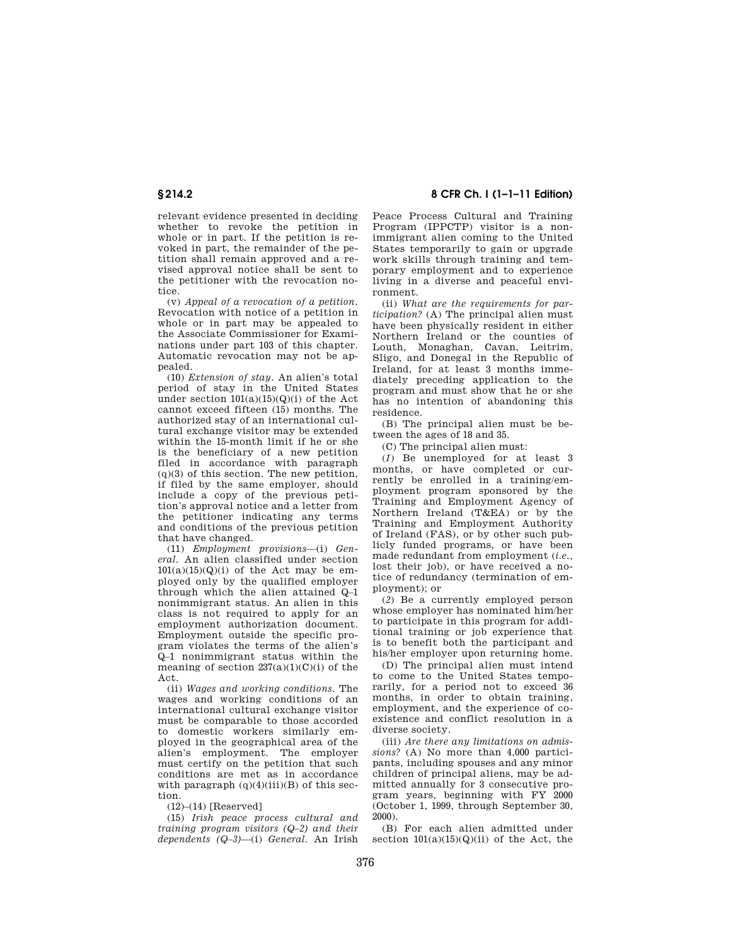relevant evidence presented in deciding whether to revoke the petition in whole or in part. If the petition is revoked in part, the remainder of the petition shall remain approved and a revised approval notice shall be sent to the petitioner with the revocation notice.

(v) *Appeal of a revocation of a petition.*  Revocation with notice of a petition in whole or in part may be appealed to the Associate Commissioner for Examinations under part 103 of this chapter. Automatic revocation may not be appealed.

(10) *Extension of stay.* An alien's total period of stay in the United States under section  $101(a)(15)(Q)(i)$  of the Act cannot exceed fifteen (15) months. The authorized stay of an international cultural exchange visitor may be extended within the 15-month limit if he or she is the beneficiary of a new petition filed in accordance with paragraph  $(q)(3)$  of this section. The new petition, if filed by the same employer, should include a copy of the previous petition's approval notice and a letter from the petitioner indicating any terms and conditions of the previous petition that have changed.

(11) *Employment provisions*—(i) *General.* An alien classified under section  $101(a)(15)(Q)(i)$  of the Act may be employed only by the qualified employer through which the alien attained Q–1 nonimmigrant status. An alien in this class is not required to apply for an employment authorization document. Employment outside the specific program violates the terms of the alien's Q–1 nonimmigrant status within the meaning of section  $237(a)(1)(C)(i)$  of the Act.

(ii) *Wages and working conditions.* The wages and working conditions of an international cultural exchange visitor must be comparable to those accorded to domestic workers similarly employed in the geographical area of the alien's employment. The employer must certify on the petition that such conditions are met as in accordance with paragraph  $(q)(4)(iii)(B)$  of this section.

(12)–(14) [Reserved]

(15) *Irish peace process cultural and training program visitors (Q–2) and their dependents (Q–3)*—(i) *General.* An Irish

## **§ 214.2 8 CFR Ch. I (1–1–11 Edition)**

Peace Process Cultural and Training Program (IPPCTP) visitor is a nonimmigrant alien coming to the United States temporarily to gain or upgrade work skills through training and temporary employment and to experience living in a diverse and peaceful environment.

(ii) *What are the requirements for participation?* (A) The principal alien must have been physically resident in either Northern Ireland or the counties of Louth, Monaghan, Cavan, Leitrim, Sligo, and Donegal in the Republic of Ireland, for at least 3 months immediately preceding application to the program and must show that he or she has no intention of abandoning this residence.

(B) The principal alien must be between the ages of 18 and 35.

(C) The principal alien must:

(*1*) Be unemployed for at least 3 months, or have completed or currently be enrolled in a training/employment program sponsored by the Training and Employment Agency of Northern Ireland (T&EA) or by the Training and Employment Authority of Ireland (FAS), or by other such publicly funded programs, or have been made redundant from employment (*i.e.,*  lost their job), or have received a notice of redundancy (termination of employment); or

(*2*) Be a currently employed person whose employer has nominated him/her to participate in this program for additional training or job experience that is to benefit both the participant and his/her employer upon returning home.

(D) The principal alien must intend to come to the United States temporarily, for a period not to exceed 36 months, in order to obtain training, employment, and the experience of coexistence and conflict resolution in a diverse society.

(iii) *Are there any limitations on admissions?* (A) No more than 4,000 participants, including spouses and any minor children of principal aliens, may be admitted annually for 3 consecutive program years, beginning with FY 2000 (October 1, 1999, through September 30, 2000).

(B) For each alien admitted under section  $101(a)(15)(Q)(ii)$  of the Act, the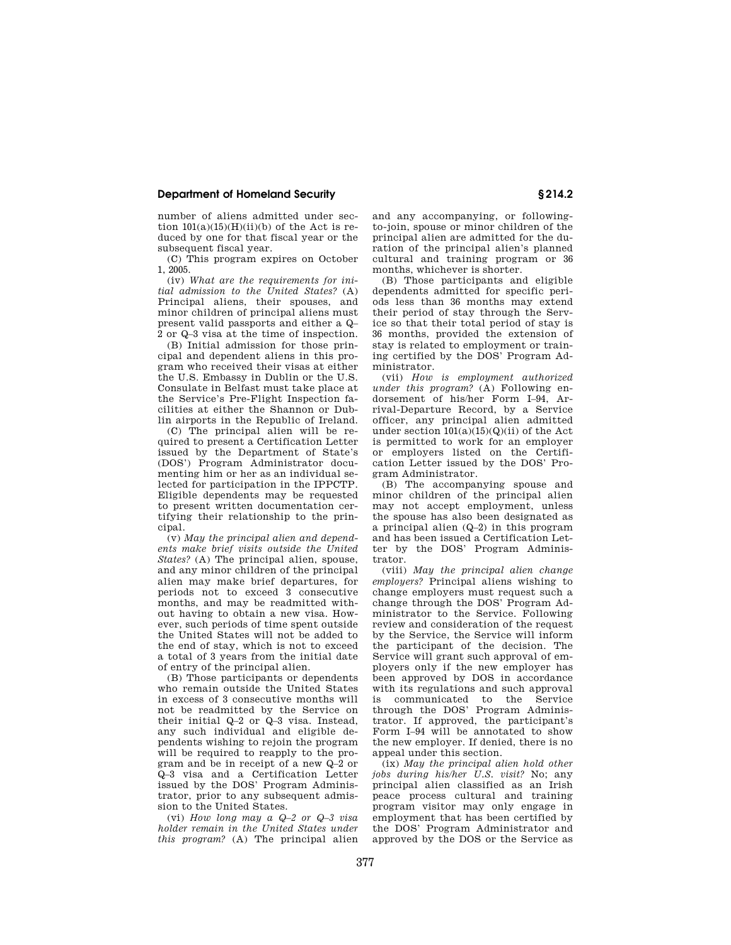number of aliens admitted under section  $101(a)(15)(H)(ii)(b)$  of the Act is reduced by one for that fiscal year or the subsequent fiscal year.

(C) This program expires on October 1, 2005.

(iv) *What are the requirements for initial admission to the United States?* (A) Principal aliens, their spouses, and minor children of principal aliens must present valid passports and either a Q– 2 or Q–3 visa at the time of inspection.

(B) Initial admission for those principal and dependent aliens in this program who received their visas at either the U.S. Embassy in Dublin or the U.S. Consulate in Belfast must take place at the Service's Pre-Flight Inspection facilities at either the Shannon or Dublin airports in the Republic of Ireland.

(C) The principal alien will be required to present a Certification Letter issued by the Department of State's (DOS') Program Administrator documenting him or her as an individual selected for participation in the IPPCTP. Eligible dependents may be requested to present written documentation certifying their relationship to the principal.

(v) *May the principal alien and dependents make brief visits outside the United States?* (A) The principal alien, spouse, and any minor children of the principal alien may make brief departures, for periods not to exceed 3 consecutive months, and may be readmitted without having to obtain a new visa. However, such periods of time spent outside the United States will not be added to the end of stay, which is not to exceed a total of 3 years from the initial date of entry of the principal alien.

(B) Those participants or dependents who remain outside the United States in excess of 3 consecutive months will not be readmitted by the Service on their initial Q–2 or Q–3 visa. Instead, any such individual and eligible dependents wishing to rejoin the program will be required to reapply to the program and be in receipt of a new Q–2 or Q–3 visa and a Certification Letter issued by the DOS' Program Administrator, prior to any subsequent admission to the United States.

(vi) *How long may a Q–2 or Q–3 visa holder remain in the United States under this program?* (A) The principal alien and any accompanying, or followingto-join, spouse or minor children of the principal alien are admitted for the duration of the principal alien's planned cultural and training program or 36 months, whichever is shorter.

(B) Those participants and eligible dependents admitted for specific periods less than 36 months may extend their period of stay through the Service so that their total period of stay is 36 months, provided the extension of stay is related to employment or training certified by the DOS' Program Administrator.

(vii) *How is employment authorized under this program?* (A) Following endorsement of his/her Form I–94, Arrival-Departure Record, by a Service officer, any principal alien admitted under section  $101(a)(15)(Q)(ii)$  of the Act is permitted to work for an employer or employers listed on the Certification Letter issued by the DOS' Program Administrator.

(B) The accompanying spouse and minor children of the principal alien may not accept employment, unless the spouse has also been designated as a principal alien (Q–2) in this program and has been issued a Certification Letter by the DOS' Program Administrator.

(viii) *May the principal alien change employers?* Principal aliens wishing to change employers must request such a change through the DOS' Program Administrator to the Service. Following review and consideration of the request by the Service, the Service will inform the participant of the decision. The Service will grant such approval of employers only if the new employer has been approved by DOS in accordance with its regulations and such approval is communicated to the Service through the DOS' Program Administrator. If approved, the participant's Form I–94 will be annotated to show the new employer. If denied, there is no appeal under this section.

(ix) *May the principal alien hold other jobs during his/her U.S. visit?* No; any principal alien classified as an Irish peace process cultural and training program visitor may only engage in employment that has been certified by the DOS' Program Administrator and approved by the DOS or the Service as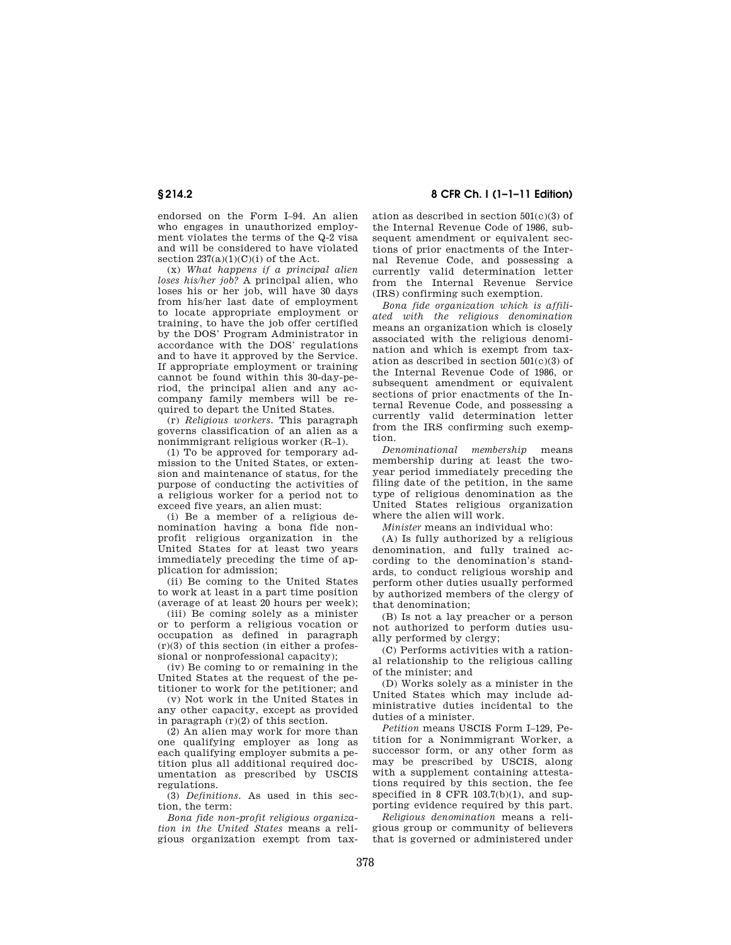endorsed on the Form I–94. An alien who engages in unauthorized employment violates the terms of the Q-2 visa and will be considered to have violated section  $237(a)(1)(C)(i)$  of the Act.

(x) *What happens if a principal alien loses his/her job?* A principal alien, who loses his or her job, will have 30 days from his/her last date of employment to locate appropriate employment or training, to have the job offer certified by the DOS' Program Administrator in accordance with the DOS' regulations and to have it approved by the Service. If appropriate employment or training cannot be found within this 30-day-period, the principal alien and any accompany family members will be required to depart the United States.

(r) *Religious workers.* This paragraph governs classification of an alien as a nonimmigrant religious worker (R–1).

(1) To be approved for temporary admission to the United States, or extension and maintenance of status, for the purpose of conducting the activities of a religious worker for a period not to exceed five years, an alien must:

(i) Be a member of a religious denomination having a bona fide nonprofit religious organization in the United States for at least two years immediately preceding the time of application for admission;

(ii) Be coming to the United States to work at least in a part time position (average of at least  $20$  hours per week):

(iii) Be coming solely as a minister or to perform a religious vocation or occupation as defined in paragraph  $(r)(3)$  of this section (in either a professional or nonprofessional capacity);

(iv) Be coming to or remaining in the United States at the request of the petitioner to work for the petitioner; and

(v) Not work in the United States in any other capacity, except as provided in paragraph  $(r)(2)$  of this section.

(2) An alien may work for more than one qualifying employer as long as each qualifying employer submits a petition plus all additional required documentation as prescribed by USCIS regulations.

(3) *Definitions.* As used in this section, the term:

*Bona fide non-profit religious organization in the United States* means a religious organization exempt from tax-

**§ 214.2 8 CFR Ch. I (1–1–11 Edition)** 

ation as described in section  $501(c)(3)$  of the Internal Revenue Code of 1986, subsequent amendment or equivalent sections of prior enactments of the Internal Revenue Code, and possessing a currently valid determination letter from the Internal Revenue Service (IRS) confirming such exemption.

*Bona fide organization which is affiliated with the religious denomination*  means an organization which is closely associated with the religious denomination and which is exempt from taxation as described in section  $501(c)(3)$  of the Internal Revenue Code of 1986, or subsequent amendment or equivalent sections of prior enactments of the Internal Revenue Code, and possessing a currently valid determination letter from the IRS confirming such exemption.

*Denominational membership* means membership during at least the twoyear period immediately preceding the filing date of the petition, in the same type of religious denomination as the United States religious organization where the alien will work.

*Minister* means an individual who:

(A) Is fully authorized by a religious denomination, and fully trained according to the denomination's standards, to conduct religious worship and perform other duties usually performed by authorized members of the clergy of that denomination;

(B) Is not a lay preacher or a person not authorized to perform duties usually performed by clergy;

(C) Performs activities with a rational relationship to the religious calling of the minister; and

(D) Works solely as a minister in the United States which may include administrative duties incidental to the duties of a minister.

*Petition* means USCIS Form I–129, Petition for a Nonimmigrant Worker, a successor form, or any other form as may be prescribed by USCIS, along with a supplement containing attestations required by this section, the fee specified in 8 CFR  $103.7(b)(1)$ , and supporting evidence required by this part.

*Religious denomination* means a religious group or community of believers that is governed or administered under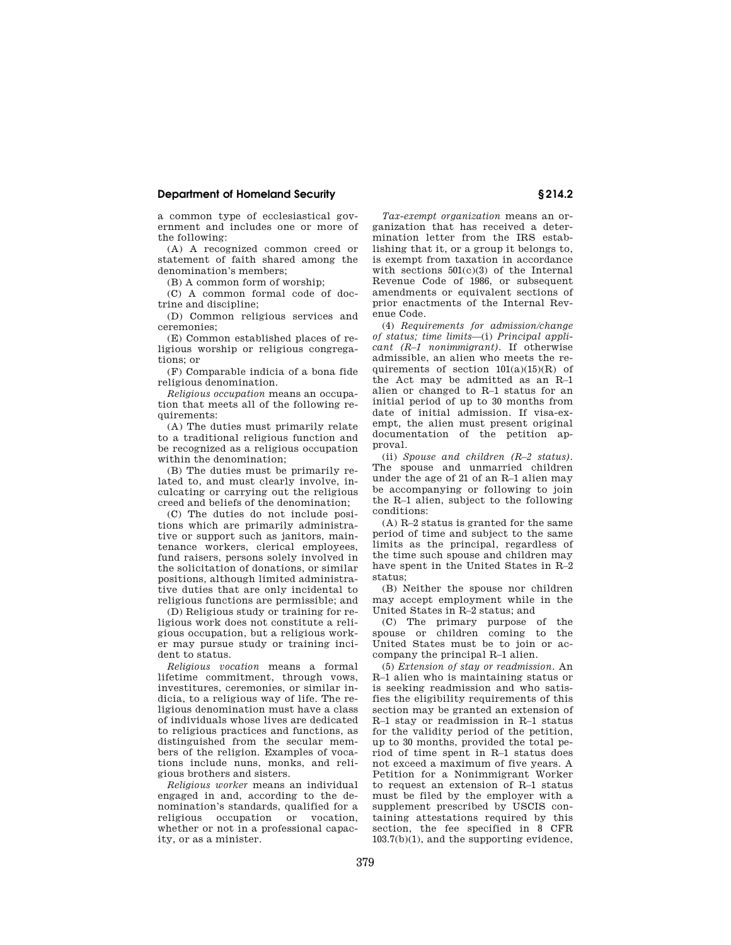a common type of ecclesiastical government and includes one or more of the following:

(A) A recognized common creed or statement of faith shared among the denomination's members;

(B) A common form of worship;

(C) A common formal code of doctrine and discipline;

(D) Common religious services and ceremonies;

(E) Common established places of religious worship or religious congregations; or

(F) Comparable indicia of a bona fide religious denomination.

*Religious occupation* means an occupation that meets all of the following requirements:

(A) The duties must primarily relate to a traditional religious function and be recognized as a religious occupation within the denomination;

(B) The duties must be primarily related to, and must clearly involve, inculcating or carrying out the religious creed and beliefs of the denomination;

(C) The duties do not include positions which are primarily administrative or support such as janitors, maintenance workers, clerical employees, fund raisers, persons solely involved in the solicitation of donations, or similar positions, although limited administrative duties that are only incidental to religious functions are permissible; and

(D) Religious study or training for religious work does not constitute a religious occupation, but a religious worker may pursue study or training incident to status.

*Religious vocation* means a formal lifetime commitment, through vows, investitures, ceremonies, or similar indicia, to a religious way of life. The religious denomination must have a class of individuals whose lives are dedicated to religious practices and functions, as distinguished from the secular members of the religion. Examples of vocations include nuns, monks, and religious brothers and sisters.

*Religious worker* means an individual engaged in and, according to the denomination's standards, qualified for a religious occupation or vocation whether or not in a professional capacity, or as a minister.

*Tax-exempt organization* means an organization that has received a determination letter from the IRS establishing that it, or a group it belongs to, is exempt from taxation in accordance with sections 501(c)(3) of the Internal Revenue Code of 1986, or subsequent amendments or equivalent sections of prior enactments of the Internal Revenue Code.

(4) *Requirements for admission/change of status; time limits*—(i) *Principal applicant (R–1 nonimmigrant)*. If otherwise admissible, an alien who meets the requirements of section  $101(a)(15)(R)$  of the Act may be admitted as an R–1 alien or changed to R–1 status for an initial period of up to 30 months from date of initial admission. If visa-exempt, the alien must present original documentation of the petition approval.

(ii) *Spouse and children (R–2 status)*. The spouse and unmarried children under the age of 21 of an R–1 alien may be accompanying or following to join the R–1 alien, subject to the following conditions:

(A) R–2 status is granted for the same period of time and subject to the same limits as the principal, regardless of the time such spouse and children may have spent in the United States in R–2 status;

(B) Neither the spouse nor children may accept employment while in the United States in R–2 status; and

(C) The primary purpose of the spouse or children coming to the United States must be to join or accompany the principal R–1 alien.

(5) *Extension of stay or readmission.* An R–1 alien who is maintaining status or is seeking readmission and who satisfies the eligibility requirements of this section may be granted an extension of R–1 stay or readmission in R–1 status for the validity period of the petition, up to 30 months, provided the total period of time spent in R–1 status does not exceed a maximum of five years. A Petition for a Nonimmigrant Worker to request an extension of R–1 status must be filed by the employer with a supplement prescribed by USCIS containing attestations required by this section, the fee specified in 8 CFR  $103.7(b)(1)$ , and the supporting evidence,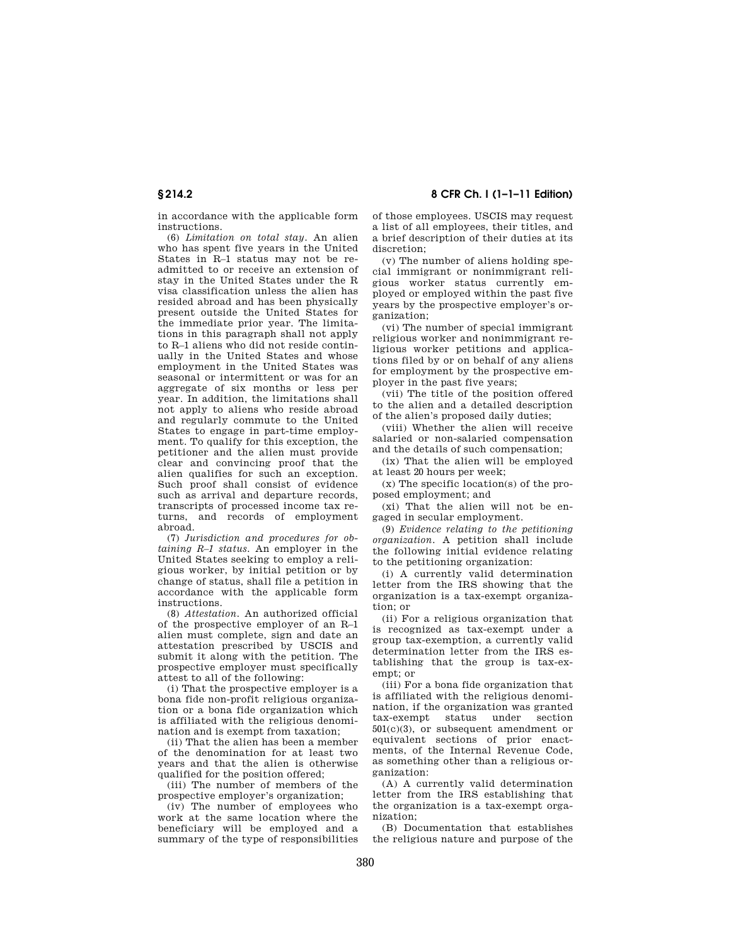in accordance with the applicable form instructions.

(6) *Limitation on total stay.* An alien who has spent five years in the United States in R–1 status may not be readmitted to or receive an extension of stay in the United States under the R visa classification unless the alien has resided abroad and has been physically present outside the United States for the immediate prior year. The limitations in this paragraph shall not apply to R–1 aliens who did not reside continually in the United States and whose employment in the United States was seasonal or intermittent or was for an aggregate of six months or less per year. In addition, the limitations shall not apply to aliens who reside abroad and regularly commute to the United States to engage in part-time employment. To qualify for this exception, the petitioner and the alien must provide clear and convincing proof that the alien qualifies for such an exception. Such proof shall consist of evidence such as arrival and departure records, transcripts of processed income tax returns, and records of employment abroad.

(7) *Jurisdiction and procedures for obtaining R–1 status.* An employer in the United States seeking to employ a religious worker, by initial petition or by change of status, shall file a petition in accordance with the applicable form instructions.

(8) *Attestation.* An authorized official of the prospective employer of an R–1 alien must complete, sign and date an attestation prescribed by USCIS and submit it along with the petition. The prospective employer must specifically attest to all of the following:

(i) That the prospective employer is a bona fide non-profit religious organization or a bona fide organization which is affiliated with the religious denomination and is exempt from taxation;

(ii) That the alien has been a member of the denomination for at least two years and that the alien is otherwise qualified for the position offered;

(iii) The number of members of the prospective employer's organization;

(iv) The number of employees who work at the same location where the beneficiary will be employed and a summary of the type of responsibilities

**§ 214.2 8 CFR Ch. I (1–1–11 Edition)** 

of those employees. USCIS may request a list of all employees, their titles, and a brief description of their duties at its discretion;

(v) The number of aliens holding special immigrant or nonimmigrant religious worker status currently employed or employed within the past five years by the prospective employer's organization;

(vi) The number of special immigrant religious worker and nonimmigrant religious worker petitions and applications filed by or on behalf of any aliens for employment by the prospective employer in the past five years;

(vii) The title of the position offered to the alien and a detailed description of the alien's proposed daily duties;

(viii) Whether the alien will receive salaried or non-salaried compensation and the details of such compensation;

(ix) That the alien will be employed at least 20 hours per week;

(x) The specific location(s) of the proposed employment; and

(xi) That the alien will not be engaged in secular employment.

(9) *Evidence relating to the petitioning organization.* A petition shall include the following initial evidence relating to the petitioning organization:

(i) A currently valid determination letter from the IRS showing that the organization is a tax-exempt organization; or

(ii) For a religious organization that is recognized as tax-exempt under a group tax-exemption, a currently valid determination letter from the IRS establishing that the group is tax-exempt; or

(iii) For a bona fide organization that is affiliated with the religious denomination, if the organization was granted tax-exempt status under section  $501(c)(3)$ , or subsequent amendment or equivalent sections of prior enactments, of the Internal Revenue Code, as something other than a religious organization:

(A) A currently valid determination letter from the IRS establishing that the organization is a tax-exempt organization;

(B) Documentation that establishes the religious nature and purpose of the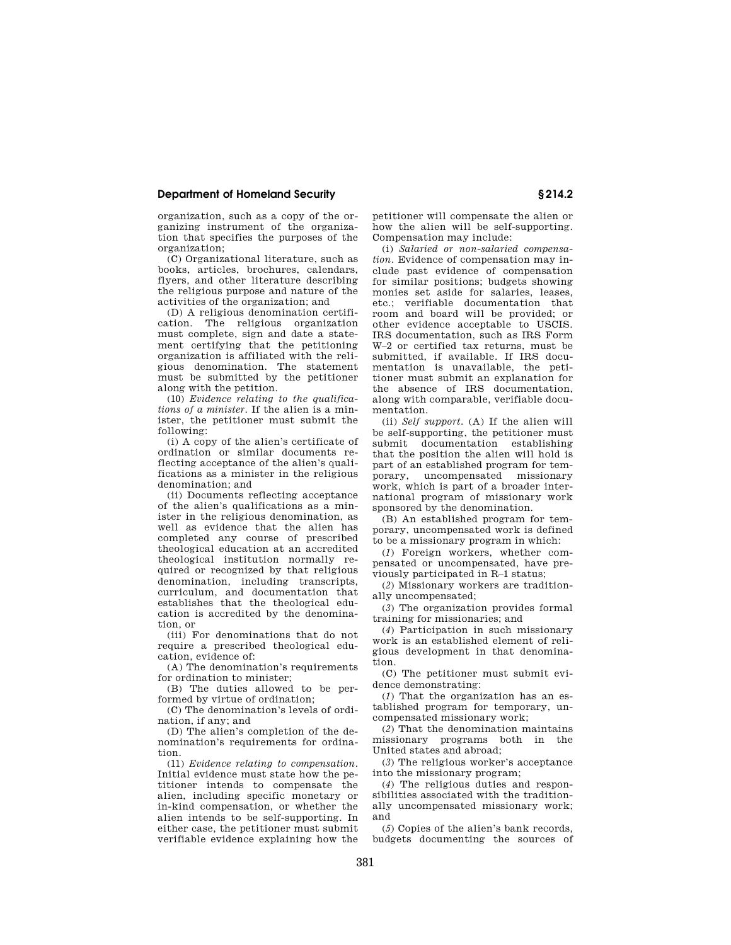organization, such as a copy of the organizing instrument of the organization that specifies the purposes of the organization;

(C) Organizational literature, such as books, articles, brochures, calendars, flyers, and other literature describing the religious purpose and nature of the activities of the organization; and

(D) A religious denomination certification. The religious organization must complete, sign and date a statement certifying that the petitioning organization is affiliated with the religious denomination. The statement must be submitted by the petitioner along with the petition.

(10) *Evidence relating to the qualifications of a minister*. If the alien is a minister, the petitioner must submit the following:

(i) A copy of the alien's certificate of ordination or similar documents reflecting acceptance of the alien's qualifications as a minister in the religious denomination; and

(ii) Documents reflecting acceptance of the alien's qualifications as a minister in the religious denomination, as well as evidence that the alien has completed any course of prescribed theological education at an accredited theological institution normally required or recognized by that religious denomination, including transcripts, curriculum, and documentation that establishes that the theological education is accredited by the denomination, or

(iii) For denominations that do not require a prescribed theological education, evidence of:

(A) The denomination's requirements for ordination to minister;

(B) The duties allowed to be performed by virtue of ordination;

(C) The denomination's levels of ordination, if any; and

(D) The alien's completion of the denomination's requirements for ordination.

(11) *Evidence relating to compensation*. Initial evidence must state how the petitioner intends to compensate the alien, including specific monetary or in-kind compensation, or whether the alien intends to be self-supporting. In either case, the petitioner must submit verifiable evidence explaining how the

petitioner will compensate the alien or how the alien will be self-supporting. Compensation may include:

(i) *Salaried or non-salaried compensation*. Evidence of compensation may include past evidence of compensation for similar positions; budgets showing monies set aside for salaries, leases, etc.; verifiable documentation that room and board will be provided; or other evidence acceptable to USCIS. IRS documentation, such as IRS Form W–2 or certified tax returns, must be submitted, if available. If IRS documentation is unavailable, the petitioner must submit an explanation for the absence of IRS documentation, along with comparable, verifiable documentation.

(ii) *Self support*. (A) If the alien will be self-supporting, the petitioner must submit documentation establishing that the position the alien will hold is part of an established program for temporary, uncompensated missionary work, which is part of a broader international program of missionary work sponsored by the denomination.

(B) An established program for temporary, uncompensated work is defined to be a missionary program in which:

(*1*) Foreign workers, whether compensated or uncompensated, have previously participated in R–1 status;

(*2*) Missionary workers are traditionally uncompensated;

(*3*) The organization provides formal training for missionaries; and

(*4*) Participation in such missionary work is an established element of religious development in that denomination.

(C) The petitioner must submit evidence demonstrating:

(*1*) That the organization has an established program for temporary, uncompensated missionary work;

(*2*) That the denomination maintains missionary programs both in the United states and abroad;

(*3*) The religious worker's acceptance into the missionary program;

(*4*) The religious duties and responsibilities associated with the traditionally uncompensated missionary work; and

(*5*) Copies of the alien's bank records, budgets documenting the sources of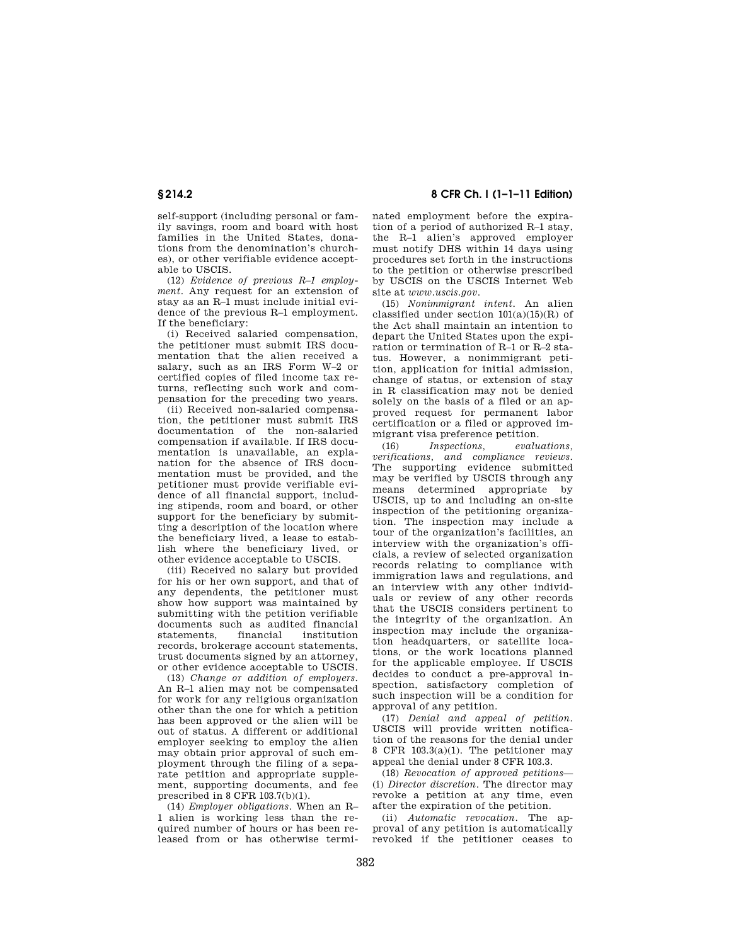self-support (including personal or family savings, room and board with host families in the United States, donations from the denomination's churches), or other verifiable evidence acceptable to USCIS.

(12) *Evidence of previous R–1 employment*. Any request for an extension of stay as an R–1 must include initial evidence of the previous R–1 employment. If the beneficiary:

(i) Received salaried compensation, the petitioner must submit IRS documentation that the alien received a salary, such as an IRS Form W–2 or certified copies of filed income tax returns, reflecting such work and compensation for the preceding two years.

(ii) Received non-salaried compensation, the petitioner must submit IRS documentation of the non-salaried compensation if available. If IRS documentation is unavailable, an explanation for the absence of IRS documentation must be provided, and the petitioner must provide verifiable evidence of all financial support, including stipends, room and board, or other support for the beneficiary by submitting a description of the location where the beneficiary lived, a lease to establish where the beneficiary lived, or other evidence acceptable to USCIS.

(iii) Received no salary but provided for his or her own support, and that of any dependents, the petitioner must show how support was maintained by submitting with the petition verifiable documents such as audited financial statements, financial institution records, brokerage account statements, trust documents signed by an attorney, or other evidence acceptable to USCIS.

(13) *Change or addition of employers*. An R–1 alien may not be compensated for work for any religious organization other than the one for which a petition has been approved or the alien will be out of status. A different or additional employer seeking to employ the alien may obtain prior approval of such employment through the filing of a separate petition and appropriate supplement, supporting documents, and fee prescribed in 8 CFR 103.7(b)(1).

(14) *Employer obligations*. When an R– 1 alien is working less than the required number of hours or has been released from or has otherwise termi-

**§ 214.2 8 CFR Ch. I (1–1–11 Edition)** 

nated employment before the expiration of a period of authorized R–1 stay, the R–1 alien's approved employer must notify DHS within 14 days using procedures set forth in the instructions to the petition or otherwise prescribed by USCIS on the USCIS Internet Web site at *www.uscis.gov*.

(15) *Nonimmigrant intent*. An alien classified under section  $101(a)(15)(R)$  of the Act shall maintain an intention to depart the United States upon the expiration or termination of R–1 or R–2 status. However, a nonimmigrant petition, application for initial admission, change of status, or extension of stay in R classification may not be denied solely on the basis of a filed or an approved request for permanent labor certification or a filed or approved immigrant visa preference petition.

(16) *Inspections, evaluations, verifications, and compliance reviews*. The supporting evidence submitted may be verified by USCIS through any means determined appropriate by USCIS, up to and including an on-site inspection of the petitioning organization. The inspection may include a tour of the organization's facilities, an interview with the organization's officials, a review of selected organization records relating to compliance with immigration laws and regulations, and an interview with any other individuals or review of any other records that the USCIS considers pertinent to the integrity of the organization. An inspection may include the organization headquarters, or satellite locations, or the work locations planned for the applicable employee. If USCIS decides to conduct a pre-approval inspection, satisfactory completion of such inspection will be a condition for approval of any petition.

(17) *Denial and appeal of petition*. USCIS will provide written notification of the reasons for the denial under 8 CFR 103.3(a)(1). The petitioner may appeal the denial under 8 CFR 103.3.

(18) *Revocation of approved petitions*— (i) *Director discretion*. The director may revoke a petition at any time, even after the expiration of the petition.

(ii) *Automatic revocation*. The approval of any petition is automatically revoked if the petitioner ceases to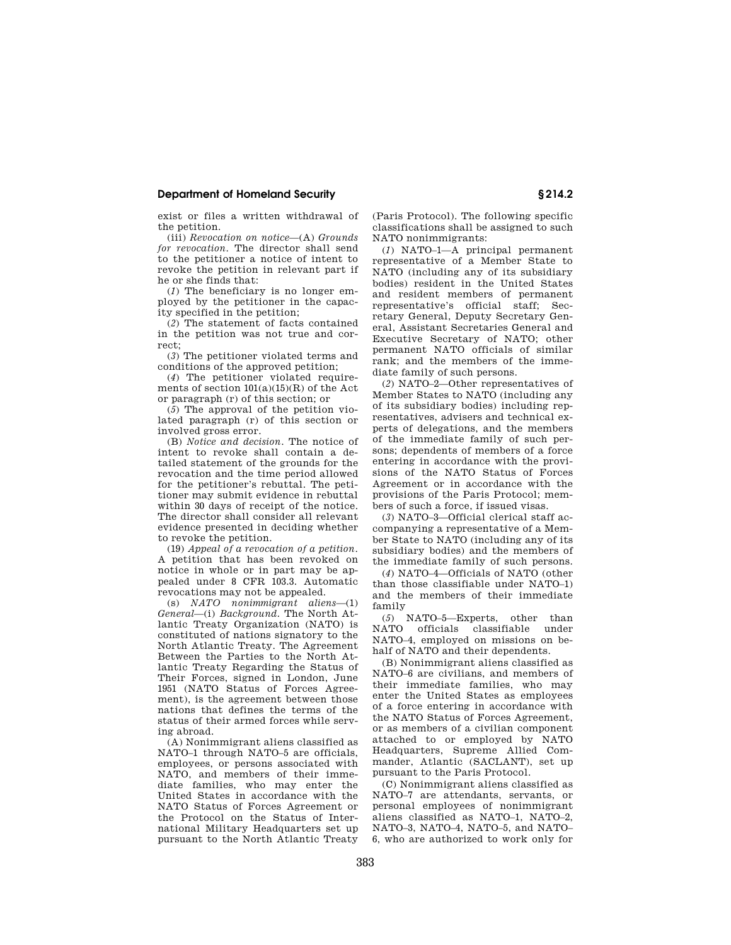exist or files a written withdrawal of the petition.

(iii) *Revocation on notice*—(A) *Grounds for revocation*. The director shall send to the petitioner a notice of intent to revoke the petition in relevant part if he or she finds that:

(*1*) The beneficiary is no longer employed by the petitioner in the capacity specified in the petition;

(*2*) The statement of facts contained in the petition was not true and correct;

(*3*) The petitioner violated terms and conditions of the approved petition;

(*4*) The petitioner violated requirements of section  $101(a)(15)(R)$  of the Act or paragraph (r) of this section; or

(*5*) The approval of the petition violated paragraph (r) of this section or involved gross error.

(B) *Notice and decision*. The notice of intent to revoke shall contain a detailed statement of the grounds for the revocation and the time period allowed for the petitioner's rebuttal. The petitioner may submit evidence in rebuttal within 30 days of receipt of the notice. The director shall consider all relevant evidence presented in deciding whether to revoke the petition.

(19) *Appeal of a revocation of a petition*. A petition that has been revoked on notice in whole or in part may be appealed under 8 CFR 103.3. Automatic revocations may not be appealed.

(s) *NATO nonimmigrant aliens*—(1) *General*—(i) *Background.* The North Atlantic Treaty Organization (NATO) is constituted of nations signatory to the North Atlantic Treaty. The Agreement Between the Parties to the North Atlantic Treaty Regarding the Status of Their Forces, signed in London, June 1951 (NATO Status of Forces Agreement), is the agreement between those nations that defines the terms of the status of their armed forces while serving abroad.

(A) Nonimmigrant aliens classified as NATO–1 through NATO–5 are officials, employees, or persons associated with NATO, and members of their immediate families, who may enter the United States in accordance with the NATO Status of Forces Agreement or the Protocol on the Status of International Military Headquarters set up pursuant to the North Atlantic Treaty

(Paris Protocol). The following specific classifications shall be assigned to such NATO nonimmigrants:

(*1*) NATO–1—A principal permanent representative of a Member State to NATO (including any of its subsidiary bodies) resident in the United States and resident members of permanent representative's official staff; Secretary General, Deputy Secretary General, Assistant Secretaries General and Executive Secretary of NATO; other permanent NATO officials of similar rank; and the members of the immediate family of such persons.

(*2*) NATO–2—Other representatives of Member States to NATO (including any of its subsidiary bodies) including representatives, advisers and technical experts of delegations, and the members of the immediate family of such persons; dependents of members of a force entering in accordance with the provisions of the NATO Status of Forces Agreement or in accordance with the provisions of the Paris Protocol; members of such a force, if issued visas.

(*3*) NATO–3—Official clerical staff accompanying a representative of a Member State to NATO (including any of its subsidiary bodies) and the members of the immediate family of such persons.

(*4*) NATO–4—Officials of NATO (other than those classifiable under NATO–1) and the members of their immediate family

(*5*) NATO–5—Experts, other than NATO officials classifiable under NATO–4, employed on missions on behalf of NATO and their dependents.

(B) Nonimmigrant aliens classified as NATO–6 are civilians, and members of their immediate families, who may enter the United States as employees of a force entering in accordance with the NATO Status of Forces Agreement, or as members of a civilian component attached to or employed by NATO Headquarters, Supreme Allied Commander, Atlantic (SACLANT), set up pursuant to the Paris Protocol.

(C) Nonimmigrant aliens classified as NATO–7 are attendants, servants, or personal employees of nonimmigrant aliens classified as NATO–1, NATO–2, NATO–3, NATO–4, NATO–5, and NATO– 6, who are authorized to work only for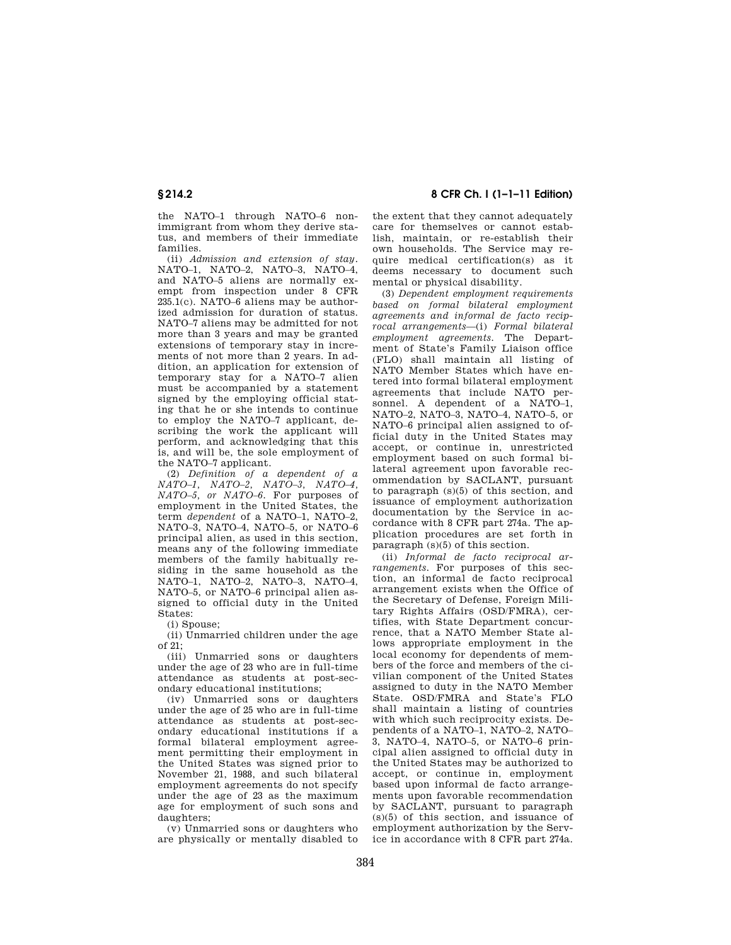the NATO–1 through NATO–6 nonimmigrant from whom they derive status, and members of their immediate families.

(ii) *Admission and extension of stay.*  NATO–1, NATO–2, NATO–3, NATO–4, and NATO–5 aliens are normally exempt from inspection under 8 CFR 235.1(c). NATO–6 aliens may be authorized admission for duration of status. NATO–7 aliens may be admitted for not more than 3 years and may be granted extensions of temporary stay in increments of not more than 2 years. In addition, an application for extension of temporary stay for a NATO–7 alien must be accompanied by a statement signed by the employing official stating that he or she intends to continue to employ the NATO–7 applicant, describing the work the applicant will perform, and acknowledging that this is, and will be, the sole employment of the NATO–7 applicant.

(2) *Definition of a dependent of a NATO–1, NATO–2, NATO–3, NATO–4, NATO–5, or NATO–6.* For purposes of employment in the United States, the term *dependent* of a NATO–1, NATO–2, NATO–3, NATO–4, NATO–5, or NATO–6 principal alien, as used in this section, means any of the following immediate members of the family habitually residing in the same household as the NATO–1, NATO–2, NATO–3, NATO–4, NATO–5, or NATO–6 principal alien assigned to official duty in the United States:

(i) Spouse;

(ii) Unmarried children under the age of 21;

(iii) Unmarried sons or daughters under the age of 23 who are in full-time attendance as students at post-secondary educational institutions;

(iv) Unmarried sons or daughters under the age of 25 who are in full-time attendance as students at post-secondary educational institutions if a formal bilateral employment agreement permitting their employment in the United States was signed prior to November 21, 1988, and such bilateral employment agreements do not specify under the age of 23 as the maximum age for employment of such sons and daughters;

(v) Unmarried sons or daughters who are physically or mentally disabled to

**§ 214.2 8 CFR Ch. I (1–1–11 Edition)** 

the extent that they cannot adequately care for themselves or cannot establish, maintain, or re-establish their own households. The Service may require medical certification(s) as it deems necessary to document such mental or physical disability.

(3) *Dependent employment requirements based on formal bilateral employment agreements and informal de facto reciprocal arrangements*—(i) *Formal bilateral employment agreements.* The Department of State's Family Liaison office (FLO) shall maintain all listing of NATO Member States which have entered into formal bilateral employment agreements that include NATO personnel. A dependent of a NATO–1, NATO–2, NATO–3, NATO–4, NATO–5, or NATO–6 principal alien assigned to official duty in the United States may accept, or continue in, unrestricted employment based on such formal bilateral agreement upon favorable recommendation by SACLANT, pursuant to paragraph (s)(5) of this section, and issuance of employment authorization documentation by the Service in accordance with 8 CFR part 274a. The application procedures are set forth in paragraph (s)(5) of this section.

(ii) *Informal de facto reciprocal arrangements.* For purposes of this section, an informal de facto reciprocal arrangement exists when the Office of the Secretary of Defense, Foreign Military Rights Affairs (OSD/FMRA), certifies, with State Department concurrence, that a NATO Member State allows appropriate employment in the local economy for dependents of members of the force and members of the civilian component of the United States assigned to duty in the NATO Member State. OSD/FMRA and State's FLO shall maintain a listing of countries with which such reciprocity exists. Dependents of a NATO–1, NATO–2, NATO– 3, NATO–4, NATO–5, or NATO–6 principal alien assigned to official duty in the United States may be authorized to accept, or continue in, employment based upon informal de facto arrangements upon favorable recommendation by SACLANT, pursuant to paragraph (s)(5) of this section, and issuance of employment authorization by the Service in accordance with 8 CFR part 274a.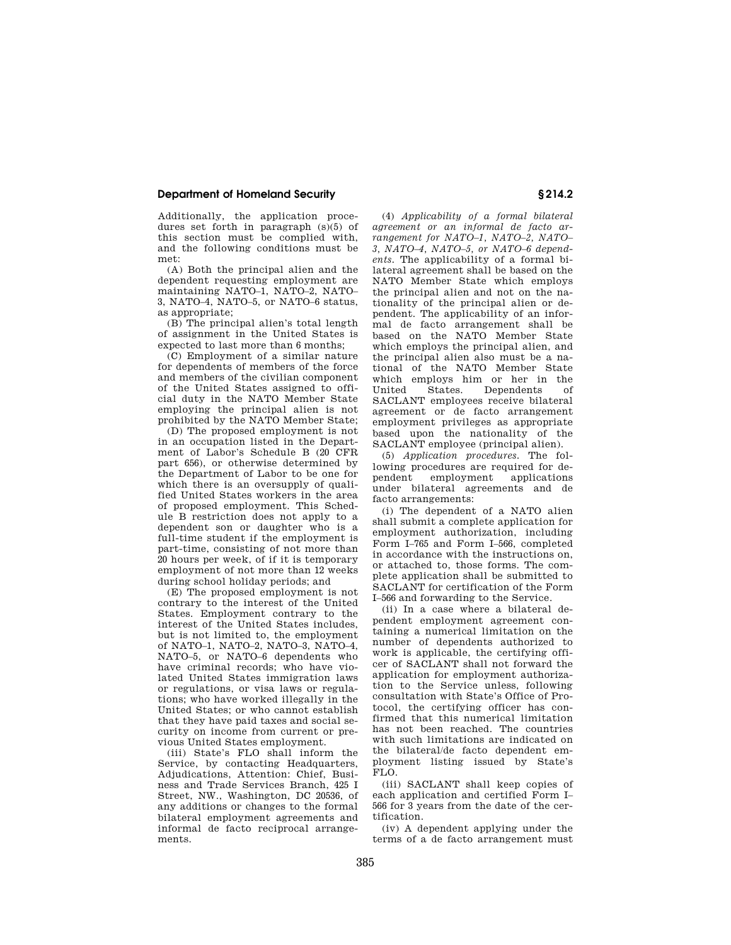Additionally, the application procedures set forth in paragraph  $(s)(5)$  of this section must be complied with, and the following conditions must be met:

(A) Both the principal alien and the dependent requesting employment are maintaining NATO–1, NATO–2, NATO– 3, NATO–4, NATO–5, or NATO–6 status, as appropriate;

(B) The principal alien's total length of assignment in the United States is expected to last more than 6 months;

(C) Employment of a similar nature for dependents of members of the force and members of the civilian component of the United States assigned to official duty in the NATO Member State employing the principal alien is not prohibited by the NATO Member State;

(D) The proposed employment is not in an occupation listed in the Department of Labor's Schedule B (20 CFR part 656), or otherwise determined by the Department of Labor to be one for which there is an oversupply of qualified United States workers in the area of proposed employment. This Schedule B restriction does not apply to a dependent son or daughter who is a full-time student if the employment is part-time, consisting of not more than 20 hours per week, of if it is temporary employment of not more than 12 weeks during school holiday periods; and

(E) The proposed employment is not contrary to the interest of the United States. Employment contrary to the interest of the United States includes, but is not limited to, the employment of NATO–1, NATO–2, NATO–3, NATO–4, NATO–5, or NATO–6 dependents who have criminal records; who have violated United States immigration laws or regulations, or visa laws or regulations; who have worked illegally in the United States; or who cannot establish that they have paid taxes and social security on income from current or previous United States employment.

(iii) State's FLO shall inform the Service, by contacting Headquarters, Adjudications, Attention: Chief, Business and Trade Services Branch, 425 I Street, NW., Washington, DC 20536, of any additions or changes to the formal bilateral employment agreements and informal de facto reciprocal arrangements.

(4) *Applicability of a formal bilateral agreement or an informal de facto arrangement for NATO–1, NATO–2, NATO– 3, NATO–4, NATO–5, or NATO–6 dependents.* The applicability of a formal bilateral agreement shall be based on the NATO Member State which employs the principal alien and not on the nationality of the principal alien or dependent. The applicability of an informal de facto arrangement shall be based on the NATO Member State which employs the principal alien, and the principal alien also must be a national of the NATO Member State which employs him or her in the United States. Dependents of SACLANT employees receive bilateral agreement or de facto arrangement employment privileges as appropriate based upon the nationality of the SACLANT employee (principal alien).

(5) *Application procedures.* The following procedures are required for dependent employment applications under bilateral agreements and de facto arrangements:

(i) The dependent of a NATO alien shall submit a complete application for employment authorization, including Form I–765 and Form I–566, completed in accordance with the instructions on, or attached to, those forms. The complete application shall be submitted to SACLANT for certification of the Form I–566 and forwarding to the Service.

(ii) In a case where a bilateral dependent employment agreement containing a numerical limitation on the number of dependents authorized to work is applicable, the certifying officer of SACLANT shall not forward the application for employment authorization to the Service unless, following consultation with State's Office of Protocol, the certifying officer has confirmed that this numerical limitation has not been reached. The countries with such limitations are indicated on the bilateral/de facto dependent employment listing issued by State's FLO.

(iii) SACLANT shall keep copies of each application and certified Form I– 566 for 3 years from the date of the certification.

(iv) A dependent applying under the terms of a de facto arrangement must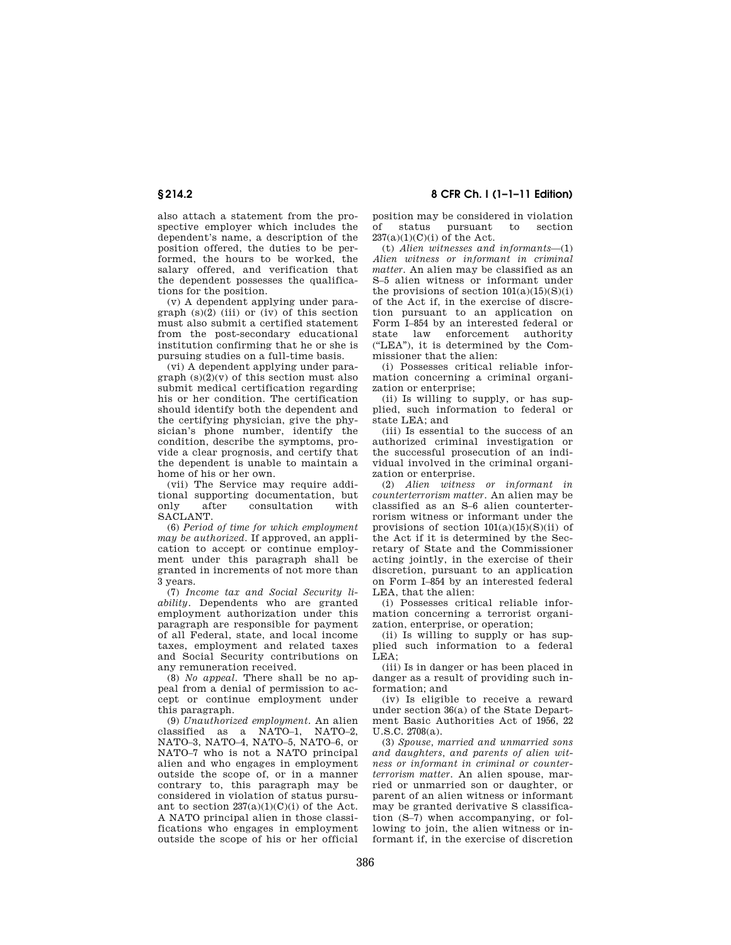also attach a statement from the prospective employer which includes the dependent's name, a description of the position offered, the duties to be performed, the hours to be worked, the salary offered, and verification that the dependent possesses the qualifications for the position.

(v) A dependent applying under paragraph  $(s)(2)$  (iii) or (iv) of this section must also submit a certified statement from the post-secondary educational institution confirming that he or she is pursuing studies on a full-time basis.

(vi) A dependent applying under paragraph  $(s)(2)(v)$  of this section must also submit medical certification regarding his or her condition. The certification should identify both the dependent and the certifying physician, give the physician's phone number, identify the condition, describe the symptoms, provide a clear prognosis, and certify that the dependent is unable to maintain a home of his or her own.

(vii) The Service may require additional supporting documentation, but<br>only after consultation with only after consultation SACLANT.

(6) *Period of time for which employment may be authorized.* If approved, an application to accept or continue employment under this paragraph shall be granted in increments of not more than 3 years.

(7) *Income tax and Social Security liability.* Dependents who are granted employment authorization under this paragraph are responsible for payment of all Federal, state, and local income taxes, employment and related taxes and Social Security contributions on any remuneration received.

(8) *No appeal.* There shall be no appeal from a denial of permission to accept or continue employment under this paragraph.

(9) *Unauthorized employment.* An alien classified as a NATO–1, NATO–2, NATO–3, NATO–4, NATO–5, NATO–6, or NATO–7 who is not a NATO principal alien and who engages in employment outside the scope of, or in a manner contrary to, this paragraph may be considered in violation of status pursuant to section  $237(a)(1)(C)(i)$  of the Act. A NATO principal alien in those classifications who engages in employment outside the scope of his or her official

**§ 214.2 8 CFR Ch. I (1–1–11 Edition)** 

position may be considered in violation of status pursuant to section  $237(a)(1)(C)(i)$  of the Act.

(t) *Alien witnesses and informants*—(1) *Alien witness or informant in criminal matter.* An alien may be classified as an S–5 alien witness or informant under the provisions of section  $101(a)(15)(S)(i)$ of the Act if, in the exercise of discretion pursuant to an application on Form I–854 by an interested federal or<br>state law enforcement authority enforcement authority (''LEA''), it is determined by the Commissioner that the alien:

(i) Possesses critical reliable information concerning a criminal organization or enterprise;

(ii) Is willing to supply, or has supplied, such information to federal or state LEA; and

(iii) Is essential to the success of an authorized criminal investigation or the successful prosecution of an individual involved in the criminal organization or enterprise.

(2) *Alien witness or informant in counterterrorism matter.* An alien may be classified as an S–6 alien counterterrorism witness or informant under the provisions of section  $101(a)(15)(S)(ii)$  of the Act if it is determined by the Secretary of State and the Commissioner acting jointly, in the exercise of their discretion, pursuant to an application on Form I–854 by an interested federal LEA, that the alien:

(i) Possesses critical reliable information concerning a terrorist organization, enterprise, or operation;

(ii) Is willing to supply or has supplied such information to a federal  $\bar{L}$ .EA $\cdot$ 

(iii) Is in danger or has been placed in danger as a result of providing such information; and

(iv) Is eligible to receive a reward under section 36(a) of the State Department Basic Authorities Act of 1956, 22 U.S.C. 2708(a).

(3) *Spouse, married and unmarried sons and daughters, and parents of alien witness or informant in criminal or counterterrorism matter.* An alien spouse, married or unmarried son or daughter, or parent of an alien witness or informant may be granted derivative S classification (S–7) when accompanying, or following to join, the alien witness or informant if, in the exercise of discretion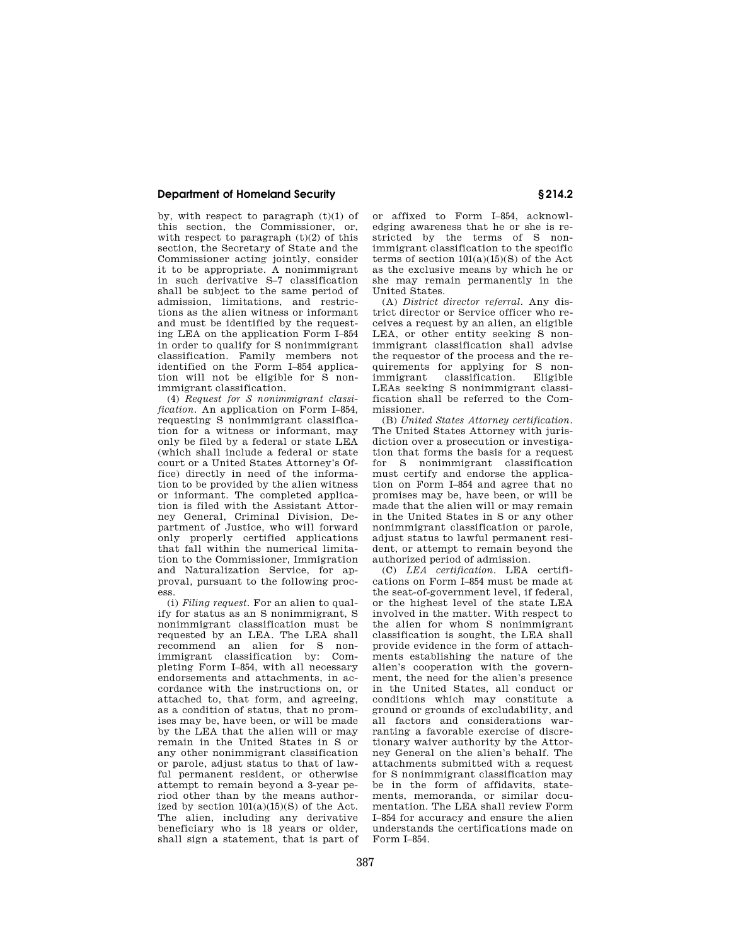by, with respect to paragraph  $(t)(1)$  of this section, the Commissioner, or, with respect to paragraph  $(t)(2)$  of this section, the Secretary of State and the Commissioner acting jointly, consider it to be appropriate. A nonimmigrant in such derivative S–7 classification shall be subject to the same period of admission, limitations, and restrictions as the alien witness or informant and must be identified by the requesting LEA on the application Form I–854 in order to qualify for S nonimmigrant classification. Family members not identified on the Form I–854 application will not be eligible for S nonimmigrant classification.

(4) *Request for S nonimmigrant classification.* An application on Form I–854, requesting S nonimmigrant classification for a witness or informant, may only be filed by a federal or state LEA (which shall include a federal or state court or a United States Attorney's Office) directly in need of the information to be provided by the alien witness or informant. The completed application is filed with the Assistant Attorney General, Criminal Division, Department of Justice, who will forward only properly certified applications that fall within the numerical limitation to the Commissioner, Immigration and Naturalization Service, for approval, pursuant to the following process.

(i) *Filing request.* For an alien to qualify for status as an S nonimmigrant, S nonimmigrant classification must be requested by an LEA. The LEA shall recommend an alien for S nonimmigrant classification by: Completing Form I–854, with all necessary endorsements and attachments, in accordance with the instructions on, or attached to, that form, and agreeing, as a condition of status, that no promises may be, have been, or will be made by the LEA that the alien will or may remain in the United States in S or any other nonimmigrant classification or parole, adjust status to that of lawful permanent resident, or otherwise attempt to remain beyond a 3-year period other than by the means authorized by section  $101(a)(15)(S)$  of the Act. The alien, including any derivative beneficiary who is 18 years or older, shall sign a statement, that is part of or affixed to Form I–854, acknowledging awareness that he or she is restricted by the terms of S nonimmigrant classification to the specific terms of section 101(a)(15)(S) of the Act as the exclusive means by which he or she may remain permanently in the United States.

(A) *District director referral.* Any district director or Service officer who receives a request by an alien, an eligible LEA, or other entity seeking S nonimmigrant classification shall advise the requestor of the process and the requirements for applying for S nonimmigrant classification. Eligible LEAs seeking S nonimmigrant classification shall be referred to the Commissioner.

(B) *United States Attorney certification.*  The United States Attorney with jurisdiction over a prosecution or investigation that forms the basis for a request for S nonimmigrant classification must certify and endorse the application on Form I–854 and agree that no promises may be, have been, or will be made that the alien will or may remain in the United States in S or any other nonimmigrant classification or parole, adjust status to lawful permanent resident, or attempt to remain beyond the authorized period of admission.

(C) *LEA certification.* LEA certifications on Form I–854 must be made at the seat-of-government level, if federal, or the highest level of the state LEA involved in the matter. With respect to the alien for whom S nonimmigrant classification is sought, the LEA shall provide evidence in the form of attachments establishing the nature of the alien's cooperation with the government, the need for the alien's presence in the United States, all conduct or conditions which may constitute a ground or grounds of excludability, and all factors and considerations warranting a favorable exercise of discretionary waiver authority by the Attorney General on the alien's behalf. The attachments submitted with a request for S nonimmigrant classification may be in the form of affidavits, statements, memoranda, or similar documentation. The LEA shall review Form I–854 for accuracy and ensure the alien understands the certifications made on Form I–854.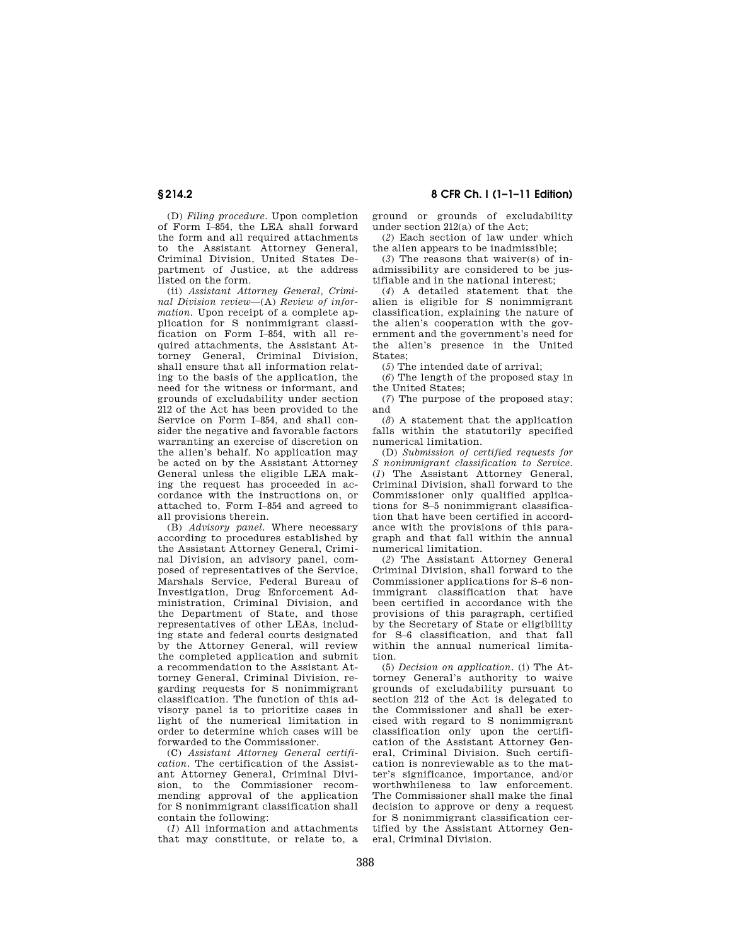**§ 214.2 8 CFR Ch. I (1–1–11 Edition)** 

(D) *Filing procedure.* Upon completion of Form I–854, the LEA shall forward the form and all required attachments to the Assistant Attorney General, Criminal Division, United States Department of Justice, at the address listed on the form.

(ii) *Assistant Attorney General, Criminal Division review*—(A) *Review of information.* Upon receipt of a complete application for S nonimmigrant classification on Form I–854, with all required attachments, the Assistant Attorney General, Criminal Division, shall ensure that all information relating to the basis of the application, the need for the witness or informant, and grounds of excludability under section 212 of the Act has been provided to the Service on Form I–854, and shall consider the negative and favorable factors warranting an exercise of discretion on the alien's behalf. No application may be acted on by the Assistant Attorney General unless the eligible LEA making the request has proceeded in accordance with the instructions on, or attached to, Form I–854 and agreed to all provisions therein.

(B) *Advisory panel.* Where necessary according to procedures established by the Assistant Attorney General, Criminal Division, an advisory panel, composed of representatives of the Service, Marshals Service, Federal Bureau of Investigation, Drug Enforcement Administration, Criminal Division, and the Department of State, and those representatives of other LEAs, including state and federal courts designated by the Attorney General, will review the completed application and submit a recommendation to the Assistant Attorney General, Criminal Division, regarding requests for S nonimmigrant classification. The function of this advisory panel is to prioritize cases in light of the numerical limitation in order to determine which cases will be forwarded to the Commissioner.

(C) *Assistant Attorney General certification.* The certification of the Assistant Attorney General, Criminal Division, to the Commissioner recommending approval of the application for S nonimmigrant classification shall contain the following:

(*1*) All information and attachments that may constitute, or relate to, a ground or grounds of excludability under section 212(a) of the Act;

(*2*) Each section of law under which the alien appears to be inadmissible;

(*3*) The reasons that waiver(s) of inadmissibility are considered to be justifiable and in the national interest;

(*4*) A detailed statement that the alien is eligible for S nonimmigrant classification, explaining the nature of the alien's cooperation with the government and the government's need for the alien's presence in the United States;

(*5*) The intended date of arrival;

(*6*) The length of the proposed stay in the United States;

(*7*) The purpose of the proposed stay; and

(*8*) A statement that the application falls within the statutorily specified numerical limitation.

(D) *Submission of certified requests for S nonimmigrant classification to Service.*  (*1*) The Assistant Attorney General, Criminal Division, shall forward to the Commissioner only qualified applications for S–5 nonimmigrant classification that have been certified in accordance with the provisions of this paragraph and that fall within the annual numerical limitation.

(*2*) The Assistant Attorney General Criminal Division, shall forward to the Commissioner applications for S–6 nonimmigrant classification that have been certified in accordance with the provisions of this paragraph, certified by the Secretary of State or eligibility for S–6 classification, and that fall within the annual numerical limitation.

(5) *Decision on application.* (i) The Attorney General's authority to waive grounds of excludability pursuant to section 212 of the Act is delegated to the Commissioner and shall be exercised with regard to S nonimmigrant classification only upon the certification of the Assistant Attorney General, Criminal Division. Such certification is nonreviewable as to the matter's significance, importance, and/or worthwhileness to law enforcement. The Commissioner shall make the final decision to approve or deny a request for S nonimmigrant classification certified by the Assistant Attorney General, Criminal Division.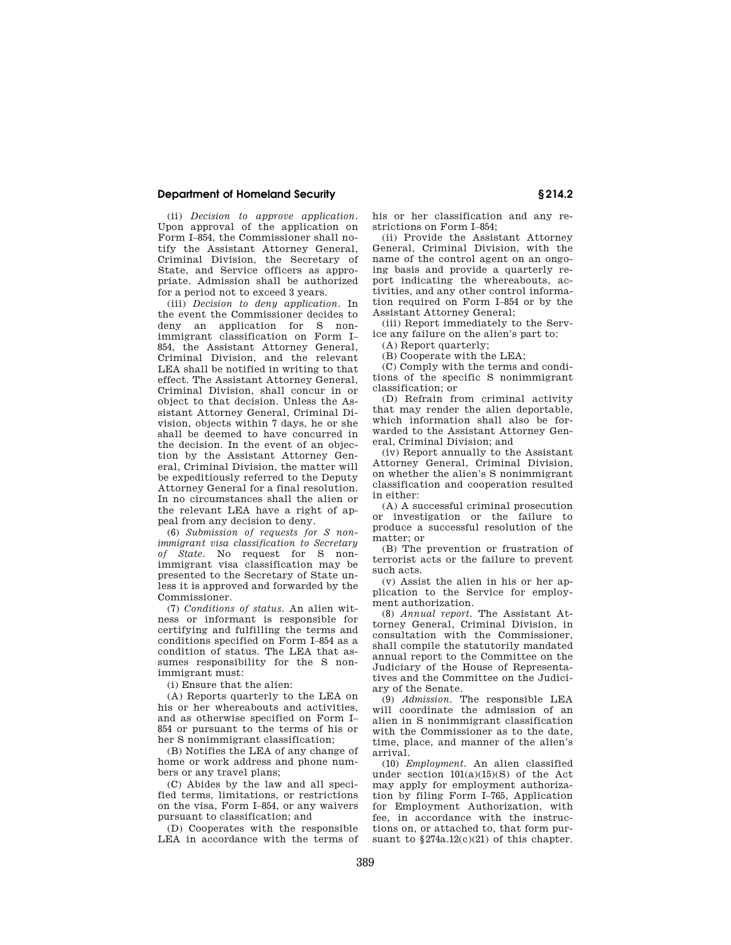(ii) *Decision to approve application.*  Upon approval of the application on Form I–854, the Commissioner shall notify the Assistant Attorney General, Criminal Division, the Secretary of State, and Service officers as appropriate. Admission shall be authorized for a period not to exceed 3 years.

(iii) *Decision to deny application.* In the event the Commissioner decides to deny an application for S nonimmigrant classification on Form I– 854, the Assistant Attorney General, Criminal Division, and the relevant LEA shall be notified in writing to that effect. The Assistant Attorney General, Criminal Division, shall concur in or object to that decision. Unless the Assistant Attorney General, Criminal Division, objects within 7 days, he or she shall be deemed to have concurred in the decision. In the event of an objection by the Assistant Attorney General, Criminal Division, the matter will be expeditiously referred to the Deputy Attorney General for a final resolution. In no circumstances shall the alien or the relevant LEA have a right of appeal from any decision to deny.

(6) *Submission of requests for S nonimmigrant visa classification to Secretary of State.* No request for S nonimmigrant visa classification may be presented to the Secretary of State unless it is approved and forwarded by the Commissioner.

(7) *Conditions of status.* An alien witness or informant is responsible for certifying and fulfilling the terms and conditions specified on Form I–854 as a condition of status. The LEA that assumes responsibility for the S nonimmigrant must:

(i) Ensure that the alien:

(A) Reports quarterly to the LEA on his or her whereabouts and activities, and as otherwise specified on Form I– 854 or pursuant to the terms of his or her S nonimmigrant classification;

(B) Notifies the LEA of any change of home or work address and phone numbers or any travel plans;

(C) Abides by the law and all specified terms, limitations, or restrictions on the visa, Form I–854, or any waivers pursuant to classification; and

(D) Cooperates with the responsible LEA in accordance with the terms of his or her classification and any restrictions on Form I–854;

(ii) Provide the Assistant Attorney General, Criminal Division, with the name of the control agent on an ongoing basis and provide a quarterly report indicating the whereabouts, activities, and any other control information required on Form I–854 or by the Assistant Attorney General;

(iii) Report immediately to the Service any failure on the alien's part to:

(A) Report quarterly;

(B) Cooperate with the LEA;

(C) Comply with the terms and conditions of the specific S nonimmigrant classification; or

(D) Refrain from criminal activity that may render the alien deportable, which information shall also be forwarded to the Assistant Attorney General, Criminal Division; and

(iv) Report annually to the Assistant Attorney General, Criminal Division, on whether the alien's S nonimmigrant classification and cooperation resulted in either:

(A) A successful criminal prosecution or investigation or the failure to produce a successful resolution of the matter; or

(B) The prevention or frustration of terrorist acts or the failure to prevent such acts.

(v) Assist the alien in his or her application to the Service for employment authorization.

(8) *Annual report.* The Assistant Attorney General, Criminal Division, in consultation with the Commissioner, shall compile the statutorily mandated annual report to the Committee on the Judiciary of the House of Representatives and the Committee on the Judiciary of the Senate.

(9) *Admission.* The responsible LEA will coordinate the admission of an alien in S nonimmigrant classification with the Commissioner as to the date, time, place, and manner of the alien's arrival.

(10) *Employment.* An alien classified under section  $101(a)(15)(S)$  of the Act may apply for employment authorization by filing Form I–765, Application for Employment Authorization, with fee, in accordance with the instructions on, or attached to, that form pursuant to §274a.12(c)(21) of this chapter.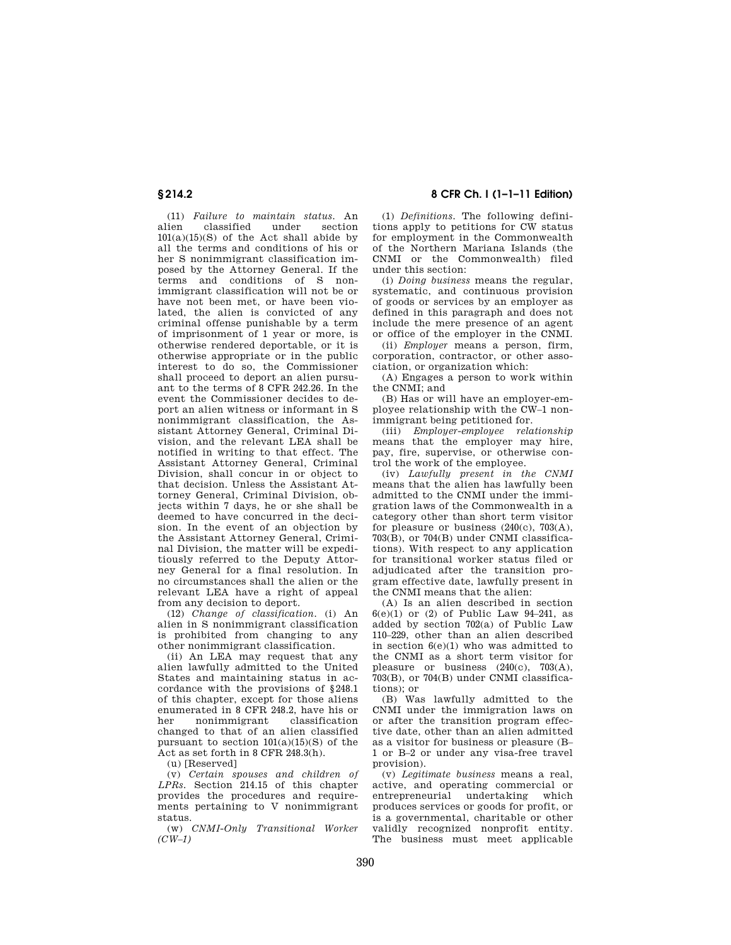(11) *Failure to maintain status.* An alien classified under section 101(a)(15)(S) of the Act shall abide by all the terms and conditions of his or her S nonimmigrant classification imposed by the Attorney General. If the terms and conditions of S nonimmigrant classification will not be or have not been met, or have been violated, the alien is convicted of any criminal offense punishable by a term of imprisonment of 1 year or more, is otherwise rendered deportable, or it is otherwise appropriate or in the public interest to do so, the Commissioner shall proceed to deport an alien pursuant to the terms of 8 CFR 242.26. In the event the Commissioner decides to deport an alien witness or informant in S nonimmigrant classification, the Assistant Attorney General, Criminal Division, and the relevant LEA shall be notified in writing to that effect. The Assistant Attorney General, Criminal Division, shall concur in or object to that decision. Unless the Assistant Attorney General, Criminal Division, objects within 7 days, he or she shall be deemed to have concurred in the decision. In the event of an objection by the Assistant Attorney General, Criminal Division, the matter will be expeditiously referred to the Deputy Attorney General for a final resolution. In no circumstances shall the alien or the relevant LEA have a right of appeal from any decision to deport.

(12) *Change of classification.* (i) An alien in S nonimmigrant classification is prohibited from changing to any other nonimmigrant classification.

(ii) An LEA may request that any alien lawfully admitted to the United States and maintaining status in accordance with the provisions of §248.1 of this chapter, except for those aliens enumerated in 8 CFR 248.2, have his or<br>her nonimmigrant classification her nonimmigrant changed to that of an alien classified pursuant to section  $101(a)(15)(S)$  of the Act as set forth in 8 CFR 248.3(h).

(u) [Reserved]

(v) *Certain spouses and children of LPRs.* Section 214.15 of this chapter provides the procedures and requirements pertaining to V nonimmigrant status.

(w) *CNMI-Only Transitional Worker*   $(CW-1)$ 

# **§ 214.2 8 CFR Ch. I (1–1–11 Edition)**

(1) *Definitions.* The following definitions apply to petitions for CW status for employment in the Commonwealth of the Northern Mariana Islands (the CNMI or the Commonwealth) filed under this section:

(i) *Doing business* means the regular, systematic, and continuous provision of goods or services by an employer as defined in this paragraph and does not include the mere presence of an agent or office of the employer in the CNMI.

(ii) *Employer* means a person, firm, corporation, contractor, or other association, or organization which:

(A) Engages a person to work within the CNMI; and

(B) Has or will have an employer-employee relationship with the CW–1 nonimmigrant being petitioned for.

(iii) *Employer-employee relationship*  means that the employer may hire, pay, fire, supervise, or otherwise control the work of the employee.

(iv) *Lawfully present in the CNMI*  means that the alien has lawfully been admitted to the CNMI under the immigration laws of the Commonwealth in a category other than short term visitor for pleasure or business  $(240(c), 703(A))$ 703(B), or 704(B) under CNMI classifications). With respect to any application for transitional worker status filed or adjudicated after the transition program effective date, lawfully present in the CNMI means that the alien:

(A) Is an alien described in section  $6(e)(1)$  or  $(2)$  of Public Law 94-241, as added by section 702(a) of Public Law 110–229, other than an alien described in section  $6(e)(1)$  who was admitted to the CNMI as a short term visitor for pleasure or business  $(240(c), 703(A))$ 703(B), or 704(B) under CNMI classifications); or

(B) Was lawfully admitted to the CNMI under the immigration laws on or after the transition program effective date, other than an alien admitted as a visitor for business or pleasure (B– 1 or B–2 or under any visa-free travel provision).

(v) *Legitimate business* means a real, active, and operating commercial or entrepreneurial undertaking which produces services or goods for profit, or is a governmental, charitable or other validly recognized nonprofit entity. The business must meet applicable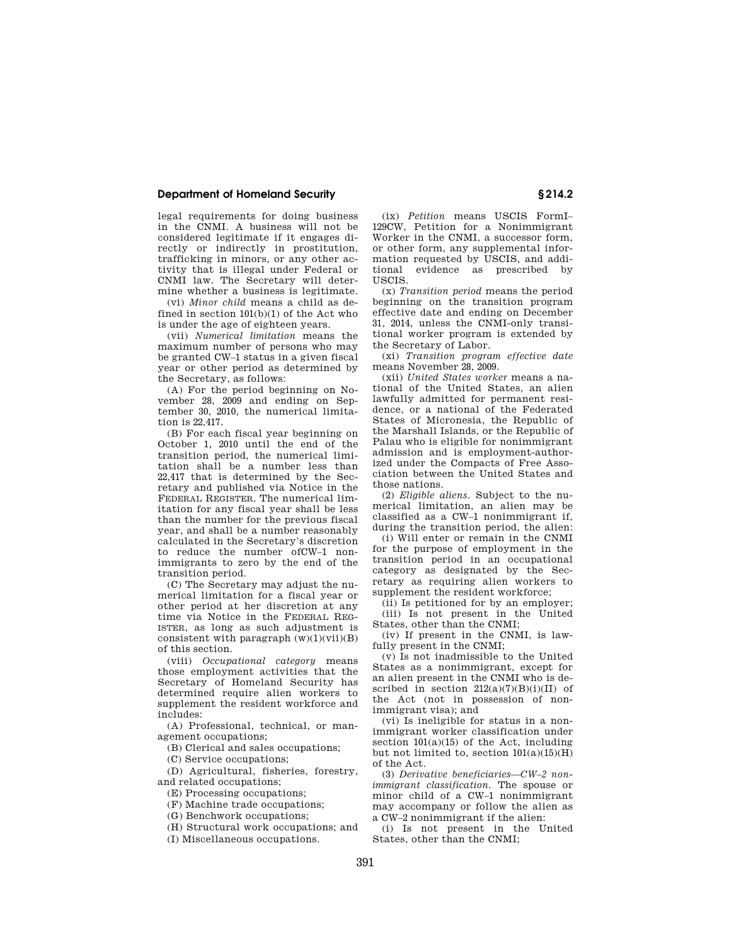legal requirements for doing business in the CNMI. A business will not be considered legitimate if it engages directly or indirectly in prostitution, trafficking in minors, or any other activity that is illegal under Federal or CNMI law. The Secretary will determine whether a business is legitimate.

(vi) *Minor child* means a child as defined in section 101(b)(1) of the Act who is under the age of eighteen years.

(vii) *Numerical limitation* means the maximum number of persons who may be granted CW–1 status in a given fiscal year or other period as determined by the Secretary, as follows:

(A) For the period beginning on November 28, 2009 and ending on September 30, 2010, the numerical limitation is 22,417.

(B) For each fiscal year beginning on October 1, 2010 until the end of the transition period, the numerical limitation shall be a number less than 22,417 that is determined by the Secretary and published via Notice in the FEDERAL REGISTER. The numerical limitation for any fiscal year shall be less than the number for the previous fiscal year, and shall be a number reasonably calculated in the Secretary's discretion to reduce the number ofCW–1 nonimmigrants to zero by the end of the transition period.

(C) The Secretary may adjust the numerical limitation for a fiscal year or other period at her discretion at any time via Notice in the FEDERAL REG-ISTER, as long as such adjustment is consistent with paragraph  $(w)(1)(vi)(B)$ of this section.

(viii) *Occupational category* means those employment activities that the Secretary of Homeland Security has determined require alien workers to supplement the resident workforce and includes:

(A) Professional, technical, or management occupations;

(B) Clerical and sales occupations;

(C) Service occupations;

(D) Agricultural, fisheries, forestry, and related occupations;

(E) Processing occupations;

(F) Machine trade occupations;

(G) Benchwork occupations;

(H) Structural work occupations; and

(I) Miscellaneous occupations.

(ix) *Petition* means USCIS FormI– 129CW, Petition for a Nonimmigrant Worker in the CNMI, a successor form, or other form, any supplemental information requested by USCIS, and additional evidence as prescribed by **USCIS** 

(x) *Transition period* means the period beginning on the transition program effective date and ending on December 31, 2014, unless the CNMI-only transitional worker program is extended by the Secretary of Labor.

(xi) *Transition program effective date*  means November 28, 2009.

(xii) *United States worker* means a national of the United States, an alien lawfully admitted for permanent residence, or a national of the Federated States of Micronesia, the Republic of the Marshall Islands, or the Republic of Palau who is eligible for nonimmigrant admission and is employment-authorized under the Compacts of Free Association between the United States and those nations.

(2) *Eligible aliens.* Subject to the numerical limitation, an alien may be classified as a CW–1 nonimmigrant if, during the transition period, the alien:

(i) Will enter or remain in the CNMI for the purpose of employment in the transition period in an occupational category as designated by the Secretary as requiring alien workers to supplement the resident workforce;

(ii) Is petitioned for by an employer; (iii) Is not present in the United States, other than the CNMI;

(iv) If present in the CNMI, is lawfully present in the CNMI;

(v) Is not inadmissible to the United States as a nonimmigrant, except for an alien present in the CNMI who is described in section  $212(a)(7)(B)(i)(II)$  of the Act (not in possession of nonimmigrant visa); and

(vi) Is ineligible for status in a nonimmigrant worker classification under section  $101(a)(15)$  of the Act, including but not limited to, section  $101(a)(15)(H)$ of the Act.

(3) *Derivative beneficiaries—CW–2 nonimmigrant classification.* The spouse or minor child of a CW–1 nonimmigrant may accompany or follow the alien as a CW–2 nonimmigrant if the alien:

(i) Is not present in the United States, other than the CNMI;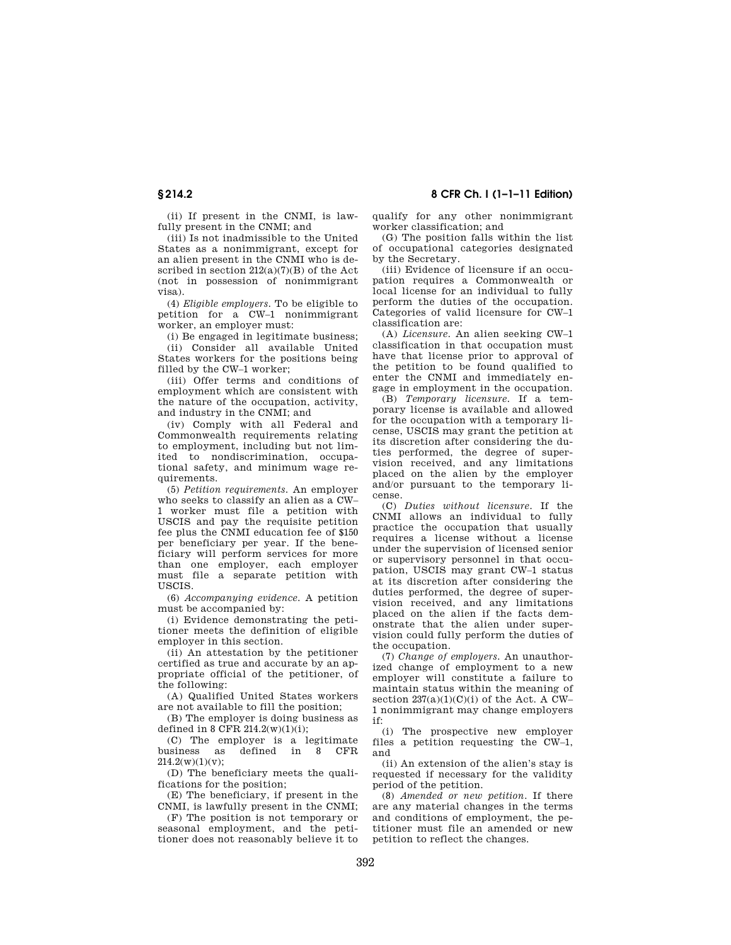(ii) If present in the CNMI, is lawfully present in the CNMI; and

(iii) Is not inadmissible to the United States as a nonimmigrant, except for an alien present in the CNMI who is described in section 212(a)(7)(B) of the Act (not in possession of nonimmigrant visa).

(4) *Eligible employers.* To be eligible to petition for a CW–1 nonimmigrant worker, an employer must:

(i) Be engaged in legitimate business;

(ii) Consider all available United States workers for the positions being filled by the CW–1 worker;

(iii) Offer terms and conditions of employment which are consistent with the nature of the occupation, activity, and industry in the CNMI; and

(iv) Comply with all Federal and Commonwealth requirements relating to employment, including but not limited to nondiscrimination, occupational safety, and minimum wage requirements.

(5) *Petition requirements.* An employer who seeks to classify an alien as a CW– 1 worker must file a petition with USCIS and pay the requisite petition fee plus the CNMI education fee of \$150 per beneficiary per year. If the beneficiary will perform services for more than one employer, each employer must file a separate petition with USCIS.

(6) *Accompanying evidence.* A petition must be accompanied by:

(i) Evidence demonstrating the petitioner meets the definition of eligible employer in this section.

(ii) An attestation by the petitioner certified as true and accurate by an appropriate official of the petitioner, of the following:

(A) Qualified United States workers are not available to fill the position;

(B) The employer is doing business as defined in 8 CFR 214.2(w)(1)(i);

(C) The employer is a legitimate business as defined in 8 CFR  $214.2(w)(1)(v);$ 

(D) The beneficiary meets the qualifications for the position;

(E) The beneficiary, if present in the CNMI, is lawfully present in the CNMI;

(F) The position is not temporary or seasonal employment, and the petitioner does not reasonably believe it to qualify for any other nonimmigrant worker classification; and

(G) The position falls within the list of occupational categories designated by the Secretary.

(iii) Evidence of licensure if an occupation requires a Commonwealth or local license for an individual to fully perform the duties of the occupation. Categories of valid licensure for CW–1 classification are:

(A) *Licensure.* An alien seeking CW–1 classification in that occupation must have that license prior to approval of the petition to be found qualified to enter the CNMI and immediately engage in employment in the occupation.

(B) *Temporary licensure.* If a temporary license is available and allowed for the occupation with a temporary license, USCIS may grant the petition at its discretion after considering the duties performed, the degree of supervision received, and any limitations placed on the alien by the employer and/or pursuant to the temporary license.

(C) *Duties without licensure.* If the CNMI allows an individual to fully practice the occupation that usually requires a license without a license under the supervision of licensed senior or supervisory personnel in that occupation, USCIS may grant CW–1 status at its discretion after considering the duties performed, the degree of supervision received, and any limitations placed on the alien if the facts demonstrate that the alien under supervision could fully perform the duties of the occupation.

(7) *Change of employers.* An unauthorized change of employment to a new employer will constitute a failure to maintain status within the meaning of section  $237(a)(1)(C)(i)$  of the Act. A CW-1 nonimmigrant may change employers if:

(i) The prospective new employer files a petition requesting the CW–1, and

(ii) An extension of the alien's stay is requested if necessary for the validity period of the petition.

(8) *Amended or new petition.* If there are any material changes in the terms and conditions of employment, the petitioner must file an amended or new petition to reflect the changes.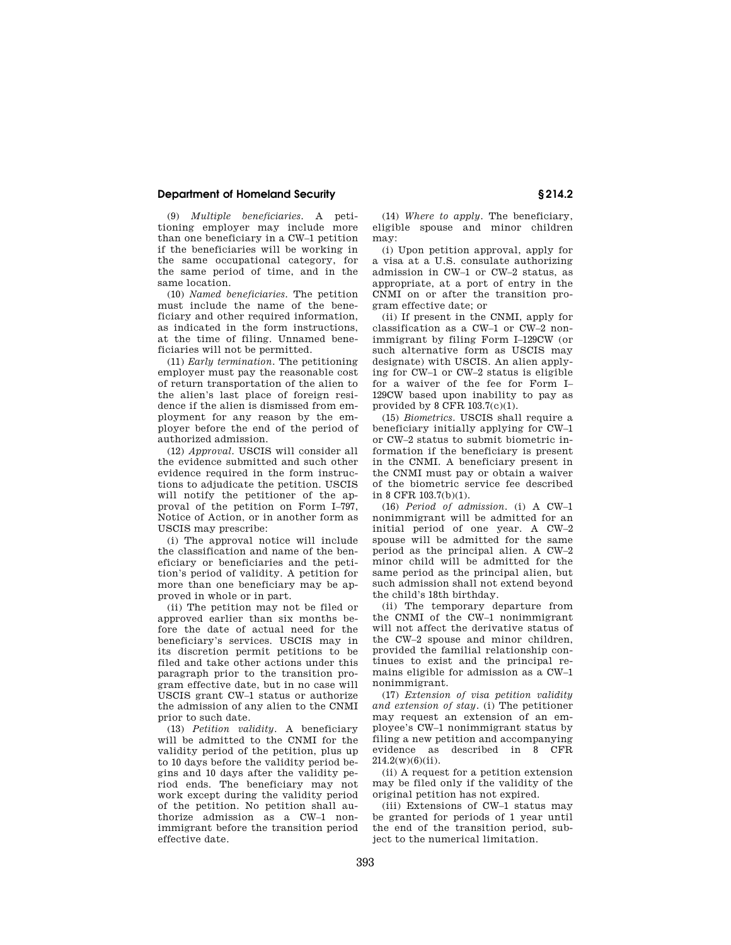(9) *Multiple beneficiaries.* A petitioning employer may include more than one beneficiary in a CW–1 petition if the beneficiaries will be working in the same occupational category, for the same period of time, and in the same location.

(10) *Named beneficiaries.* The petition must include the name of the beneficiary and other required information, as indicated in the form instructions, at the time of filing. Unnamed beneficiaries will not be permitted.

(11) *Early termination.* The petitioning employer must pay the reasonable cost of return transportation of the alien to the alien's last place of foreign residence if the alien is dismissed from employment for any reason by the employer before the end of the period of authorized admission.

(12) *Approval.* USCIS will consider all the evidence submitted and such other evidence required in the form instructions to adjudicate the petition. USCIS will notify the petitioner of the approval of the petition on Form I–797, Notice of Action, or in another form as USCIS may prescribe:

(i) The approval notice will include the classification and name of the beneficiary or beneficiaries and the petition's period of validity. A petition for more than one beneficiary may be approved in whole or in part.

(ii) The petition may not be filed or approved earlier than six months before the date of actual need for the beneficiary's services. USCIS may in its discretion permit petitions to be filed and take other actions under this paragraph prior to the transition program effective date, but in no case will USCIS grant CW–1 status or authorize the admission of any alien to the CNMI prior to such date.

(13) *Petition validity.* A beneficiary will be admitted to the CNMI for the validity period of the petition, plus up to 10 days before the validity period begins and 10 days after the validity period ends. The beneficiary may not work except during the validity period of the petition. No petition shall authorize admission as a CW–1 nonimmigrant before the transition period effective date.

(14) *Where to apply.* The beneficiary, eligible spouse and minor children may:

(i) Upon petition approval, apply for a visa at a U.S. consulate authorizing admission in CW–1 or CW–2 status, as appropriate, at a port of entry in the CNMI on or after the transition program effective date; or

(ii) If present in the CNMI, apply for classification as a CW–1 or CW–2 nonimmigrant by filing Form I–129CW (or such alternative form as USCIS may designate) with USCIS. An alien applying for CW–1 or CW–2 status is eligible for a waiver of the fee for Form I– 129CW based upon inability to pay as provided by  $8$  CFR  $103.7(c)(1)$ .

(15) *Biometrics.* USCIS shall require a beneficiary initially applying for CW–1 or CW–2 status to submit biometric information if the beneficiary is present in the CNMI. A beneficiary present in the CNMI must pay or obtain a waiver of the biometric service fee described in 8 CFR 103.7(b)(1).

(16) *Period of admission.* (i) A CW–1 nonimmigrant will be admitted for an initial period of one year. A CW–2 spouse will be admitted for the same period as the principal alien. A CW–2 minor child will be admitted for the same period as the principal alien, but such admission shall not extend beyond the child's 18th birthday.

(ii) The temporary departure from the CNMI of the CW–1 nonimmigrant will not affect the derivative status of the CW–2 spouse and minor children, provided the familial relationship continues to exist and the principal remains eligible for admission as a CW–1 nonimmigrant.

(17) *Extension of visa petition validity and extension of stay.* (i) The petitioner may request an extension of an employee's CW–1 nonimmigrant status by filing a new petition and accompanying evidence as described in 8 CFR  $214.2(w)(6)(ii)$ .

(ii) A request for a petition extension may be filed only if the validity of the original petition has not expired.

(iii) Extensions of CW–1 status may be granted for periods of 1 year until the end of the transition period, subject to the numerical limitation.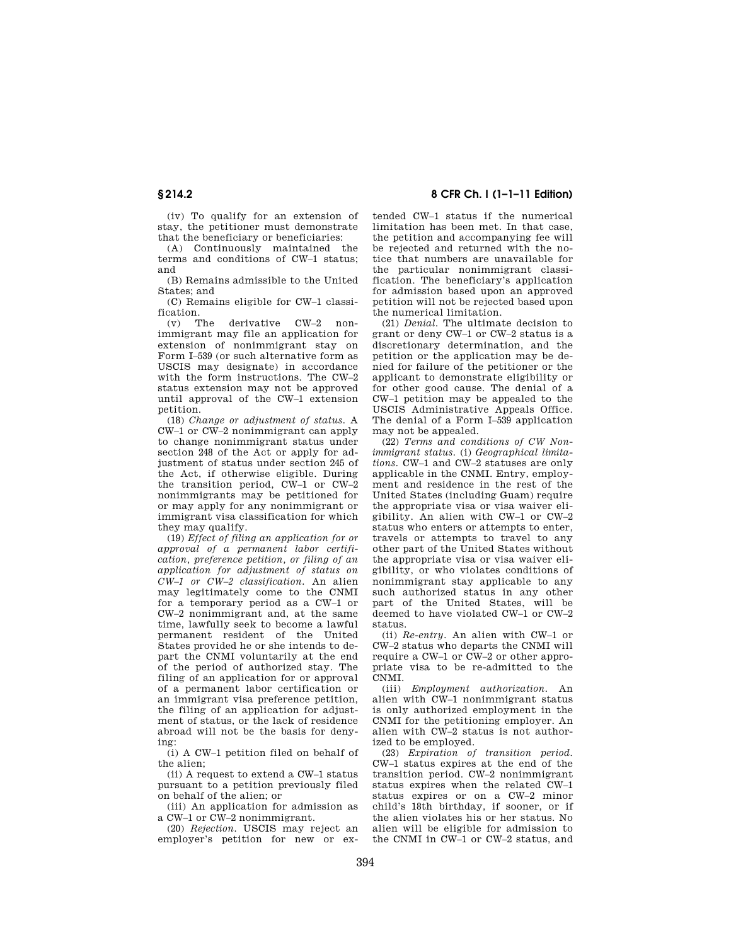(iv) To qualify for an extension of stay, the petitioner must demonstrate that the beneficiary or beneficiaries:

(A) Continuously maintained the terms and conditions of CW–1 status; and

(B) Remains admissible to the United States; and

(C) Remains eligible for CW–1 classification.<br> $V = T$ 

The derivative CW–2 nonimmigrant may file an application for extension of nonimmigrant stay on Form I–539 (or such alternative form as USCIS may designate) in accordance with the form instructions. The CW–2 status extension may not be approved until approval of the CW–1 extension petition.

(18) *Change or adjustment of status.* A CW–1 or CW–2 nonimmigrant can apply to change nonimmigrant status under section 248 of the Act or apply for adjustment of status under section 245 of the Act, if otherwise eligible. During the transition period, CW–1 or CW–2 nonimmigrants may be petitioned for or may apply for any nonimmigrant or immigrant visa classification for which they may qualify.

(19) *Effect of filing an application for or approval of a permanent labor certification, preference petition, or filing of an application for adjustment of status on CW–1 or CW–2 classification.* An alien may legitimately come to the CNMI for a temporary period as a CW–1 or CW–2 nonimmigrant and, at the same time, lawfully seek to become a lawful permanent resident of the United States provided he or she intends to depart the CNMI voluntarily at the end of the period of authorized stay. The filing of an application for or approval of a permanent labor certification or an immigrant visa preference petition, the filing of an application for adjustment of status, or the lack of residence abroad will not be the basis for denying:

(i) A CW–1 petition filed on behalf of the alien;

(ii) A request to extend a CW–1 status pursuant to a petition previously filed on behalf of the alien; or

(iii) An application for admission as a CW–1 or CW–2 nonimmigrant.

(20) *Rejection.* USCIS may reject an employer's petition for new or ex-

# **§ 214.2 8 CFR Ch. I (1–1–11 Edition)**

tended CW–1 status if the numerical limitation has been met. In that case, the petition and accompanying fee will be rejected and returned with the notice that numbers are unavailable for the particular nonimmigrant classification. The beneficiary's application for admission based upon an approved petition will not be rejected based upon the numerical limitation.

(21) *Denial.* The ultimate decision to grant or deny CW–1 or CW–2 status is a discretionary determination, and the petition or the application may be denied for failure of the petitioner or the applicant to demonstrate eligibility or for other good cause. The denial of a CW–1 petition may be appealed to the USCIS Administrative Appeals Office. The denial of a Form I-539 application may not be appealed.

(22) *Terms and conditions of CW Nonimmigrant status.* (i) *Geographical limitations.* CW–1 and CW–2 statuses are only applicable in the CNMI. Entry, employment and residence in the rest of the United States (including Guam) require the appropriate visa or visa waiver eligibility. An alien with CW–1 or CW–2 status who enters or attempts to enter, travels or attempts to travel to any other part of the United States without the appropriate visa or visa waiver eligibility, or who violates conditions of nonimmigrant stay applicable to any such authorized status in any other part of the United States, will be deemed to have violated CW–1 or CW–2 status.

(ii) *Re-entry.* An alien with CW–1 or CW–2 status who departs the CNMI will require a CW–1 or CW–2 or other appropriate visa to be re-admitted to the CNMI.

(iii) *Employment authorization.* An alien with CW–1 nonimmigrant status is only authorized employment in the CNMI for the petitioning employer. An alien with CW–2 status is not authorized to be employed.

(23) *Expiration of transition period.*  CW–1 status expires at the end of the transition period. CW–2 nonimmigrant status expires when the related CW–1 status expires or on a CW–2 minor child's 18th birthday, if sooner, or if the alien violates his or her status. No alien will be eligible for admission to the CNMI in CW–1 or CW–2 status, and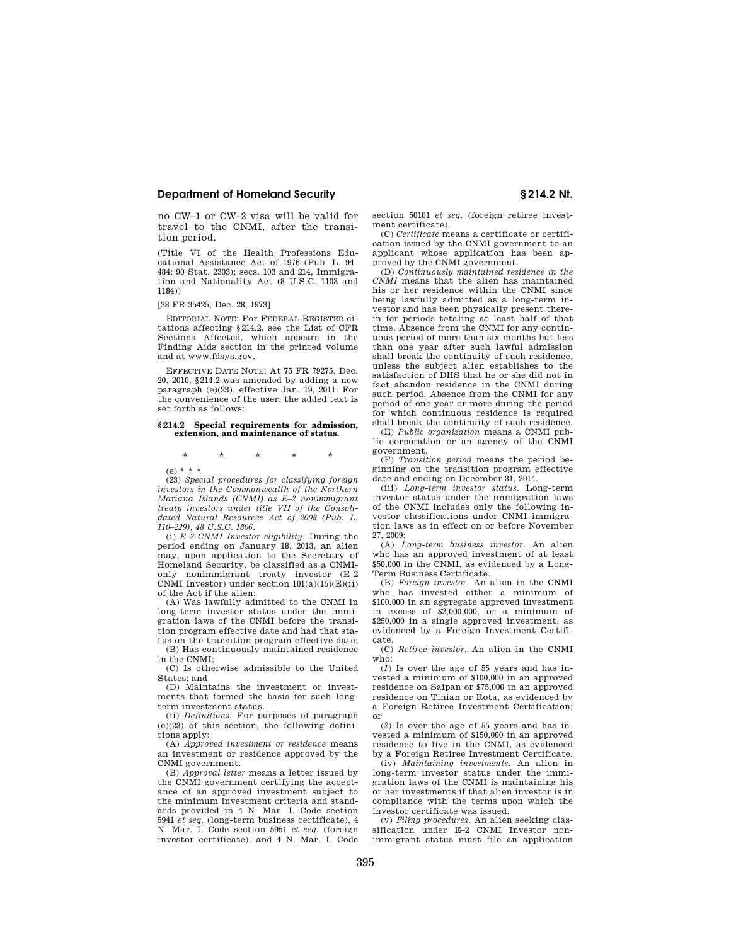no CW–1 or CW–2 visa will be valid for travel to the CNMI, after the transition period.

(Title VI of the Health Professions Educational Assistance Act of 1976 (Pub. L. 94– 484; 90 Stat. 2303); secs. 103 and 214, Immigration and Nationality Act (8 U.S.C. 1103 and 1184))

[38 FR 35425, Dec. 28, 1973]

EDITORIAL NOTE: For FEDERAL REGISTER citations affecting §214.2, see the List of CFR Sections Affected, which appears in the Finding Aids section in the printed volume and at www.fdsys.gov.

EFFECTIVE DATE NOTE: At 75 FR 79275, Dec. 20, 2010, §214.2 was amended by adding a new paragraph (e)(23), effective Jan. 19, 2011. For the convenience of the user, the added text is set forth as follows:

#### **§ 214.2 Special requirements for admission, extension, and maintenance of status.**

\* \* \* \* \*

 $(e) * * * *$ 

(23) *Special procedures for classifying foreign investors in the Commonwealth of the Northern Mariana Islands (CNMI) as E–2 nonimmigrant treaty investors under title VII of the Consolidated Natural Resources Act of 2008 (Pub. L. 110–229), 48 U.S.C. 1806.* 

(i) *E–2 CNMI Investor eligibility.* During the period ending on January 18, 2013, an alien may, upon application to the Secretary of Homeland Security, be classified as a CNMIonly nonimmigrant treaty investor (E–2 CNMI Investor) under section  $101(a)(15)(E)(ii)$ of the Act if the alien:

(A) Was lawfully admitted to the CNMI in long-term investor status under the immigration laws of the CNMI before the transition program effective date and had that status on the transition program effective date;

(B) Has continuously maintained residence in the CNMI;

(C) Is otherwise admissible to the United States; and

(D) Maintains the investment or investments that formed the basis for such longterm investment status.

(ii) *Definitions.* For purposes of paragraph (e)(23) of this section, the following definitions apply:

(A) *Approved investment or residence* means an investment or residence approved by the CNMI government.

(B) *Approval letter* means a letter issued by the CNMI government certifying the acceptance of an approved investment subject to the minimum investment criteria and standards provided in 4 N. Mar. I. Code section 5941 *et seq.* (long-term business certificate), 4 N. Mar. I. Code section 5951 *et seq.* (foreign investor certificate), and 4 N. Mar. I. Code section 50101 *et seq.* (foreign retiree investment certificate).

(C) *Certificate* means a certificate or certification issued by the CNMI government to an applicant whose application has been approved by the CNMI government.

(D) *Continuously maintained residence in the CNMI* means that the alien has maintained his or her residence within the CNMI since being lawfully admitted as a long-term investor and has been physically present therein for periods totaling at least half of that time. Absence from the CNMI for any continuous period of more than six months but less than one year after such lawful admission shall break the continuity of such residence, unless the subject alien establishes to the satisfaction of DHS that he or she did not in fact abandon residence in the CNMI during such period. Absence from the CNMI for any period of one year or more during the period for which continuous residence is required shall break the continuity of such residence.

(E) *Public organization* means a CNMI public corporation or an agency of the CNMI government.

(F) *Transition period* means the period beginning on the transition program effective date and ending on December 31, 2014.

(iii) *Long-term investor status.* Long-term investor status under the immigration laws of the CNMI includes only the following investor classifications under CNMI immigration laws as in effect on or before November 27, 2009:

(A) *Long-term business investor.* An alien who has an approved investment of at least \$50,000 in the CNMI, as evidenced by a Long-Term Business Certificate.

(B) *Foreign investor.* An alien in the CNMI who has invested either a minimum of \$100,000 in an aggregate approved investment in excess of \$2,000,000, or a minimum of \$250,000 in a single approved investment, as evidenced by a Foreign Investment Certificate.

(C) *Retiree investor.* An alien in the CNMI who:

(*1*) Is over the age of 55 years and has invested a minimum of \$100,000 in an approved residence on Saipan or \$75,000 in an approved residence on Tinian or Rota, as evidenced by a Foreign Retiree Investment Certification; or

(*2*) Is over the age of 55 years and has invested a minimum of \$150,000 in an approved residence to live in the CNMI, as evidenced by a Foreign Retiree Investment Certificate.

(iv) *Maintaining investments.* An alien in long-term investor status under the immigration laws of the CNMI is maintaining his or her investments if that alien investor is in compliance with the terms upon which the investor certificate was issued.

(v) *Filing procedures.* An alien seeking classification under E–2 CNMI Investor nonimmigrant status must file an application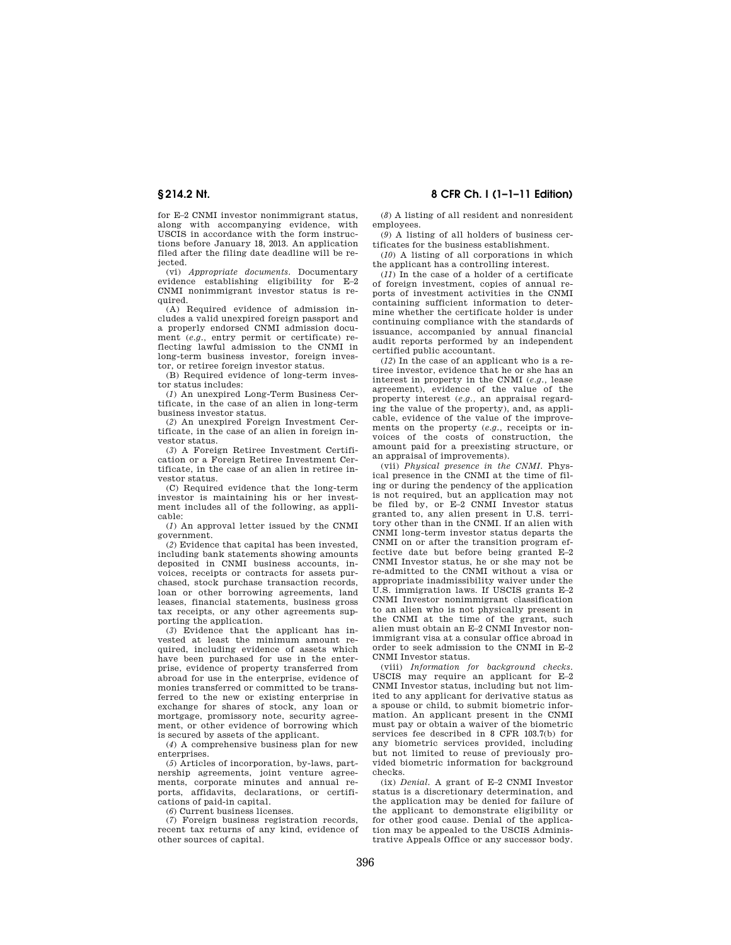for E–2 CNMI investor nonimmigrant status, along with accompanying evidence, with USCIS in accordance with the form instructions before January 18, 2013. An application filed after the filing date deadline will be rejected.

(vi) *Appropriate documents.* Documentary evidence establishing eligibility for E–2 CNMI nonimmigrant investor status is required.

(A) Required evidence of admission includes a valid unexpired foreign passport and a properly endorsed CNMI admission document (*e.g.,* entry permit or certificate) reflecting lawful admission to the CNMI in long-term business investor, foreign investor, or retiree foreign investor status.

(B) Required evidence of long-term investor status includes:

(*1*) An unexpired Long-Term Business Certificate, in the case of an alien in long-term business investor status.

(*2*) An unexpired Foreign Investment Certificate, in the case of an alien in foreign investor status.

(*3*) A Foreign Retiree Investment Certification or a Foreign Retiree Investment Certificate, in the case of an alien in retiree investor status.

(C) Required evidence that the long-term investor is maintaining his or her investment includes all of the following, as applicable:

(*1*) An approval letter issued by the CNMI government.

(*2*) Evidence that capital has been invested, including bank statements showing amounts deposited in CNMI business accounts, invoices, receipts or contracts for assets purchased, stock purchase transaction records, loan or other borrowing agreements, land leases, financial statements, business gross tax receipts, or any other agreements supporting the application.

(*3*) Evidence that the applicant has invested at least the minimum amount required, including evidence of assets which have been purchased for use in the enterprise, evidence of property transferred from abroad for use in the enterprise, evidence of monies transferred or committed to be transferred to the new or existing enterprise in exchange for shares of stock, any loan or mortgage, promissory note, security agreement, or other evidence of borrowing which is secured by assets of the applicant.

(*4*) A comprehensive business plan for new enterprises.

(*5*) Articles of incorporation, by-laws, partnership agreements, joint venture agreements, corporate minutes and annual reports, affidavits, declarations, or certifications of paid-in capital.

(*6*) Current business licenses.

(*7*) Foreign business registration records, recent tax returns of any kind, evidence of other sources of capital.

**§ 214.2 Nt. 8 CFR Ch. I (1–1–11 Edition)** 

(*8*) A listing of all resident and nonresident employees.

(*9*) A listing of all holders of business certificates for the business establishment.

(*10*) A listing of all corporations in which the applicant has a controlling interest.

(*11*) In the case of a holder of a certificate of foreign investment, copies of annual reports of investment activities in the CNMI containing sufficient information to determine whether the certificate holder is under continuing compliance with the standards of issuance, accompanied by annual financial audit reports performed by an independent certified public accountant.

(*12*) In the case of an applicant who is a retiree investor, evidence that he or she has an interest in property in the CNMI (*e.g.,* lease agreement), evidence of the value of the property interest (*e.g.,* an appraisal regarding the value of the property), and, as applicable, evidence of the value of the improvements on the property (*e.g.,* receipts or invoices of the costs of construction, the amount paid for a preexisting structure, or an appraisal of improvements).

(vii) *Physical presence in the CNMI.* Physical presence in the CNMI at the time of filing or during the pendency of the application is not required, but an application may not be filed by, or E–2 CNMI Investor status granted to, any alien present in U.S. territory other than in the CNMI. If an alien with CNMI long-term investor status departs the CNMI on or after the transition program effective date but before being granted E–2 CNMI Investor status, he or she may not be re-admitted to the CNMI without a visa or appropriate inadmissibility waiver under the U.S. immigration laws. If USCIS grants E–2 CNMI Investor nonimmigrant classification to an alien who is not physically present in the CNMI at the time of the grant, such alien must obtain an E–2 CNMI Investor nonimmigrant visa at a consular office abroad in order to seek admission to the CNMI in E–2 CNMI Investor status.

(viii) *Information for background checks.*  USCIS may require an applicant for E–2 CNMI Investor status, including but not limited to any applicant for derivative status as a spouse or child, to submit biometric information. An applicant present in the CNMI must pay or obtain a waiver of the biometric services fee described in 8 CFR 103.7(b) for any biometric services provided, including but not limited to reuse of previously provided biometric information for background checks.

(ix) *Denial.* A grant of E–2 CNMI Investor status is a discretionary determination, and the application may be denied for failure of the applicant to demonstrate eligibility or for other good cause. Denial of the application may be appealed to the USCIS Administrative Appeals Office or any successor body.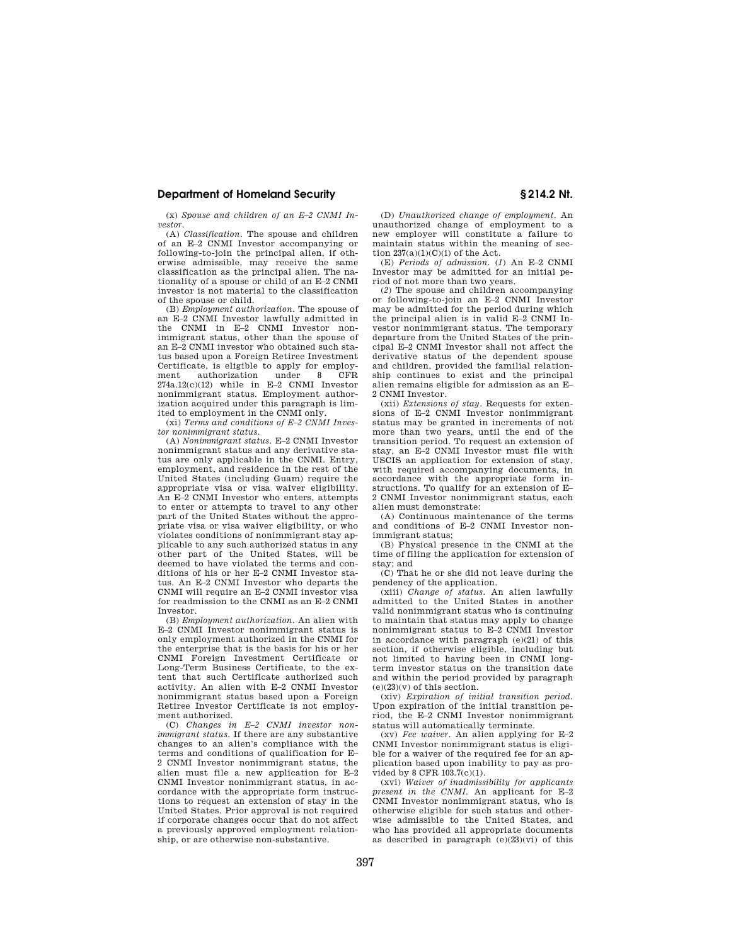(x) *Spouse and children of an E–2 CNMI Investor.* 

(A) *Classification.* The spouse and children of an E–2 CNMI Investor accompanying or following-to-join the principal alien, if otherwise admissible, may receive the same classification as the principal alien. The nationality of a spouse or child of an E–2 CNMI investor is not material to the classification of the spouse or child.

(B) *Employment authorization.* The spouse of an E–2 CNMI Investor lawfully admitted in the CNMI in E–2 CNMI Investor nonimmigrant status, other than the spouse of an E–2 CNMI investor who obtained such status based upon a Foreign Retiree Investment Certificate, is eligible to apply for employment authorization under 8 CFR  $274a.12(c)(12)$  while in E-2 CNMI Investor nonimmigrant status. Employment authorization acquired under this paragraph is limited to employment in the CNMI only.

(xi) *Terms and conditions of E–2 CNMI Investor nonimmigrant status.* 

(A) *Nonimmigrant status.* E–2 CNMI Investor nonimmigrant status and any derivative status are only applicable in the CNMI. Entry, employment, and residence in the rest of the United States (including Guam) require the appropriate visa or visa waiver eligibility. An E–2 CNMI Investor who enters, attempts to enter or attempts to travel to any other part of the United States without the appropriate visa or visa waiver eligibility, or who violates conditions of nonimmigrant stay applicable to any such authorized status in any other part of the United States, will be deemed to have violated the terms and conditions of his or her E–2 CNMI Investor status. An E–2 CNMI Investor who departs the CNMI will require an E–2 CNMI investor visa for readmission to the CNMI as an E–2 CNMI Investor.

(B) *Employment authorization.* An alien with E–2 CNMI Investor nonimmigrant status is only employment authorized in the CNMI for the enterprise that is the basis for his or her CNMI Foreign Investment Certificate or Long-Term Business Certificate, to the extent that such Certificate authorized such activity. An alien with E–2 CNMI Investor nonimmigrant status based upon a Foreign Retiree Investor Certificate is not employment authorized.

(C) *Changes in E–2 CNMI investor nonimmigrant status.* If there are any substantive changes to an alien's compliance with the terms and conditions of qualification for E– 2 CNMI Investor nonimmigrant status, the alien must file a new application for E–2 CNMI Investor nonimmigrant status, in accordance with the appropriate form instructions to request an extension of stay in the United States. Prior approval is not required if corporate changes occur that do not affect a previously approved employment relationship, or are otherwise non-substantive.

(D) *Unauthorized change of employment.* An unauthorized change of employment to a new employer will constitute a failure to maintain status within the meaning of section  $237(a)(1)(C)(i)$  of the Act.

(E) *Periods of admission.* (*1*) An E–2 CNMI Investor may be admitted for an initial period of not more than two years.

(*2*) The spouse and children accompanying or following-to-join an E–2 CNMI Investor may be admitted for the period during which the principal alien is in valid E–2 CNMI Investor nonimmigrant status. The temporary departure from the United States of the principal E–2 CNMI Investor shall not affect the derivative status of the dependent spouse and children, provided the familial relationship continues to exist and the principal alien remains eligible for admission as an E– 2 CNMI Investor.

(xii) *Extensions of stay.* Requests for extensions of E–2 CNMI Investor nonimmigrant status may be granted in increments of not more than two years, until the end of the transition period. To request an extension of stay, an E–2 CNMI Investor must file with USCIS an application for extension of stay, with required accompanying documents, in accordance with the appropriate form in-structions. To qualify for an extension of E– 2 CNMI Investor nonimmigrant status, each alien must demonstrate:

(A) Continuous maintenance of the terms and conditions of E–2 CNMI Investor nonimmigrant status;

(B) Physical presence in the CNMI at the time of filing the application for extension of stay; and

(C) That he or she did not leave during the pendency of the application.

(xiii) *Change of status.* An alien lawfully admitted to the United States in another valid nonimmigrant status who is continuing to maintain that status may apply to change nonimmigrant status to E–2 CNMI Investor in accordance with paragraph (e)(21) of this section, if otherwise eligible, including but not limited to having been in CNMI longterm investor status on the transition date and within the period provided by paragraph  $(e)(23)(v)$  of this section.

(xiv) *Expiration of initial transition period.*  Upon expiration of the initial transition period, the E–2 CNMI Investor nonimmigrant status will automatically terminate.

(xv) *Fee waiver.* An alien applying for E–2 CNMI Investor nonimmigrant status is eligible for a waiver of the required fee for an application based upon inability to pay as provided by 8 CFR  $103.7(c)(1)$ .

(xvi) *Waiver of inadmissibility for applicants present in the CNMI.* An applicant for E–2 CNMI Investor nonimmigrant status, who is otherwise eligible for such status and otherwise admissible to the United States, and who has provided all appropriate documents as described in paragraph  $(e)(23)(vi)$  of this